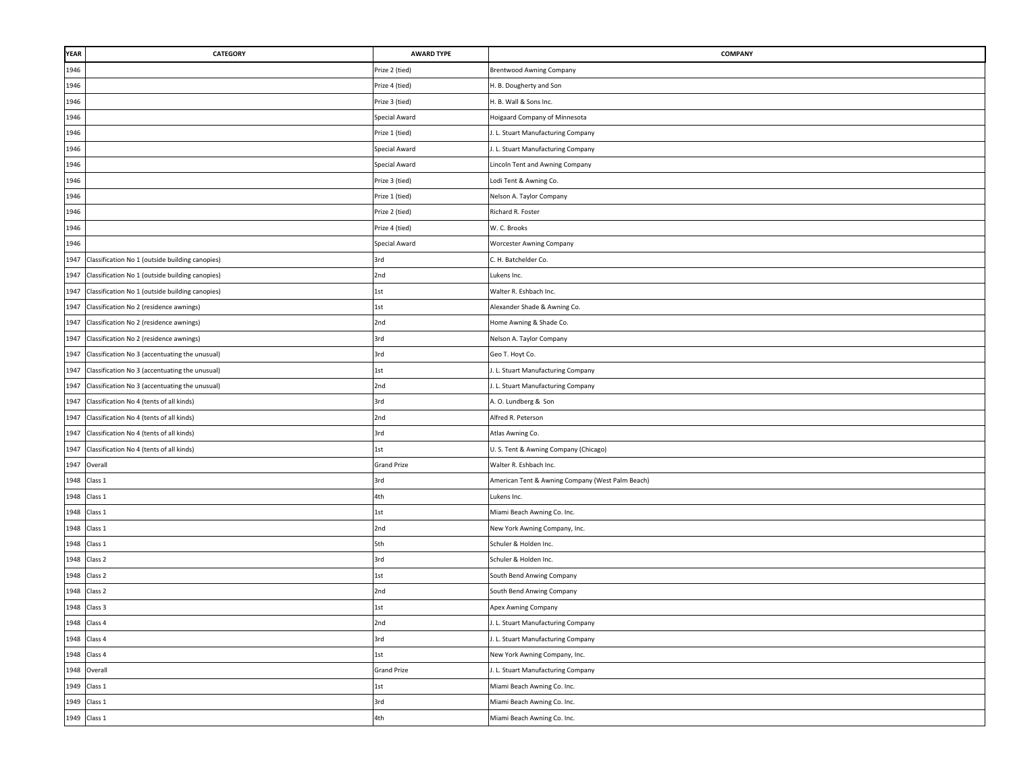| YEAR | CATEGORY                                        | <b>AWARD TYPE</b>  | COMPANY                                          |
|------|-------------------------------------------------|--------------------|--------------------------------------------------|
| 1946 |                                                 | Prize 2 (tied)     | <b>Brentwood Awning Company</b>                  |
| 1946 |                                                 | Prize 4 (tied)     | H. B. Dougherty and Son                          |
| 1946 |                                                 | Prize 3 (tied)     | H. B. Wall & Sons Inc.                           |
| 1946 |                                                 | Special Award      | Hoigaard Company of Minnesota                    |
| 1946 |                                                 | Prize 1 (tied)     | . L. Stuart Manufacturing Company                |
| 1946 |                                                 | Special Award      | . L. Stuart Manufacturing Company                |
| 1946 |                                                 | Special Award      | Lincoln Tent and Awning Company                  |
| 1946 |                                                 | Prize 3 (tied)     | Lodi Tent & Awning Co.                           |
| 1946 |                                                 | Prize 1 (tied)     | Nelson A. Taylor Company                         |
| 1946 |                                                 | Prize 2 (tied)     | Richard R. Foster                                |
| 1946 |                                                 | Prize 4 (tied)     | W. C. Brooks                                     |
| 1946 |                                                 | Special Award      | <b>Worcester Awning Company</b>                  |
| 1947 | Classification No 1 (outside building canopies) | 3rd                | C. H. Batchelder Co.                             |
| 1947 | Classification No 1 (outside building canopies) | 2nd                | Lukens Inc.                                      |
| 1947 | Classification No 1 (outside building canopies) | 1st                | Walter R. Eshbach Inc.                           |
| 1947 | Classification No 2 (residence awnings)         | 1st                | Alexander Shade & Awning Co.                     |
| 1947 | Classification No 2 (residence awnings)         | 2nd                | Home Awning & Shade Co.                          |
| 1947 | Classification No 2 (residence awnings)         | 3rd                | Nelson A. Taylor Company                         |
| 1947 | Classification No 3 (accentuating the unusual)  | 3rd                | Geo T. Hoyt Co.                                  |
| 1947 | Classification No 3 (accentuating the unusual)  | 1st                | . L. Stuart Manufacturing Company                |
| 1947 | Classification No 3 (accentuating the unusual)  | 2nd                | . L. Stuart Manufacturing Company                |
| 1947 | Classification No 4 (tents of all kinds)        | 3rd                | A. O. Lundberg & Son                             |
| 1947 | Classification No 4 (tents of all kinds)        | 2nd                | Alfred R. Peterson                               |
|      | 1947 Classification No 4 (tents of all kinds)   | 3rd                | Atlas Awning Co.                                 |
|      | 1947 Classification No 4 (tents of all kinds)   | 1st                | U. S. Tent & Awning Company (Chicago)            |
|      | 1947 Overall                                    | <b>Grand Prize</b> | Walter R. Eshbach Inc.                           |
|      | 1948 Class 1                                    | 3rd                | American Tent & Awning Company (West Palm Beach) |
|      | 1948 Class 1                                    | 4th                | Lukens Inc.                                      |
| 1948 | Class 1                                         | 1st                | Miami Beach Awning Co. Inc.                      |
|      | 1948 Class 1                                    | 2nd                | New York Awning Company, Inc.                    |
|      | 1948 Class 1                                    | 5th                | Schuler & Holden Inc.                            |
|      | 1948 Class 2                                    | 3rd                | Schuler & Holden Inc.                            |
|      | 1948 Class 2                                    | 1st                | South Bend Anwing Company                        |
|      | 1948 Class 2                                    | 2nd                | South Bend Anwing Company                        |
| 1948 | Class 3                                         | 1st                | Apex Awning Company                              |
|      | 1948 Class 4                                    | 2nd                | I. L. Stuart Manufacturing Company               |
|      | 1948 Class 4                                    | 3rd                | . L. Stuart Manufacturing Company                |
|      | 1948 Class 4                                    | 1st                | New York Awning Company, Inc.                    |
|      | 1948 Overall                                    | <b>Grand Prize</b> | . L. Stuart Manufacturing Company                |
|      | 1949 Class 1                                    | 1st                | Miami Beach Awning Co. Inc.                      |
|      | 1949 Class 1                                    | 3rd                | Miami Beach Awning Co. Inc.                      |
|      | 1949 Class 1                                    | 4th                | Miami Beach Awning Co. Inc.                      |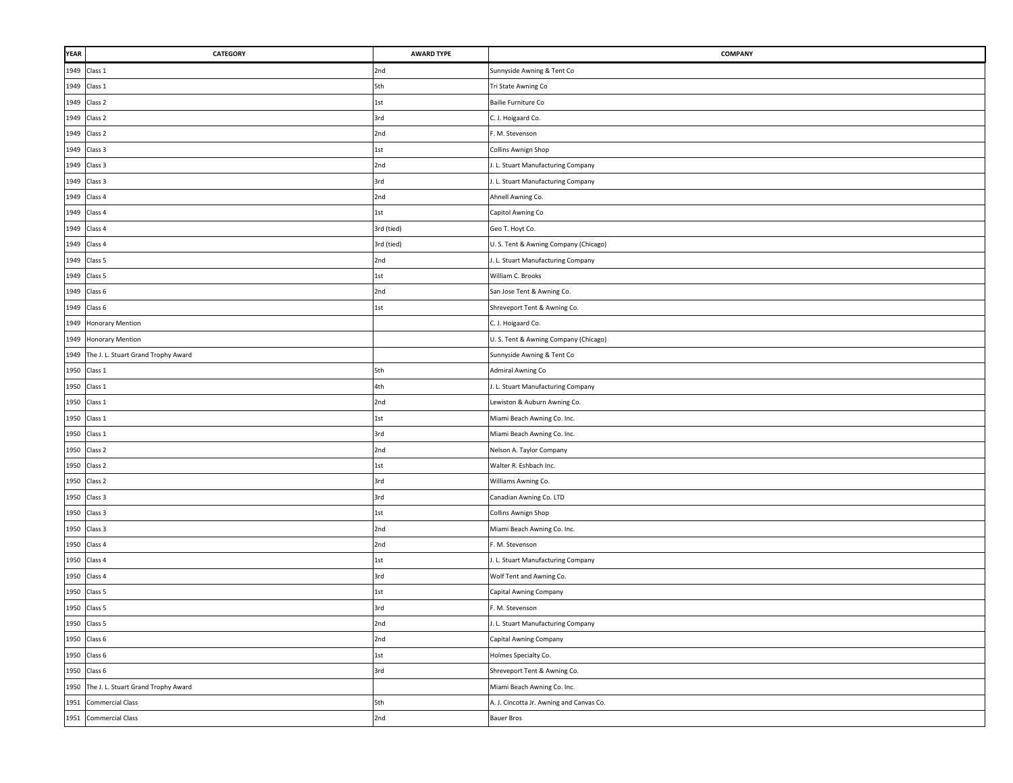| YEAR | CATEGORY                                 | <b>AWARD TYPE</b> | <b>COMPANY</b>                           |
|------|------------------------------------------|-------------------|------------------------------------------|
|      | 1949 Class 1                             | 2nd               | Sunnyside Awning & Tent Co               |
|      | 1949 Class 1                             | 5th               | Tri State Awning Co                      |
|      | 1949 Class 2                             | 1st               | Bailie Furniture Co                      |
|      | 1949 Class 2                             | 3rd               | C. J. Hoigaard Co.                       |
|      | 1949 Class 2                             | 2nd               | F. M. Stevenson                          |
|      | 1949 Class 3                             | 1st               | Collins Awnign Shop                      |
|      | 1949 Class 3                             | 2nd               | J. L. Stuart Manufacturing Company       |
|      | 1949 Class 3                             | 3rd               | I. L. Stuart Manufacturing Company       |
|      | 1949 Class 4                             | 2nd               | Ahnell Awning Co.                        |
|      | 1949 Class 4                             | 1st               | Capitol Awning Co                        |
|      | 1949 Class 4                             | 3rd (tied)        | Geo T. Hoyt Co.                          |
|      | 1949 Class 4                             | 3rd (tied)        | U.S. Tent & Awning Company (Chicago)     |
|      | 1949 Class 5                             | 2nd               | . L. Stuart Manufacturing Company        |
|      | 1949 Class 5                             | 1st               | William C. Brooks                        |
|      | 1949 Class 6                             | 2nd               | San Jose Tent & Awning Co.               |
|      | 1949 Class 6                             | 1st               | Shreveport Tent & Awning Co.             |
| 1949 | <b>Honorary Mention</b>                  |                   | C. J. Hoigaard Co.                       |
|      | 1949 Honorary Mention                    |                   | U.S. Tent & Awning Company (Chicago)     |
| 1949 | The J. L. Stuart Grand Trophy Award      |                   | Sunnyside Awning & Tent Co               |
|      | 1950 Class 1                             | 5th               | Admiral Awning Co                        |
|      | 1950 Class 1                             | 4th               | . L. Stuart Manufacturing Company        |
|      | 1950 Class 1                             | 2nd               | Lewiston & Auburn Awning Co.             |
|      | 1950 Class 1                             | 1st               | Miami Beach Awning Co. Inc.              |
|      | 1950 Class 1                             | 3rd               | Miami Beach Awning Co. Inc.              |
|      | 1950 Class 2                             | 2nd               | Nelson A. Taylor Company                 |
|      | 1950 Class 2                             | 1st               | Walter R. Eshbach Inc.                   |
|      | 1950 Class 2                             | 3rd               | Williams Awning Co.                      |
|      | 1950 Class 3                             | 3rd               | Canadian Awning Co. LTD                  |
|      | 1950 Class 3                             | 1st               | Collins Awnign Shop                      |
|      | 1950 Class 3                             | 2nd               | Miami Beach Awning Co. Inc.              |
|      | 1950 Class 4                             | 2nd               | F. M. Stevenson                          |
|      | 1950 Class 4                             | $1st$             | . L. Stuart Manufacturing Company        |
|      | 1950 Class 4                             | 3rd               | Wolf Tent and Awning Co.                 |
|      | 1950 Class 5                             | 1st               | Capital Awning Company                   |
| 1950 | Class 5                                  | 3rd               | F. M. Stevenson                          |
|      | 1950 Class 5                             | 2nd               | I. L. Stuart Manufacturing Company       |
|      | 1950 Class 6                             | 2nd               | Capital Awning Company                   |
|      | 1950 Class 6                             | 1st               | Holmes Specialty Co.                     |
|      | 1950 Class 6                             | 3rd               | Shreveport Tent & Awning Co.             |
|      | 1950 The J. L. Stuart Grand Trophy Award |                   | Miami Beach Awning Co. Inc.              |
| 1951 | <b>Commercial Class</b>                  | 5th               | A. J. Cincotta Jr. Awning and Canvas Co. |
|      | 1951 Commercial Class                    | 2nd               | <b>Bauer Bros</b>                        |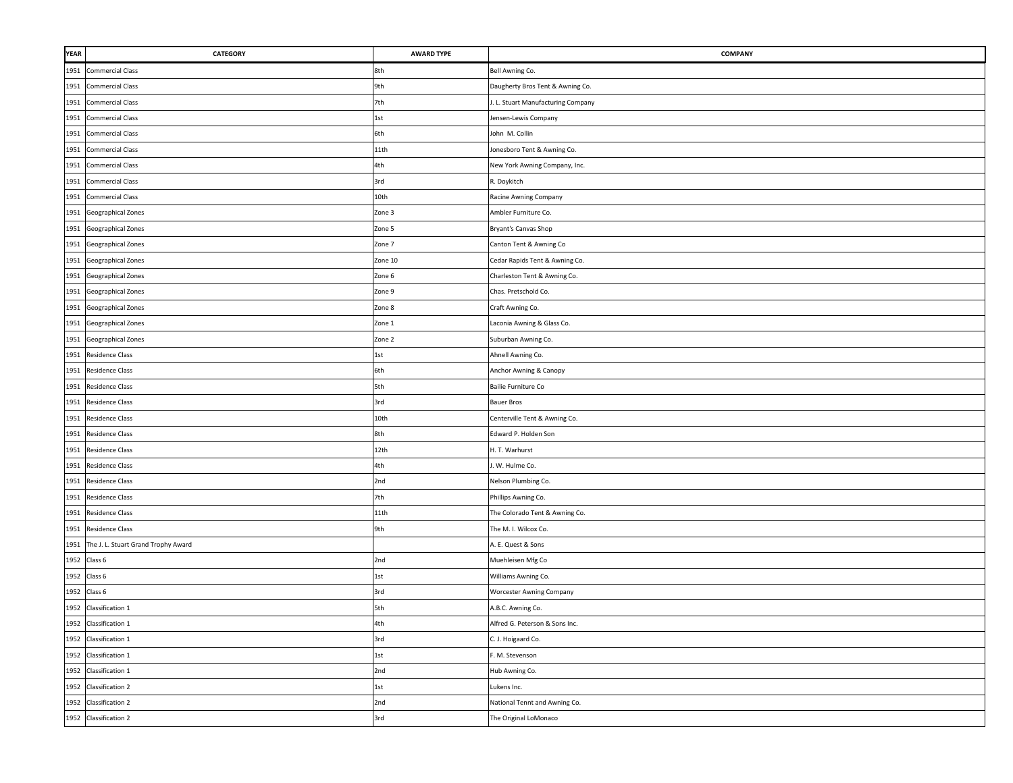| <b>YEAR</b> | CATEGORY                            | <b>AWARD TYPE</b> | <b>COMPANY</b>                     |
|-------------|-------------------------------------|-------------------|------------------------------------|
| 1951        | <b>Commercial Class</b>             | 8th               | Bell Awning Co.                    |
| 1951        | <b>Commercial Class</b>             | 9th               | Daugherty Bros Tent & Awning Co.   |
| 1951        | <b>Commercial Class</b>             | 7th               | I. L. Stuart Manufacturing Company |
| 1951        | <b>Commercial Class</b>             | 1st               | Jensen-Lewis Company               |
| 1951        | <b>Commercial Class</b>             | 6th               | John M. Collin                     |
| 1951        | <b>Commercial Class</b>             | 11th              | Jonesboro Tent & Awning Co.        |
|             | 1951 Commercial Class               | 4th               | New York Awning Company, Inc.      |
| 1951        | <b>Commercial Class</b>             | 3rd               | R. Doykitch                        |
| 1951        | <b>Commercial Class</b>             | 10th              | Racine Awning Company              |
| 1951        | Geographical Zones                  | Zone 3            | Ambler Furniture Co.               |
| 1951        | Geographical Zones                  | Zone 5            | Bryant's Canvas Shop               |
| 1951        | Geographical Zones                  | Zone 7            | Canton Tent & Awning Co            |
| 1951        | Geographical Zones                  | Zone 10           | Cedar Rapids Tent & Awning Co.     |
| 1951        | Geographical Zones                  | Zone 6            | Charleston Tent & Awning Co.       |
| 1951        | Geographical Zones                  | Zone 9            | Chas. Pretschold Co.               |
| 1951        | Geographical Zones                  | Zone 8            | Craft Awning Co.                   |
| 1951        | Geographical Zones                  | Zone 1            | Laconia Awning & Glass Co.         |
| 1951        | Geographical Zones                  | Zone 2            | Suburban Awning Co.                |
| 1951        | Residence Class                     | 1st               | Ahnell Awning Co.                  |
| 1951        | Residence Class                     | 6th               | Anchor Awning & Canopy             |
| 1951        | <b>Residence Class</b>              | 5th               | Bailie Furniture Co                |
| 1951        | <b>Residence Class</b>              | 3rd               | <b>Bauer Bros</b>                  |
| 1951        | Residence Class                     | 10th              | Centerville Tent & Awning Co.      |
| 1951        | Residence Class                     | 8th               | Edward P. Holden Son               |
| 1951        | Residence Class                     | 12th              | H. T. Warhurst                     |
| 1951        | <b>Residence Class</b>              | 4th               | I. W. Hulme Co.                    |
| 1951        | Residence Class                     | 2nd               | Nelson Plumbing Co.                |
| 1951        | Residence Class                     | 7th               | Phillips Awning Co.                |
| 1951        | Residence Class                     | 11th              | The Colorado Tent & Awning Co.     |
| 1951        | Residence Class                     | 9th               | The M. I. Wilcox Co.               |
| 1951        | The J. L. Stuart Grand Trophy Award |                   | A. E. Quest & Sons                 |
|             | 1952 Class 6                        | 2nd               | Muehleisen Mfg Co                  |
|             | 1952 Class 6                        | 1st               | Williams Awning Co.                |
| 1952        | Class 6                             | 3rd               | Worcester Awning Company           |
| 1952        | Classification 1                    | 5th               | A.B.C. Awning Co.                  |
|             | 1952 Classification 1               | 4th               | Alfred G. Peterson & Sons Inc.     |
|             | 1952 Classification 1               | 3rd               | C. J. Hoigaard Co.                 |
|             | 1952 Classification 1               | 1st               | F. M. Stevenson                    |
|             | 1952 Classification 1               | 2nd               | Hub Awning Co.                     |
|             | 1952 Classification 2               | 1st               | Lukens Inc.                        |
|             | 1952 Classification 2               | 2nd               | National Tennt and Awning Co.      |
|             | 1952 Classification 2               | 3rd               | The Original LoMonaco              |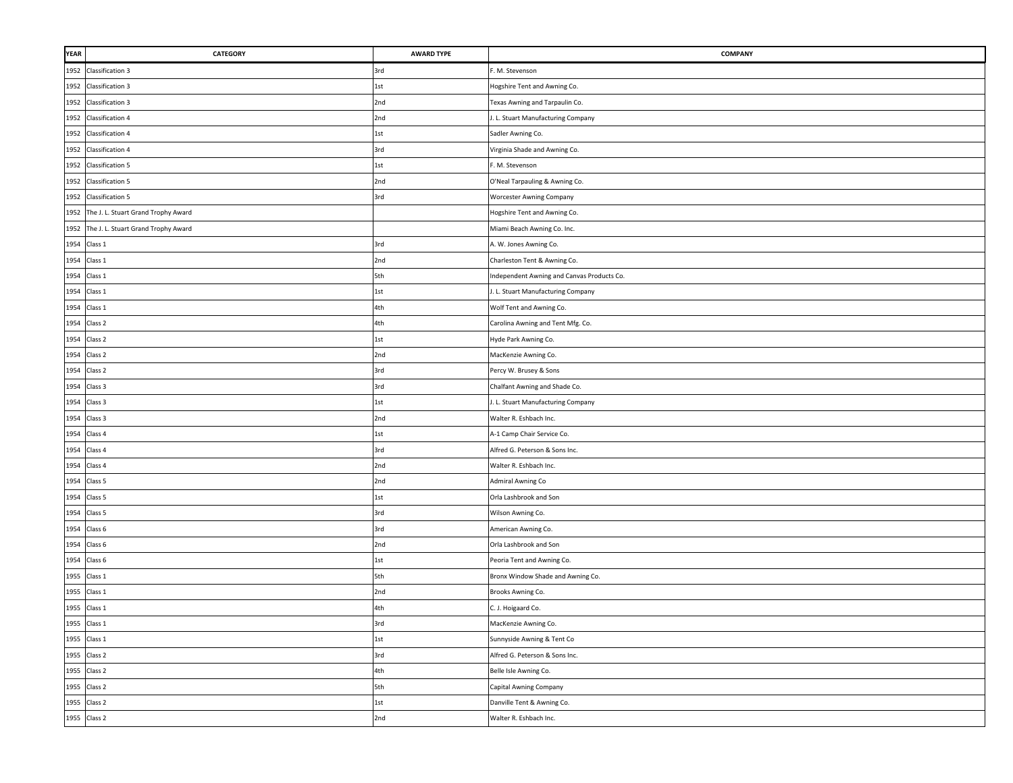| <b>YEAR</b> | CATEGORY                                 | <b>AWARD TYPE</b> | <b>COMPANY</b>                             |
|-------------|------------------------------------------|-------------------|--------------------------------------------|
| 1952        | <b>Classification 3</b>                  | 3rd               | F. M. Stevenson                            |
| 1952        | <b>Classification 3</b>                  | 1st               | Hogshire Tent and Awning Co.               |
|             | 1952 Classification 3                    | 2nd               | Texas Awning and Tarpaulin Co.             |
|             | 1952 Classification 4                    | 2nd               | I. L. Stuart Manufacturing Company         |
| 1952        | Classification 4                         | 1st               | Sadler Awning Co.                          |
|             | 1952 Classification 4                    | 3rd               | Virginia Shade and Awning Co.              |
|             | 1952 Classification 5                    | 1st               | F. M. Stevenson                            |
|             | 1952 Classification 5                    | 2nd               | O'Neal Tarpauling & Awning Co.             |
|             | 1952 Classification 5                    | 3rd               | Worcester Awning Company                   |
|             | 1952 The J. L. Stuart Grand Trophy Award |                   | Hogshire Tent and Awning Co.               |
| 1952        | The J. L. Stuart Grand Trophy Award      |                   | Miami Beach Awning Co. Inc.                |
|             | 1954 Class 1                             | 3rd               | A. W. Jones Awning Co.                     |
|             | 1954 Class 1                             | 2nd               | Charleston Tent & Awning Co.               |
|             | 1954 Class 1                             | 5th               | Independent Awning and Canvas Products Co. |
|             | 1954 Class 1                             | 1st               | I. L. Stuart Manufacturing Company         |
| 1954        | Class 1                                  | 4th               | Wolf Tent and Awning Co.                   |
| 1954        | Class 2                                  | 4th               | Carolina Awning and Tent Mfg. Co.          |
| 1954        | Class 2                                  | 1st               | Hyde Park Awning Co.                       |
| 1954        | Class 2                                  | 2nd               | MacKenzie Awning Co.                       |
| 1954        | Class 2                                  | 3rd               | Percy W. Brusey & Sons                     |
|             | 1954 Class 3                             | 3rd               | Chalfant Awning and Shade Co.              |
|             | 1954 Class 3                             | 1st               | I. L. Stuart Manufacturing Company         |
|             | 1954 Class 3                             | 2nd               | Walter R. Eshbach Inc.                     |
|             | 1954 Class 4                             | 1st               | A-1 Camp Chair Service Co.                 |
|             | 1954 Class 4                             | 3rd               | Alfred G. Peterson & Sons Inc.             |
|             | 1954 Class 4                             | 2nd               | Walter R. Eshbach Inc.                     |
|             | 1954 Class 5                             | 2nd               | Admiral Awning Co                          |
|             | 1954 Class 5                             | 1st               | Orla Lashbrook and Son                     |
|             | 1954 Class 5                             | 3rd               | Wilson Awning Co.                          |
|             | 1954 Class 6                             | 3rd               | American Awning Co.                        |
|             | 1954 Class 6                             | 2nd               | Orla Lashbrook and Son                     |
|             | 1954 Class 6                             | $1st$             | Peoria Tent and Awning Co.                 |
| 1955        | Class 1                                  | 5th               | Bronx Window Shade and Awning Co.          |
| 1955        | Class 1                                  | 2nd               | Brooks Awning Co.                          |
| 1955        | Class 1                                  | 4th               | C. J. Hoigaard Co.                         |
|             | 1955 Class 1                             | 3rd               | MacKenzie Awning Co.                       |
|             | 1955 Class 1                             | 1st               | Sunnyside Awning & Tent Co                 |
|             | 1955 Class 2                             | 3rd               | Alfred G. Peterson & Sons Inc.             |
|             | 1955 Class 2                             | 4th               | Belle Isle Awning Co.                      |
|             | 1955 Class 2                             | 5th               | Capital Awning Company                     |
|             | 1955 Class 2                             | 1st               | Danville Tent & Awning Co.                 |
|             | 1955 Class 2                             | 2nd               | Walter R. Eshbach Inc.                     |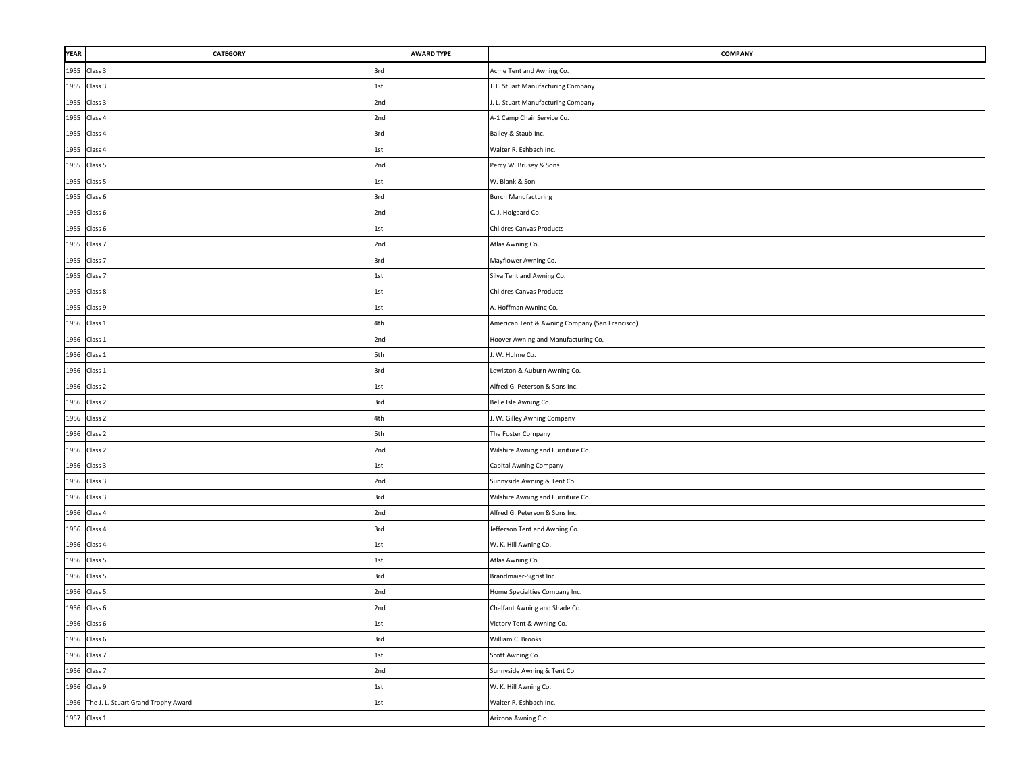| YEAR | CATEGORY                            | <b>AWARD TYPE</b> | <b>COMPANY</b>                                 |
|------|-------------------------------------|-------------------|------------------------------------------------|
|      | 1955 Class 3                        | 3rd               | Acme Tent and Awning Co.                       |
|      | 1955 Class 3                        | 1st               | I. L. Stuart Manufacturing Company             |
|      | 1955 Class 3                        | 2nd               | . L. Stuart Manufacturing Company              |
|      | 1955 Class 4                        | 2nd               | A-1 Camp Chair Service Co.                     |
|      | 1955 Class 4                        | 3rd               | Bailey & Staub Inc.                            |
|      | 1955 Class 4                        | $1st$             | Walter R. Eshbach Inc.                         |
|      | 1955 Class 5                        | 2nd               | Percy W. Brusey & Sons                         |
|      | 1955 Class 5                        | 1st               | W. Blank & Son                                 |
|      | 1955 Class 6                        | 3rd               | <b>Burch Manufacturing</b>                     |
|      | 1955 Class 6                        | 2nd               | C. J. Hoigaard Co.                             |
|      | 1955 Class 6                        | 1st               | <b>Childres Canvas Products</b>                |
|      | 1955 Class 7                        | 2nd               | Atlas Awning Co.                               |
|      | 1955 Class 7                        | 3rd               | Mayflower Awning Co.                           |
|      | 1955 Class 7                        | 1st               | Silva Tent and Awning Co.                      |
|      | 1955 Class 8                        | $1st$             | <b>Childres Canvas Products</b>                |
| 1955 | Class 9                             | 1st               | A. Hoffman Awning Co.                          |
| 1956 | Class 1                             | 4th               | American Tent & Awning Company (San Francisco) |
| 1956 | Class 1                             | 2nd               | Hoover Awning and Manufacturing Co.            |
| 1956 | Class 1                             | 5th               | I. W. Hulme Co.                                |
| 1956 | Class 1                             | 3rd               | Lewiston & Auburn Awning Co.                   |
|      | 1956 Class 2                        | 1st               | Alfred G. Peterson & Sons Inc.                 |
|      | 1956 Class 2                        | 3rd               | Belle Isle Awning Co.                          |
|      | 1956 Class 2                        | 4th               | J. W. Gilley Awning Company                    |
|      | 1956 Class 2                        | 5th               | The Foster Company                             |
|      | 1956 Class 2                        | 2nd               | Wilshire Awning and Furniture Co.              |
|      | 1956 Class 3                        | 1st               | Capital Awning Company                         |
|      | 1956 Class 3                        | 2nd               | Sunnyside Awning & Tent Co                     |
|      | 1956 Class 3                        | 3rd               | Wilshire Awning and Furniture Co.              |
|      | 1956 Class 4                        | 2nd               | Alfred G. Peterson & Sons Inc.                 |
|      | 1956 Class 4                        | 3rd               | Jefferson Tent and Awning Co.                  |
|      | 1956 Class 4                        | $1st$             | W. K. Hill Awning Co.                          |
|      | 1956 Class 5                        | $1st$             | Atlas Awning Co.                               |
|      | 1956 Class 5                        | 3rd               | Brandmaier-Sigrist Inc.                        |
| 1956 | Class 5                             | 2nd               | Home Specialties Company Inc.                  |
|      | 1956 Class 6                        | 2nd               | Chalfant Awning and Shade Co.                  |
|      | 1956 Class 6                        | $1st$             | Victory Tent & Awning Co.                      |
|      | 1956 Class 6                        | 3rd               | William C. Brooks                              |
|      | 1956 Class 7                        | 1st               | Scott Awning Co.                               |
|      | 1956 Class 7                        | 2nd               | Sunnyside Awning & Tent Co                     |
|      | 1956 Class 9                        | 1st               | W. K. Hill Awning Co.                          |
| 1956 | The J. L. Stuart Grand Trophy Award | 1st               | Walter R. Eshbach Inc.                         |
|      | 1957 Class 1                        |                   | Arizona Awning Co.                             |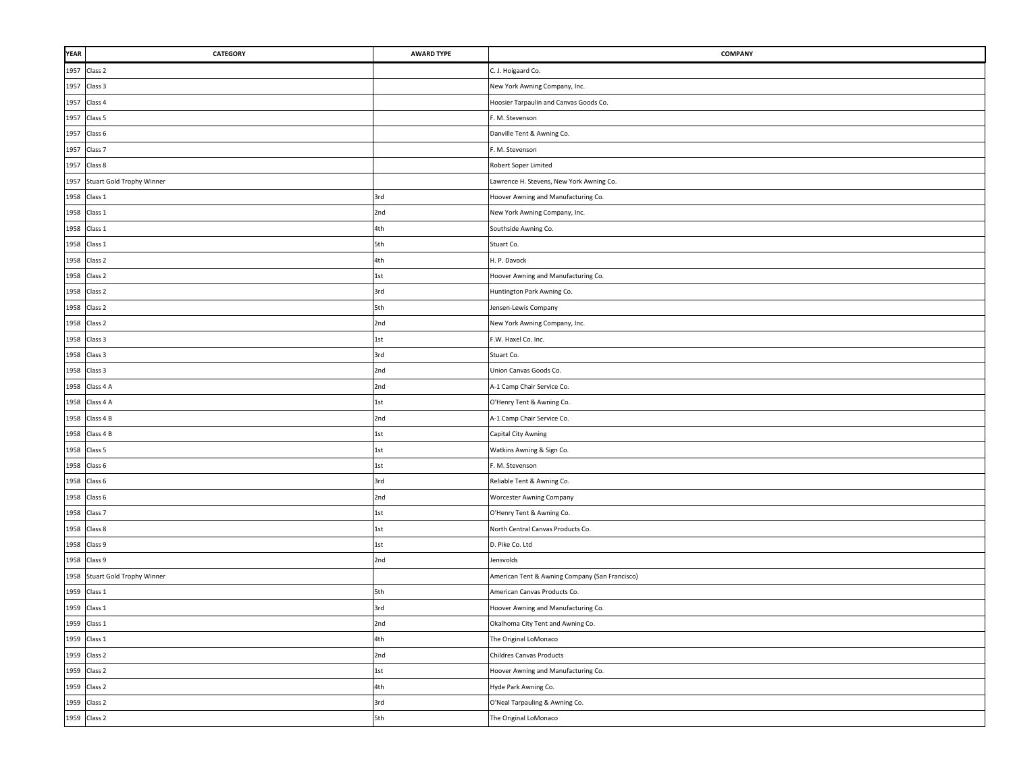| YEAR | CATEGORY                       | <b>AWARD TYPE</b> | <b>COMPANY</b>                                 |
|------|--------------------------------|-------------------|------------------------------------------------|
|      | 1957 Class 2                   |                   | C. J. Hoigaard Co.                             |
| 1957 | Class 3                        |                   | New York Awning Company, Inc.                  |
|      | 1957 Class 4                   |                   | Hoosier Tarpaulin and Canvas Goods Co.         |
| 1957 | Class 5                        |                   | F. M. Stevenson                                |
|      | 1957 Class 6                   |                   | Danville Tent & Awning Co.                     |
|      | 1957 Class 7                   |                   | F. M. Stevenson                                |
|      | 1957 Class 8                   |                   | Robert Soper Limited                           |
|      | 1957 Stuart Gold Trophy Winner |                   | Lawrence H. Stevens, New York Awning Co.       |
|      | 1958 Class 1                   | 3rd               | Hoover Awning and Manufacturing Co.            |
|      | 1958 Class 1                   | 2nd               | New York Awning Company, Inc.                  |
|      | 1958 Class 1                   | 4th               | Southside Awning Co.                           |
|      | 1958 Class 1                   | 5th               | Stuart Co.                                     |
|      | 1958 Class 2                   | 4th               | H. P. Davock                                   |
|      | 1958 Class 2                   | 1st               | Hoover Awning and Manufacturing Co.            |
|      | 1958 Class 2                   | 3rd               | Huntington Park Awning Co.                     |
|      | 1958 Class 2                   | 5th               | Jensen-Lewis Company                           |
| 1958 | Class 2                        | 2nd               | New York Awning Company, Inc.                  |
| 1958 | Class 3                        | 1st               | F.W. Haxel Co. Inc.                            |
| 1958 | Class 3                        | 3rd               | Stuart Co.                                     |
| 1958 | Class 3                        | 2nd               | Union Canvas Goods Co.                         |
| 1958 | Class 4 A                      | 2nd               | A-1 Camp Chair Service Co.                     |
|      | 1958 Class 4 A                 | 1st               | O'Henry Tent & Awning Co.                      |
|      | 1958 Class 4 B                 | 2nd               | A-1 Camp Chair Service Co.                     |
|      | 1958 Class 4 B                 | $1st$             | Capital City Awning                            |
|      | 1958 Class 5                   | 1st               | Watkins Awning & Sign Co.                      |
|      | 1958 Class 6                   | 1st               | F. M. Stevenson                                |
|      | 1958 Class 6                   | 3rd               | Reliable Tent & Awning Co.                     |
|      | 1958 Class 6                   | 2nd               | <b>Worcester Awning Company</b>                |
|      | 1958 Class 7                   | 1st               | O'Henry Tent & Awning Co.                      |
|      | 1958 Class 8                   | 1st               | North Central Canvas Products Co.              |
|      | 1958 Class 9                   | 1st               | D. Pike Co. Ltd                                |
|      | 1958 Class 9                   | 2nd               | Jensvolds                                      |
| 1958 | Stuart Gold Trophy Winner      |                   | American Tent & Awning Company (San Francisco) |
|      | 1959 Class 1                   | 5th               | American Canvas Products Co.                   |
| 1959 | Class 1                        | 3rd               | Hoover Awning and Manufacturing Co.            |
|      | 1959 Class 1                   | 2nd               | Okalhoma City Tent and Awning Co.              |
|      | 1959 Class 1                   | 4th               | The Original LoMonaco                          |
|      | 1959 Class 2                   | 2nd               | <b>Childres Canvas Products</b>                |
|      | 1959 Class 2                   | 1st               | Hoover Awning and Manufacturing Co.            |
|      | 1959 Class 2                   | 4th               | Hyde Park Awning Co.                           |
|      | 1959 Class 2                   | 3rd               | O'Neal Tarpauling & Awning Co.                 |
|      | 1959 Class 2                   | 5th               | The Original LoMonaco                          |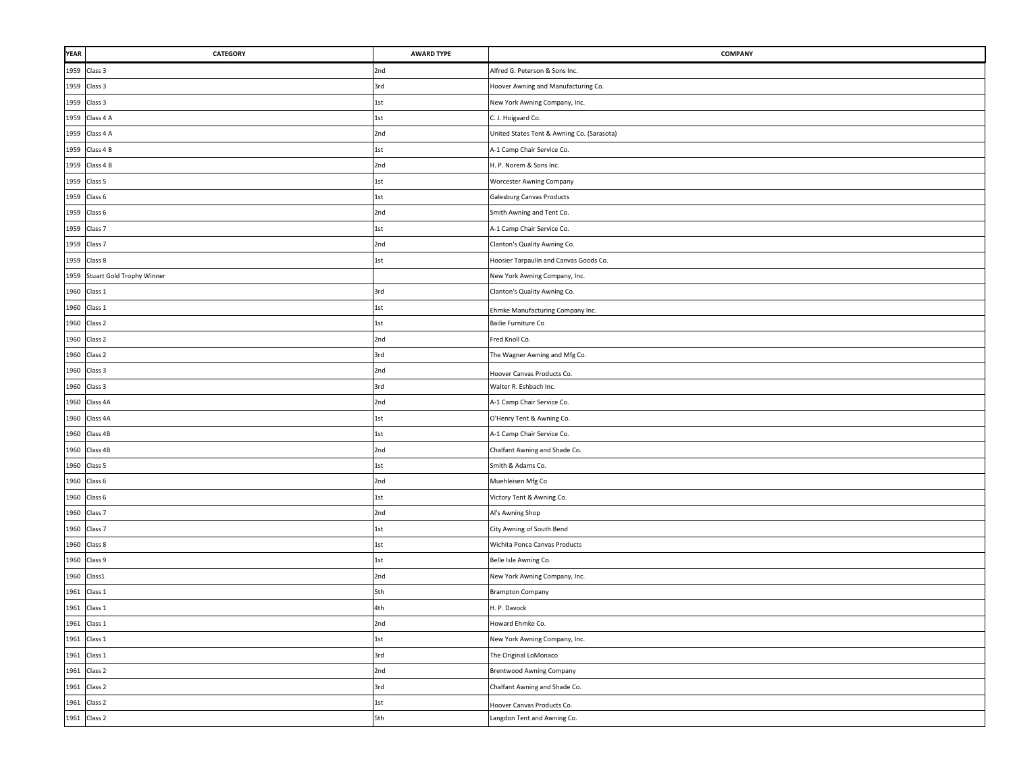| YEAR | CATEGORY                       | <b>AWARD TYPE</b> | <b>COMPANY</b>                             |
|------|--------------------------------|-------------------|--------------------------------------------|
|      | 1959 Class 3                   | 2nd               | Alfred G. Peterson & Sons Inc.             |
|      | 1959 Class 3                   | 3rd               | Hoover Awning and Manufacturing Co.        |
|      | 1959 Class 3                   | 1st               | New York Awning Company, Inc.              |
|      | 1959 Class 4 A                 | 1st               | C. J. Hoigaard Co.                         |
|      | 1959 Class 4 A                 | 2nd               | United States Tent & Awning Co. (Sarasota) |
|      | 1959 Class 4 B                 | 1st               | A-1 Camp Chair Service Co.                 |
|      | 1959 Class 4 B                 | 2nd               | H. P. Norem & Sons Inc.                    |
|      | 1959 Class 5                   | 1st               | <b>Worcester Awning Company</b>            |
|      | 1959 Class 6                   | 1st               | Galesburg Canvas Products                  |
|      | 1959 Class 6                   | 2nd               | Smith Awning and Tent Co.                  |
|      | 1959 Class 7                   | 1st               | A-1 Camp Chair Service Co.                 |
|      | 1959 Class 7                   | 2nd               | Clanton's Quality Awning Co.               |
|      | 1959 Class 8                   | 1st               | Hoosier Tarpaulin and Canvas Goods Co.     |
|      | 1959 Stuart Gold Trophy Winner |                   | New York Awning Company, Inc.              |
| 1960 | Class 1                        | 3rd               | Clanton's Quality Awning Co.               |
|      | 1960 Class 1                   | $1st$             | Ehmke Manufacturing Company Inc.           |
| 1960 | Class 2                        | 1st               | Bailie Furniture Co                        |
| 1960 | Class 2                        | 2nd               | Fred Knoll Co.                             |
| 1960 | Class 2                        | 3rd               | The Wagner Awning and Mfg Co.              |
| 1960 | Class 3                        | 2nd               | Hoover Canvas Products Co.                 |
| 1960 | Class 3                        | 3rd               | Walter R. Eshbach Inc.                     |
|      | 1960 Class 4A                  | 2nd               | A-1 Camp Chair Service Co.                 |
| 1960 | Class 4A                       | 1st               | O'Henry Tent & Awning Co.                  |
|      | 1960 Class 4B                  | $1st$             | A-1 Camp Chair Service Co.                 |
| 1960 | Class 4B                       | 2nd               | Chalfant Awning and Shade Co.              |
|      | 1960 Class 5                   | 1st               | Smith & Adams Co.                          |
|      | 1960 Class 6                   | 2nd               | Muehleisen Mfg Co                          |
|      | 1960 Class 6                   | 1st               | Victory Tent & Awning Co.                  |
|      | 1960 Class 7                   | 2nd               | Al's Awning Shop                           |
|      | 1960 Class 7                   | 1st               | City Awning of South Bend                  |
|      | 1960 Class 8                   | 1st               | Wichita Ponca Canvas Products              |
|      | 1960 Class 9                   | $1st$             | Belle Isle Awning Co.                      |
| 1960 | Class1                         | 2nd               | New York Awning Company, Inc.              |
| 1961 | Class 1                        | 5th               | <b>Brampton Company</b>                    |
| 1961 | Class 1                        | 4th               | H. P. Davock                               |
|      | 1961 Class 1                   | 2nd               | Howard Ehmke Co.                           |
|      | 1961 Class 1                   | 1st               | New York Awning Company, Inc.              |
|      | 1961 Class 1                   | 3rd               | The Original LoMonaco                      |
|      | 1961 Class 2                   | 2nd               | <b>Brentwood Awning Company</b>            |
|      | 1961 Class 2                   | 3rd               | Chalfant Awning and Shade Co.              |
|      | 1961 Class 2                   | $1st$             | Hoover Canvas Products Co.                 |
|      | 1961 Class 2                   | 5th               | Langdon Tent and Awning Co.                |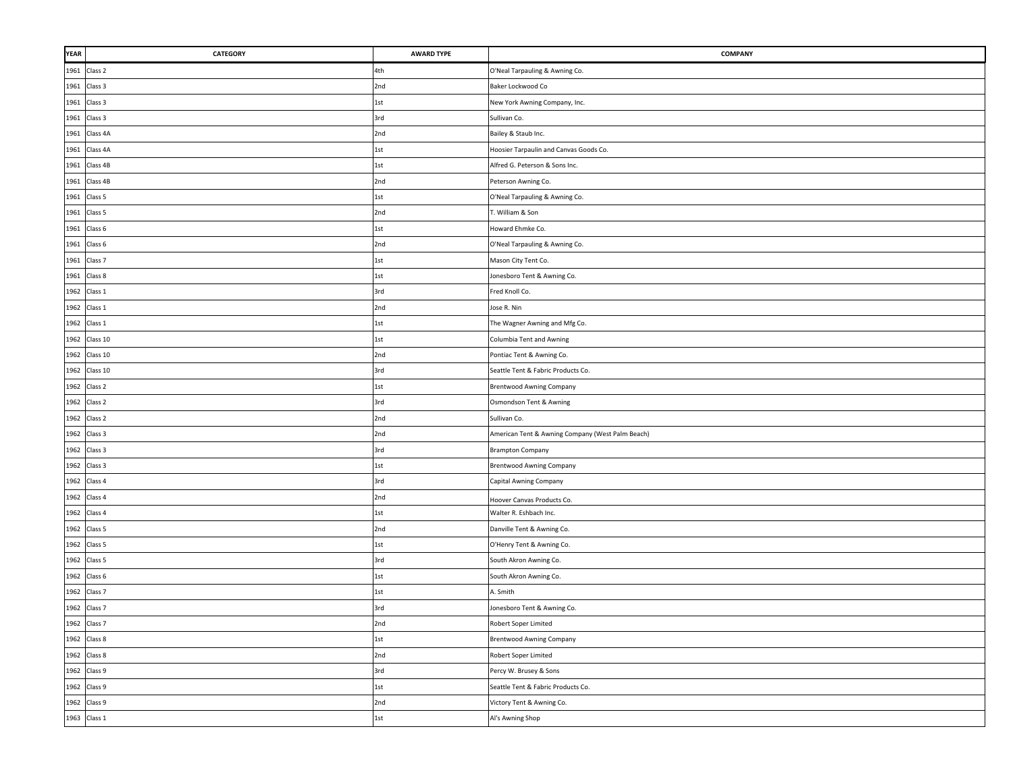| <b>YEAR</b> | CATEGORY           | <b>AWARD TYPE</b> | <b>COMPANY</b>                                   |
|-------------|--------------------|-------------------|--------------------------------------------------|
|             | 1961 Class 2       | 4th               | O'Neal Tarpauling & Awning Co.                   |
|             | 1961 Class 3       | 2nd               | Baker Lockwood Co                                |
| 1961        | Class 3            | 1st               | New York Awning Company, Inc.                    |
| 1961        | Class 3            | 3rd               | Sullivan Co.                                     |
| 1961        | Class 4A           | 2nd               | Bailey & Staub Inc.                              |
| 1961        | Class 4A           | 1st               | Hoosier Tarpaulin and Canvas Goods Co.           |
|             | 1961 Class 4B      | 1st               | Alfred G. Peterson & Sons Inc.                   |
| 1961        | Class 4B           | 2nd               | Peterson Awning Co.                              |
|             | 1961 Class 5       | 1st               | O'Neal Tarpauling & Awning Co.                   |
|             | 1961 Class 5       | 2nd               | T. William & Son                                 |
|             | 1961 Class 6       | 1st               | Howard Ehmke Co.                                 |
|             | 1961 Class 6       | 2nd               | O'Neal Tarpauling & Awning Co.                   |
| 1961        | Class 7            | 1st               | Mason City Tent Co.                              |
|             | 1961 Class 8       | 1st               | Jonesboro Tent & Awning Co.                      |
|             | 1962 Class 1       | 3rd               | Fred Knoll Co.                                   |
|             | 1962 Class 1       | 2nd               | Jose R. Nin                                      |
| 1962        | Class 1            | 1st               | The Wagner Awning and Mfg Co.                    |
| 1962        | Class 10           | 1st               | Columbia Tent and Awning                         |
| 1962        | Class 10           | 2nd               | Pontiac Tent & Awning Co.                        |
| 1962        | Class 10           | 3rd               | Seattle Tent & Fabric Products Co.               |
|             | 1962 Class 2       | 1st               | <b>Brentwood Awning Company</b>                  |
|             | 1962 Class 2       | 3rd               | Osmondson Tent & Awning                          |
|             | 1962 Class 2       | 2nd               | Sullivan Co.                                     |
|             | 1962 Class 3       | 2nd               | American Tent & Awning Company (West Palm Beach) |
|             | 1962 Class 3       | 3rd               | <b>Brampton Company</b>                          |
|             | 1962 Class 3       | 1st               | <b>Brentwood Awning Company</b>                  |
|             | 1962 Class 4       | 3rd               | Capital Awning Company                           |
|             | 1962 Class 4       | 2nd               | Hoover Canvas Products Co.                       |
|             | 1962 Class 4       | 1st               | Walter R. Eshbach Inc.                           |
|             | 1962 Class 5       | 2nd               | Danville Tent & Awning Co.                       |
|             | 1962 Class 5       | 1st               | O'Henry Tent & Awning Co.                        |
|             | 1962 Class 5       | 3rd               | South Akron Awning Co.                           |
|             | 1962 Class 6       | 1st               | South Akron Awning Co.                           |
|             | 1962 Class 7       | 1st               | A. Smith                                         |
| 1962        | Class <sub>7</sub> | 3rd               | Jonesboro Tent & Awning Co.                      |
|             | 1962 Class 7       | 2nd               | Robert Soper Limited                             |
|             | 1962 Class 8       | 1st               | <b>Brentwood Awning Company</b>                  |
|             | 1962 Class 8       | 2nd               | Robert Soper Limited                             |
|             | 1962 Class 9       | 3rd               | Percy W. Brusey & Sons                           |
|             | 1962 Class 9       | 1st               | Seattle Tent & Fabric Products Co.               |
|             | 1962 Class 9       | 2nd               | Victory Tent & Awning Co.                        |
|             | 1963 Class 1       | 1st               | Al's Awning Shop                                 |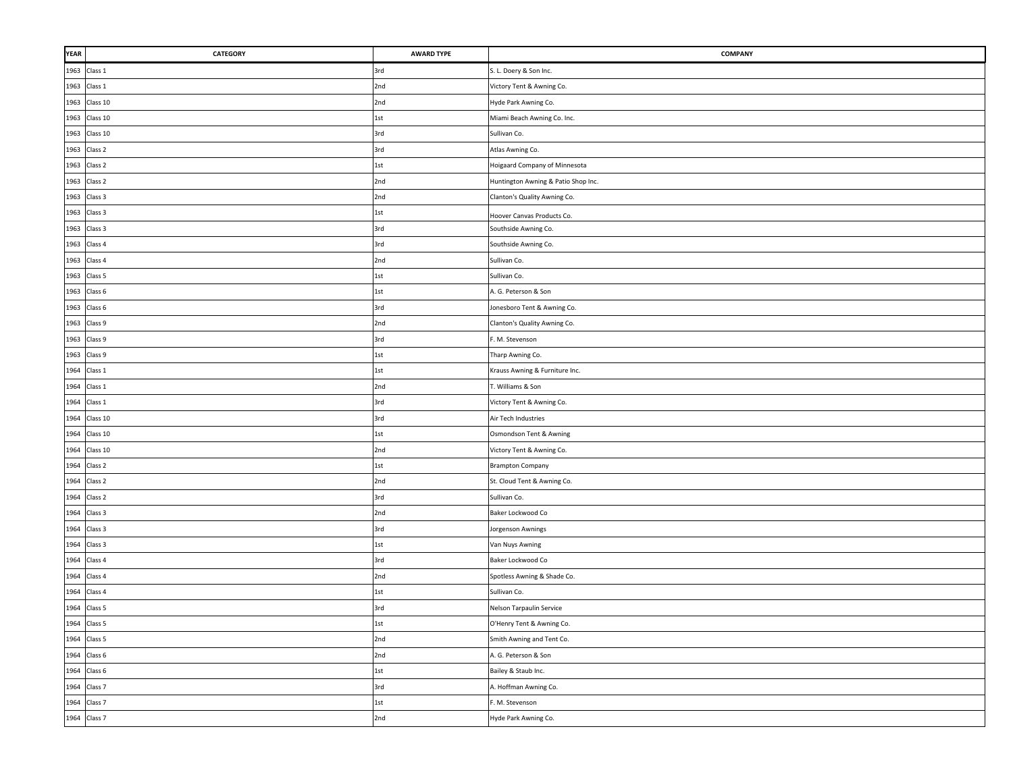| YEAR | CATEGORY      | <b>AWARD TYPE</b> | <b>COMPANY</b>                      |
|------|---------------|-------------------|-------------------------------------|
|      | 1963 Class 1  | 3rd               | S. L. Doery & Son Inc.              |
|      | 1963 Class 1  | 2nd               | Victory Tent & Awning Co.           |
|      | 1963 Class 10 | 2nd               | Hyde Park Awning Co.                |
|      | 1963 Class 10 | $1st$             | Miami Beach Awning Co. Inc.         |
|      | 1963 Class 10 | 3rd               | Sullivan Co.                        |
|      | 1963 Class 2  | 3rd               | Atlas Awning Co.                    |
|      | 1963 Class 2  | 1st               | Hoigaard Company of Minnesota       |
|      | 1963 Class 2  | 2nd               | Huntington Awning & Patio Shop Inc. |
|      | 1963 Class 3  | 2nd               | Clanton's Quality Awning Co.        |
|      | 1963 Class 3  | 1st               | Hoover Canvas Products Co.          |
|      | 1963 Class 3  | 3rd               | Southside Awning Co.                |
|      | 1963 Class 4  | 3rd               | Southside Awning Co.                |
|      | 1963 Class 4  | 2nd               | Sullivan Co.                        |
|      | 1963 Class 5  | 1st               | Sullivan Co.                        |
|      | 1963 Class 6  | $1st$             | A. G. Peterson & Son                |
| 1963 | Class 6       | 3rd               | Jonesboro Tent & Awning Co.         |
| 1963 | Class 9       | 2nd               | Clanton's Quality Awning Co.        |
| 1963 | Class 9       | 3rd               | F. M. Stevenson                     |
| 1963 | Class 9       | 1st               | Tharp Awning Co.                    |
| 1964 | Class 1       | 1st               | Krauss Awning & Furniture Inc.      |
|      | 1964 Class 1  | 2nd               | T. Williams & Son                   |
|      | 1964 Class 1  | 3rd               | Victory Tent & Awning Co.           |
|      | 1964 Class 10 | 3rd               | Air Tech Industries                 |
|      | 1964 Class 10 | 1st               | Osmondson Tent & Awning             |
|      | 1964 Class 10 | 2nd               | Victory Tent & Awning Co.           |
|      | 1964 Class 2  | 1st               | <b>Brampton Company</b>             |
|      | 1964 Class 2  | 2nd               | St. Cloud Tent & Awning Co.         |
|      | 1964 Class 2  | 3rd               | Sullivan Co.                        |
|      | 1964 Class 3  | 2nd               | Baker Lockwood Co                   |
|      | 1964 Class 3  | 3rd               | Jorgenson Awnings                   |
|      | 1964 Class 3  | $1st$             | Van Nuys Awning                     |
|      | 1964 Class 4  | 3rd               | Baker Lockwood Co                   |
|      | 1964 Class 4  | 2nd               | Spotless Awning & Shade Co.         |
| 1964 | Class 4       | 1st               | Sullivan Co.                        |
| H    | 1964 Class 5  | 3rd               | Nelson Tarpaulin Service            |
|      | 1964 Class 5  | $1st$             | O'Henry Tent & Awning Co.           |
|      | 1964 Class 5  | 2nd               | Smith Awning and Tent Co.           |
|      | 1964 Class 6  | 2nd               | A. G. Peterson & Son                |
|      | 1964 Class 6  | 1st               | Bailey & Staub Inc.                 |
|      | 1964 Class 7  | 3rd               | A. Hoffman Awning Co.               |
|      | 1964 Class 7  | 1st               | F. M. Stevenson                     |
|      | 1964 Class 7  | 2nd               | Hyde Park Awning Co.                |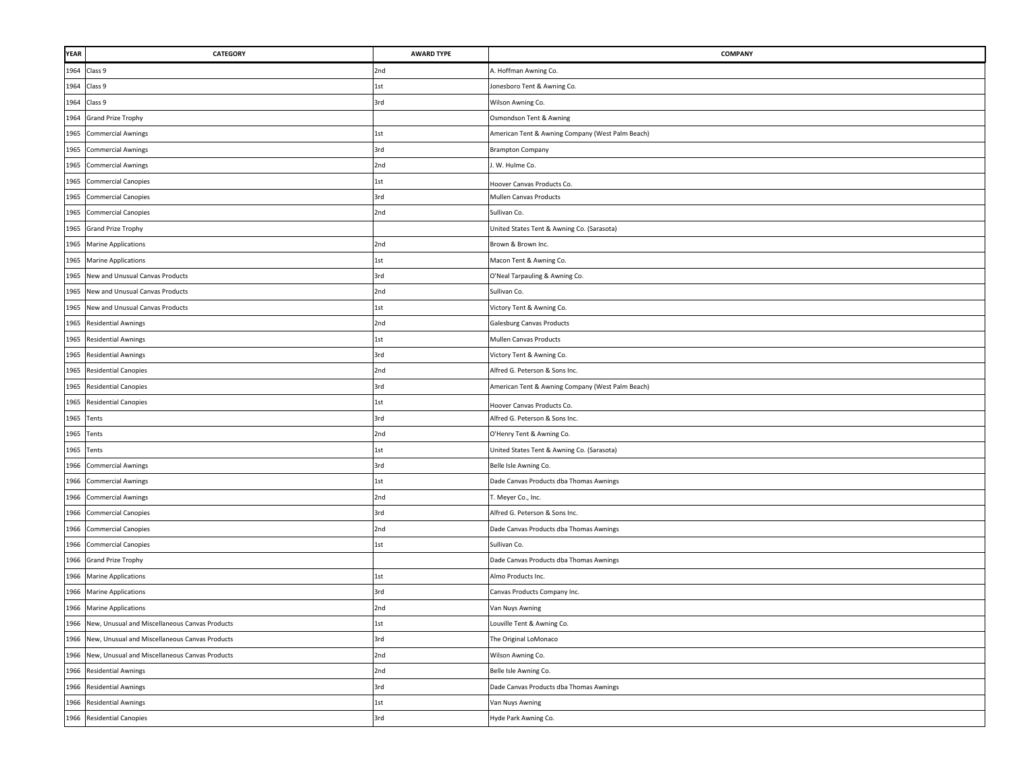| <b>YEAR</b> | <b>CATEGORY</b>                                     | <b>AWARD TYPE</b> | <b>COMPANY</b>                                   |
|-------------|-----------------------------------------------------|-------------------|--------------------------------------------------|
|             | 1964 Class 9                                        | 2nd               | A. Hoffman Awning Co.                            |
| 1964        | Class 9                                             | 1st               | Jonesboro Tent & Awning Co.                      |
| 1964        | Class 9                                             | 3rd               | Wilson Awning Co.                                |
| 1964        | <b>Grand Prize Trophy</b>                           |                   | Osmondson Tent & Awning                          |
| 1965        | <b>Commercial Awnings</b>                           | 1st               | American Tent & Awning Company (West Palm Beach) |
|             | 1965 Commercial Awnings                             | 3rd               | <b>Brampton Company</b>                          |
|             | 1965 Commercial Awnings                             | 2nd               | I. W. Hulme Co.                                  |
| 1965        | <b>Commercial Canopies</b>                          | 1st               | Hoover Canvas Products Co.                       |
| 1965        | <b>Commercial Canopies</b>                          | 3rd               | Mullen Canvas Products                           |
| 1965        | <b>Commercial Canopies</b>                          | 2nd               | Sullivan Co.                                     |
| 1965        | <b>Grand Prize Trophy</b>                           |                   | United States Tent & Awning Co. (Sarasota)       |
| 1965        | <b>Marine Applications</b>                          | 2nd               | Brown & Brown Inc.                               |
| 1965        | <b>Marine Applications</b>                          | 1st               | Macon Tent & Awning Co.                          |
| 1965        | New and Unusual Canvas Products                     | 3rd               | O'Neal Tarpauling & Awning Co.                   |
| 1965        | New and Unusual Canvas Products                     | 2nd               | Sullivan Co.                                     |
| 1965        | New and Unusual Canvas Products                     | 1st               | Victory Tent & Awning Co.                        |
| 1965        | <b>Residential Awnings</b>                          | 2nd               | <b>Galesburg Canvas Products</b>                 |
| 1965        | <b>Residential Awnings</b>                          | 1st               | <b>Mullen Canvas Products</b>                    |
| 1965        | <b>Residential Awnings</b>                          | 3rd               | Victory Tent & Awning Co.                        |
| 1965        | <b>Residential Canopies</b>                         | 2nd               | Alfred G. Peterson & Sons Inc.                   |
| 1965        | <b>Residential Canopies</b>                         | 3rd               | American Tent & Awning Company (West Palm Beach) |
|             | 1965 Residential Canopies                           | 1st               | Hoover Canvas Products Co.                       |
| 1965 Tents  |                                                     | 3rd               | Alfred G. Peterson & Sons Inc.                   |
| 1965 Tents  |                                                     | 2nd               | O'Henry Tent & Awning Co.                        |
| 1965 Tents  |                                                     | 1st               | United States Tent & Awning Co. (Sarasota)       |
| 1966        | <b>Commercial Awnings</b>                           | 3rd               | Belle Isle Awning Co.                            |
| 1966        | <b>Commercial Awnings</b>                           | 1st               | Dade Canvas Products dba Thomas Awnings          |
| 1966        | <b>Commercial Awnings</b>                           | 2nd               | T. Meyer Co., Inc.                               |
| 1966        | <b>Commercial Canopies</b>                          | 3rd               | Alfred G. Peterson & Sons Inc.                   |
|             | 1966 Commercial Canopies                            | 2nd               | Dade Canvas Products dba Thomas Awnings          |
|             | 1966 Commercial Canopies                            | 1st               | Sullivan Co.                                     |
|             | 1966 Grand Prize Trophy                             |                   | Dade Canvas Products dba Thomas Awnings          |
|             | 1966 Marine Applications                            | 1st               | Almo Products Inc.                               |
| 1966        | <b>Marine Applications</b>                          | 3rd               | Canvas Products Company Inc.                     |
|             | 1966 Marine Applications                            | 2nd               | Van Nuys Awning                                  |
|             | 1966 New, Unusual and Miscellaneous Canvas Products | 1st               | Louville Tent & Awning Co.                       |
| 1966        | New, Unusual and Miscellaneous Canvas Products      | 3rd               | The Original LoMonaco                            |
|             | 1966 New, Unusual and Miscellaneous Canvas Products | 2nd               | Wilson Awning Co.                                |
|             | 1966 Residential Awnings                            | 2nd               | Belle Isle Awning Co.                            |
|             | 1966 Residential Awnings                            | 3rd               | Dade Canvas Products dba Thomas Awnings          |
|             | 1966 Residential Awnings                            | 1st               | Van Nuys Awning                                  |
|             | 1966 Residential Canopies                           | 3rd               | Hyde Park Awning Co.                             |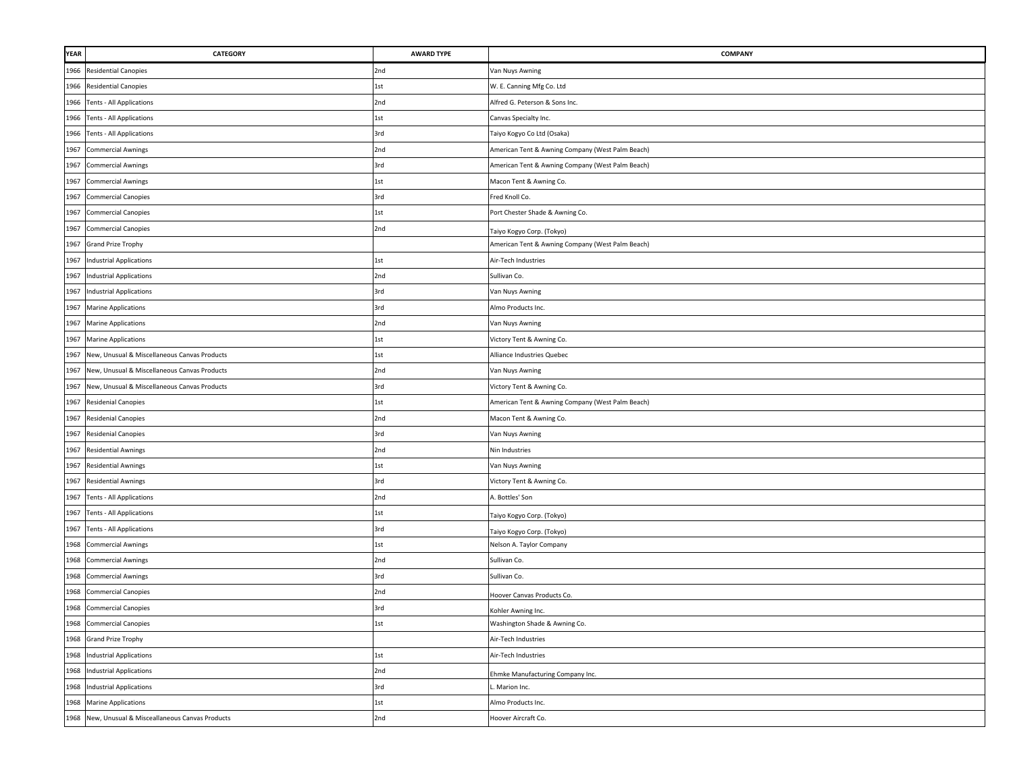| YEAR | <b>CATEGORY</b>                                    | <b>AWARD TYPE</b> | <b>COMPANY</b>                                   |
|------|----------------------------------------------------|-------------------|--------------------------------------------------|
| 1966 | <b>Residential Canopies</b>                        | 2nd               | Van Nuys Awning                                  |
| 1966 | <b>Residential Canopies</b>                        | 1st               | W. E. Canning Mfg Co. Ltd                        |
|      | 1966 Tents - All Applications                      | 2nd               | Alfred G. Peterson & Sons Inc.                   |
|      | 1966 Tents - All Applications                      | 1st               | Canvas Specialty Inc.                            |
|      | 1966 Tents - All Applications                      | 3rd               | Taiyo Kogyo Co Ltd (Osaka)                       |
| 1967 | <b>Commercial Awnings</b>                          | 2nd               | American Tent & Awning Company (West Palm Beach) |
| 1967 | <b>Commercial Awnings</b>                          | 3rd               | American Tent & Awning Company (West Palm Beach) |
| 1967 | <b>Commercial Awnings</b>                          | 1st               | Macon Tent & Awning Co.                          |
| 1967 | <b>Commercial Canopies</b>                         | 3rd               | Fred Knoll Co.                                   |
| 1967 | <b>Commercial Canopies</b>                         | 1st               | Port Chester Shade & Awning Co.                  |
| 1967 | <b>Commercial Canopies</b>                         | 2nd               | Taiyo Kogyo Corp. (Tokyo)                        |
| 1967 | <b>Grand Prize Trophy</b>                          |                   | American Tent & Awning Company (West Palm Beach) |
| 1967 | <b>Industrial Applications</b>                     | 1st               | Air-Tech Industries                              |
| 1967 | <b>Industrial Applications</b>                     | 2nd               | Sullivan Co.                                     |
| 1967 | <b>Industrial Applications</b>                     | 3rd               | Van Nuys Awning                                  |
| 1967 | <b>Marine Applications</b>                         | 3rd               | Almo Products Inc.                               |
| 1967 | <b>Marine Applications</b>                         | 2nd               | Van Nuys Awning                                  |
| 1967 | <b>Marine Applications</b>                         | 1st               | Victory Tent & Awning Co.                        |
| 1967 | New, Unusual & Miscellaneous Canvas Products       | 1st               | Alliance Industries Quebec                       |
| 1967 | New, Unusual & Miscellaneous Canvas Products       | 2nd               | Van Nuys Awning                                  |
| 1967 | New, Unusual & Miscellaneous Canvas Products       | 3rd               | Victory Tent & Awning Co.                        |
| 1967 | <b>Residenial Canopies</b>                         | 1st               | American Tent & Awning Company (West Palm Beach) |
| 1967 | <b>Residenial Canopies</b>                         | 2nd               | Macon Tent & Awning Co.                          |
|      | 1967 Residenial Canopies                           | 3rd               | Van Nuys Awning                                  |
| 1967 | <b>Residential Awnings</b>                         | 2nd               | Nin Industries                                   |
| 1967 | <b>Residential Awnings</b>                         | 1st               | Van Nuys Awning                                  |
| 1967 | <b>Residential Awnings</b>                         | 3rd               | Victory Tent & Awning Co.                        |
|      | 1967 Tents - All Applications                      | 2nd               | A. Bottles' Son                                  |
|      | 1967 Tents - All Applications                      | 1st               | Taiyo Kogyo Corp. (Tokyo)                        |
|      | 1967 Tents - All Applications                      | 3rd               | Taiyo Kogyo Corp. (Tokyo)                        |
|      | 1968 Commercial Awnings                            | 1st               | Nelson A. Taylor Company                         |
|      | 1968 Commercial Awnings                            | 2nd               | Sullivan Co.                                     |
| 1968 | <b>Commercial Awnings</b>                          | 3rd               | Sullivan Co.                                     |
| 1968 | <b>Commercial Canopies</b>                         | 2nd               | Hoover Canvas Products Co.                       |
| 1968 | <b>Commercial Canopies</b>                         | 3rd               | Kohler Awning Inc.                               |
|      | 1968 Commercial Canopies                           | 1st               | Washington Shade & Awning Co.                    |
|      | 1968 Grand Prize Trophy                            |                   | Air-Tech Industries                              |
|      | 1968 Industrial Applications                       | 1st               | Air-Tech Industries                              |
|      | 1968 Industrial Applications                       | 2nd               | Ehmke Manufacturing Company Inc.                 |
|      | 1968 Industrial Applications                       | 3rd               | Marion Inc.                                      |
|      | 1968 Marine Applications                           | 1st               | Almo Products Inc.                               |
|      | 1968 New, Unusual & Misceallaneous Canvas Products | 2nd               | Hoover Aircraft Co.                              |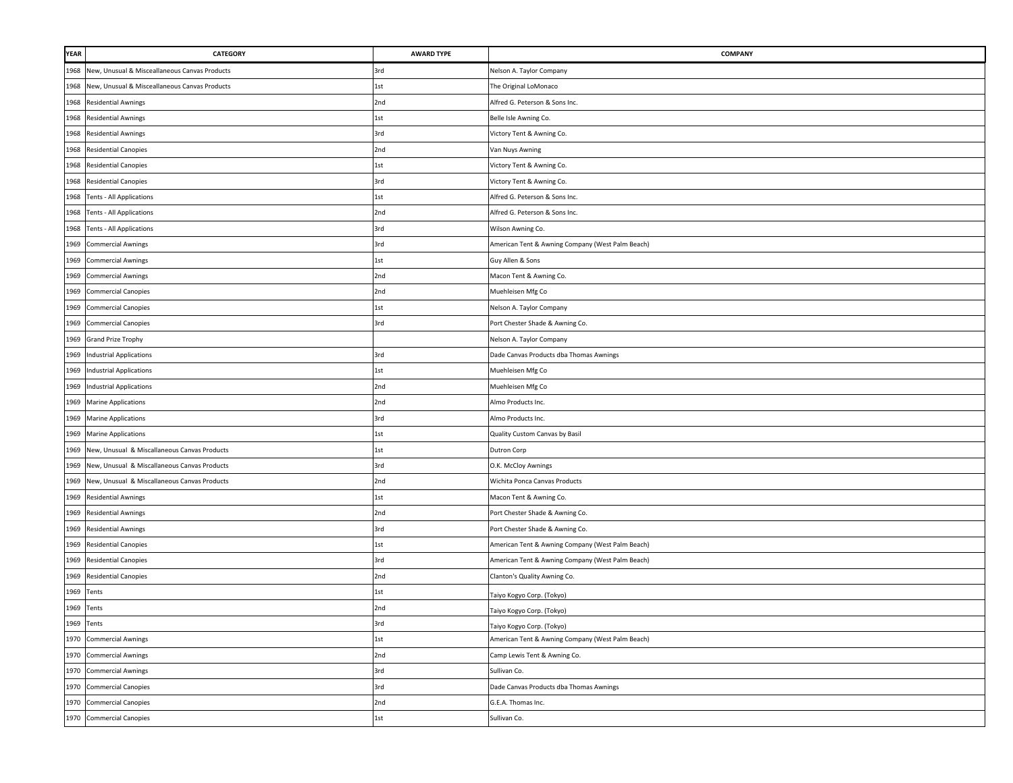| <b>YEAR</b> | <b>CATEGORY</b>                                   | <b>AWARD TYPE</b> | <b>COMPANY</b>                                   |
|-------------|---------------------------------------------------|-------------------|--------------------------------------------------|
| 1968        | New, Unusual & Misceallaneous Canvas Products     | 3rd               | Nelson A. Taylor Company                         |
| 1968        | New, Unusual & Misceallaneous Canvas Products     | 1st               | The Original LoMonaco                            |
| 1968        | <b>Residential Awnings</b>                        | 2nd               | Alfred G. Peterson & Sons Inc.                   |
| 1968        | <b>Residential Awnings</b>                        | $1st$             | Belle Isle Awning Co.                            |
| 1968        | <b>Residential Awnings</b>                        | 3rd               | Victory Tent & Awning Co.                        |
| 1968        | <b>Residential Canopies</b>                       | 2nd               | Van Nuys Awning                                  |
|             | 1968 Residential Canopies                         | 1st               | Victory Tent & Awning Co.                        |
| 1968        | <b>Residential Canopies</b>                       | 3rd               | Victory Tent & Awning Co.                        |
| 1968        | Tents - All Applications                          | 1st               | Alfred G. Peterson & Sons Inc.                   |
| 1968        | Tents - All Applications                          | 2nd               | Alfred G. Peterson & Sons Inc.                   |
| 1968        | <b>Tents - All Applications</b>                   | 3rd               | Wilson Awning Co.                                |
| 1969        | <b>Commercial Awnings</b>                         | 3rd               | American Tent & Awning Company (West Palm Beach) |
| 1969        | <b>Commercial Awnings</b>                         | 1st               | Guy Allen & Sons                                 |
|             | 1969 Commercial Awnings                           | 2nd               | Macon Tent & Awning Co.                          |
| 1969        | <b>Commercial Canopies</b>                        | 2nd               | Muehleisen Mfg Co                                |
| 1969        | <b>Commercial Canopies</b>                        | 1st               | Nelson A. Taylor Company                         |
| 1969        | <b>Commercial Canopies</b>                        | 3rd               | Port Chester Shade & Awning Co.                  |
| 1969        | <b>Grand Prize Trophy</b>                         |                   | Nelson A. Taylor Company                         |
| 1969        | <b>Industrial Applications</b>                    | 3rd               | Dade Canvas Products dba Thomas Awnings          |
| 1969        | <b>Industrial Applications</b>                    | $1st$             | Muehleisen Mfg Co                                |
| 1969        | <b>Industrial Applications</b>                    | 2nd               | Muehleisen Mfg Co                                |
| 1969        | <b>Marine Applications</b>                        | 2nd               | Almo Products Inc.                               |
|             | 1969 Marine Applications                          | 3rd               | Almo Products Inc.                               |
|             | 1969 Marine Applications                          | 1st               | Quality Custom Canvas by Basil                   |
|             | 1969 New, Unusual & Miscallaneous Canvas Products | 1st               | Dutron Corp                                      |
| 1969        | New, Unusual & Miscallaneous Canvas Products      | 3rd               | O.K. McCloy Awnings                              |
| 1969        | New, Unusual & Miscallaneous Canvas Products      | 2nd               | Wichita Ponca Canvas Products                    |
|             | 1969 Residential Awnings                          | $1st$             | Macon Tent & Awning Co.                          |
| 1969        | <b>Residential Awnings</b>                        | 2nd               | Port Chester Shade & Awning Co.                  |
| 1969        | <b>Residential Awnings</b>                        | 3rd               | Port Chester Shade & Awning Co.                  |
|             | 1969 Residential Canopies                         | 1st               | American Tent & Awning Company (West Palm Beach) |
|             | 1969 Residential Canopies                         | 3rd               | American Tent & Awning Company (West Palm Beach) |
| 1969        | <b>Residential Canopies</b>                       | 2nd               | Clanton's Quality Awning Co.                     |
| 1969        | Tents                                             | 1st               | Taiyo Kogyo Corp. (Tokyo)                        |
| 1969        | Tents                                             | 2nd               | Taiyo Kogyo Corp. (Tokyo)                        |
|             | 1969 Tents                                        | 3rd               | Taiyo Kogyo Corp. (Tokyo)                        |
|             | 1970 Commercial Awnings                           | 1st               | American Tent & Awning Company (West Palm Beach) |
|             | 1970 Commercial Awnings                           | 2nd               | Camp Lewis Tent & Awning Co.                     |
|             | 1970 Commercial Awnings                           | 3rd               | Sullivan Co.                                     |
|             | 1970 Commercial Canopies                          | 3rd               | Dade Canvas Products dba Thomas Awnings          |
|             | 1970 Commercial Canopies                          | 2nd               | G.E.A. Thomas Inc.                               |
|             | 1970 Commercial Canopies                          | $1st$             | Sullivan Co.                                     |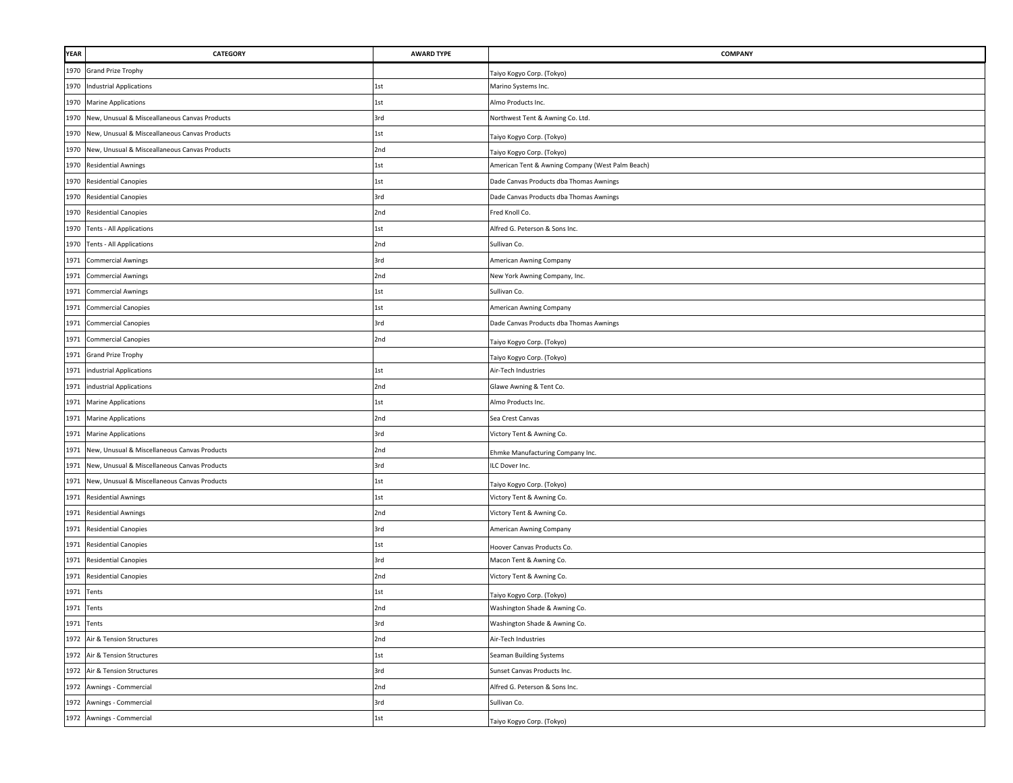| <b>YEAR</b> | CATEGORY                                          | <b>AWARD TYPE</b> | <b>COMPANY</b>                                   |
|-------------|---------------------------------------------------|-------------------|--------------------------------------------------|
| 1970        | <b>Grand Prize Trophy</b>                         |                   | Taiyo Kogyo Corp. (Tokyo)                        |
| 1970        | Industrial Applications                           | 1st               | Marino Systems Inc.                              |
| 1970        | <b>Marine Applications</b>                        | 1st               | Almo Products Inc.                               |
| 1970        | New, Unusual & Misceallaneous Canvas Products     | 3rd               | Northwest Tent & Awning Co. Ltd.                 |
| 1970        | New, Unusual & Misceallaneous Canvas Products     | 1st               | Taiyo Kogyo Corp. (Tokyo)                        |
| 1970        | New, Unusual & Misceallaneous Canvas Products     | 2nd               | Taiyo Kogyo Corp. (Tokyo)                        |
|             | 1970 Residential Awnings                          | 1st               | American Tent & Awning Company (West Palm Beach) |
|             | 1970 Residential Canopies                         | 1st               | Dade Canvas Products dba Thomas Awnings          |
| 1970        | <b>Residential Canopies</b>                       | 3rd               | Dade Canvas Products dba Thomas Awnings          |
| 1970        | <b>Residential Canopies</b>                       | 2nd               | Fred Knoll Co.                                   |
| 1970        | Tents - All Applications                          | 1st               | Alfred G. Peterson & Sons Inc.                   |
| 1970        | Tents - All Applications                          | 2nd               | Sullivan Co.                                     |
| 1971        | <b>Commercial Awnings</b>                         | 3rd               | American Awning Company                          |
| 1971        | <b>Commercial Awnings</b>                         | 2nd               | New York Awning Company, Inc.                    |
| 1971        | <b>Commercial Awnings</b>                         | 1st               | Sullivan Co.                                     |
| 1971        | <b>Commercial Canopies</b>                        | 1st               | American Awning Company                          |
| 1971        | <b>Commercial Canopies</b>                        | 3rd               | Dade Canvas Products dba Thomas Awnings          |
| 1971        | <b>Commercial Canopies</b>                        | 2nd               | Taiyo Kogyo Corp. (Tokyo)                        |
| 1971        | <b>Grand Prize Trophy</b>                         |                   | Taiyo Kogyo Corp. (Tokyo)                        |
| 1971        | industrial Applications                           | 1st               | Air-Tech Industries                              |
| 1971        | industrial Applications                           | 2nd               | Glawe Awning & Tent Co.                          |
| 1971        | <b>Marine Applications</b>                        | 1st               | Almo Products Inc.                               |
|             | 1971 Marine Applications                          | 2nd               | Sea Crest Canvas                                 |
|             | 1971 Marine Applications                          | 3rd               | Victory Tent & Awning Co.                        |
|             | 1971 New, Unusual & Miscellaneous Canvas Products | 2nd               | Ehmke Manufacturing Company Inc.                 |
| 1971        | New, Unusual & Miscellaneous Canvas Products      | 3rd               | ILC Dover Inc.                                   |
| 1971        | New, Unusual & Miscellaneous Canvas Products      | 1st               | Taiyo Kogyo Corp. (Tokyo)                        |
| 1971        | <b>Residential Awnings</b>                        | 1st               | Victory Tent & Awning Co.                        |
| 1971        | <b>Residential Awnings</b>                        | 2nd               | Victory Tent & Awning Co.                        |
| 1971        | <b>Residential Canopies</b>                       | 3rd               | American Awning Company                          |
|             | 1971 Residential Canopies                         | 1st               | Hoover Canvas Products Co.                       |
|             | 1971 Residential Canopies                         | 3rd               | Macon Tent & Awning Co.                          |
| 1971        | <b>Residential Canopies</b>                       | 2nd               | Victory Tent & Awning Co.                        |
| 1971        | Tents                                             | 1st               | Taiyo Kogyo Corp. (Tokyo)                        |
| 1971        | Tents                                             | 2nd               | Washington Shade & Awning Co.                    |
| 1971 Tents  |                                                   | 3rd               | Washington Shade & Awning Co.                    |
|             | 1972 Air & Tension Structures                     | 2nd               | Air-Tech Industries                              |
|             | 1972 Air & Tension Structures                     | 1st               | Seaman Building Systems                          |
|             | 1972 Air & Tension Structures                     | 3rd               | Sunset Canvas Products Inc.                      |
|             | 1972 Awnings - Commercial                         | 2nd               | Alfred G. Peterson & Sons Inc.                   |
|             | 1972 Awnings - Commercial                         | 3rd               | Sullivan Co.                                     |
|             | 1972 Awnings - Commercial                         | 1st               | Taiyo Kogyo Corp. (Tokyo)                        |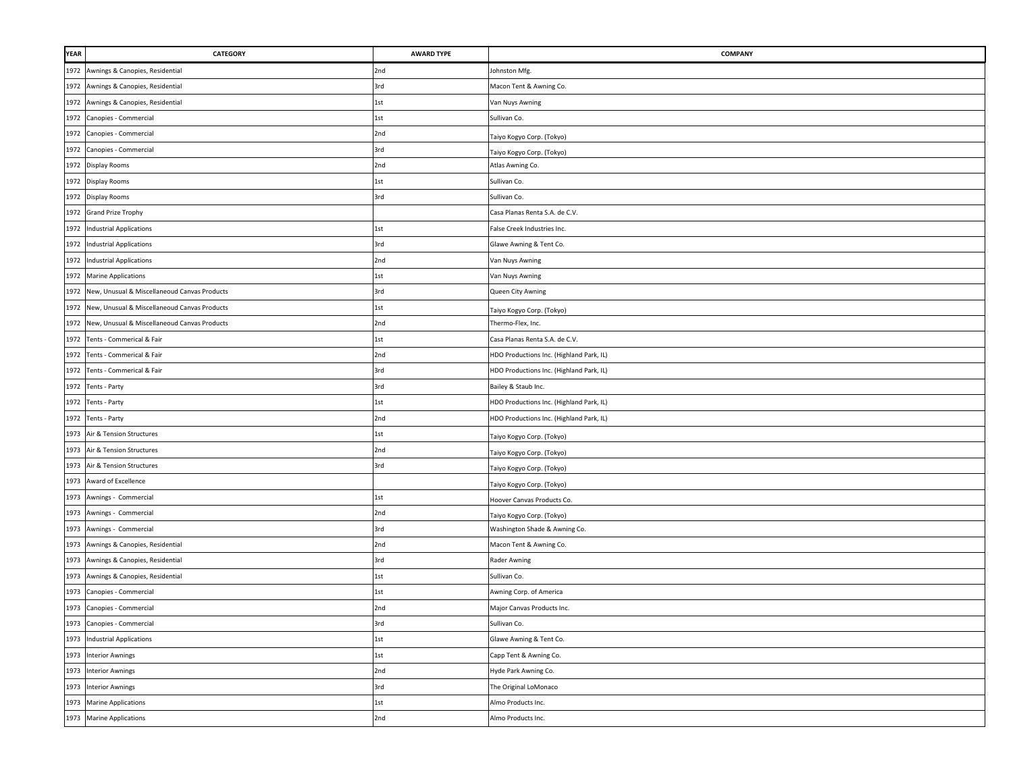| <b>YEAR</b> | CATEGORY                                          | <b>AWARD TYPE</b> | COMPANY                                  |
|-------------|---------------------------------------------------|-------------------|------------------------------------------|
| 1972        | Awnings & Canopies, Residential                   | 2nd               | Johnston Mfg.                            |
| 1972        | Awnings & Canopies, Residential                   | 3rd               | Macon Tent & Awning Co.                  |
| 1972        | Awnings & Canopies, Residential                   | 1st               | Van Nuys Awning                          |
| 1972        | Canopies - Commercial                             | 1st               | Sullivan Co.                             |
| 1972        | Canopies - Commercial                             | 2nd               | Taiyo Kogyo Corp. (Tokyo)                |
|             | 1972 Canopies - Commercial                        | 3rd               | Taiyo Kogyo Corp. (Tokyo)                |
|             | 1972 Display Rooms                                | 2nd               | Atlas Awning Co.                         |
|             | 1972 Display Rooms                                | 1st               | Sullivan Co.                             |
|             | 1972 Display Rooms                                | 3rd               | Sullivan Co.                             |
|             | 1972 Grand Prize Trophy                           |                   | Casa Planas Renta S.A. de C.V.           |
| 1972        | <b>Industrial Applications</b>                    | 1st               | False Creek Industries Inc.              |
| 1972        | <b>Industrial Applications</b>                    | 3rd               | Glawe Awning & Tent Co.                  |
| 1972        | <b>Industrial Applications</b>                    | 2nd               | Van Nuys Awning                          |
|             | 1972 Marine Applications                          | 1st               | Van Nuys Awning                          |
| 1972        | New, Unusual & Miscellaneoud Canvas Products      | 3rd               | Queen City Awning                        |
|             | 1972 New, Unusual & Miscellaneoud Canvas Products | 1st               | Taiyo Kogyo Corp. (Tokyo)                |
| 1972        | New, Unusual & Miscellaneoud Canvas Products      | 2nd               | Thermo-Flex, Inc.                        |
| 1972        | Tents - Commerical & Fair                         | 1st               | Casa Planas Renta S.A. de C.V.           |
| 1972        | Tents - Commerical & Fair                         | 2nd               | HDO Productions Inc. (Highland Park, IL) |
| 1972        | Tents - Commerical & Fair                         | 3rd               | HDO Productions Inc. (Highland Park, IL) |
| 1972        | Tents - Party                                     | 3rd               | Bailey & Staub Inc.                      |
|             | 1972 Tents - Party                                | 1st               | HDO Productions Inc. (Highland Park, IL) |
|             | 1972 Tents - Party                                | 2nd               | HDO Productions Inc. (Highland Park, IL) |
|             | 1973 Air & Tension Structures                     | 1st               | Taiyo Kogyo Corp. (Tokyo)                |
|             | 1973 Air & Tension Structures                     | 2nd               | Taiyo Kogyo Corp. (Tokyo)                |
|             | 1973 Air & Tension Structures                     | 3rd               | Taiyo Kogyo Corp. (Tokyo)                |
|             | 1973 Award of Excellence                          |                   | Taiyo Kogyo Corp. (Tokyo)                |
| 1973        | Awnings - Commercial                              | 1st               | Hoover Canvas Products Co.               |
| 1973        | Awnings - Commercial                              | 2nd               | Taiyo Kogyo Corp. (Tokyo)                |
|             | 1973 Awnings - Commercial                         | 3rd               | Washington Shade & Awning Co.            |
|             | 1973 Awnings & Canopies, Residential              | 2nd               | Macon Tent & Awning Co.                  |
|             | 1973 Awnings & Canopies, Residential              | 3rd               | Rader Awning                             |
| 1973        | Awnings & Canopies, Residential                   | 1st               | Sullivan Co.                             |
| 1973        | Canopies - Commercial                             | 1st               | Awning Corp. of America                  |
| 1973        | Canopies - Commercial                             | 2nd               | Major Canvas Products Inc.               |
|             | 1973 Canopies - Commercial                        | 3rd               | Sullivan Co.                             |
|             | 1973 Industrial Applications                      | 1st               | Glawe Awning & Tent Co.                  |
|             | 1973 Interior Awnings                             | 1st               | Capp Tent & Awning Co.                   |
|             | 1973 Interior Awnings                             | 2nd               | Hyde Park Awning Co.                     |
|             | 1973 Interior Awnings                             | 3rd               | The Original LoMonaco                    |
|             | 1973 Marine Applications                          | 1st               | Almo Products Inc.                       |
|             | 1973 Marine Applications                          | 2nd               | Almo Products Inc.                       |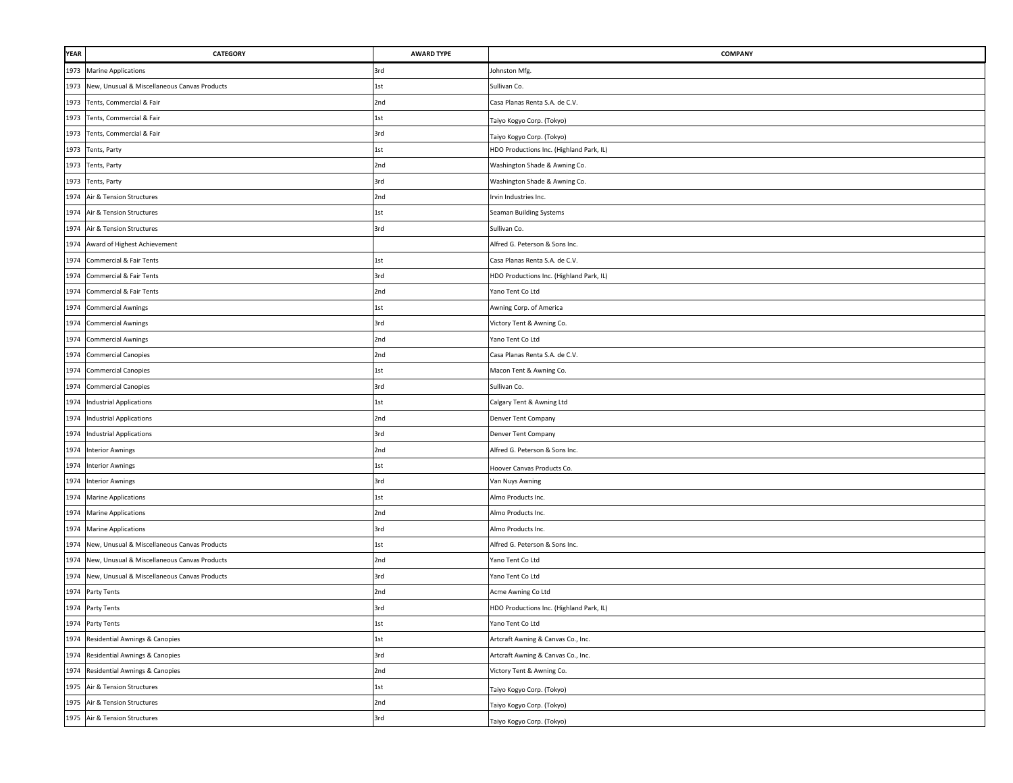| <b>YEAR</b> | <b>CATEGORY</b>                                   | <b>AWARD TYPE</b> | <b>COMPANY</b>                           |
|-------------|---------------------------------------------------|-------------------|------------------------------------------|
|             | 1973 Marine Applications                          | 3rd               | Johnston Mfg.                            |
|             | 1973 New, Unusual & Miscellaneous Canvas Products | 1st               | Sullivan Co.                             |
|             | 1973 Tents, Commercial & Fair                     | 2nd               | Casa Planas Renta S.A. de C.V.           |
|             | 1973 Tents, Commercial & Fair                     | 1st               | Taiyo Kogyo Corp. (Tokyo)                |
|             | 1973 Tents, Commercial & Fair                     | 3rd               | Taiyo Kogyo Corp. (Tokyo)                |
|             | 1973 Tents, Party                                 | 1st               | HDO Productions Inc. (Highland Park, IL) |
|             | 1973 Tents, Party                                 | 2nd               | Washington Shade & Awning Co.            |
|             | 1973 Tents, Party                                 | 3rd               | Washington Shade & Awning Co.            |
|             | 1974 Air & Tension Structures                     | 2nd               | Irvin Industries Inc.                    |
| 1974        | Air & Tension Structures                          | 1st               | <b>Seaman Building Systems</b>           |
| 1974        | Air & Tension Structures                          | 3rd               | Sullivan Co.                             |
| 1974        | Award of Highest Achievement                      |                   | Alfred G. Peterson & Sons Inc.           |
| 1974        | Commercial & Fair Tents                           | 1st               | Casa Planas Renta S.A. de C.V.           |
|             | 1974 Commercial & Fair Tents                      | 3rd               | HDO Productions Inc. (Highland Park, IL) |
| 1974        | Commercial & Fair Tents                           | 2nd               | Yano Tent Co Ltd                         |
|             | 1974 Commercial Awnings                           | 1st               | Awning Corp. of America                  |
| 1974        | <b>Commercial Awnings</b>                         | 3rd               | Victory Tent & Awning Co.                |
| 1974        | <b>Commercial Awnings</b>                         | 2nd               | Yano Tent Co Ltd                         |
| 1974        | <b>Commercial Canopies</b>                        | 2nd               | Casa Planas Renta S.A. de C.V.           |
| 1974        | <b>Commercial Canopies</b>                        | 1st               | Macon Tent & Awning Co.                  |
| 1974        | <b>Commercial Canopies</b>                        | 3rd               | Sullivan Co.                             |
|             | 1974 Industrial Applications                      | 1st               | Calgary Tent & Awning Ltd                |
|             | 1974 Industrial Applications                      | 2nd               | Denver Tent Company                      |
|             | 1974 Industrial Applications                      | 3rd               | Denver Tent Company                      |
|             | 1974 Interior Awnings                             | 2nd               | Alfred G. Peterson & Sons Inc.           |
|             | 1974 Interior Awnings                             | 1st               | Hoover Canvas Products Co.               |
|             | 1974 Interior Awnings                             | 3rd               | Van Nuys Awning                          |
|             | 1974 Marine Applications                          | 1st               | Almo Products Inc.                       |
|             | 1974 Marine Applications                          | 2nd               | Almo Products Inc.                       |
|             | 1974 Marine Applications                          | 3rd               | Almo Products Inc.                       |
|             | 1974 New, Unusual & Miscellaneous Canvas Products | 1st               | Alfred G. Peterson & Sons Inc.           |
|             | 1974 New, Unusual & Miscellaneous Canvas Products | 2nd               | Yano Tent Co Ltd                         |
|             | 1974 New, Unusual & Miscellaneous Canvas Products | 3rd               | Yano Tent Co Ltd                         |
| 1974        | Party Tents                                       | 2nd               | Acme Awning Co Ltd                       |
|             | 1974 Party Tents                                  | 3rd               | HDO Productions Inc. (Highland Park, IL) |
|             | 1974 Party Tents                                  | 1st               | Yano Tent Co Ltd                         |
|             | 1974 Residential Awnings & Canopies               | 1st               | Artcraft Awning & Canvas Co., Inc.       |
|             | 1974 Residential Awnings & Canopies               | 3rd               | Artcraft Awning & Canvas Co., Inc.       |
|             | 1974 Residential Awnings & Canopies               | 2nd               | Victory Tent & Awning Co.                |
|             | 1975 Air & Tension Structures                     | 1st               | Faiyo Kogyo Corp. (Tokyo)                |
|             | 1975 Air & Tension Structures                     | 2nd               | Taiyo Kogyo Corp. (Tokyo)                |
|             | 1975 Air & Tension Structures                     | 3rd               | Taiyo Kogyo Corp. (Tokyo)                |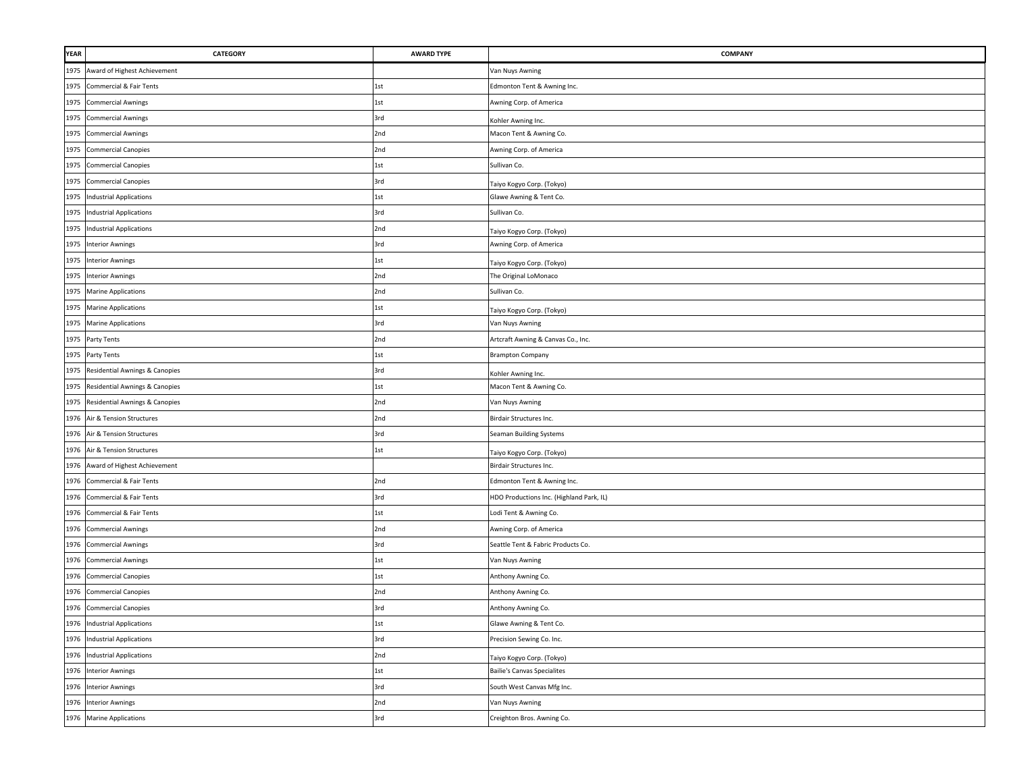| <b>YEAR</b> | CATEGORY                            | <b>AWARD TYPE</b> | <b>COMPANY</b>                           |
|-------------|-------------------------------------|-------------------|------------------------------------------|
| 1975        | Award of Highest Achievement        |                   | Van Nuys Awning                          |
| 1975        | Commercial & Fair Tents             | 1st               | Edmonton Tent & Awning Inc.              |
| 1975        | <b>Commercial Awnings</b>           | 1st               | Awning Corp. of America                  |
| 1975        | <b>Commercial Awnings</b>           | 3rd               | Kohler Awning Inc.                       |
| 1975        | <b>Commercial Awnings</b>           | 2nd               | Macon Tent & Awning Co.                  |
|             | 1975 Commercial Canopies            | 2nd               | Awning Corp. of America                  |
| 1975        | <b>Commercial Canopies</b>          | 1st               | Sullivan Co.                             |
| 1975        | <b>Commercial Canopies</b>          | 3rd               | Taiyo Kogyo Corp. (Tokyo)                |
| 1975        | <b>Industrial Applications</b>      | 1st               | Glawe Awning & Tent Co.                  |
| 1975        | <b>Industrial Applications</b>      | 3rd               | Sullivan Co.                             |
| 1975        | <b>Industrial Applications</b>      | 2nd               | Taiyo Kogyo Corp. (Tokyo)                |
| 1975        | <b>Interior Awnings</b>             | 3rd               | Awning Corp. of America                  |
|             | 1975 Interior Awnings               | 1st               | Taiyo Kogyo Corp. (Tokyo)                |
| 1975        | <b>Interior Awnings</b>             | 2nd               | The Original LoMonaco                    |
|             | 1975 Marine Applications            | 2nd               | Sullivan Co.                             |
| 1975        | <b>Marine Applications</b>          | 1st               | Taiyo Kogyo Corp. (Tokyo)                |
|             | 1975 Marine Applications            | 3rd               | Van Nuys Awning                          |
|             | 1975 Party Tents                    | 2nd               | Artcraft Awning & Canvas Co., Inc.       |
|             | 1975 Party Tents                    | 1st               | <b>Brampton Company</b>                  |
| 1975        | Residential Awnings & Canopies      | 3rd               | Kohler Awning Inc.                       |
|             | 1975 Residential Awnings & Canopies | 1st               | Macon Tent & Awning Co.                  |
| 1975        | Residential Awnings & Canopies      | 2nd               | Van Nuys Awning                          |
|             | 1976 Air & Tension Structures       | 2nd               | Birdair Structures Inc.                  |
| 1976        | Air & Tension Structures            | 3rd               | Seaman Building Systems                  |
| 1976        | Air & Tension Structures            | 1st               | Taiyo Kogyo Corp. (Tokyo)                |
|             | 1976 Award of Highest Achievement   |                   | Birdair Structures Inc.                  |
|             | 1976 Commercial & Fair Tents        | 2nd               | Edmonton Tent & Awning Inc.              |
| 1976        | Commercial & Fair Tents             | 3rd               | HDO Productions Inc. (Highland Park, IL) |
| 1976        | Commercial & Fair Tents             | 1st               | Lodi Tent & Awning Co.                   |
|             | 1976 Commercial Awnings             | 2nd               | Awning Corp. of America                  |
| 1976        | <b>Commercial Awnings</b>           | 3rd               | Seattle Tent & Fabric Products Co.       |
| 1976        | <b>Commercial Awnings</b>           | 1st               | Van Nuys Awning                          |
| 1976        | <b>Commercial Canopies</b>          | 1st               | Anthony Awning Co.                       |
| 1976        | <b>Commercial Canopies</b>          | 2nd               | Anthony Awning Co.                       |
|             | 1976 Commercial Canopies            | 3rd               | Anthony Awning Co.                       |
|             | 1976 Industrial Applications        | 1st               | Glawe Awning & Tent Co.                  |
| 1976        | <b>Industrial Applications</b>      | 3rd               | Precision Sewing Co. Inc.                |
|             | 1976 Industrial Applications        | 2nd               | Taiyo Kogyo Corp. (Tokyo)                |
|             | 1976 Interior Awnings               | 1st               | <b>Bailie's Canvas Specialites</b>       |
|             | 1976 Interior Awnings               | 3rd               | South West Canvas Mfg Inc.               |
|             | 1976 Interior Awnings               | 2nd               | Van Nuys Awning                          |
|             | 1976 Marine Applications            | 3rd               | Creighton Bros. Awning Co.               |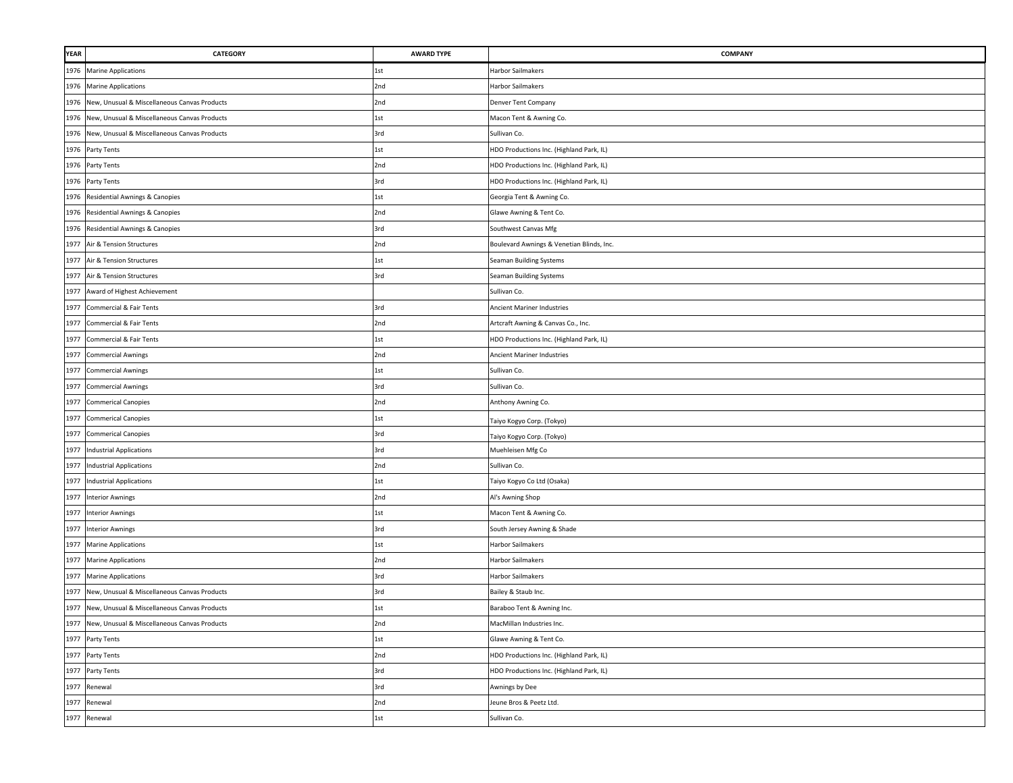| <b>YEAR</b> | <b>CATEGORY</b>                                   | <b>AWARD TYPE</b> | COMPANY                                   |
|-------------|---------------------------------------------------|-------------------|-------------------------------------------|
|             | 1976 Marine Applications                          | 1st               | Harbor Sailmakers                         |
| 1976        | <b>Marine Applications</b>                        | 2nd               | Harbor Sailmakers                         |
| 1976        | New, Unusual & Miscellaneous Canvas Products      | 2nd               | Denver Tent Company                       |
| 1976        | New, Unusual & Miscellaneous Canvas Products      | 1st               | Macon Tent & Awning Co.                   |
| 1976        | New, Unusual & Miscellaneous Canvas Products      | 3rd               | Sullivan Co.                              |
|             | 1976 Party Tents                                  | 1st               | HDO Productions Inc. (Highland Park, IL)  |
|             | 1976 Party Tents                                  | 2nd               | HDO Productions Inc. (Highland Park, IL)  |
|             | 1976 Party Tents                                  | 3rd               | HDO Productions Inc. (Highland Park, IL)  |
|             | 1976 Residential Awnings & Canopies               | 1st               | Georgia Tent & Awning Co.                 |
| 1976        | Residential Awnings & Canopies                    | 2nd               | Glawe Awning & Tent Co.                   |
| 1976        | Residential Awnings & Canopies                    | 3rd               | Southwest Canvas Mfg                      |
| 1977        | Air & Tension Structures                          | 2nd               | Boulevard Awnings & Venetian Blinds, Inc. |
| 1977        | Air & Tension Structures                          | 1st               | Seaman Building Systems                   |
| 1977        | Air & Tension Structures                          | 3rd               | Seaman Building Systems                   |
| 1977        | Award of Highest Achievement                      |                   | Sullivan Co.                              |
| 1977        | Commercial & Fair Tents                           | 3rd               | Ancient Mariner Industries                |
| 1977        | Commercial & Fair Tents                           | 2nd               | Artcraft Awning & Canvas Co., Inc.        |
| 1977        | Commercial & Fair Tents                           | 1st               | HDO Productions Inc. (Highland Park, IL)  |
| 1977        | <b>Commercial Awnings</b>                         | 2nd               | Ancient Mariner Industries                |
| 1977        | <b>Commercial Awnings</b>                         | 1st               | Sullivan Co.                              |
| 1977        | <b>Commercial Awnings</b>                         | 3rd               | Sullivan Co.                              |
| 1977        | <b>Commerical Canopies</b>                        | 2nd               | Anthony Awning Co.                        |
|             | 1977 Commerical Canopies                          | 1st               | Taiyo Kogyo Corp. (Tokyo)                 |
|             | 1977 Commerical Canopies                          | 3rd               | Taiyo Kogyo Corp. (Tokyo)                 |
|             | 1977 Industrial Applications                      | 3rd               | Muehleisen Mfg Co                         |
|             | 1977 Industrial Applications                      | 2nd               | Sullivan Co.                              |
| 1977        | <b>Industrial Applications</b>                    | 1st               | Taiyo Kogyo Co Ltd (Osaka)                |
| 1977        | <b>Interior Awnings</b>                           | 2nd               | Al's Awning Shop                          |
|             | 1977 Interior Awnings                             | 1st               | Macon Tent & Awning Co.                   |
|             | 1977 Interior Awnings                             | 3rd               | South Jersey Awning & Shade               |
|             | 1977 Marine Applications                          | 1st               | Harbor Sailmakers                         |
|             | 1977 Marine Applications                          | 2nd               | Harbor Sailmakers                         |
| 1977        | <b>Marine Applications</b>                        | 3rd               | Harbor Sailmakers                         |
| 1977        | New, Unusual & Miscellaneous Canvas Products      | 3rd               | Bailey & Staub Inc.                       |
| 1977        | New, Unusual & Miscellaneous Canvas Products      | 1st               | Baraboo Tent & Awning Inc.                |
|             | 1977 New, Unusual & Miscellaneous Canvas Products | 2nd               | MacMillan Industries Inc.                 |
|             | 1977 Party Tents                                  | 1st               | Glawe Awning & Tent Co.                   |
|             | 1977 Party Tents                                  | 2nd               | HDO Productions Inc. (Highland Park, IL)  |
|             | 1977 Party Tents                                  | 3rd               | HDO Productions Inc. (Highland Park, IL)  |
|             | 1977 Renewal                                      | 3rd               | Awnings by Dee                            |
|             | 1977 Renewal                                      | 2nd               | Jeune Bros & Peetz Ltd.                   |
|             | 1977 Renewal                                      | 1st               | Sullivan Co.                              |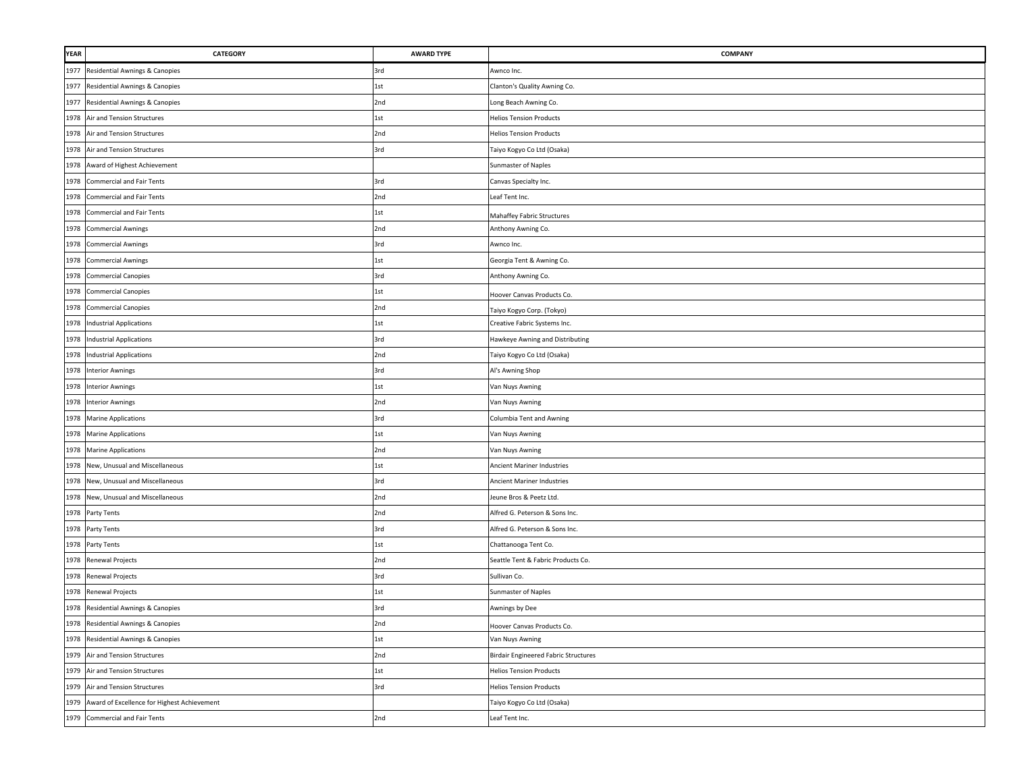| <b>YEAR</b> | <b>CATEGORY</b>                                  | <b>AWARD TYPE</b> | COMPANY                                     |
|-------------|--------------------------------------------------|-------------------|---------------------------------------------|
| 1977        | Residential Awnings & Canopies                   | 3rd               | Awnco Inc.                                  |
| 1977        | Residential Awnings & Canopies                   | 1st               | Clanton's Quality Awning Co.                |
| 1977        | Residential Awnings & Canopies                   | 2nd               | Long Beach Awning Co.                       |
| 1978        | Air and Tension Structures                       | 1st               | <b>Helios Tension Products</b>              |
| 1978        | Air and Tension Structures                       | 2nd               | <b>Helios Tension Products</b>              |
|             | 1978 Air and Tension Structures                  | 3rd               | Taiyo Kogyo Co Ltd (Osaka)                  |
|             | 1978 Award of Highest Achievement                |                   | Sunmaster of Naples                         |
| 1978        | Commercial and Fair Tents                        | 3rd               | Canvas Specialty Inc.                       |
| 1978        | <b>Commercial and Fair Tents</b>                 | 2nd               | Leaf Tent Inc.                              |
| 1978        | Commercial and Fair Tents                        | 1st               | Mahaffey Fabric Structures                  |
| 1978        | <b>Commercial Awnings</b>                        | 2nd               | Anthony Awning Co.                          |
| 1978        | <b>Commercial Awnings</b>                        | 3rd               | Awnco Inc.                                  |
| 1978        | <b>Commercial Awnings</b>                        | 1st               | Georgia Tent & Awning Co.                   |
| 1978        | <b>Commercial Canopies</b>                       | 3rd               | Anthony Awning Co.                          |
| 1978        | <b>Commercial Canopies</b>                       | 1st               | Hoover Canvas Products Co.                  |
| 1978        | <b>Commercial Canopies</b>                       | 2nd               | Taiyo Kogyo Corp. (Tokyo)                   |
| 1978        | <b>Industrial Applications</b>                   | 1st               | Creative Fabric Systems Inc.                |
| 1978        | <b>Industrial Applications</b>                   | 3rd               | Hawkeye Awning and Distributing             |
| 1978        | <b>Industrial Applications</b>                   | 2nd               | Taiyo Kogyo Co Ltd (Osaka)                  |
| 1978        | <b>Interior Awnings</b>                          | 3rd               | Al's Awning Shop                            |
| 1978        | <b>Interior Awnings</b>                          | 1st               | Van Nuys Awning                             |
|             | 1978 Interior Awnings                            | 2nd               | Van Nuys Awning                             |
|             | 1978 Marine Applications                         | 3rd               | Columbia Tent and Awning                    |
|             | 1978 Marine Applications                         | 1st               | Van Nuys Awning                             |
|             | 1978 Marine Applications                         | 2nd               | Van Nuys Awning                             |
|             | 1978 New, Unusual and Miscellaneous              | 1st               | Ancient Mariner Industries                  |
|             | 1978 New, Unusual and Miscellaneous              | 3rd               | Ancient Mariner Industries                  |
|             | 1978 New, Unusual and Miscellaneous              | 2nd               | Jeune Bros & Peetz Ltd.                     |
|             | 1978 Party Tents                                 | 2nd               | Alfred G. Peterson & Sons Inc.              |
|             | 1978 Party Tents                                 | 3rd               | Alfred G. Peterson & Sons Inc.              |
|             | 1978 Party Tents                                 | 1st               | Chattanooga Tent Co.                        |
|             | 1978 Renewal Projects                            | 2nd               | Seattle Tent & Fabric Products Co.          |
|             | 1978 Renewal Projects                            | 3rd               | Sullivan Co.                                |
| 1978        | <b>Renewal Projects</b>                          | 1st               | Sunmaster of Naples                         |
| 1978        | Residential Awnings & Canopies                   | 3rd               | Awnings by Dee                              |
|             | 1978 Residential Awnings & Canopies              | 2nd               | Hoover Canvas Products Co.                  |
| 1978        | Residential Awnings & Canopies                   | 1st               | Van Nuys Awning                             |
|             | 1979 Air and Tension Structures                  | 2nd               | <b>Birdair Engineered Fabric Structures</b> |
|             | 1979 Air and Tension Structures                  | 1st               | <b>Helios Tension Products</b>              |
|             | 1979 Air and Tension Structures                  | 3rd               | <b>Helios Tension Products</b>              |
|             | 1979 Award of Excellence for Highest Achievement |                   | Taiyo Kogyo Co Ltd (Osaka)                  |
|             | 1979 Commercial and Fair Tents                   | 2nd               | Leaf Tent Inc.                              |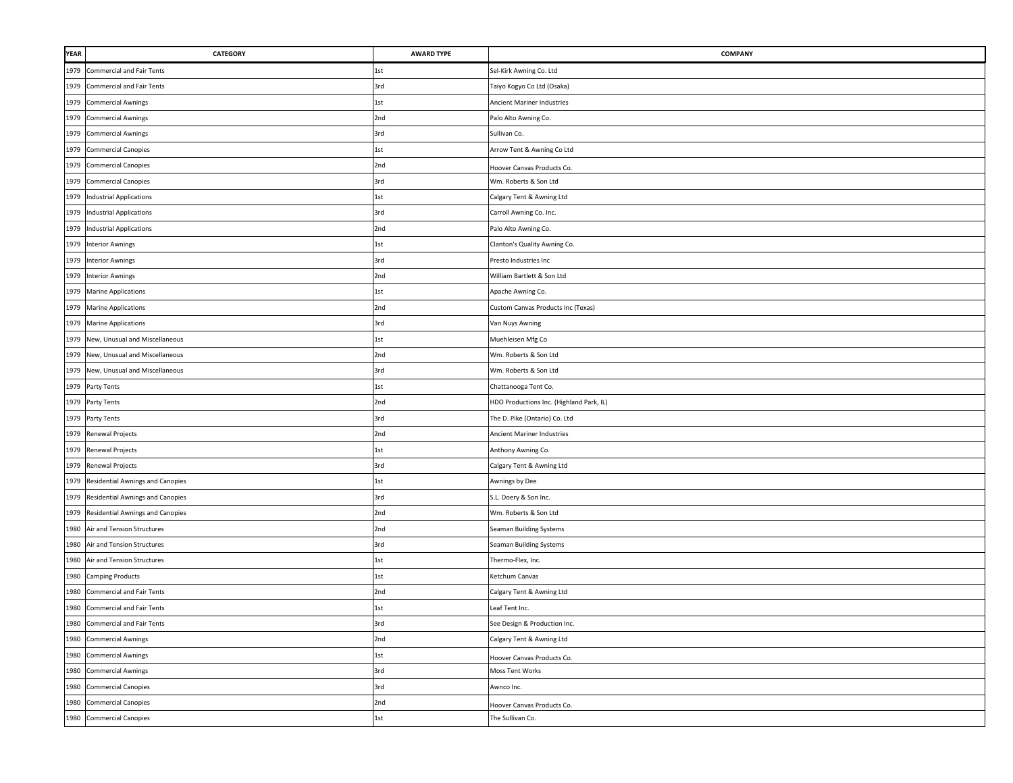| <b>YEAR</b> | CATEGORY                              | <b>AWARD TYPE</b> | COMPANY                                  |
|-------------|---------------------------------------|-------------------|------------------------------------------|
| 1979        | <b>Commercial and Fair Tents</b>      | 1st               | Sel-Kirk Awning Co. Ltd                  |
| 1979        | <b>Commercial and Fair Tents</b>      | 3rd               | Taiyo Kogyo Co Ltd (Osaka)               |
| 1979        | <b>Commercial Awnings</b>             | 1st               | Ancient Mariner Industries               |
| 1979        | <b>Commercial Awnings</b>             | 2nd               | Palo Alto Awning Co.                     |
| 1979        | <b>Commercial Awnings</b>             | 3rd               | Sullivan Co.                             |
| 1979        | <b>Commercial Canopies</b>            | 1st               | Arrow Tent & Awning Co Ltd               |
|             | 1979 Commercial Canopies              | 2nd               | Hoover Canvas Products Co.               |
| 1979        | <b>Commercial Canopies</b>            | 3rd               | Wm. Roberts & Son Ltd                    |
| 1979        | <b>Industrial Applications</b>        | 1st               | Calgary Tent & Awning Ltd                |
| 1979        | <b>Industrial Applications</b>        | 3rd               | Carroll Awning Co. Inc.                  |
| 1979        | <b>Industrial Applications</b>        | 2nd               | Palo Alto Awning Co.                     |
| 1979        | <b>Interior Awnings</b>               | 1st               | Clanton's Quality Awning Co.             |
| 1979        | <b>Interior Awnings</b>               | 3rd               | Presto Industries Inc                    |
|             | 1979 Interior Awnings                 | 2nd               | William Bartlett & Son Ltd               |
| 1979        | <b>Marine Applications</b>            | 1st               | Apache Awning Co.                        |
|             | 1979 Marine Applications              | 2nd               | Custom Canvas Products Inc (Texas)       |
| 1979        | <b>Marine Applications</b>            | 3rd               | Van Nuys Awning                          |
| 1979        | New, Unusual and Miscellaneous        | 1st               | Muehleisen Mfg Co                        |
| 1979        | New, Unusual and Miscellaneous        | 2nd               | Wm. Roberts & Son Ltd                    |
| 1979        | New, Unusual and Miscellaneous        | 3rd               | Wm. Roberts & Son Ltd                    |
|             | 1979 Party Tents                      | 1st               | Chattanooga Tent Co.                     |
|             | 1979 Party Tents                      | 2nd               | HDO Productions Inc. (Highland Park, IL) |
|             | 1979 Party Tents                      | 3rd               | The D. Pike (Ontario) Co. Ltd            |
|             | 1979 Renewal Projects                 | 2nd               | Ancient Mariner Industries               |
|             | 1979 Renewal Projects                 | 1st               | Anthony Awning Co.                       |
| 1979        | Renewal Projects                      | 3rd               | Calgary Tent & Awning Ltd                |
|             | 1979 Residential Awnings and Canopies | 1st               | Awnings by Dee                           |
| 1979        | Residential Awnings and Canopies      | 3rd               | S.L. Doery & Son Inc.                    |
| 1979        | Residential Awnings and Canopies      | 2nd               | Wm. Roberts & Son Ltd                    |
| 1980        | Air and Tension Structures            | 2nd               | Seaman Building Systems                  |
| 1980        | Air and Tension Structures            | 3rd               | Seaman Building Systems                  |
| 1980        | Air and Tension Structures            | 1st               | Thermo-Flex, Inc.                        |
| 1980        | <b>Camping Products</b>               | 1st               | Ketchum Canvas                           |
| 1980        | <b>Commercial and Fair Tents</b>      | 2nd               | Calgary Tent & Awning Ltd                |
| 1980        | <b>Commercial and Fair Tents</b>      | 1st               | Leaf Tent Inc.                           |
|             | 1980 Commercial and Fair Tents        | 3rd               | See Design & Production Inc.             |
| 1980        | <b>Commercial Awnings</b>             | 2nd               | Calgary Tent & Awning Ltd                |
|             | 1980 Commercial Awnings               | 1st               | Hoover Canvas Products Co.               |
|             | 1980 Commercial Awnings               | 3rd               | Moss Tent Works                          |
| 1980        | <b>Commercial Canopies</b>            | 3rd               | Awnco Inc.                               |
| 1980        | <b>Commercial Canopies</b>            | 2nd               | Hoover Canvas Products Co.               |
|             | 1980 Commercial Canopies              | 1st               | The Sullivan Co.                         |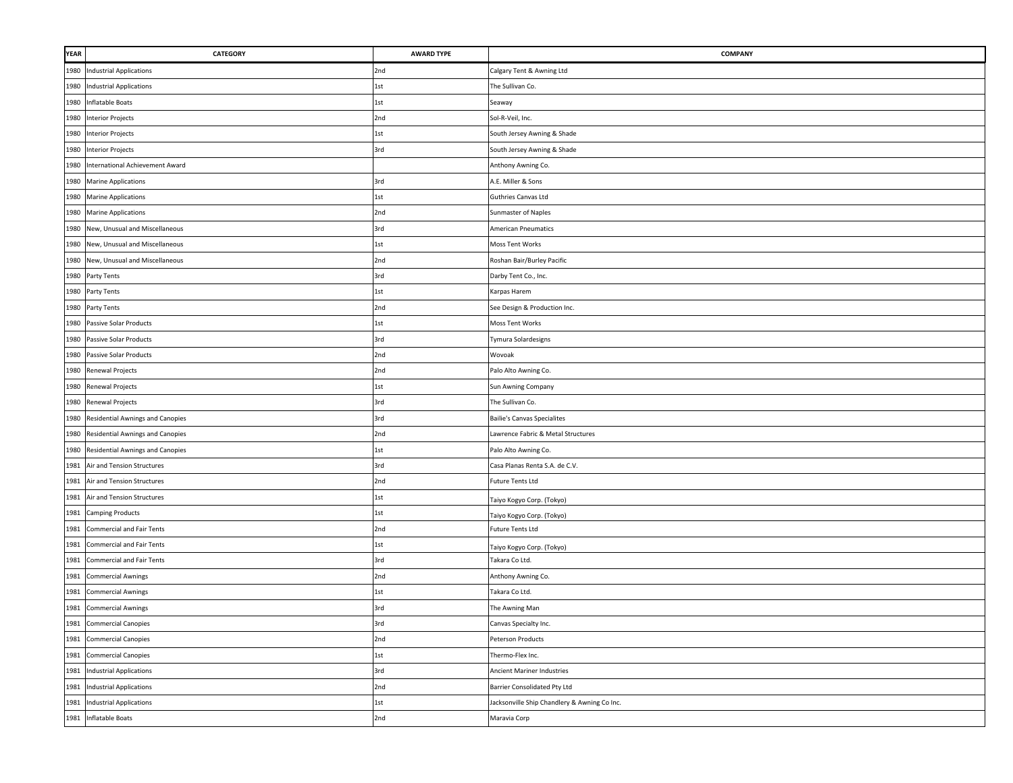| <b>YEAR</b> | <b>CATEGORY</b>                       | <b>AWARD TYPE</b> | <b>COMPANY</b>                               |
|-------------|---------------------------------------|-------------------|----------------------------------------------|
|             | 1980 Industrial Applications          | 2nd               | Calgary Tent & Awning Ltd                    |
| 1980        | <b>Industrial Applications</b>        | 1st               | The Sullivan Co.                             |
|             | 1980 Inflatable Boats                 | 1st               | Seaway                                       |
|             | 1980 Interior Projects                | 2nd               | Sol-R-Veil, Inc.                             |
|             | 1980 Interior Projects                | 1st               | South Jersey Awning & Shade                  |
|             | 1980 Interior Projects                | 3rd               | South Jersey Awning & Shade                  |
|             | 1980 International Achievement Award  |                   | Anthony Awning Co.                           |
|             | 1980 Marine Applications              | 3rd               | A.E. Miller & Sons                           |
|             | 1980 Marine Applications              | 1st               | Guthries Canvas Ltd                          |
|             | 1980 Marine Applications              | 2nd               | Sunmaster of Naples                          |
| 1980        | New, Unusual and Miscellaneous        | 3rd               | American Pneumatics                          |
| 1980        | New, Unusual and Miscellaneous        | 1st               | Moss Tent Works                              |
| 1980        | New, Unusual and Miscellaneous        | 2nd               | Roshan Bair/Burley Pacific                   |
|             | 1980 Party Tents                      | 3rd               | Darby Tent Co., Inc.                         |
|             | 1980 Party Tents                      | 1st               | Karpas Harem                                 |
|             | 1980 Party Tents                      | 2nd               | See Design & Production Inc.                 |
| 1980        | Passive Solar Products                | 1st               | Moss Tent Works                              |
| 1980        | Passive Solar Products                | 3rd               | Tymura Solardesigns                          |
| 1980        | Passive Solar Products                | 2nd               | Wovoak                                       |
| 1980        | Renewal Projects                      | 2nd               | Palo Alto Awning Co.                         |
| 1980        | Renewal Projects                      | 1st               | Sun Awning Company                           |
|             | 1980 Renewal Projects                 | 3rd               | The Sullivan Co.                             |
|             | 1980 Residential Awnings and Canopies | 3rd               | <b>Bailie's Canvas Specialites</b>           |
|             | 1980 Residential Awnings and Canopies | 2nd               | Lawrence Fabric & Metal Structures           |
| 1980        | Residential Awnings and Canopies      | 1st               | Palo Alto Awning Co.                         |
|             | 1981 Air and Tension Structures       | 3rd               | Casa Planas Renta S.A. de C.V.               |
| 1981        | Air and Tension Structures            | 2nd               | Future Tents Ltd                             |
| 1981        | Air and Tension Structures            | 1st               | Taiyo Kogyo Corp. (Tokyo)                    |
| 1981        | <b>Camping Products</b>               | 1st               | Taiyo Kogyo Corp. (Tokyo)                    |
| 1981        | <b>Commercial and Fair Tents</b>      | 2nd               | Future Tents Ltd                             |
| 1981        | <b>Commercial and Fair Tents</b>      | 1st               | Taiyo Kogyo Corp. (Tokyo)                    |
| 1981        | <b>Commercial and Fair Tents</b>      | 3rd               | Takara Co Ltd.                               |
| 1981        | <b>Commercial Awnings</b>             | 2nd               | Anthony Awning Co.                           |
| 1981        | <b>Commercial Awnings</b>             | 1st               | Takara Co Ltd.                               |
| 1981        | <b>Commercial Awnings</b>             | 3rd               | The Awning Man                               |
|             | 1981 Commercial Canopies              | 3rd               | Canvas Specialty Inc.                        |
| 1981        | <b>Commercial Canopies</b>            | 2nd               | Peterson Products                            |
|             | 1981 Commercial Canopies              | 1st               | Thermo-Flex Inc.                             |
|             | 1981 Industrial Applications          | 3rd               | Ancient Mariner Industries                   |
|             | 1981 Industrial Applications          | 2nd               | Barrier Consolidated Pty Ltd                 |
|             | 1981 Industrial Applications          | 1st               | Jacksonville Ship Chandlery & Awning Co Inc. |
|             | 1981 Inflatable Boats                 | 2nd               | Maravia Corp                                 |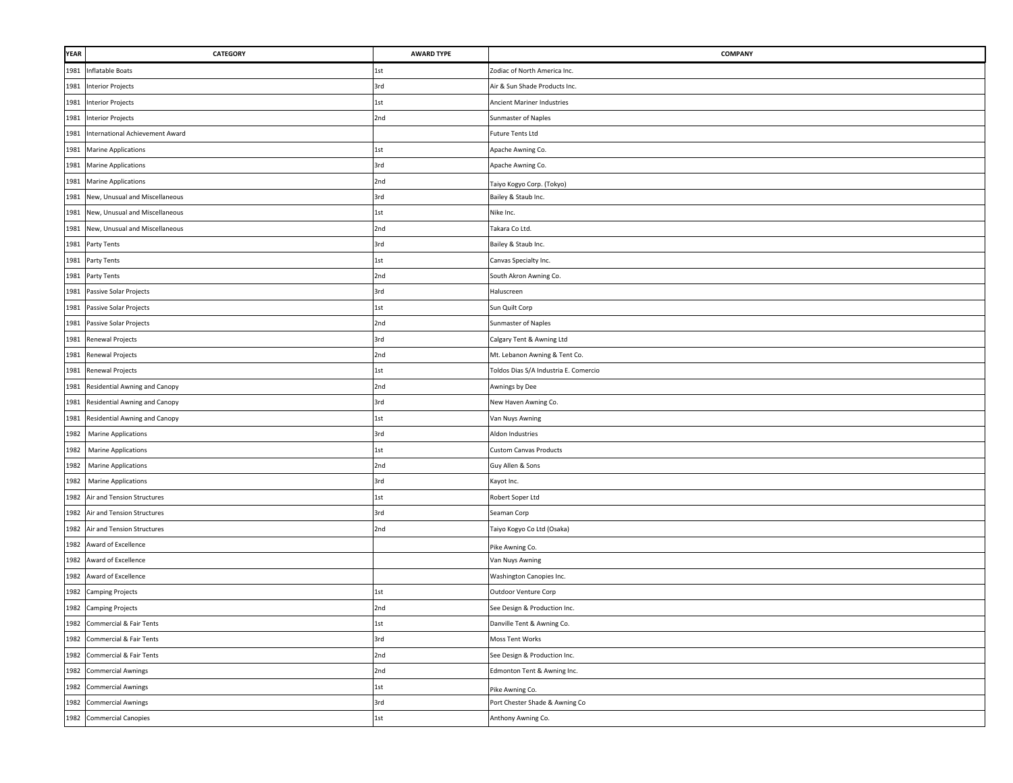| <b>YEAR</b> | <b>CATEGORY</b>                    | <b>AWARD TYPE</b> | COMPANY                               |
|-------------|------------------------------------|-------------------|---------------------------------------|
| 1981        | Inflatable Boats                   | 1st               | Zodiac of North America Inc.          |
| 1981        | <b>Interior Projects</b>           | 3rd               | Air & Sun Shade Products Inc.         |
| 1981        | <b>Interior Projects</b>           | 1st               | <b>Ancient Mariner Industries</b>     |
| 1981        | <b>Interior Projects</b>           | 2nd               | Sunmaster of Naples                   |
| 1981        | International Achievement Award    |                   | <b>Future Tents Ltd</b>               |
| 1981        | <b>Marine Applications</b>         | 1st               | Apache Awning Co.                     |
|             | 1981 Marine Applications           | 3rd               | Apache Awning Co.                     |
| 1981        | <b>Marine Applications</b>         | 2nd               | Taiyo Kogyo Corp. (Tokyo)             |
| 1981        | New, Unusual and Miscellaneous     | 3rd               | Bailey & Staub Inc.                   |
| 1981        | New, Unusual and Miscellaneous     | 1st               | Nike Inc.                             |
| 1981        | New, Unusual and Miscellaneous     | 2nd               | Takara Co Ltd.                        |
| 1981        | Party Tents                        | 3rd               | Bailey & Staub Inc.                   |
| 1981        | Party Tents                        | 1st               | Canvas Specialty Inc.                 |
| 1981        | Party Tents                        | 2nd               | South Akron Awning Co.                |
| 1981        | Passive Solar Projects             | 3rd               | Haluscreen                            |
| 1981        | Passive Solar Projects             | 1st               | Sun Quilt Corp                        |
| 1981        | Passive Solar Projects             | 2nd               | Sunmaster of Naples                   |
| 1981        | <b>Renewal Projects</b>            | 3rd               | Calgary Tent & Awning Ltd             |
| 1981        | Renewal Projects                   | 2nd               | Mt. Lebanon Awning & Tent Co.         |
| 1981        | Renewal Projects                   | 1st               | Toldos Dias S/A Industria E. Comercio |
| 1981        | Residential Awning and Canopy      | 2nd               | Awnings by Dee                        |
| 1981        | Residential Awning and Canopy      | 3rd               | New Haven Awning Co.                  |
|             | 1981 Residential Awning and Canopy | 1st               | Van Nuys Awning                       |
|             | 1982 Marine Applications           | 3rd               | Aldon Industries                      |
| 1982        | <b>Marine Applications</b>         | 1st               | <b>Custom Canvas Products</b>         |
|             | 1982 Marine Applications           | 2nd               | Guy Allen & Sons                      |
| 1982        | <b>Marine Applications</b>         | 3rd               | Kayot Inc.                            |
| 1982        | Air and Tension Structures         | 1st               | Robert Soper Ltd                      |
| 1982        | Air and Tension Structures         | 3rd               | Seaman Corp                           |
| 1982        | Air and Tension Structures         | 2nd               | Taiyo Kogyo Co Ltd (Osaka)            |
|             | 1982 Award of Excellence           |                   | Pike Awning Co.                       |
| 1982        | Award of Excellence                |                   | Van Nuys Awning                       |
| 1982        | Award of Excellence                |                   | Washington Canopies Inc.              |
| 1982        | <b>Camping Projects</b>            | 1st               | Outdoor Venture Corp                  |
| 1982        | <b>Camping Projects</b>            | 2nd               | See Design & Production Inc.          |
|             | 1982 Commercial & Fair Tents       | 1st               | Danville Tent & Awning Co.            |
| 1982        | Commercial & Fair Tents            | 3rd               | Moss Tent Works                       |
|             | 1982 Commercial & Fair Tents       | 2nd               | See Design & Production Inc.          |
|             | 1982 Commercial Awnings            | 2nd               | Edmonton Tent & Awning Inc.           |
|             | 1982 Commercial Awnings            | 1st               | Pike Awning Co.                       |
|             | 1982 Commercial Awnings            | 3rd               | Port Chester Shade & Awning Co        |
|             | 1982 Commercial Canopies           | 1st               | Anthony Awning Co.                    |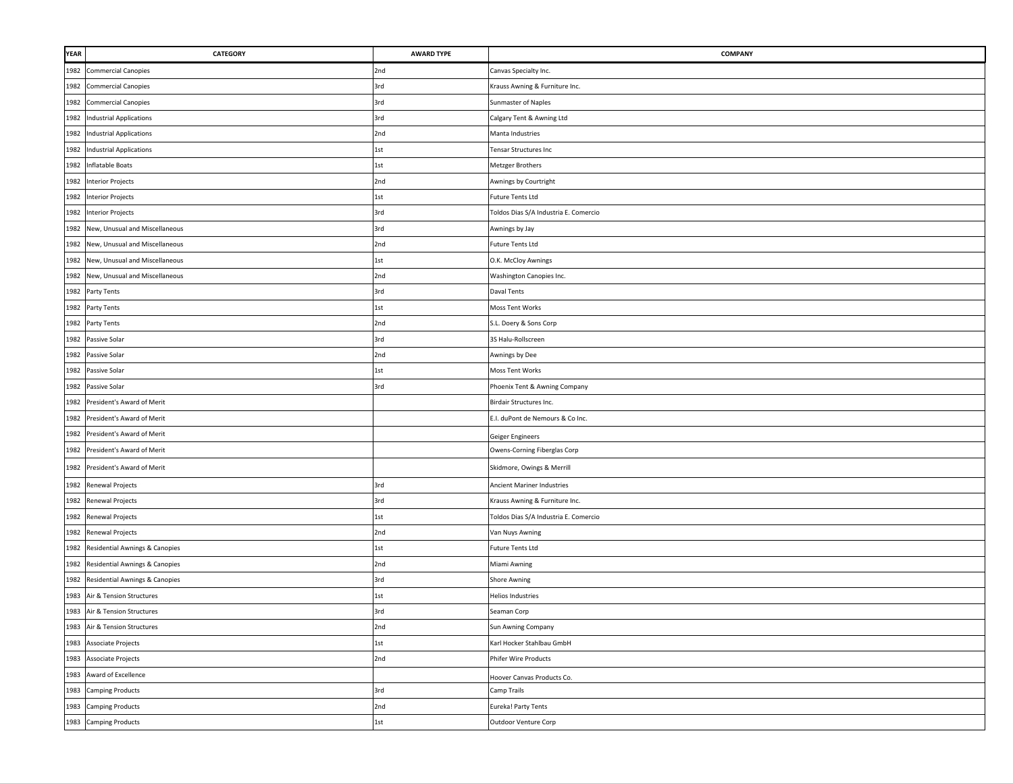| <b>YEAR</b> | <b>CATEGORY</b>                     | <b>AWARD TYPE</b> | COMPANY                               |
|-------------|-------------------------------------|-------------------|---------------------------------------|
| 1982        | <b>Commercial Canopies</b>          | 2nd               | Canvas Specialty Inc.                 |
| 1982        | <b>Commercial Canopies</b>          | 3rd               | Krauss Awning & Furniture Inc.        |
| 1982        | <b>Commercial Canopies</b>          | 3rd               | Sunmaster of Naples                   |
|             | 1982 Industrial Applications        | 3rd               | Calgary Tent & Awning Ltd             |
|             | 1982 Industrial Applications        | 2nd               | Manta Industries                      |
|             | 1982 Industrial Applications        | 1st               | Tensar Structures Inc                 |
|             | 1982 Inflatable Boats               | 1st               | Metzger Brothers                      |
|             | 1982 Interior Projects              | 2nd               | Awnings by Courtright                 |
|             | 1982 Interior Projects              | 1st               | <b>Future Tents Ltd</b>               |
|             | 1982 Interior Projects              | 3rd               | Toldos Dias S/A Industria E. Comercio |
| 1982        | New, Unusual and Miscellaneous      | 3rd               | Awnings by Jay                        |
| 1982        | New, Unusual and Miscellaneous      | 2nd               | Future Tents Ltd                      |
|             | 1982 New, Unusual and Miscellaneous | 1st               | O.K. McCloy Awnings                   |
| 1982        | New, Unusual and Miscellaneous      | 2nd               | Washington Canopies Inc.              |
|             | 1982 Party Tents                    | 3rd               | Daval Tents                           |
| 1982        | Party Tents                         | 1st               | Moss Tent Works                       |
|             | 1982 Party Tents                    | 2nd               | S.L. Doery & Sons Corp                |
| 1982        | Passive Solar                       | 3rd               | 3S Halu-Rollscreen                    |
| 1982        | Passive Solar                       | 2nd               | Awnings by Dee                        |
| 1982        | Passive Solar                       | 1st               | Moss Tent Works                       |
|             | 1982 Passive Solar                  | 3rd               | Phoenix Tent & Awning Company         |
| 1982        | President's Award of Merit          |                   | Birdair Structures Inc.               |
| 1982        | President's Award of Merit          |                   | E.I. duPont de Nemours & Co Inc.      |
| 1982        | President's Award of Merit          |                   | Geiger Engineers                      |
|             | 1982 President's Award of Merit     |                   | Owens-Corning Fiberglas Corp          |
| 1982        | President's Award of Merit          |                   | Skidmore, Owings & Merrill            |
| 1982        | Renewal Projects                    | 3rd               | <b>Ancient Mariner Industries</b>     |
| 1982        | Renewal Projects                    | 3rd               | Krauss Awning & Furniture Inc.        |
|             | 1982 Renewal Projects               | 1st               | Toldos Dias S/A Industria E. Comercio |
|             | 1982 Renewal Projects               | 2nd               | Van Nuys Awning                       |
|             | 1982 Residential Awnings & Canopies | 1st               | Future Tents Ltd                      |
|             | 1982 Residential Awnings & Canopies | 2nd               | Miami Awning                          |
|             | 1982 Residential Awnings & Canopies | 3rd               | Shore Awning                          |
|             | 1983 Air & Tension Structures       | 1st               | Helios Industries                     |
|             | 1983 Air & Tension Structures       | 3rd               | Seaman Corp                           |
|             | 1983 Air & Tension Structures       | 2nd               | Sun Awning Company                    |
| 1983        | Associate Projects                  | 1st               | Karl Hocker Stahlbau GmbH             |
|             | 1983 Associate Projects             | 2nd               | Phifer Wire Products                  |
|             | 1983 Award of Excellence            |                   | Hoover Canvas Products Co.            |
|             | 1983 Camping Products               | 3rd               | Camp Trails                           |
| 1983        | <b>Camping Products</b>             | 2nd               | Eureka! Party Tents                   |
|             | 1983 Camping Products               | 1st               | Outdoor Venture Corp                  |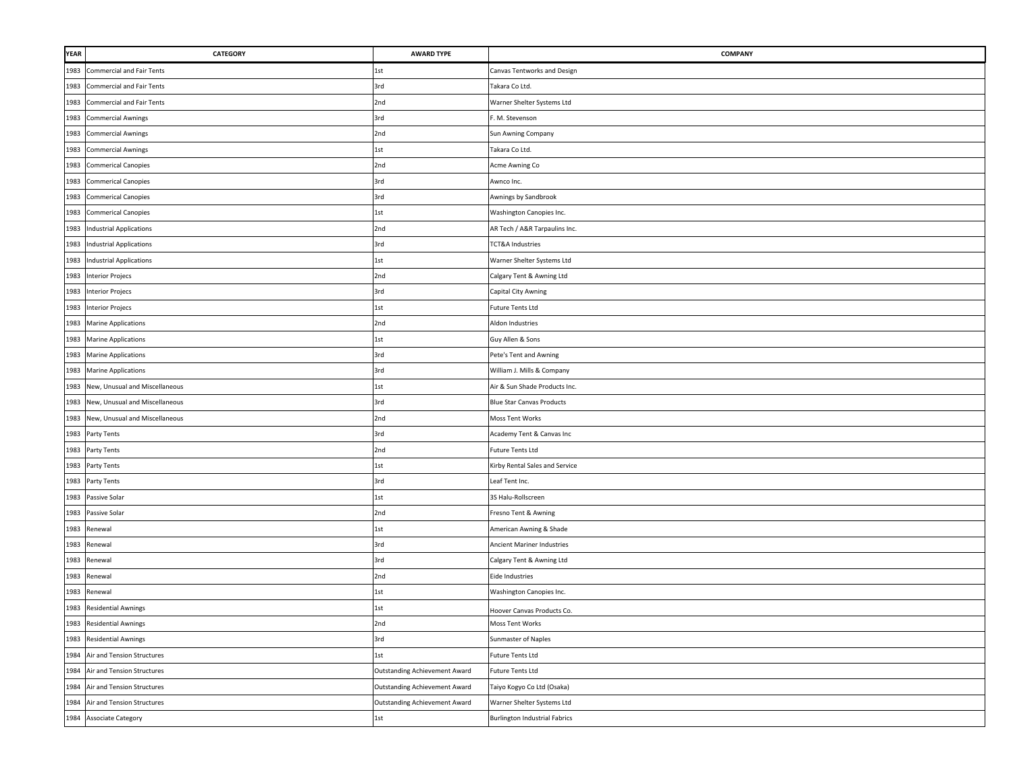| <b>YEAR</b> | <b>CATEGORY</b>                     | <b>AWARD TYPE</b>                    | COMPANY                              |
|-------------|-------------------------------------|--------------------------------------|--------------------------------------|
| 1983        | <b>Commercial and Fair Tents</b>    | 1st                                  | Canvas Tentworks and Design          |
| 1983        | Commercial and Fair Tents           | 3rd                                  | Takara Co Ltd.                       |
| 1983        | Commercial and Fair Tents           | 2nd                                  | Warner Shelter Systems Ltd           |
| 1983        | <b>Commercial Awnings</b>           | 3rd                                  | F. M. Stevenson                      |
|             | 1983 Commercial Awnings             | 2nd                                  | Sun Awning Company                   |
|             | 1983 Commercial Awnings             | 1st                                  | Takara Co Ltd.                       |
| 1983        | <b>Commerical Canopies</b>          | 2nd                                  | Acme Awning Co                       |
| 1983        | <b>Commerical Canopies</b>          | 3rd                                  | Awnco Inc.                           |
| 1983        | <b>Commerical Canopies</b>          | 3rd                                  | Awnings by Sandbrook                 |
| 1983        | <b>Commerical Canopies</b>          | 1st                                  | Washington Canopies Inc.             |
| 1983        | <b>Industrial Applications</b>      | 2nd                                  | AR Tech / A&R Tarpaulins Inc.        |
| 1983        | <b>Industrial Applications</b>      | 3rd                                  | <b>TCT&amp;A Industries</b>          |
|             | 1983 Industrial Applications        | 1st                                  | Warner Shelter Systems Ltd           |
|             | 1983 Interior Projecs               | 2nd                                  | Calgary Tent & Awning Ltd            |
|             | 1983 Interior Projecs               | 3rd                                  | Capital City Awning                  |
| 1983        | <b>Interior Projecs</b>             | 1st                                  | <b>Future Tents Ltd</b>              |
| 1983        | <b>Marine Applications</b>          | 2nd                                  | Aldon Industries                     |
| 1983        | <b>Marine Applications</b>          | 1st                                  | Guy Allen & Sons                     |
| 1983        | <b>Marine Applications</b>          | 3rd                                  | Pete's Tent and Awning               |
| 1983        | <b>Marine Applications</b>          | 3rd                                  | William J. Mills & Company           |
|             | 1983 New, Unusual and Miscellaneous | 1st                                  | Air & Sun Shade Products Inc.        |
|             | 1983 New, Unusual and Miscellaneous | 3rd                                  | <b>Blue Star Canvas Products</b>     |
|             | 1983 New, Unusual and Miscellaneous | 2nd                                  | Moss Tent Works                      |
|             | 1983 Party Tents                    | 3rd                                  | Academy Tent & Canvas Inc            |
|             | 1983 Party Tents                    | 2nd                                  | <b>Future Tents Ltd</b>              |
|             | 1983 Party Tents                    | 1st                                  | Kirby Rental Sales and Service       |
| 1983        | Party Tents                         | 3rd                                  | Leaf Tent Inc.                       |
| 1983        | Passive Solar                       | 1st                                  | 3S Halu-Rollscreen                   |
| 1983        | Passive Solar                       | 2nd                                  | Fresno Tent & Awning                 |
|             | 1983 Renewal                        | 1st                                  | American Awning & Shade              |
|             | 1983 Renewal                        | 3rd                                  | Ancient Mariner Industries           |
|             | 1983 Renewal                        | 3rd                                  | Calgary Tent & Awning Ltd            |
| 1983        | Renewal                             | 2nd                                  | <b>Eide Industries</b>               |
| 1983        | Renewal                             | 1st                                  | Washington Canopies Inc.             |
| 1983        | <b>Residential Awnings</b>          | 1st                                  | Hoover Canvas Products Co.           |
|             | 1983 Residential Awnings            | 2nd                                  | Moss Tent Works                      |
| 1983        | <b>Residential Awnings</b>          | 3rd                                  | Sunmaster of Naples                  |
|             | 1984 Air and Tension Structures     | 1st                                  | <b>Future Tents Ltd</b>              |
|             | 1984 Air and Tension Structures     | <b>Outstanding Achievement Award</b> | <b>Future Tents Ltd</b>              |
|             | 1984 Air and Tension Structures     | Outstanding Achievement Award        | Taiyo Kogyo Co Ltd (Osaka)           |
| 1984        | Air and Tension Structures          | Outstanding Achievement Award        | Warner Shelter Systems Ltd           |
|             | 1984 Associate Category             | 1st                                  | <b>Burlington Industrial Fabrics</b> |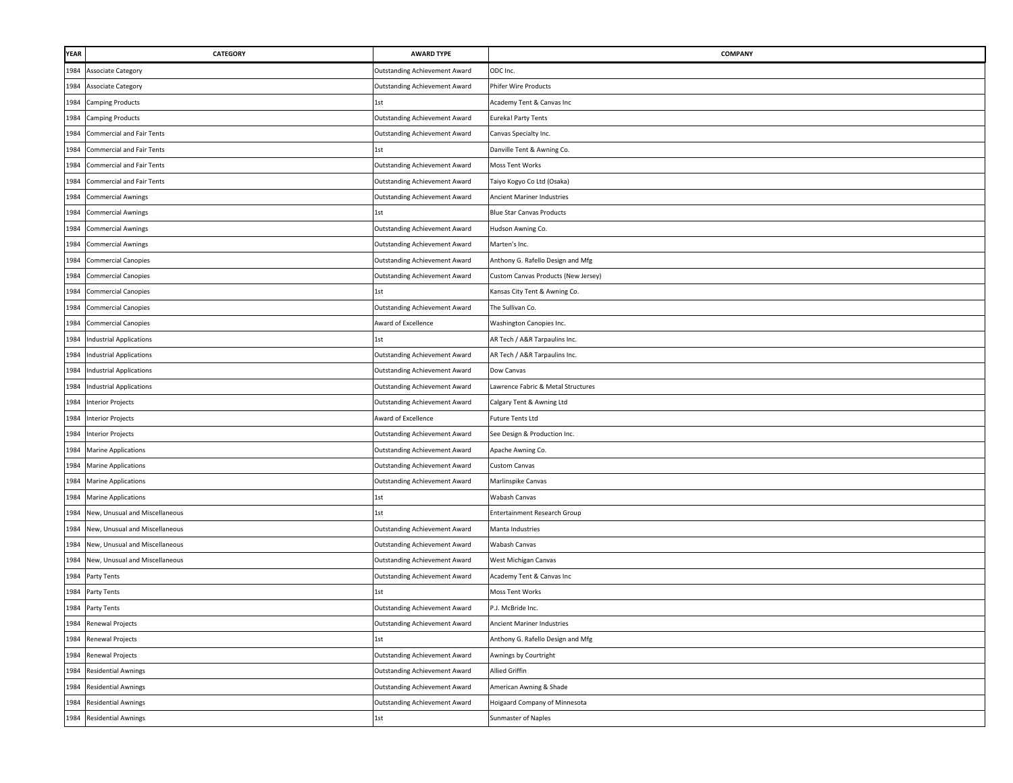| <b>YEAR</b> | <b>CATEGORY</b>                  | <b>AWARD TYPE</b>                    | COMPANY                             |
|-------------|----------------------------------|--------------------------------------|-------------------------------------|
| 1984        | Associate Category               | Outstanding Achievement Award        | ODC Inc.                            |
| 1984        | <b>Associate Category</b>        | <b>Outstanding Achievement Award</b> | Phifer Wire Products                |
| 1984        | <b>Camping Products</b>          | 1st                                  | Academy Tent & Canvas Inc           |
| 1984        | <b>Camping Products</b>          | <b>Outstanding Achievement Award</b> | Eureka! Party Tents                 |
| 1984        | Commercial and Fair Tents        | Outstanding Achievement Award        | Canvas Specialty Inc.               |
| 1984        | Commercial and Fair Tents        | 1st                                  | Danville Tent & Awning Co.          |
| 1984        | <b>Commercial and Fair Tents</b> | <b>Outstanding Achievement Award</b> | Moss Tent Works                     |
| 1984        | <b>Commercial and Fair Tents</b> | Outstanding Achievement Award        | Taiyo Kogyo Co Ltd (Osaka)          |
| 1984        | <b>Commercial Awnings</b>        | Outstanding Achievement Award        | <b>Ancient Mariner Industries</b>   |
| 1984        | <b>Commercial Awnings</b>        | 1st                                  | <b>Blue Star Canvas Products</b>    |
| 1984        | <b>Commercial Awnings</b>        | Outstanding Achievement Award        | Hudson Awning Co.                   |
| 1984        | <b>Commercial Awnings</b>        | Outstanding Achievement Award        | Marten's Inc.                       |
| 1984        | <b>Commercial Canopies</b>       | Outstanding Achievement Award        | Anthony G. Rafello Design and Mfg   |
| 1984        | <b>Commercial Canopies</b>       | Outstanding Achievement Award        | Custom Canvas Products (New Jersey) |
| 1984        | <b>Commercial Canopies</b>       | 1st                                  | Kansas City Tent & Awning Co.       |
| 1984        | <b>Commercial Canopies</b>       | <b>Outstanding Achievement Award</b> | The Sullivan Co.                    |
| 1984        | <b>Commercial Canopies</b>       | Award of Excellence                  | Washington Canopies Inc.            |
| 1984        | <b>Industrial Applications</b>   | 1st                                  | AR Tech / A&R Tarpaulins Inc.       |
| 1984        | <b>Industrial Applications</b>   | <b>Outstanding Achievement Award</b> | AR Tech / A&R Tarpaulins Inc.       |
| 1984        | <b>Industrial Applications</b>   | Outstanding Achievement Award        | Dow Canvas                          |
|             | 1984 Industrial Applications     | <b>Outstanding Achievement Award</b> | Lawrence Fabric & Metal Structures  |
|             | 1984 Interior Projects           | Outstanding Achievement Award        | Calgary Tent & Awning Ltd           |
|             | 1984 Interior Projects           | Award of Excellence                  | <b>Future Tents Ltd</b>             |
|             | 1984 Interior Projects           | Outstanding Achievement Award        | See Design & Production Inc.        |
|             | 1984 Marine Applications         | Outstanding Achievement Award        | Apache Awning Co.                   |
| 1984        | <b>Marine Applications</b>       | Outstanding Achievement Award        | Custom Canvas                       |
| 1984        | <b>Marine Applications</b>       | Outstanding Achievement Award        | Marlinspike Canvas                  |
| 1984        | <b>Marine Applications</b>       | 1st                                  | Wabash Canvas                       |
| 1984        | New, Unusual and Miscellaneous   | 1st                                  | Entertainment Research Group        |
| 1984        | New, Unusual and Miscellaneous   | Outstanding Achievement Award        | Manta Industries                    |
| 1984        | New, Unusual and Miscellaneous   | <b>Outstanding Achievement Award</b> | Wabash Canvas                       |
| 1984        | New, Unusual and Miscellaneous   | <b>Outstanding Achievement Award</b> | West Michigan Canvas                |
| 1984        | Party Tents                      | Outstanding Achievement Award        | Academy Tent & Canvas Inc           |
| 1984        | Party Tents                      | 1st                                  | <b>Moss Tent Works</b>              |
| 1984        | Party Tents                      | <b>Outstanding Achievement Award</b> | P.J. McBride Inc.                   |
|             | 1984 Renewal Projects            | Outstanding Achievement Award        | Ancient Mariner Industries          |
| 1984        | Renewal Projects                 | 1st                                  | Anthony G. Rafello Design and Mfg   |
|             | 1984 Renewal Projects            | Outstanding Achievement Award        | Awnings by Courtright               |
|             | 1984 Residential Awnings         | <b>Outstanding Achievement Award</b> | <b>Allied Griffin</b>               |
|             | 1984 Residential Awnings         | Outstanding Achievement Award        | American Awning & Shade             |
| 1984        | <b>Residential Awnings</b>       | <b>Outstanding Achievement Award</b> | Hoigaard Company of Minnesota       |
|             | 1984 Residential Awnings         | 1st                                  | Sunmaster of Naples                 |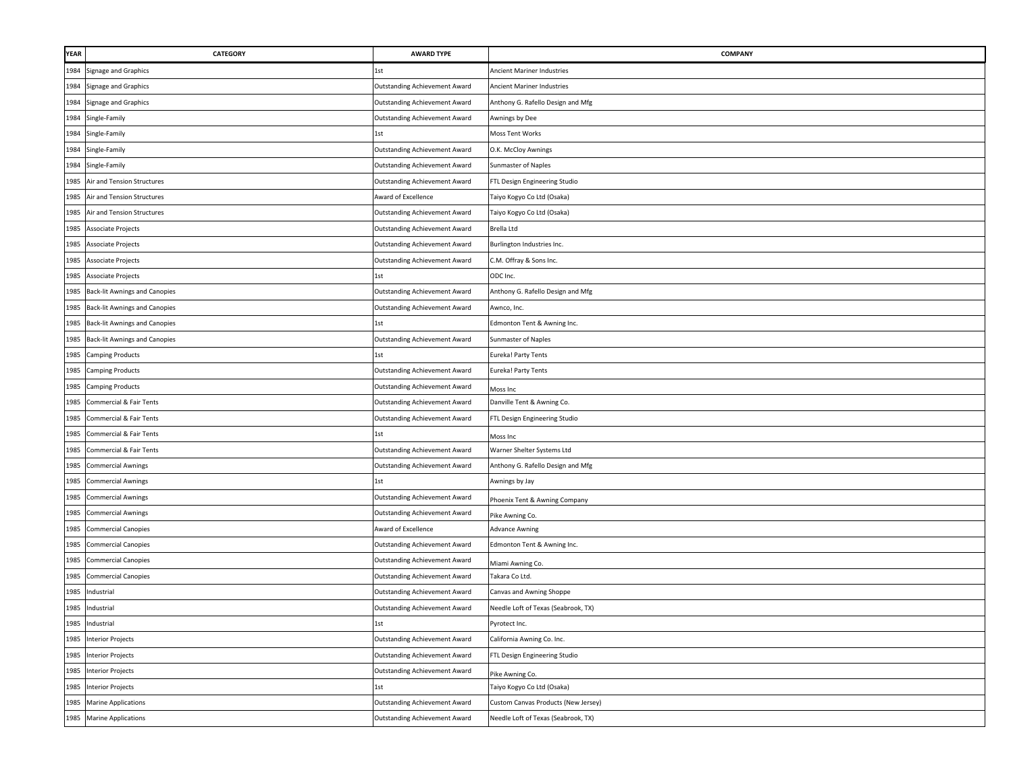| <b>YEAR</b> | <b>CATEGORY</b>                      | <b>AWARD TYPE</b>                    | <b>COMPANY</b>                      |
|-------------|--------------------------------------|--------------------------------------|-------------------------------------|
| 1984        | Signage and Graphics                 | 1st                                  | Ancient Mariner Industries          |
| 1984        | Signage and Graphics                 | <b>Outstanding Achievement Award</b> | <b>Ancient Mariner Industries</b>   |
| 1984        | Signage and Graphics                 | <b>Outstanding Achievement Award</b> | Anthony G. Rafello Design and Mfg   |
| 1984        | Single-Family                        | <b>Outstanding Achievement Award</b> | Awnings by Dee                      |
| 1984        | Single-Family                        | 1st                                  | Moss Tent Works                     |
| 1984        | Single-Family                        | <b>Outstanding Achievement Award</b> | O.K. McCloy Awnings                 |
|             | 1984 Single-Family                   | Outstanding Achievement Award        | Sunmaster of Naples                 |
| 1985        | Air and Tension Structures           | Outstanding Achievement Award        | FTL Design Engineering Studio       |
| 1985        | Air and Tension Structures           | Award of Excellence                  | Taiyo Kogyo Co Ltd (Osaka)          |
| 1985        | Air and Tension Structures           | <b>Outstanding Achievement Award</b> | Taiyo Kogyo Co Ltd (Osaka)          |
| 1985        | Associate Projects                   | <b>Outstanding Achievement Award</b> | Brella Ltd                          |
| 1985        | Associate Projects                   | <b>Outstanding Achievement Award</b> | Burlington Industries Inc.          |
| 1985        | Associate Projects                   | <b>Outstanding Achievement Award</b> | C.M. Offray & Sons Inc.             |
| 1985        | Associate Projects                   | 1st                                  | ODC Inc.                            |
| 1985        | <b>Back-lit Awnings and Canopies</b> | Outstanding Achievement Award        | Anthony G. Rafello Design and Mfg   |
| 1985        | <b>Back-lit Awnings and Canopies</b> | Outstanding Achievement Award        | Awnco, Inc.                         |
| 1985        | <b>Back-lit Awnings and Canopies</b> | 1st                                  | Edmonton Tent & Awning Inc.         |
| 1985        | <b>Back-lit Awnings and Canopies</b> | <b>Outstanding Achievement Award</b> | Sunmaster of Naples                 |
| 1985        | <b>Camping Products</b>              | 1st                                  | Eureka! Party Tents                 |
| 1985        | <b>Camping Products</b>              | <b>Outstanding Achievement Award</b> | Eureka! Party Tents                 |
| 1985        | <b>Camping Products</b>              | <b>Outstanding Achievement Award</b> | Moss Inc                            |
| 1985        | Commercial & Fair Tents              | <b>Outstanding Achievement Award</b> | Danville Tent & Awning Co.          |
| 1985        | Commercial & Fair Tents              | <b>Outstanding Achievement Award</b> | FTL Design Engineering Studio       |
| 1985        | Commercial & Fair Tents              | 1st                                  | Moss Inc                            |
| 1985        | <b>Commercial &amp; Fair Tents</b>   | <b>Outstanding Achievement Award</b> | Warner Shelter Systems Ltd          |
| 1985        | <b>Commercial Awnings</b>            | Outstanding Achievement Award        | Anthony G. Rafello Design and Mfg   |
| 1985        | <b>Commercial Awnings</b>            | 1st                                  | Awnings by Jay                      |
| 1985        | <b>Commercial Awnings</b>            | <b>Outstanding Achievement Award</b> | Phoenix Tent & Awning Company       |
| 1985        | <b>Commercial Awnings</b>            | <b>Outstanding Achievement Award</b> | Pike Awning Co.                     |
| 1985        | <b>Commercial Canopies</b>           | Award of Excellence                  | <b>Advance Awning</b>               |
| 1985        | <b>Commercial Canopies</b>           | <b>Outstanding Achievement Award</b> | Edmonton Tent & Awning Inc.         |
| 1985        | <b>Commercial Canopies</b>           | <b>Outstanding Achievement Award</b> | Miami Awning Co.                    |
| 1985        | <b>Commercial Canopies</b>           | <b>Outstanding Achievement Award</b> | Takara Co Ltd.                      |
| 1985        | Industrial                           | <b>Outstanding Achievement Award</b> | Canvas and Awning Shoppe            |
| 1985        | Industrial                           | <b>Outstanding Achievement Award</b> | Needle Loft of Texas (Seabrook, TX) |
|             | 1985 Industrial                      | 1st                                  | Pyrotect Inc.                       |
| 1985        | <b>Interior Projects</b>             | <b>Outstanding Achievement Award</b> | California Awning Co. Inc.          |
| 1985        | <b>Interior Projects</b>             | <b>Outstanding Achievement Award</b> | FTL Design Engineering Studio       |
|             | 1985 Interior Projects               | <b>Outstanding Achievement Award</b> | Pike Awning Co.                     |
| 1985        | <b>Interior Projects</b>             | 1st                                  | Taiyo Kogyo Co Ltd (Osaka)          |
|             | 1985 Marine Applications             | <b>Outstanding Achievement Award</b> | Custom Canvas Products (New Jersey) |
|             | 1985 Marine Applications             | <b>Outstanding Achievement Award</b> | Needle Loft of Texas (Seabrook, TX) |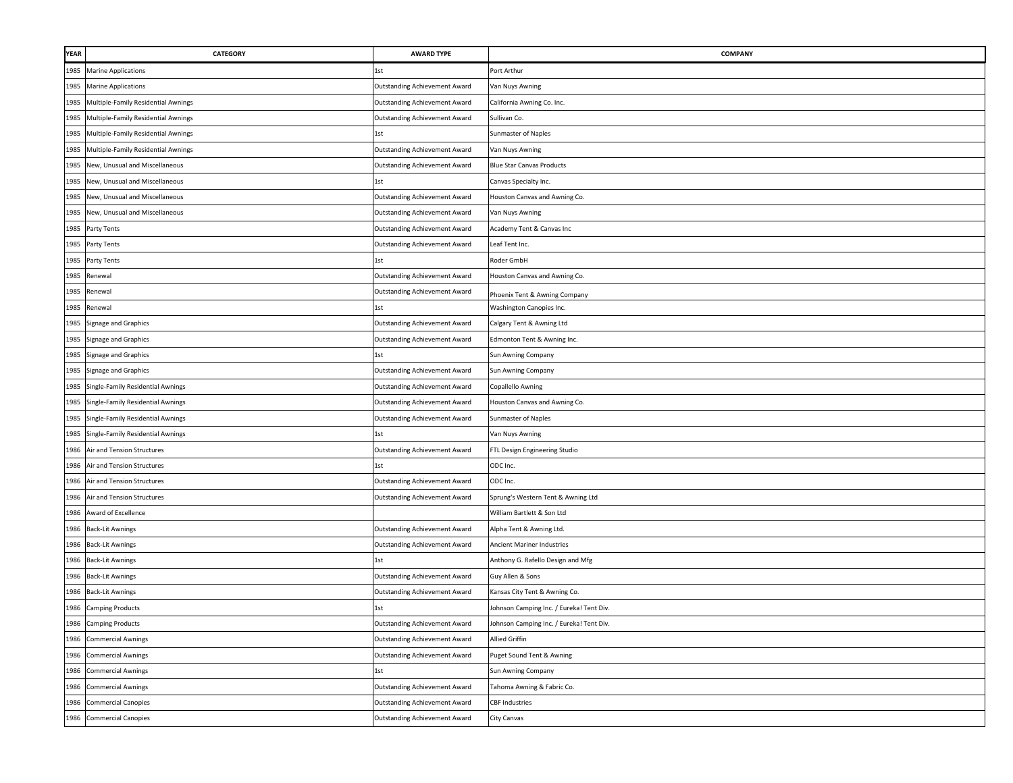| YEAR | CATEGORY                               | <b>AWARD TYPE</b>                    | COMPANY                                  |
|------|----------------------------------------|--------------------------------------|------------------------------------------|
| 1985 | <b>Marine Applications</b>             | 1st                                  | Port Arthur                              |
| 1985 | <b>Marine Applications</b>             | <b>Outstanding Achievement Award</b> | Van Nuys Awning                          |
| 1985 | Multiple-Family Residential Awnings    | <b>Outstanding Achievement Award</b> | California Awning Co. Inc.               |
| 1985 | Multiple-Family Residential Awnings    | <b>Outstanding Achievement Award</b> | Sullivan Co.                             |
| 1985 | Multiple-Family Residential Awnings    | 1st                                  | Sunmaster of Naples                      |
| 1985 | Multiple-Family Residential Awnings    | <b>Outstanding Achievement Award</b> | Van Nuys Awning                          |
| 1985 | New, Unusual and Miscellaneous         | <b>Outstanding Achievement Award</b> | <b>Blue Star Canvas Products</b>         |
| 1985 | New, Unusual and Miscellaneous         | 1st                                  | Canvas Specialty Inc.                    |
| 1985 | New, Unusual and Miscellaneous         | <b>Outstanding Achievement Award</b> | Houston Canvas and Awning Co.            |
| 1985 | New, Unusual and Miscellaneous         | <b>Outstanding Achievement Award</b> | Van Nuys Awning                          |
|      | 1985 Party Tents                       | <b>Outstanding Achievement Award</b> | Academy Tent & Canvas Inc                |
| 1985 | Party Tents                            | <b>Outstanding Achievement Award</b> | Leaf Tent Inc.                           |
|      | 1985 Party Tents                       | 1st                                  | Roder GmbH                               |
| 1985 | Renewal                                | <b>Outstanding Achievement Award</b> | Houston Canvas and Awning Co.            |
| 1985 | Renewal                                | <b>Outstanding Achievement Award</b> | Phoenix Tent & Awning Company            |
| 1985 | Renewal                                | 1st                                  | Washington Canopies Inc.                 |
| 1985 | Signage and Graphics                   | <b>Outstanding Achievement Award</b> | Calgary Tent & Awning Ltd                |
| 1985 | Signage and Graphics                   | <b>Outstanding Achievement Award</b> | Edmonton Tent & Awning Inc.              |
| 1985 | Signage and Graphics                   | 1st                                  | Sun Awning Company                       |
| 1985 | Signage and Graphics                   | <b>Outstanding Achievement Award</b> | Sun Awning Company                       |
| 1985 | Single-Family Residential Awnings      | <b>Outstanding Achievement Award</b> | Copallello Awning                        |
| 1985 | Single-Family Residential Awnings      | <b>Outstanding Achievement Award</b> | Houston Canvas and Awning Co.            |
|      | 1985 Single-Family Residential Awnings | Outstanding Achievement Award        | Sunmaster of Naples                      |
| 1985 | Single-Family Residential Awnings      | 1st                                  | Van Nuys Awning                          |
| 1986 | Air and Tension Structures             | <b>Outstanding Achievement Award</b> | FTL Design Engineering Studio            |
| 1986 | Air and Tension Structures             | 1st                                  | ODC Inc.                                 |
| 1986 | Air and Tension Structures             | <b>Outstanding Achievement Award</b> | ODC Inc.                                 |
| 1986 | Air and Tension Structures             | <b>Outstanding Achievement Award</b> | Sprung's Western Tent & Awning Ltd       |
| 1986 | Award of Excellence                    |                                      | William Bartlett & Son Ltd               |
| 1986 | <b>Back-Lit Awnings</b>                | <b>Outstanding Achievement Award</b> | Alpha Tent & Awning Ltd.                 |
| 1986 | <b>Back-Lit Awnings</b>                | <b>Outstanding Achievement Award</b> | Ancient Mariner Industries               |
| 1986 | <b>Back-Lit Awnings</b>                | 1st                                  | Anthony G. Rafello Design and Mfg        |
| 1986 | <b>Back-Lit Awnings</b>                | <b>Outstanding Achievement Award</b> | Guy Allen & Sons                         |
| 1986 | <b>Back-Lit Awnings</b>                | <b>Outstanding Achievement Award</b> | Kansas City Tent & Awning Co.            |
| 1986 | <b>Camping Products</b>                | 1st                                  | Johnson Camping Inc. / Eureka! Tent Div. |
|      | 1986 Camping Products                  | Outstanding Achievement Award        | Johnson Camping Inc. / Eureka! Tent Div. |
| 1986 | <b>Commercial Awnings</b>              | <b>Outstanding Achievement Award</b> | <b>Allied Griffin</b>                    |
|      | 1986 Commercial Awnings                | <b>Outstanding Achievement Award</b> | Puget Sound Tent & Awning                |
|      | 1986 Commercial Awnings                | 1st                                  | Sun Awning Company                       |
|      | 1986 Commercial Awnings                | <b>Outstanding Achievement Award</b> | Tahoma Awning & Fabric Co.               |
| 1986 | <b>Commercial Canopies</b>             | <b>Outstanding Achievement Award</b> | <b>CBF Industries</b>                    |
| 1986 | <b>Commercial Canopies</b>             | <b>Outstanding Achievement Award</b> | City Canvas                              |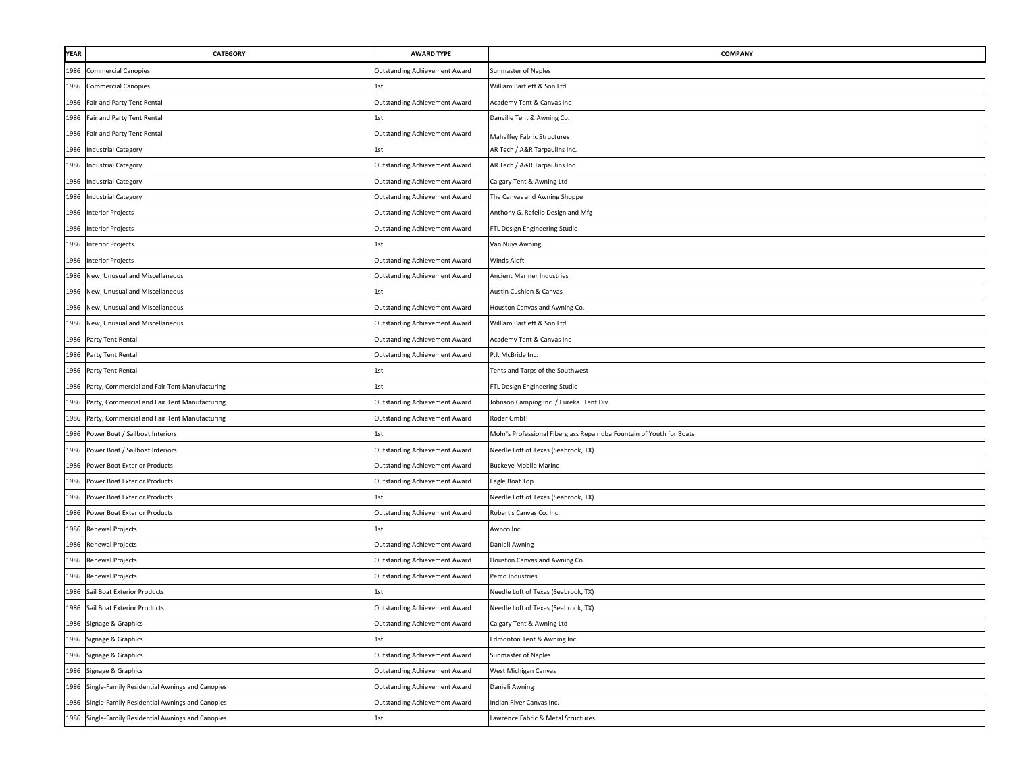| <b>YEAR</b> | <b>CATEGORY</b>                                    | <b>AWARD TYPE</b>                    | COMPANY                                                               |
|-------------|----------------------------------------------------|--------------------------------------|-----------------------------------------------------------------------|
| 1986        | <b>Commercial Canopies</b>                         | Outstanding Achievement Award        | Sunmaster of Naples                                                   |
| 1986        | <b>Commercial Canopies</b>                         | 1st                                  | William Bartlett & Son Ltd                                            |
| 1986        | Fair and Party Tent Rental                         | <b>Outstanding Achievement Award</b> | Academy Tent & Canvas Inc                                             |
| 1986        | Fair and Party Tent Rental                         | 1st                                  | Danville Tent & Awning Co.                                            |
| 1986        | Fair and Party Tent Rental                         | Outstanding Achievement Award        | Mahaffey Fabric Structures                                            |
|             | 1986 Industrial Category                           | 1st                                  | AR Tech / A&R Tarpaulins Inc.                                         |
| 1986        | <b>Industrial Category</b>                         | <b>Outstanding Achievement Award</b> | AR Tech / A&R Tarpaulins Inc.                                         |
| 1986        | <b>Industrial Category</b>                         | <b>Outstanding Achievement Award</b> | Calgary Tent & Awning Ltd                                             |
| 1986        | <b>Industrial Category</b>                         | Outstanding Achievement Award        | The Canvas and Awning Shoppe                                          |
| 1986        | <b>Interior Projects</b>                           | <b>Outstanding Achievement Award</b> | Anthony G. Rafello Design and Mfg                                     |
| 1986        | <b>Interior Projects</b>                           | <b>Outstanding Achievement Award</b> | FTL Design Engineering Studio                                         |
| 1986        | <b>Interior Projects</b>                           | 1st                                  | Van Nuys Awning                                                       |
|             | 1986 Interior Projects                             | Outstanding Achievement Award        | Winds Aloft                                                           |
| 1986        | New, Unusual and Miscellaneous                     | Outstanding Achievement Award        | Ancient Mariner Industries                                            |
| 1986        | New, Unusual and Miscellaneous                     | 1st                                  | Austin Cushion & Canvas                                               |
| 1986        | New, Unusual and Miscellaneous                     | Outstanding Achievement Award        | Houston Canvas and Awning Co.                                         |
| 1986        | New, Unusual and Miscellaneous                     | Outstanding Achievement Award        | William Bartlett & Son Ltd                                            |
| 1986        | Party Tent Rental                                  | <b>Outstanding Achievement Award</b> | Academy Tent & Canvas Inc                                             |
| 1986        | Party Tent Rental                                  | <b>Outstanding Achievement Award</b> | P.J. McBride Inc.                                                     |
| 1986        | Party Tent Rental                                  | 1st                                  | Tents and Tarps of the Southwest                                      |
|             | 1986 Party, Commercial and Fair Tent Manufacturing | 1st                                  | FTL Design Engineering Studio                                         |
|             | 1986 Party, Commercial and Fair Tent Manufacturing | <b>Outstanding Achievement Award</b> | Johnson Camping Inc. / Eureka! Tent Div.                              |
|             | 1986 Party, Commercial and Fair Tent Manufacturing | Outstanding Achievement Award        | Roder GmbH                                                            |
| 1986        | Power Boat / Sailboat Interiors                    | 1st                                  | Mohr's Professional Fiberglass Repair dba Fountain of Youth for Boats |
| 1986        | Power Boat / Sailboat Interiors                    | Outstanding Achievement Award        | Needle Loft of Texas (Seabrook, TX)                                   |
| 1986        | Power Boat Exterior Products                       | Outstanding Achievement Award        | <b>Buckeye Mobile Marine</b>                                          |
| 1986        | Power Boat Exterior Products                       | Outstanding Achievement Award        | Eagle Boat Top                                                        |
| 1986        | Power Boat Exterior Products                       | 1st                                  | Needle Loft of Texas (Seabrook, TX)                                   |
| 1986        | Power Boat Exterior Products                       | Outstanding Achievement Award        | Robert's Canvas Co. Inc.                                              |
|             | 1986 Renewal Projects                              | 1st                                  | Awnco Inc.                                                            |
|             | 1986 Renewal Projects                              | Outstanding Achievement Award        | Danieli Awning                                                        |
| 1986        | <b>Renewal Projects</b>                            | <b>Outstanding Achievement Award</b> | Houston Canvas and Awning Co.                                         |
| 1986        | Renewal Projects                                   | <b>Outstanding Achievement Award</b> | Perco Industries                                                      |
| 1986        | Sail Boat Exterior Products                        |                                      | Needle Loft of Texas (Seabrook, TX)                                   |
| 1986        | Sail Boat Exterior Products                        | Outstanding Achievement Award        | Needle Loft of Texas (Seabrook, TX)                                   |
|             | 1986 Signage & Graphics                            | Outstanding Achievement Award        | Calgary Tent & Awning Ltd                                             |
| 1986        | Signage & Graphics                                 | 1st                                  | Edmonton Tent & Awning Inc.                                           |
|             | 1986 Signage & Graphics                            | Outstanding Achievement Award        | Sunmaster of Naples                                                   |
| 1986        | Signage & Graphics                                 | Outstanding Achievement Award        | West Michigan Canvas                                                  |
| 1986        | Single-Family Residential Awnings and Canopies     | Outstanding Achievement Award        | Danieli Awning                                                        |
| 1986        | Single-Family Residential Awnings and Canopies     | <b>Outstanding Achievement Award</b> | Indian River Canvas Inc.                                              |
| 1986        | Single-Family Residential Awnings and Canopies     | 1st                                  | Lawrence Fabric & Metal Structures                                    |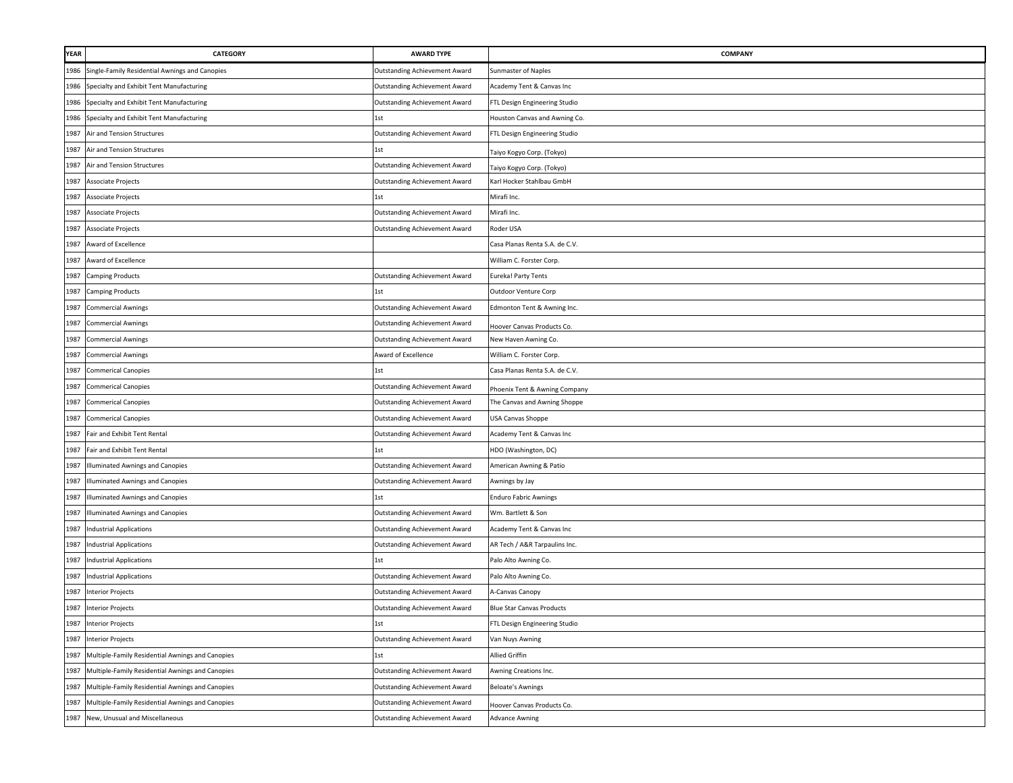| <b>YEAR</b> | CATEGORY                                         | <b>AWARD TYPE</b>                    | <b>COMPANY</b>                   |
|-------------|--------------------------------------------------|--------------------------------------|----------------------------------|
| 1986        | Single-Family Residential Awnings and Canopies   | <b>Outstanding Achievement Award</b> | Sunmaster of Naples              |
| 1986        | Specialty and Exhibit Tent Manufacturing         | <b>Outstanding Achievement Award</b> | Academy Tent & Canvas Inc        |
| 1986        | Specialty and Exhibit Tent Manufacturing         | <b>Outstanding Achievement Award</b> | FTL Design Engineering Studio    |
| 1986        | Specialty and Exhibit Tent Manufacturing         | 1st                                  | Houston Canvas and Awning Co.    |
| 1987        | Air and Tension Structures                       | <b>Outstanding Achievement Award</b> | FTL Design Engineering Studio    |
| 1987        | Air and Tension Structures                       | 1st                                  | Taiyo Kogyo Corp. (Tokyo)        |
| 1987        | Air and Tension Structures                       | <b>Outstanding Achievement Award</b> | Taiyo Kogyo Corp. (Tokyo)        |
| 1987        | Associate Projects                               | <b>Outstanding Achievement Award</b> | Karl Hocker Stahlbau GmbH        |
| 1987        | Associate Projects                               | 1st                                  | Mirafi Inc.                      |
| 1987        | Associate Projects                               | <b>Outstanding Achievement Award</b> | Mirafi Inc.                      |
| 1987        | Associate Projects                               | <b>Outstanding Achievement Award</b> | Roder USA                        |
| 1987        | Award of Excellence                              |                                      | Casa Planas Renta S.A. de C.V.   |
| 1987        | Award of Excellence                              |                                      | William C. Forster Corp.         |
| 1987        | <b>Camping Products</b>                          | <b>Outstanding Achievement Award</b> | Eureka! Party Tents              |
| 1987        | <b>Camping Products</b>                          | 1st                                  | Outdoor Venture Corp             |
| 1987        | <b>Commercial Awnings</b>                        | <b>Outstanding Achievement Award</b> | Edmonton Tent & Awning Inc.      |
| 1987        | <b>Commercial Awnings</b>                        | <b>Outstanding Achievement Award</b> | Hoover Canvas Products Co.       |
| 1987        | <b>Commercial Awnings</b>                        | <b>Outstanding Achievement Award</b> | New Haven Awning Co.             |
| 1987        | <b>Commercial Awnings</b>                        | Award of Excellence                  | William C. Forster Corp.         |
| 1987        | <b>Commerical Canopies</b>                       | 1st                                  | Casa Planas Renta S.A. de C.V.   |
| 1987        | <b>Commerical Canopies</b>                       | <b>Outstanding Achievement Award</b> | Phoenix Tent & Awning Company    |
| 1987        | <b>Commerical Canopies</b>                       | <b>Outstanding Achievement Award</b> | The Canvas and Awning Shoppe     |
| 1987        | <b>Commerical Canopies</b>                       | <b>Outstanding Achievement Award</b> | USA Canvas Shoppe                |
| 1987        | Fair and Exhibit Tent Rental                     | Outstanding Achievement Award        | Academy Tent & Canvas Inc        |
| 1987        | Fair and Exhibit Tent Rental                     | 1st                                  | HDO (Washington, DC)             |
| 1987        | Illuminated Awnings and Canopies                 | <b>Outstanding Achievement Award</b> | American Awning & Patio          |
| 1987        | Illuminated Awnings and Canopies                 | <b>Outstanding Achievement Award</b> | Awnings by Jay                   |
| 1987        | Illuminated Awnings and Canopies                 | 1st                                  | <b>Enduro Fabric Awnings</b>     |
| 1987        | Illuminated Awnings and Canopies                 | <b>Outstanding Achievement Award</b> | Wm. Bartlett & Son               |
| 1987        | <b>Industrial Applications</b>                   | Outstanding Achievement Award        | Academy Tent & Canvas Inc        |
| 1987        | <b>Industrial Applications</b>                   | <b>Outstanding Achievement Award</b> | AR Tech / A&R Tarpaulins Inc.    |
| 1987        | <b>Industrial Applications</b>                   | 1st                                  | Palo Alto Awning Co.             |
| 1987        | <b>Industrial Applications</b>                   | Outstanding Achievement Award        | Palo Alto Awning Co.             |
| 1987        | <b>Interior Projects</b>                         | <b>Outstanding Achievement Award</b> | A-Canvas Canopy                  |
| 1987        | <b>Interior Projects</b>                         | <b>Outstanding Achievement Award</b> | <b>Blue Star Canvas Products</b> |
| 1987        | <b>Interior Projects</b>                         | 1st                                  | FTL Design Engineering Studio    |
| 1987        | <b>Interior Projects</b>                         | <b>Outstanding Achievement Award</b> | Van Nuys Awning                  |
| 1987        | Multiple-Family Residential Awnings and Canopies | 1st                                  | <b>Allied Griffin</b>            |
| 1987        | Multiple-Family Residential Awnings and Canopies | Outstanding Achievement Award        | Awning Creations Inc.            |
| 1987        | Multiple-Family Residential Awnings and Canopies | Outstanding Achievement Award        | <b>Beloate's Awnings</b>         |
| 1987        | Multiple-Family Residential Awnings and Canopies | Outstanding Achievement Award        | Hoover Canvas Products Co.       |
| 1987        | New, Unusual and Miscellaneous                   | <b>Outstanding Achievement Award</b> | <b>Advance Awning</b>            |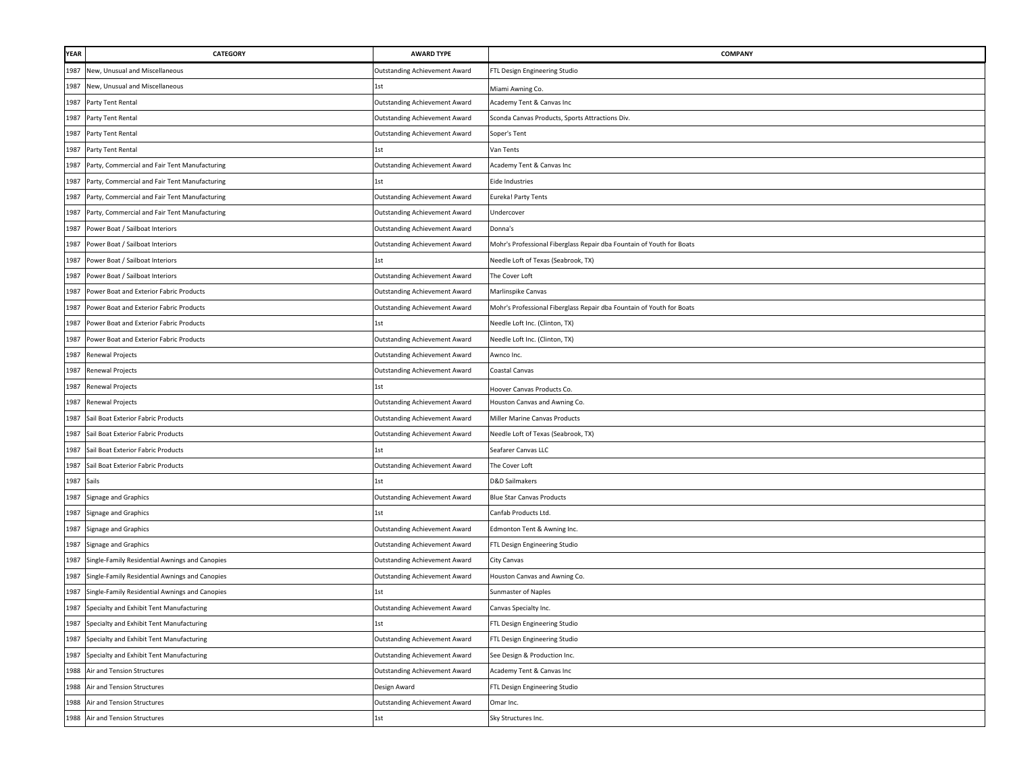| YEAR | CATEGORY                                       | <b>AWARD TYPE</b>                    | <b>COMPANY</b>                                                        |
|------|------------------------------------------------|--------------------------------------|-----------------------------------------------------------------------|
| 1987 | New, Unusual and Miscellaneous                 | Outstanding Achievement Award        | FTL Design Engineering Studio                                         |
| 1987 | New, Unusual and Miscellaneous                 | 1st                                  | Miami Awning Co.                                                      |
| 1987 | Party Tent Rental                              | Outstanding Achievement Award        | Academy Tent & Canvas Inc                                             |
| 1987 | Party Tent Rental                              | Outstanding Achievement Award        | Sconda Canvas Products, Sports Attractions Div.                       |
| 1987 | Party Tent Rental                              | <b>Outstanding Achievement Award</b> | Soper's Tent                                                          |
| 1987 | Party Tent Rental                              | 1st                                  | Van Tents                                                             |
| 1987 | Party, Commercial and Fair Tent Manufacturing  | <b>Outstanding Achievement Award</b> | Academy Tent & Canvas Inc                                             |
| 1987 | Party, Commercial and Fair Tent Manufacturing  | 1st                                  | Eide Industries                                                       |
| 1987 | Party, Commercial and Fair Tent Manufacturing  | <b>Outstanding Achievement Award</b> | Eureka! Party Tents                                                   |
| 1987 | Party, Commercial and Fair Tent Manufacturing  | Outstanding Achievement Award        | Undercover                                                            |
| 1987 | Power Boat / Sailboat Interiors                | <b>Outstanding Achievement Award</b> | Donna's                                                               |
| 1987 | Power Boat / Sailboat Interiors                | Outstanding Achievement Award        | Mohr's Professional Fiberglass Repair dba Fountain of Youth for Boats |
| 1987 | Power Boat / Sailboat Interiors                | 1st                                  | Needle Loft of Texas (Seabrook, TX)                                   |
| 1987 | Power Boat / Sailboat Interiors                | Outstanding Achievement Award        | The Cover Loft                                                        |
| 1987 | Power Boat and Exterior Fabric Products        | Outstanding Achievement Award        | Marlinspike Canvas                                                    |
| 1987 | Power Boat and Exterior Fabric Products        | Outstanding Achievement Award        | Mohr's Professional Fiberglass Repair dba Fountain of Youth for Boats |
| 1987 | Power Boat and Exterior Fabric Products        | 1st                                  | Needle Loft Inc. (Clinton, TX)                                        |
| 1987 | Power Boat and Exterior Fabric Products        | Outstanding Achievement Award        | Needle Loft Inc. (Clinton, TX)                                        |
| 1987 | Renewal Projects                               | <b>Outstanding Achievement Award</b> | Awnco Inc.                                                            |
| 1987 | Renewal Projects                               | Outstanding Achievement Award        | Coastal Canvas                                                        |
| 1987 | Renewal Projects                               | 1st                                  | Hoover Canvas Products Co.                                            |
| 1987 | <b>Renewal Projects</b>                        | <b>Outstanding Achievement Award</b> | Houston Canvas and Awning Co.                                         |
| 1987 | Sail Boat Exterior Fabric Products             | Outstanding Achievement Award        | Miller Marine Canvas Products                                         |
| 1987 | Sail Boat Exterior Fabric Products             | Outstanding Achievement Award        | Needle Loft of Texas (Seabrook, TX)                                   |
| 1987 | Sail Boat Exterior Fabric Products             | 1st                                  | Seafarer Canvas LLC                                                   |
| 1987 | Sail Boat Exterior Fabric Products             | Outstanding Achievement Award        | The Cover Loft                                                        |
| 1987 | Sails                                          | 1st                                  | D&D Sailmakers                                                        |
| 1987 | Signage and Graphics                           | Outstanding Achievement Award        | <b>Blue Star Canvas Products</b>                                      |
| 1987 | Signage and Graphics                           | 1st                                  | Canfab Products Ltd.                                                  |
| 1987 | Signage and Graphics                           | Outstanding Achievement Award        | Edmonton Tent & Awning Inc.                                           |
| 1987 | Signage and Graphics                           | Outstanding Achievement Award        | FTL Design Engineering Studio                                         |
| 1987 | Single-Family Residential Awnings and Canopies | <b>Outstanding Achievement Award</b> | City Canvas                                                           |
| 1987 | Single-Family Residential Awnings and Canopies | <b>Outstanding Achievement Award</b> | Houston Canvas and Awning Co.                                         |
| 1987 | Single-Family Residential Awnings and Canopies | 1st                                  | Sunmaster of Naples                                                   |
| 1987 | Specialty and Exhibit Tent Manufacturing       | Outstanding Achievement Award        | Canvas Specialty Inc.                                                 |
|      | 1987 Specialty and Exhibit Tent Manufacturing  | 1st                                  | FTL Design Engineering Studio                                         |
| 1987 | Specialty and Exhibit Tent Manufacturing       | <b>Outstanding Achievement Award</b> | FTL Design Engineering Studio                                         |
| 1987 | Specialty and Exhibit Tent Manufacturing       | <b>Outstanding Achievement Award</b> | See Design & Production Inc.                                          |
|      | 1988 Air and Tension Structures                | Outstanding Achievement Award        | Academy Tent & Canvas Inc                                             |
| 1988 | Air and Tension Structures                     | Design Award                         | FTL Design Engineering Studio                                         |
| 1988 | Air and Tension Structures                     | Outstanding Achievement Award        | Omar Inc.                                                             |
|      | 1988 Air and Tension Structures                | 1st                                  | Sky Structures Inc.                                                   |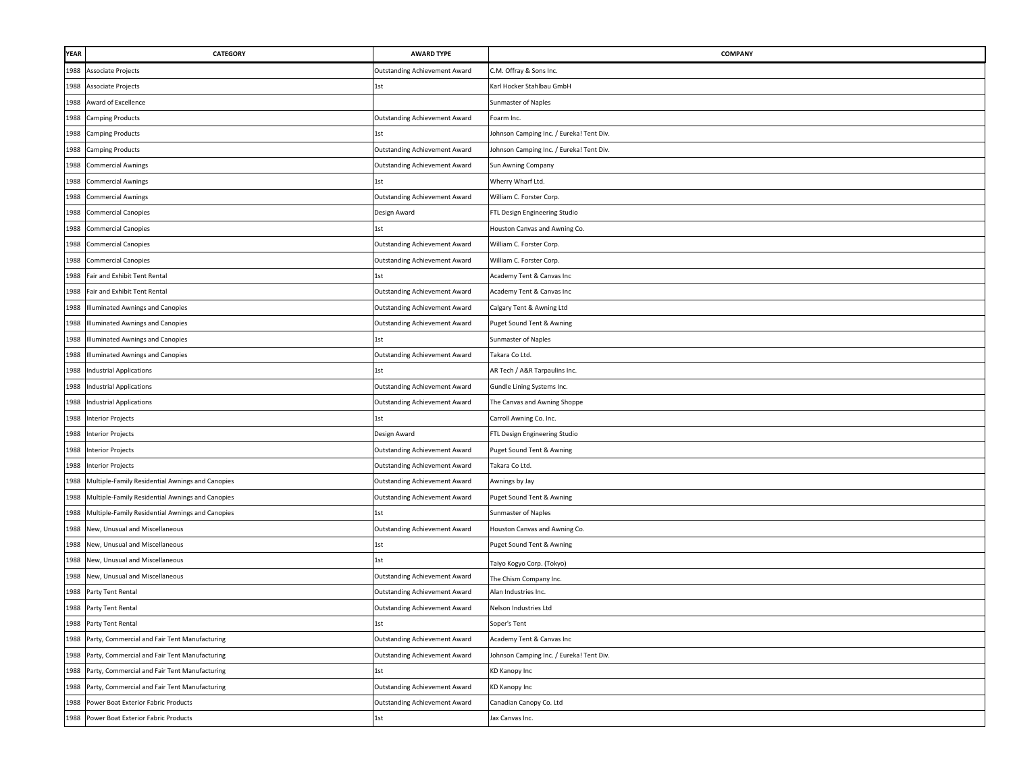| YEAR | CATEGORY                                           | <b>AWARD TYPE</b>                    | <b>COMPANY</b>                           |
|------|----------------------------------------------------|--------------------------------------|------------------------------------------|
| 1988 | Associate Projects                                 | Outstanding Achievement Award        | C.M. Offray & Sons Inc.                  |
| 1988 | Associate Projects                                 | 1st                                  | Karl Hocker Stahlbau GmbH                |
| 1988 | Award of Excellence                                |                                      | Sunmaster of Naples                      |
| 1988 | <b>Camping Products</b>                            | <b>Outstanding Achievement Award</b> | Foarm Inc.                               |
| 1988 | <b>Camping Products</b>                            | 1st                                  | Johnson Camping Inc. / Eureka! Tent Div. |
|      | 1988 Camping Products                              | <b>Outstanding Achievement Award</b> | Johnson Camping Inc. / Eureka! Tent Div. |
|      | 1988 Commercial Awnings                            | <b>Outstanding Achievement Award</b> | Sun Awning Company                       |
| 1988 | <b>Commercial Awnings</b>                          | 1st                                  | Wherry Wharf Ltd.                        |
| 1988 | <b>Commercial Awnings</b>                          | <b>Outstanding Achievement Award</b> | William C. Forster Corp.                 |
| 1988 | <b>Commercial Canopies</b>                         | Design Award                         | FTL Design Engineering Studio            |
| 1988 | <b>Commercial Canopies</b>                         | 1st                                  | Houston Canvas and Awning Co.            |
| 1988 | <b>Commercial Canopies</b>                         | Outstanding Achievement Award        | William C. Forster Corp.                 |
| 1988 | <b>Commercial Canopies</b>                         | Outstanding Achievement Award        | William C. Forster Corp.                 |
| 1988 | Fair and Exhibit Tent Rental                       | 1st                                  | Academy Tent & Canvas Inc                |
| 1988 | Fair and Exhibit Tent Rental                       | Outstanding Achievement Award        | Academy Tent & Canvas Inc                |
| 1988 | Illuminated Awnings and Canopies                   | Outstanding Achievement Award        | Calgary Tent & Awning Ltd                |
| 1988 | Illuminated Awnings and Canopies                   | Outstanding Achievement Award        | Puget Sound Tent & Awning                |
| 1988 | <b>Illuminated Awnings and Canopies</b>            | 1st                                  | Sunmaster of Naples                      |
| 1988 | <b>Illuminated Awnings and Canopies</b>            | <b>Outstanding Achievement Award</b> | Takara Co Ltd.                           |
| 1988 | <b>Industrial Applications</b>                     | 1st                                  | AR Tech / A&R Tarpaulins Inc.            |
| 1988 | <b>Industrial Applications</b>                     | Outstanding Achievement Award        | Gundle Lining Systems Inc.               |
| 1988 | <b>Industrial Applications</b>                     | Outstanding Achievement Award        | The Canvas and Awning Shoppe             |
|      | 1988 Interior Projects                             | 1st                                  | Carroll Awning Co. Inc.                  |
|      | 1988 Interior Projects                             | Design Award                         | FTL Design Engineering Studio            |
|      | 1988 Interior Projects                             | Outstanding Achievement Award        | Puget Sound Tent & Awning                |
|      | 1988 Interior Projects                             | Outstanding Achievement Award        | Takara Co Ltd.                           |
| 1988 | Multiple-Family Residential Awnings and Canopies   | Outstanding Achievement Award        | Awnings by Jay                           |
| 1988 | Multiple-Family Residential Awnings and Canopies   | Outstanding Achievement Award        | Puget Sound Tent & Awning                |
| 1988 | Multiple-Family Residential Awnings and Canopies   | 1st                                  | Sunmaster of Naples                      |
| 1988 | New, Unusual and Miscellaneous                     | Outstanding Achievement Award        | Houston Canvas and Awning Co.            |
| 1988 | New, Unusual and Miscellaneous                     | 1st                                  | Puget Sound Tent & Awning                |
| 1988 | New, Unusual and Miscellaneous                     | 1st                                  | Taiyo Kogyo Corp. (Tokyo)                |
| 1988 | New, Unusual and Miscellaneous                     | <b>Outstanding Achievement Award</b> | The Chism Company Inc.                   |
| 1988 | Party Tent Rental                                  | <b>Outstanding Achievement Award</b> | Alan Industries Inc.                     |
| 1988 | Party Tent Rental                                  | Outstanding Achievement Award        | Nelson Industries Ltd                    |
|      | 1988 Party Tent Rental                             | 1st                                  | Soper's Tent                             |
| 1988 | Party, Commercial and Fair Tent Manufacturing      | <b>Outstanding Achievement Award</b> | Academy Tent & Canvas Inc                |
| 1988 | Party, Commercial and Fair Tent Manufacturing      | <b>Outstanding Achievement Award</b> | Johnson Camping Inc. / Eureka! Tent Div. |
|      | 1988 Party, Commercial and Fair Tent Manufacturing | 1st                                  | <b>KD Kanopy Inc</b>                     |
| 1988 | Party, Commercial and Fair Tent Manufacturing      | <b>Outstanding Achievement Award</b> | KD Kanopy Inc                            |
| 1988 | Power Boat Exterior Fabric Products                | Outstanding Achievement Award        | Canadian Canopy Co. Ltd                  |
|      | 1988 Power Boat Exterior Fabric Products           | 1st                                  | Jax Canvas Inc.                          |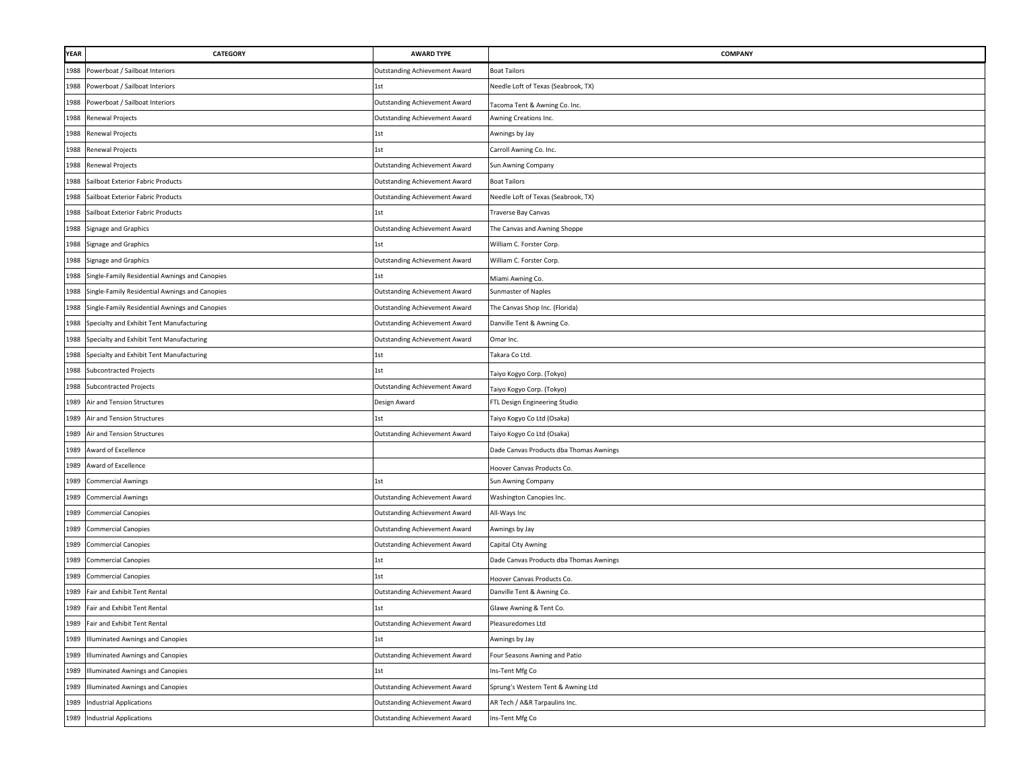| YEAR | CATEGORY                                       | <b>AWARD TYPE</b>                    | <b>COMPANY</b>                          |
|------|------------------------------------------------|--------------------------------------|-----------------------------------------|
| 1988 | Powerboat / Sailboat Interiors                 | Outstanding Achievement Award        | <b>Boat Tailors</b>                     |
| 1988 | Powerboat / Sailboat Interiors                 | 1st                                  | Needle Loft of Texas (Seabrook, TX)     |
| 1988 | Powerboat / Sailboat Interiors                 | <b>Outstanding Achievement Award</b> | Tacoma Tent & Awning Co. Inc.           |
| 1988 | Renewal Projects                               | <b>Outstanding Achievement Award</b> | Awning Creations Inc.                   |
|      | 1988 Renewal Projects                          | 1st                                  | Awnings by Jay                          |
|      | 1988 Renewal Projects                          | 1st                                  | Carroll Awning Co. Inc.                 |
|      | 1988 Renewal Projects                          | <b>Outstanding Achievement Award</b> | Sun Awning Company                      |
| 1988 | Sailboat Exterior Fabric Products              | Outstanding Achievement Award        | <b>Boat Tailors</b>                     |
| 1988 | Sailboat Exterior Fabric Products              | Outstanding Achievement Award        | Needle Loft of Texas (Seabrook, TX)     |
| 1988 | Sailboat Exterior Fabric Products              | 1st                                  | <b>Traverse Bay Canvas</b>              |
| 1988 | Signage and Graphics                           | Outstanding Achievement Award        | The Canvas and Awning Shoppe            |
| 1988 | <b>Signage and Graphics</b>                    | 1st                                  | William C. Forster Corp.                |
| 1988 | Signage and Graphics                           | Outstanding Achievement Award        | William C. Forster Corp.                |
| 1988 | Single-Family Residential Awnings and Canopies | 1st                                  | Miami Awning Co.                        |
| 1988 | Single-Family Residential Awnings and Canopies | Outstanding Achievement Award        | Sunmaster of Naples                     |
| 1988 | Single-Family Residential Awnings and Canopies | Outstanding Achievement Award        | The Canvas Shop Inc. (Florida)          |
| 1988 | Specialty and Exhibit Tent Manufacturing       | Outstanding Achievement Award        | Danville Tent & Awning Co.              |
| 1988 | Specialty and Exhibit Tent Manufacturing       | Outstanding Achievement Award        | Omar Inc.                               |
| 1988 | Specialty and Exhibit Tent Manufacturing       | 1st                                  | Takara Co Ltd.                          |
| 1988 | <b>Subcontracted Projects</b>                  | 1st                                  | Taiyo Kogyo Corp. (Tokyo)               |
| 1988 | <b>Subcontracted Projects</b>                  | Outstanding Achievement Award        | Taiyo Kogyo Corp. (Tokyo)               |
| 1989 | Air and Tension Structures                     | Design Award                         | FTL Design Engineering Studio           |
| 1989 | Air and Tension Structures                     | 1st                                  | Taiyo Kogyo Co Ltd (Osaka)              |
|      | 1989 Air and Tension Structures                | Outstanding Achievement Award        | Taiyo Kogyo Co Ltd (Osaka)              |
| 1989 | Award of Excellence                            |                                      | Dade Canvas Products dba Thomas Awnings |
| 1989 | Award of Excellence                            |                                      | Hoover Canvas Products Co.              |
| 1989 | <b>Commercial Awnings</b>                      | 1st                                  | Sun Awning Company                      |
| 1989 | <b>Commercial Awnings</b>                      | Outstanding Achievement Award        | Washington Canopies Inc.                |
| 1989 | <b>Commercial Canopies</b>                     | Outstanding Achievement Award        | All-Ways Inc                            |
| 1989 | <b>Commercial Canopies</b>                     | Outstanding Achievement Award        | Awnings by Jay                          |
| 1989 | <b>Commercial Canopies</b>                     | <b>Outstanding Achievement Award</b> | Capital City Awning                     |
| 1989 | <b>Commercial Canopies</b>                     | 1st                                  | Dade Canvas Products dba Thomas Awnings |
| 1989 | <b>Commercial Canopies</b>                     | 1st                                  | Hoover Canvas Products Co.              |
| 1989 | Fair and Exhibit Tent Rental                   | Outstanding Achievement Award        | Danville Tent & Awning Co.              |
| 1989 | Fair and Exhibit Tent Rental                   | 1st                                  | Glawe Awning & Tent Co.                 |
|      | 1989 Fair and Exhibit Tent Rental              | Outstanding Achievement Award        | Pleasuredomes Ltd                       |
| 1989 | Illuminated Awnings and Canopies               | 1st                                  | Awnings by Jay                          |
| 1989 | <b>Illuminated Awnings and Canopies</b>        | <b>Outstanding Achievement Award</b> | Four Seasons Awning and Patio           |
| 1989 | <b>Illuminated Awnings and Canopies</b>        | 1st                                  | Ins-Tent Mfg Co                         |
| 1989 | Illuminated Awnings and Canopies               | <b>Outstanding Achievement Award</b> | Sprung's Western Tent & Awning Ltd      |
| 1989 | <b>Industrial Applications</b>                 | <b>Outstanding Achievement Award</b> | AR Tech / A&R Tarpaulins Inc.           |
|      | 1989 Industrial Applications                   | Outstanding Achievement Award        | Ins-Tent Mfg Co                         |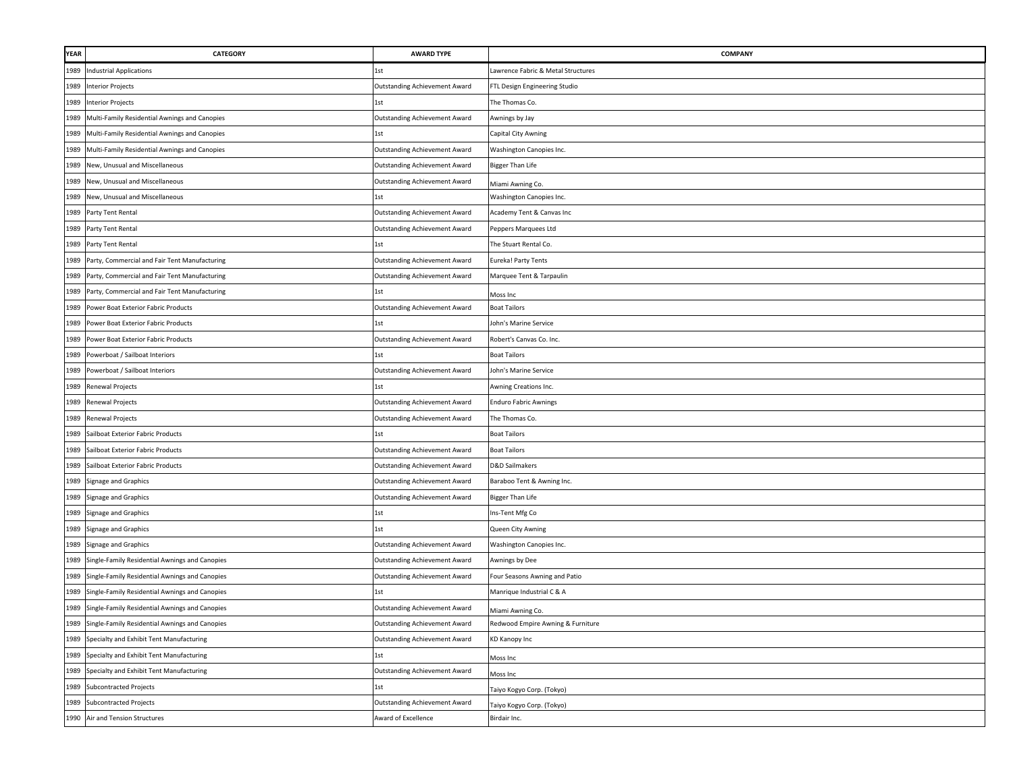| <b>YEAR</b> | <b>CATEGORY</b>                                     | <b>AWARD TYPE</b>                    | COMPANY                            |
|-------------|-----------------------------------------------------|--------------------------------------|------------------------------------|
| 1989        | Industrial Applications                             | 1st                                  | Lawrence Fabric & Metal Structures |
| 1989        | <b>Interior Projects</b>                            | <b>Outstanding Achievement Award</b> | FTL Design Engineering Studio      |
| 1989        | <b>Interior Projects</b>                            | 1st                                  | The Thomas Co.                     |
| 1989        | Multi-Family Residential Awnings and Canopies       | <b>Outstanding Achievement Award</b> | Awnings by Jay                     |
| 1989        | Multi-Family Residential Awnings and Canopies       | 1st                                  | Capital City Awning                |
|             | 1989 Multi-Family Residential Awnings and Canopies  | <b>Outstanding Achievement Award</b> | Washington Canopies Inc.           |
| 1989        | New, Unusual and Miscellaneous                      | Outstanding Achievement Award        | <b>Bigger Than Life</b>            |
| 1989        | New, Unusual and Miscellaneous                      | Outstanding Achievement Award        | Miami Awning Co.                   |
| 1989        | New, Unusual and Miscellaneous                      | 1st                                  | Washington Canopies Inc.           |
| 1989        | Party Tent Rental                                   | Outstanding Achievement Award        | Academy Tent & Canvas Inc          |
| 1989        | Party Tent Rental                                   | Outstanding Achievement Award        | Peppers Marquees Ltd               |
| 1989        | Party Tent Rental                                   | 1st                                  | The Stuart Rental Co.              |
| 1989        | Party, Commercial and Fair Tent Manufacturing       | Outstanding Achievement Award        | Eureka! Party Tents                |
| 1989        | Party, Commercial and Fair Tent Manufacturing       | Outstanding Achievement Award        | Marquee Tent & Tarpaulin           |
| 1989        | Party, Commercial and Fair Tent Manufacturing       | 1st                                  | Moss Inc                           |
| 1989        | Power Boat Exterior Fabric Products                 | Outstanding Achievement Award        | <b>Boat Tailors</b>                |
| 1989        | Power Boat Exterior Fabric Products                 | 1st                                  | John's Marine Service              |
| 1989        | Power Boat Exterior Fabric Products                 | Outstanding Achievement Award        | Robert's Canvas Co. Inc.           |
| 1989        | Powerboat / Sailboat Interiors                      | 1st                                  | <b>Boat Tailors</b>                |
| 1989        | Powerboat / Sailboat Interiors                      | Outstanding Achievement Award        | John's Marine Service              |
|             | 1989 Renewal Projects                               | 1st                                  | Awning Creations Inc.              |
|             | 1989 Renewal Projects                               | Outstanding Achievement Award        | <b>Enduro Fabric Awnings</b>       |
|             | 1989 Renewal Projects                               | <b>Outstanding Achievement Award</b> | The Thomas Co.                     |
| 1989        | Sailboat Exterior Fabric Products                   | 1st                                  | <b>Boat Tailors</b>                |
| 1989        | Sailboat Exterior Fabric Products                   | Outstanding Achievement Award        | <b>Boat Tailors</b>                |
| 1989        | Sailboat Exterior Fabric Products                   | Outstanding Achievement Award        | D&D Sailmakers                     |
| 1989        | Signage and Graphics                                | Outstanding Achievement Award        | Baraboo Tent & Awning Inc.         |
| 1989        | Signage and Graphics                                | Outstanding Achievement Award        | <b>Bigger Than Life</b>            |
| 1989        | Signage and Graphics                                | 1st                                  | Ins-Tent Mfg Co                    |
|             | 1989 Signage and Graphics                           | 1st                                  | Queen City Awning                  |
| 1989        | Signage and Graphics                                | Outstanding Achievement Award        | Washington Canopies Inc.           |
| 1989        | Single-Family Residential Awnings and Canopies      | <b>Outstanding Achievement Award</b> | Awnings by Dee                     |
| 1989        | Single-Family Residential Awnings and Canopies      | Outstanding Achievement Award        | Four Seasons Awning and Patio      |
| 1989        | Single-Family Residential Awnings and Canopies      |                                      | Manrique Industrial C & A          |
| 1989        | Single-Family Residential Awnings and Canopies      | <b>Outstanding Achievement Award</b> | Miami Awning Co.                   |
|             | 1989 Single-Family Residential Awnings and Canopies | Outstanding Achievement Award        | Redwood Empire Awning & Furniture  |
| 1989        | Specialty and Exhibit Tent Manufacturing            | Outstanding Achievement Award        | KD Kanopy Inc                      |
|             | 1989 Specialty and Exhibit Tent Manufacturing       | 1st                                  | Moss Inc                           |
| 1989        | Specialty and Exhibit Tent Manufacturing            | <b>Outstanding Achievement Award</b> | Moss Inc                           |
|             | 1989 Subcontracted Projects                         | 1st                                  | Taiyo Kogyo Corp. (Tokyo)          |
| 1989        | <b>Subcontracted Projects</b>                       | Outstanding Achievement Award        | Taiyo Kogyo Corp. (Tokyo)          |
| 1990        | Air and Tension Structures                          | Award of Excellence                  | Birdair Inc.                       |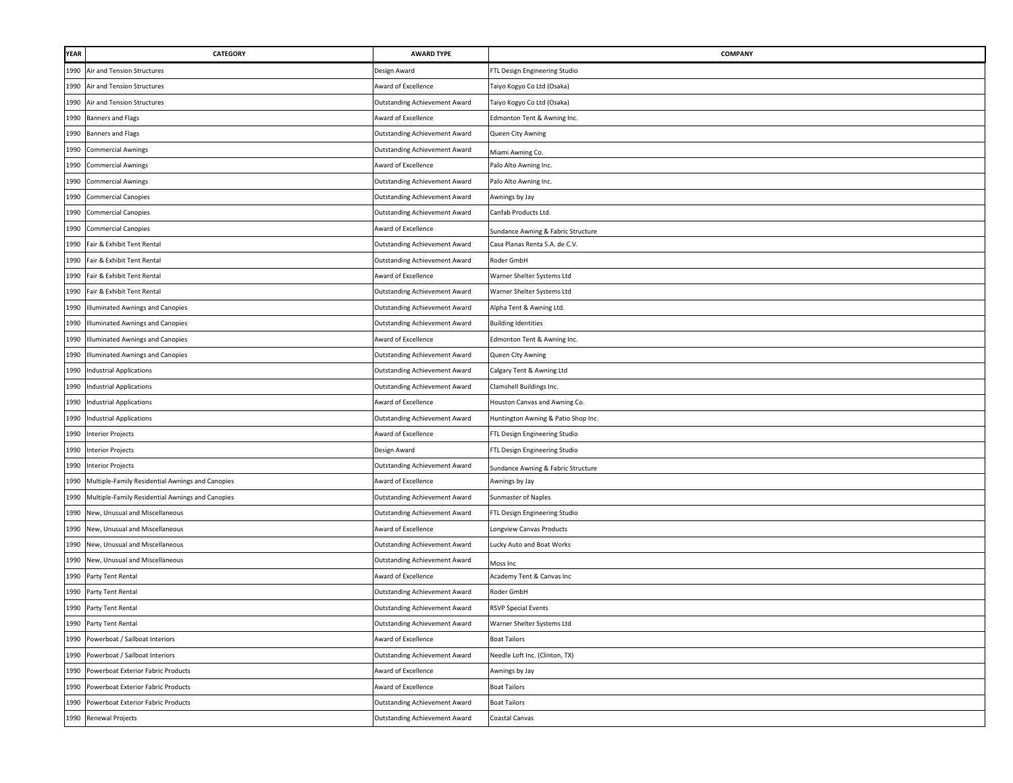| YEAR | <b>CATEGORY</b>                                  | <b>AWARD TYPE</b>                    | COMPANY                             |
|------|--------------------------------------------------|--------------------------------------|-------------------------------------|
| 1990 | Air and Tension Structures                       | Design Award                         | FTL Design Engineering Studio       |
| 1990 | Air and Tension Structures                       | Award of Excellence                  | Taiyo Kogyo Co Ltd (Osaka)          |
| 1990 | Air and Tension Structures                       | <b>Outstanding Achievement Award</b> | Taiyo Kogyo Co Ltd (Osaka)          |
| 1990 | <b>Banners and Flags</b>                         | Award of Excellence                  | Edmonton Tent & Awning Inc.         |
| 1990 | <b>Banners and Flags</b>                         | <b>Outstanding Achievement Award</b> | Queen City Awning                   |
| 1990 | <b>Commercial Awnings</b>                        | Outstanding Achievement Award        | Miami Awning Co.                    |
| 1990 | <b>Commercial Awnings</b>                        | Award of Excellence                  | Palo Alto Awning Inc.               |
| 1990 | <b>Commercial Awnings</b>                        | <b>Outstanding Achievement Award</b> | Palo Alto Awning Inc.               |
| 1990 | <b>Commercial Canopies</b>                       | <b>Outstanding Achievement Award</b> | Awnings by Jay                      |
| 1990 | <b>Commercial Canopies</b>                       | <b>Outstanding Achievement Award</b> | Canfab Products Ltd.                |
| 1990 | <b>Commercial Canopies</b>                       | Award of Excellence                  | Sundance Awning & Fabric Structure  |
| 1990 | Fair & Exhibit Tent Rental                       | <b>Outstanding Achievement Award</b> | Casa Planas Renta S.A. de C.V.      |
| 1990 | Fair & Exhibit Tent Rental                       | <b>Outstanding Achievement Award</b> | Roder GmbH                          |
| 1990 | Fair & Exhibit Tent Rental                       | Award of Excellence                  | Warner Shelter Systems Ltd          |
| 1990 | Fair & Exhibit Tent Rental                       | Outstanding Achievement Award        | Warner Shelter Systems Ltd          |
| 1990 | Illuminated Awnings and Canopies                 | <b>Outstanding Achievement Award</b> | Alpha Tent & Awning Ltd.            |
| 1990 | Illuminated Awnings and Canopies                 | <b>Outstanding Achievement Award</b> | <b>Building Identities</b>          |
| 1990 | Illuminated Awnings and Canopies                 | Award of Excellence                  | Edmonton Tent & Awning Inc.         |
| 1990 | Illuminated Awnings and Canopies                 | <b>Outstanding Achievement Award</b> | Queen City Awning                   |
| 1990 | <b>Industrial Applications</b>                   | Outstanding Achievement Award        | Calgary Tent & Awning Ltd           |
| 1990 | <b>Industrial Applications</b>                   | <b>Outstanding Achievement Award</b> | Clamshell Buildings Inc.            |
| 1990 | <b>Industrial Applications</b>                   | Award of Excellence                  | Houston Canvas and Awning Co.       |
| 1990 | <b>Industrial Applications</b>                   | <b>Outstanding Achievement Award</b> | Huntington Awning & Patio Shop Inc. |
| 1990 | <b>Interior Projects</b>                         | Award of Excellence                  | FTL Design Engineering Studio       |
| 1990 | <b>Interior Projects</b>                         | Design Award                         | FTL Design Engineering Studio       |
| 1990 | <b>Interior Projects</b>                         | <b>Outstanding Achievement Award</b> | Sundance Awning & Fabric Structure  |
| 1990 | Multiple-Family Residential Awnings and Canopies | Award of Excellence                  | Awnings by Jay                      |
| 1990 | Multiple-Family Residential Awnings and Canopies | <b>Outstanding Achievement Award</b> | Sunmaster of Naples                 |
| 1990 | New, Unusual and Miscellaneous                   | Outstanding Achievement Award        | FTL Design Engineering Studio       |
| 1990 | New, Unusual and Miscellaneous                   | Award of Excellence                  | Longview Canvas Products            |
| 1990 | New, Unusual and Miscellaneous                   | <b>Outstanding Achievement Award</b> | Lucky Auto and Boat Works           |
| 1990 | New, Unusual and Miscellaneous                   | <b>Outstanding Achievement Award</b> | Moss Inc                            |
| 1990 | Party Tent Rental                                | Award of Excellence                  | Academy Tent & Canvas Inc           |
| 1990 | Party Tent Rental                                | <b>Outstanding Achievement Award</b> | Roder GmbH                          |
|      | 1990 Party Tent Rental                           | <b>Outstanding Achievement Award</b> | <b>RSVP Special Events</b>          |
|      | 1990 Party Tent Rental                           | Outstanding Achievement Award        | Warner Shelter Systems Ltd          |
| 1990 | Powerboat / Sailboat Interiors                   | Award of Excellence                  | <b>Boat Tailors</b>                 |
|      | 1990 Powerboat / Sailboat Interiors              | <b>Outstanding Achievement Award</b> | Needle Loft Inc. (Clinton, TX)      |
| 1990 | Powerboat Exterior Fabric Products               | Award of Excellence                  | Awnings by Jay                      |
| 1990 | Powerboat Exterior Fabric Products               | Award of Excellence                  | <b>Boat Tailors</b>                 |
| 1990 | Powerboat Exterior Fabric Products               | Outstanding Achievement Award        | <b>Boat Tailors</b>                 |
| 1990 | Renewal Projects                                 | <b>Outstanding Achievement Award</b> | Coastal Canvas                      |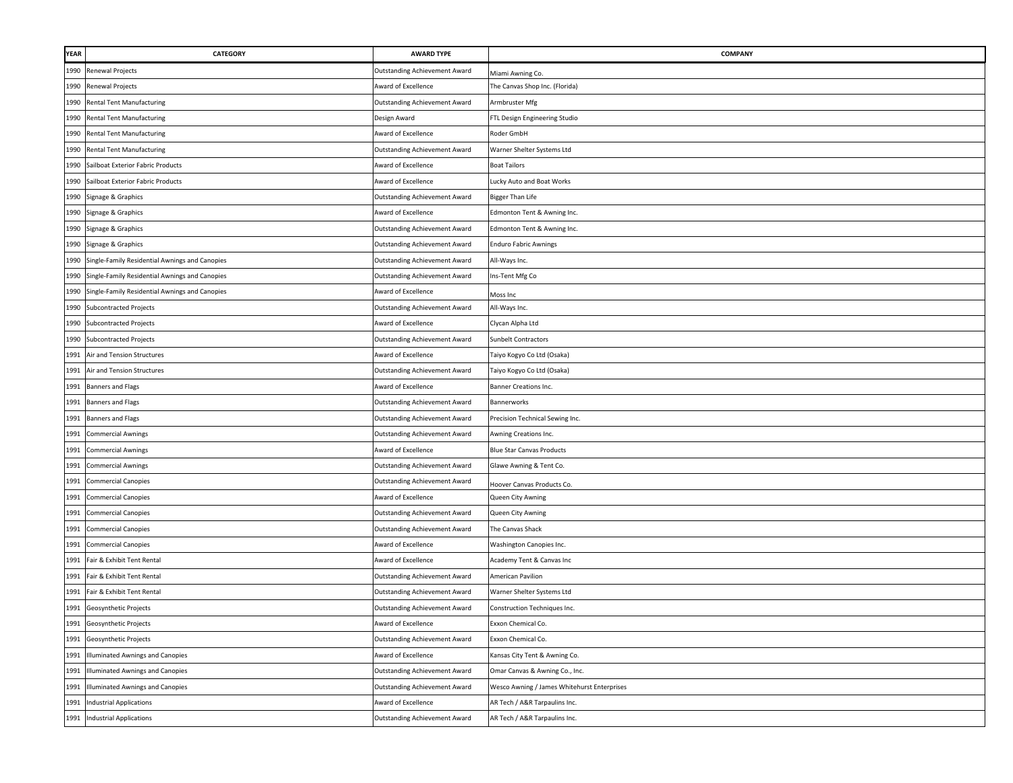| <b>YEAR</b> | <b>CATEGORY</b>                                | <b>AWARD TYPE</b>                    | COMPANY                                     |
|-------------|------------------------------------------------|--------------------------------------|---------------------------------------------|
| 1990        | Renewal Projects                               | Outstanding Achievement Award        | Miami Awning Co.                            |
| 1990        | <b>Renewal Projects</b>                        | Award of Excellence                  | The Canvas Shop Inc. (Florida)              |
| 1990        | <b>Rental Tent Manufacturing</b>               | <b>Outstanding Achievement Award</b> | Armbruster Mfg                              |
| 1990        | <b>Rental Tent Manufacturing</b>               | Design Award                         | FTL Design Engineering Studio               |
| 1990        | <b>Rental Tent Manufacturing</b>               | Award of Excellence                  | Roder GmbH                                  |
|             | 1990 Rental Tent Manufacturing                 | Outstanding Achievement Award        | Warner Shelter Systems Ltd                  |
| 1990        | Sailboat Exterior Fabric Products              | Award of Excellence                  | <b>Boat Tailors</b>                         |
| 1990        | Sailboat Exterior Fabric Products              | Award of Excellence                  | Lucky Auto and Boat Works                   |
| 1990        | Signage & Graphics                             | Outstanding Achievement Award        | <b>Bigger Than Life</b>                     |
| 1990        | Signage & Graphics                             | Award of Excellence                  | Edmonton Tent & Awning Inc.                 |
| 1990        | Signage & Graphics                             | <b>Outstanding Achievement Award</b> | Edmonton Tent & Awning Inc.                 |
| 1990        | Signage & Graphics                             | Outstanding Achievement Award        | <b>Enduro Fabric Awnings</b>                |
| 1990        | Single-Family Residential Awnings and Canopies | Outstanding Achievement Award        | All-Ways Inc.                               |
| 1990        | Single-Family Residential Awnings and Canopies | Outstanding Achievement Award        | Ins-Tent Mfg Co                             |
| 1990        | Single-Family Residential Awnings and Canopies | Award of Excellence                  | Moss Inc                                    |
| 1990        | <b>Subcontracted Projects</b>                  | Outstanding Achievement Award        | All-Ways Inc.                               |
| 1990        | <b>Subcontracted Projects</b>                  | Award of Excellence                  | Clycan Alpha Ltd                            |
| 1990        | <b>Subcontracted Projects</b>                  | Outstanding Achievement Award        | Sunbelt Contractors                         |
| 1991        | Air and Tension Structures                     | Award of Excellence                  | Taiyo Kogyo Co Ltd (Osaka)                  |
| 1991        | Air and Tension Structures                     | <b>Outstanding Achievement Award</b> | Taiyo Kogyo Co Ltd (Osaka)                  |
| 1991        | <b>Banners and Flags</b>                       | Award of Excellence                  | Banner Creations Inc.                       |
| 1991        | <b>Banners and Flags</b>                       | Outstanding Achievement Award        | <b>Bannerworks</b>                          |
|             | 1991 Banners and Flags                         | Outstanding Achievement Award        | Precision Technical Sewing Inc.             |
| 1991        | <b>Commercial Awnings</b>                      | Outstanding Achievement Award        | Awning Creations Inc.                       |
| 1991        | <b>Commercial Awnings</b>                      | Award of Excellence                  | <b>Blue Star Canvas Products</b>            |
| 1991        | <b>Commercial Awnings</b>                      | Outstanding Achievement Award        | Glawe Awning & Tent Co.                     |
| 1991        | <b>Commercial Canopies</b>                     | Outstanding Achievement Award        | Hoover Canvas Products Co.                  |
| 1991        | <b>Commercial Canopies</b>                     | Award of Excellence                  | Queen City Awning                           |
| 1991        | <b>Commercial Canopies</b>                     | Outstanding Achievement Award        | Queen City Awning                           |
| 1991        | <b>Commercial Canopies</b>                     | Outstanding Achievement Award        | The Canvas Shack                            |
| 1991        | <b>Commercial Canopies</b>                     | Award of Excellence                  | Washington Canopies Inc.                    |
| 1991        | Fair & Exhibit Tent Rental                     | Award of Excellence                  | Academy Tent & Canvas Inc                   |
| 1991        | Fair & Exhibit Tent Rental                     | Outstanding Achievement Award        | American Pavilion                           |
| 1991        | Fair & Exhibit Tent Rental                     | Outstanding Achievement Award        | Warner Shelter Systems Ltd                  |
| 1991        | Geosynthetic Projects                          | Outstanding Achievement Award        | Construction Techniques Inc.                |
| 1991        | Geosynthetic Projects                          | Award of Excellence                  | Exxon Chemical Co.                          |
| 1991        | Geosynthetic Projects                          | <b>Outstanding Achievement Award</b> | Exxon Chemical Co.                          |
| 1991        | Illuminated Awnings and Canopies               | Award of Excellence                  | Kansas City Tent & Awning Co.               |
| 1991        | Illuminated Awnings and Canopies               | Outstanding Achievement Award        | Omar Canvas & Awning Co., Inc.              |
| 1991        | Illuminated Awnings and Canopies               | Outstanding Achievement Award        | Wesco Awning / James Whitehurst Enterprises |
| 1991        | <b>Industrial Applications</b>                 | Award of Excellence                  | AR Tech / A&R Tarpaulins Inc.               |
| 1991        | <b>Industrial Applications</b>                 | Outstanding Achievement Award        | AR Tech / A&R Tarpaulins Inc.               |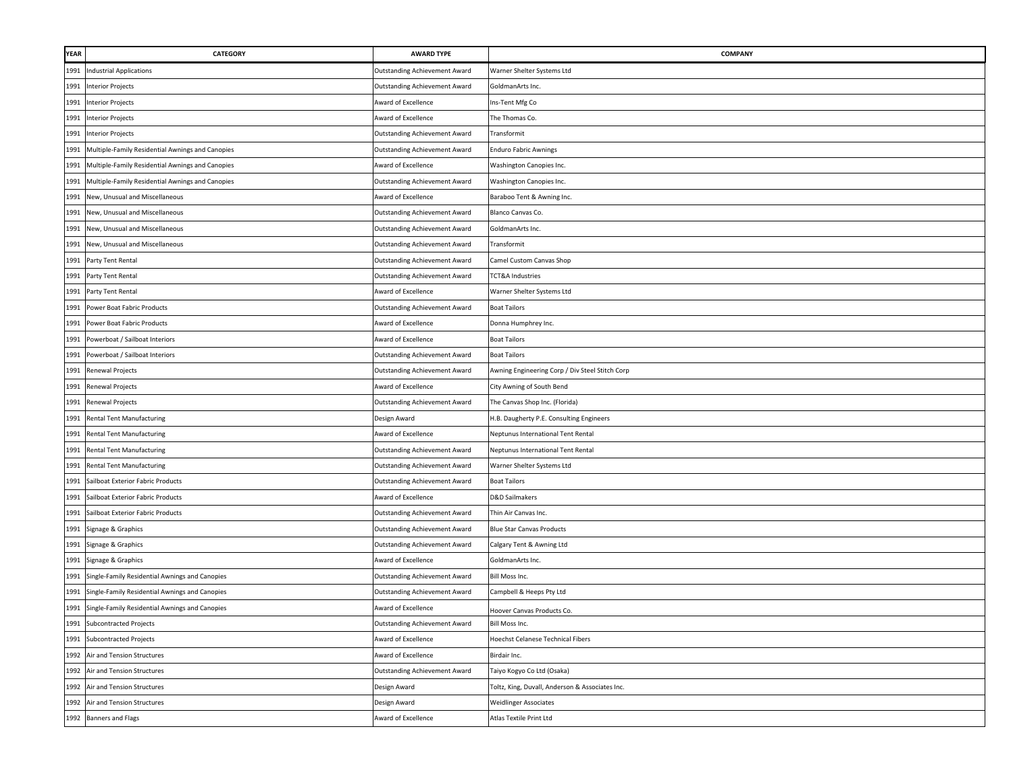| <b>YEAR</b> | CATEGORY                                         | <b>AWARD TYPE</b>                    | <b>COMPANY</b>                                  |
|-------------|--------------------------------------------------|--------------------------------------|-------------------------------------------------|
| 1991        | <b>Industrial Applications</b>                   | <b>Outstanding Achievement Award</b> | Warner Shelter Systems Ltd                      |
| 1991        | <b>Interior Projects</b>                         | <b>Outstanding Achievement Award</b> | GoldmanArts Inc.                                |
| 1991        | <b>Interior Projects</b>                         | Award of Excellence                  | ns-Tent Mfg Co                                  |
| 1991        | <b>Interior Projects</b>                         | Award of Excellence                  | The Thomas Co.                                  |
| 1991        | <b>Interior Projects</b>                         | <b>Outstanding Achievement Award</b> | Transformit                                     |
| 1991        | Multiple-Family Residential Awnings and Canopies | Outstanding Achievement Award        | <b>Enduro Fabric Awnings</b>                    |
| 1991        | Multiple-Family Residential Awnings and Canopies | Award of Excellence                  | Washington Canopies Inc.                        |
| 1991        | Multiple-Family Residential Awnings and Canopies | <b>Outstanding Achievement Award</b> | Washington Canopies Inc.                        |
| 1991        | New, Unusual and Miscellaneous                   | Award of Excellence                  | Baraboo Tent & Awning Inc.                      |
| 1991        | New, Unusual and Miscellaneous                   | <b>Outstanding Achievement Award</b> | Blanco Canvas Co.                               |
| 1991        | New, Unusual and Miscellaneous                   | <b>Outstanding Achievement Award</b> | GoldmanArts Inc.                                |
| 1991        | New, Unusual and Miscellaneous                   | <b>Outstanding Achievement Award</b> | Transformit                                     |
| 1991        | Party Tent Rental                                | <b>Outstanding Achievement Award</b> | Camel Custom Canvas Shop                        |
| 1991        | Party Tent Rental                                | <b>Outstanding Achievement Award</b> | <b>TCT&amp;A Industries</b>                     |
| 1991        | Party Tent Rental                                | Award of Excellence                  | Warner Shelter Systems Ltd                      |
| 1991        | Power Boat Fabric Products                       | <b>Outstanding Achievement Award</b> | <b>Boat Tailors</b>                             |
| 1991        | Power Boat Fabric Products                       | Award of Excellence                  | Donna Humphrey Inc.                             |
| 1991        | Powerboat / Sailboat Interiors                   | Award of Excellence                  | <b>Boat Tailors</b>                             |
| 1991        | Powerboat / Sailboat Interiors                   | <b>Outstanding Achievement Award</b> | <b>Boat Tailors</b>                             |
| 1991        | <b>Renewal Projects</b>                          | <b>Outstanding Achievement Award</b> | Awning Engineering Corp / Div Steel Stitch Corp |
| 1991        | Renewal Projects                                 | Award of Excellence                  | City Awning of South Bend                       |
| 1991        | Renewal Projects                                 | Outstanding Achievement Award        | The Canvas Shop Inc. (Florida)                  |
| 1991        | <b>Rental Tent Manufacturing</b>                 | Design Award                         | H.B. Daugherty P.E. Consulting Engineers        |
| 1991        | <b>Rental Tent Manufacturing</b>                 | Award of Excellence                  | Neptunus International Tent Rental              |
| 1991        | <b>Rental Tent Manufacturing</b>                 | <b>Outstanding Achievement Award</b> | Neptunus International Tent Rental              |
| 1991        | <b>Rental Tent Manufacturing</b>                 | <b>Outstanding Achievement Award</b> | Warner Shelter Systems Ltd                      |
| 1991        | Sailboat Exterior Fabric Products                | Outstanding Achievement Award        | <b>Boat Tailors</b>                             |
| 1991        | Sailboat Exterior Fabric Products                | Award of Excellence                  | <b>D&amp;D Sailmakers</b>                       |
| 1991        | Sailboat Exterior Fabric Products                | Outstanding Achievement Award        | Thin Air Canvas Inc.                            |
| 1991        | Signage & Graphics                               | Outstanding Achievement Award        | <b>Blue Star Canvas Products</b>                |
| 1991        | Signage & Graphics                               | <b>Outstanding Achievement Award</b> | Calgary Tent & Awning Ltd                       |
| 1991        | Signage & Graphics                               | Award of Excellence                  | GoldmanArts Inc.                                |
| 1991        | Single-Family Residential Awnings and Canopies   | <b>Outstanding Achievement Award</b> | Bill Moss Inc.                                  |
| 1991        | Single-Family Residential Awnings and Canopies   | <b>Outstanding Achievement Award</b> | Campbell & Heeps Pty Ltd                        |
| 1991        | Single-Family Residential Awnings and Canopies   | Award of Excellence                  | Hoover Canvas Products Co.                      |
| 1991        | <b>Subcontracted Projects</b>                    | <b>Outstanding Achievement Award</b> | Bill Moss Inc.                                  |
| 1991        | <b>Subcontracted Projects</b>                    | Award of Excellence                  | <b>Hoechst Celanese Technical Fibers</b>        |
| 1992        | Air and Tension Structures                       | Award of Excellence                  | Birdair Inc.                                    |
|             | 1992 Air and Tension Structures                  | <b>Outstanding Achievement Award</b> | Taiyo Kogyo Co Ltd (Osaka)                      |
| 1992        | Air and Tension Structures                       | Design Award                         | Toltz, King, Duvall, Anderson & Associates Inc. |
| 1992        | Air and Tension Structures                       | Design Award                         | <b>Weidlinger Associates</b>                    |
| 1992        | <b>Banners and Flags</b>                         | Award of Excellence                  | Atlas Textile Print Ltd                         |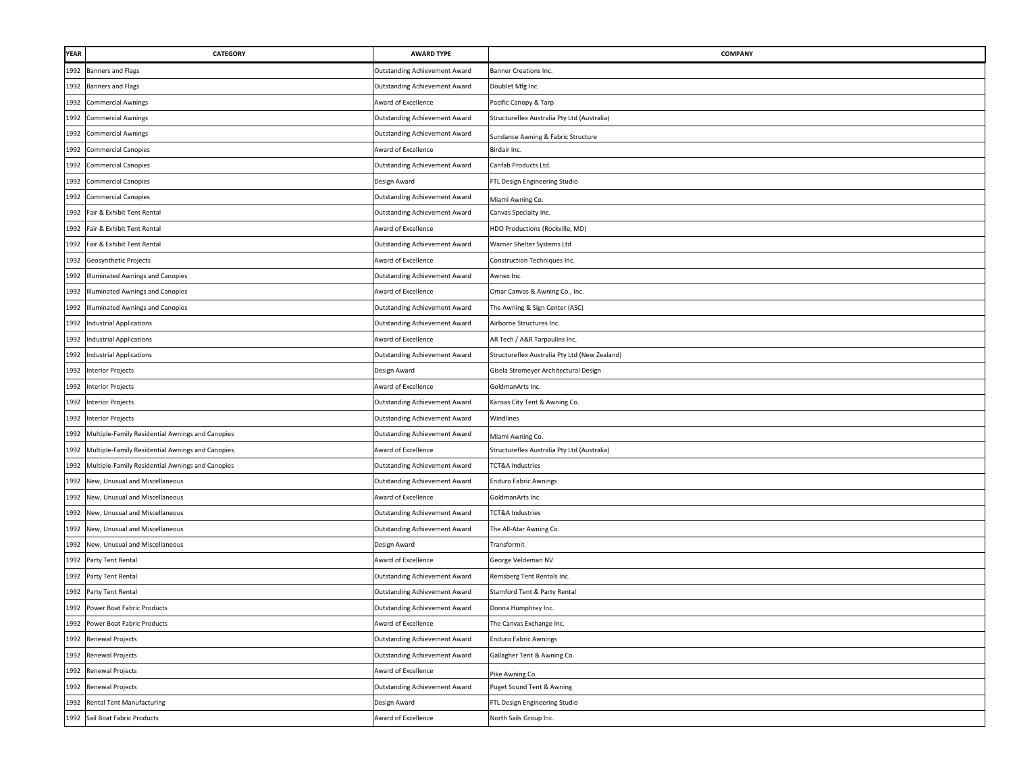| YEAR | CATEGORY                                              | <b>AWARD TYPE</b>                    | <b>COMPANY</b>                                |
|------|-------------------------------------------------------|--------------------------------------|-----------------------------------------------|
| 1992 | <b>Banners and Flags</b>                              | Outstanding Achievement Award        | Banner Creations Inc.                         |
| 1992 | <b>Banners and Flags</b>                              | Outstanding Achievement Award        | Doublet Mfg Inc.                              |
| 1992 | <b>Commercial Awnings</b>                             | Award of Excellence                  | Pacific Canopy & Tarp                         |
| 1992 | <b>Commercial Awnings</b>                             | <b>Outstanding Achievement Award</b> | Structureflex Australia Pty Ltd (Australia)   |
| 1992 | <b>Commercial Awnings</b>                             | Outstanding Achievement Award        | Sundance Awning & Fabric Structure            |
| 1992 | <b>Commercial Canopies</b>                            | Award of Excellence                  | Birdair Inc.                                  |
| 1992 | <b>Commercial Canopies</b>                            | <b>Outstanding Achievement Award</b> | Canfab Products Ltd.                          |
| 1992 | <b>Commercial Canopies</b>                            | Design Award                         | FTL Design Engineering Studio                 |
| 1992 | <b>Commercial Canopies</b>                            | Outstanding Achievement Award        | Miami Awning Co.                              |
| 1992 | Fair & Exhibit Tent Rental                            | Outstanding Achievement Award        | Canvas Specialty Inc.                         |
| 1992 | Fair & Exhibit Tent Rental                            | Award of Excellence                  | HDO Productions (Rockville, MD)               |
| 1992 | Fair & Exhibit Tent Rental                            | Outstanding Achievement Award        | Warner Shelter Systems Ltd                    |
| 1992 | Geosynthetic Projects                                 | Award of Excellence                  | Construction Techniques Inc.                  |
| 1992 | Illuminated Awnings and Canopies                      | Outstanding Achievement Award        | Awnex Inc.                                    |
| 1992 | Illuminated Awnings and Canopies                      | <b>Award of Excellence</b>           | Omar Canvas & Awning Co., Inc.                |
| 1992 | Illuminated Awnings and Canopies                      | <b>Outstanding Achievement Award</b> | The Awning & Sign Center (ASC)                |
| 1992 | <b>Industrial Applications</b>                        | Outstanding Achievement Award        | Airborne Structures Inc.                      |
| 1992 | <b>Industrial Applications</b>                        | Award of Excellence                  | AR Tech / A&R Tarpaulins Inc.                 |
| 1992 | <b>Industrial Applications</b>                        | Outstanding Achievement Award        | Structureflex Australia Pty Ltd (New Zealand) |
| 1992 | <b>Interior Projects</b>                              | Design Award                         | Gisela Stromeyer Architectural Design         |
| 1992 | <b>Interior Projects</b>                              | Award of Excellence                  | GoldmanArts Inc.                              |
|      | 1992 Interior Projects                                | <b>Outstanding Achievement Award</b> | Kansas City Tent & Awning Co.                 |
|      | 1992 Interior Projects                                | Outstanding Achievement Award        | Windlines                                     |
|      | 1992 Multiple-Family Residential Awnings and Canopies | Outstanding Achievement Award        | Miami Awning Co.                              |
| 1992 | Multiple-Family Residential Awnings and Canopies      | Award of Excellence                  | Structureflex Australia Pty Ltd (Australia)   |
| 1992 | Multiple-Family Residential Awnings and Canopies      | Outstanding Achievement Award        | TCT&A Industries                              |
| 1992 | New, Unusual and Miscellaneous                        | Outstanding Achievement Award        | <b>Enduro Fabric Awnings</b>                  |
| 1992 | New, Unusual and Miscellaneous                        | Award of Excellence                  | GoldmanArts Inc.                              |
| 1992 | New, Unusual and Miscellaneous                        | Outstanding Achievement Award        | TCT&A Industries                              |
| 1992 | New, Unusual and Miscellaneous                        | Outstanding Achievement Award        | The All-Atar Awning Co.                       |
| 1992 | New, Unusual and Miscellaneous                        | Design Award                         | Transformit                                   |
|      | 1992 Party Tent Rental                                | ward of Excellence                   | George Veldeman NV                            |
| 1992 | Party Tent Rental                                     | Outstanding Achievement Award        | Remsberg Tent Rentals Inc.                    |
| 1992 | Party Tent Rental                                     | Outstanding Achievement Award        | Stamford Tent & Party Rental                  |
| 1992 | Power Boat Fabric Products                            | Outstanding Achievement Award        | Donna Humphrey Inc.                           |
|      | 1992 Power Boat Fabric Products                       | Award of Excellence                  | The Canvas Exchange Inc.                      |
| 1992 | Renewal Projects                                      | <b>Outstanding Achievement Award</b> | <b>Enduro Fabric Awnings</b>                  |
|      | 1992 Renewal Projects                                 | <b>Outstanding Achievement Award</b> | Gallagher Tent & Awning Co.                   |
|      | 1992 Renewal Projects                                 | Award of Excellence                  | Pike Awning Co.                               |
|      | 1992 Renewal Projects                                 | <b>Outstanding Achievement Award</b> | Puget Sound Tent & Awning                     |
| 1992 | <b>Rental Tent Manufacturing</b>                      | Design Award                         | FTL Design Engineering Studio                 |
|      | 1992 Sail Boat Fabric Products                        | Award of Excellence                  | North Sails Group Inc.                        |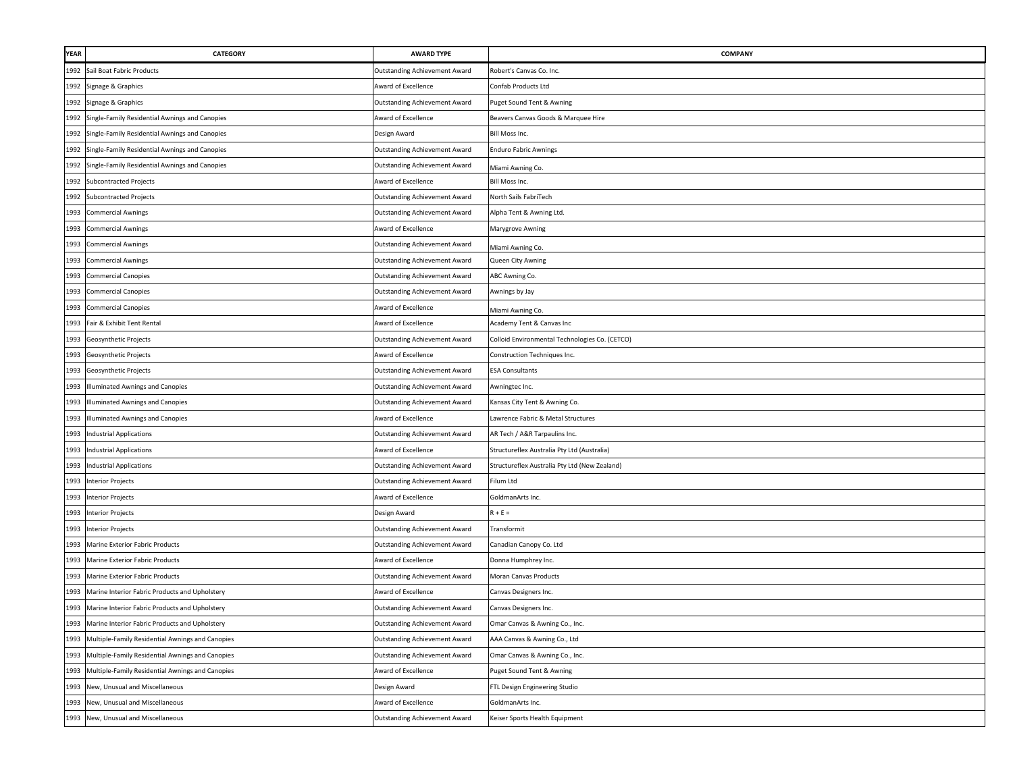| <b>YEAR</b> | CATEGORY                                         | <b>AWARD TYPE</b>                    | <b>COMPANY</b>                                 |
|-------------|--------------------------------------------------|--------------------------------------|------------------------------------------------|
| 1992        | Sail Boat Fabric Products                        | <b>Outstanding Achievement Award</b> | Robert's Canvas Co. Inc.                       |
| 1992        | Signage & Graphics                               | Award of Excellence                  | Confab Products Ltd                            |
| 1992        | Signage & Graphics                               | <b>Outstanding Achievement Award</b> | Puget Sound Tent & Awning                      |
| 1992        | Single-Family Residential Awnings and Canopies   | Award of Excellence                  | Beavers Canvas Goods & Marquee Hire            |
| 1992        | Single-Family Residential Awnings and Canopies   | Design Award                         | Bill Moss Inc.                                 |
| 1992        | Single-Family Residential Awnings and Canopies   | Outstanding Achievement Award        | <b>Enduro Fabric Awnings</b>                   |
| 1992        | Single-Family Residential Awnings and Canopies   | Outstanding Achievement Award        | Miami Awning Co.                               |
| 1992        | <b>Subcontracted Projects</b>                    | Award of Excellence                  | Bill Moss Inc.                                 |
| 1992        | <b>Subcontracted Projects</b>                    | <b>Outstanding Achievement Award</b> | North Sails FabriTech                          |
| 1993        | <b>Commercial Awnings</b>                        | <b>Outstanding Achievement Award</b> | Alpha Tent & Awning Ltd.                       |
| 1993        | <b>Commercial Awnings</b>                        | Award of Excellence                  | Marygrove Awning                               |
| 1993        | <b>Commercial Awnings</b>                        | <b>Outstanding Achievement Award</b> | Miami Awning Co.                               |
| 1993        | <b>Commercial Awnings</b>                        | <b>Outstanding Achievement Award</b> | Queen City Awning                              |
| 1993        | <b>Commercial Canopies</b>                       | <b>Outstanding Achievement Award</b> | ABC Awning Co.                                 |
| 1993        | <b>Commercial Canopies</b>                       | <b>Outstanding Achievement Award</b> | Awnings by Jay                                 |
| 1993        | <b>Commercial Canopies</b>                       | Award of Excellence                  | Miami Awning Co.                               |
| 1993        | Fair & Exhibit Tent Rental                       | Award of Excellence                  | Academy Tent & Canvas Inc                      |
| 1993        | Geosynthetic Projects                            | <b>Outstanding Achievement Award</b> | Colloid Environmental Technologies Co. (CETCO) |
| 1993        | Geosynthetic Projects                            | Award of Excellence                  | Construction Techniques Inc.                   |
| 1993        | Geosynthetic Projects                            | <b>Outstanding Achievement Award</b> | <b>ESA Consultants</b>                         |
| 1993        | Illuminated Awnings and Canopies                 | <b>Outstanding Achievement Award</b> | Awningtec Inc.                                 |
| 1993        | <b>Illuminated Awnings and Canopies</b>          | <b>Outstanding Achievement Award</b> | Kansas City Tent & Awning Co.                  |
| 1993        | Illuminated Awnings and Canopies                 | Award of Excellence                  | Lawrence Fabric & Metal Structures             |
|             | 1993 Industrial Applications                     | Outstanding Achievement Award        | AR Tech / A&R Tarpaulins Inc.                  |
| 1993        | <b>Industrial Applications</b>                   | Award of Excellence                  | Structureflex Australia Pty Ltd (Australia)    |
| 1993        | <b>Industrial Applications</b>                   | <b>Outstanding Achievement Award</b> | Structureflex Australia Pty Ltd (New Zealand)  |
| 1993        | <b>Interior Projects</b>                         | <b>Outstanding Achievement Award</b> | Filum Ltd                                      |
| 1993        | <b>Interior Projects</b>                         | Award of Excellence                  | GoldmanArts Inc.                               |
| 1993        | <b>Interior Projects</b>                         | Design Award                         | $R + E =$                                      |
| 1993        | <b>Interior Projects</b>                         | Outstanding Achievement Award        | Transformit                                    |
| 1993        | Marine Exterior Fabric Products                  | <b>Outstanding Achievement Award</b> | Canadian Canopy Co. Ltd                        |
| 1993        | Marine Exterior Fabric Products                  | Award of Excellence                  | Donna Humphrey Inc.                            |
| 1993        | Marine Exterior Fabric Products                  | <b>Outstanding Achievement Award</b> | Moran Canvas Products                          |
| 1993        | Marine Interior Fabric Products and Upholstery   | Award of Excellence                  | Canvas Designers Inc.                          |
| 1993        | Marine Interior Fabric Products and Upholstery   | Outstanding Achievement Award        | Canvas Designers Inc.                          |
| 1993        | Marine Interior Fabric Products and Upholstery   | Outstanding Achievement Award        | Omar Canvas & Awning Co., Inc.                 |
| 1993        | Multiple-Family Residential Awnings and Canopies | Outstanding Achievement Award        | AAA Canvas & Awning Co., Ltd                   |
| 1993        | Multiple-Family Residential Awnings and Canopies | Outstanding Achievement Award        | Omar Canvas & Awning Co., Inc.                 |
| 1993        | Multiple-Family Residential Awnings and Canopies | Award of Excellence                  | Puget Sound Tent & Awning                      |
| 1993        | New, Unusual and Miscellaneous                   | Design Award                         | FTL Design Engineering Studio                  |
| 1993        | New, Unusual and Miscellaneous                   | Award of Excellence                  | GoldmanArts Inc.                               |
| 1993        | New, Unusual and Miscellaneous                   | Outstanding Achievement Award        | Keiser Sports Health Equipment                 |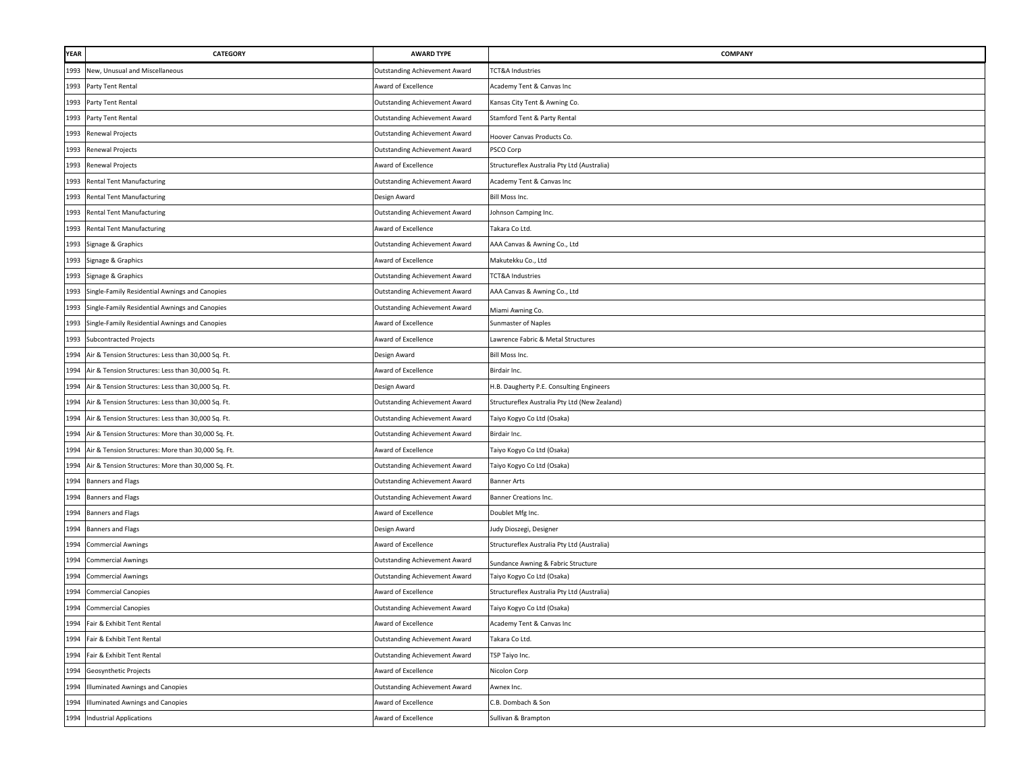| <b>YEAR</b> | CATEGORY                                           | <b>AWARD TYPE</b>                    | COMPANY                                       |
|-------------|----------------------------------------------------|--------------------------------------|-----------------------------------------------|
| 1993        | New, Unusual and Miscellaneous                     | Outstanding Achievement Award        | <b>TCT&amp;A Industries</b>                   |
| 1993        | Party Tent Rental                                  | Award of Excellence                  | Academy Tent & Canvas Inc                     |
| 1993        | Party Tent Rental                                  | Outstanding Achievement Award        | Kansas City Tent & Awning Co.                 |
| 1993        | Party Tent Rental                                  | Outstanding Achievement Award        | Stamford Tent & Party Rental                  |
|             | 1993 Renewal Projects                              | Outstanding Achievement Award        | Hoover Canvas Products Co.                    |
|             | 1993 Renewal Projects                              | <b>Outstanding Achievement Award</b> | PSCO Corp                                     |
|             | 1993 Renewal Projects                              | Award of Excellence                  | Structureflex Australia Pty Ltd (Australia)   |
| 1993        | <b>Rental Tent Manufacturing</b>                   | Outstanding Achievement Award        | Academy Tent & Canvas Inc                     |
| 1993        | <b>Rental Tent Manufacturing</b>                   | Design Award                         | Bill Moss Inc.                                |
| 1993        | <b>Rental Tent Manufacturing</b>                   | Outstanding Achievement Award        | Johnson Camping Inc.                          |
| 1993        | <b>Rental Tent Manufacturing</b>                   | Award of Excellence                  | Takara Co Ltd.                                |
| 1993        | Signage & Graphics                                 | <b>Outstanding Achievement Award</b> | AAA Canvas & Awning Co., Ltd                  |
| 1993        | Signage & Graphics                                 | Award of Excellence                  | Makutekku Co., Ltd                            |
| 1993        | Signage & Graphics                                 | <b>Outstanding Achievement Award</b> | TCT&A Industries                              |
| 1993        | Single-Family Residential Awnings and Canopies     | Outstanding Achievement Award        | AAA Canvas & Awning Co., Ltd                  |
| 1993        | Single-Family Residential Awnings and Canopies     | Outstanding Achievement Award        | Miami Awning Co.                              |
| 1993        | Single-Family Residential Awnings and Canopies     | Award of Excellence                  | Sunmaster of Naples                           |
| 1993        | <b>Subcontracted Projects</b>                      | Award of Excellence                  | Lawrence Fabric & Metal Structures            |
| 1994        | Air & Tension Structures: Less than 30,000 Sq. Ft. | Design Award                         | Bill Moss Inc.                                |
| 1994        | Air & Tension Structures: Less than 30,000 Sq. Ft. | Award of Excellence                  | Birdair Inc.                                  |
| 1994        | Air & Tension Structures: Less than 30,000 Sq. Ft. | Design Award                         | H.B. Daugherty P.E. Consulting Engineers      |
| 1994        | Air & Tension Structures: Less than 30,000 Sq. Ft. | Outstanding Achievement Award        | Structureflex Australia Pty Ltd (New Zealand) |
| 1994        | Air & Tension Structures: Less than 30,000 Sq. Ft. | Outstanding Achievement Award        | Taiyo Kogyo Co Ltd (Osaka)                    |
| 1994        | Air & Tension Structures: More than 30,000 Sq. Ft. | Outstanding Achievement Award        | Birdair Inc.                                  |
| 1994        | Air & Tension Structures: More than 30,000 Sq. Ft. | Award of Excellence                  | Taiyo Kogyo Co Ltd (Osaka)                    |
| 1994        | Air & Tension Structures: More than 30,000 Sq. Ft. | Outstanding Achievement Award        | Taiyo Kogyo Co Ltd (Osaka)                    |
| 1994        | Banners and Flags                                  | <b>Outstanding Achievement Award</b> | <b>Banner Arts</b>                            |
| 1994        | Banners and Flags                                  | <b>Outstanding Achievement Award</b> | Banner Creations Inc.                         |
| 1994        | <b>Banners and Flags</b>                           | ward of Excellence                   | Doublet Mfg Inc.                              |
|             | 1994 Banners and Flags                             | Design Award                         | Judy Dioszegi, Designer                       |
| 1994        | <b>Commercial Awnings</b>                          | Award of Excellence                  | Structureflex Australia Pty Ltd (Australia)   |
| 1994        | <b>Commercial Awnings</b>                          | Outstanding Achievement Award        | Sundance Awning & Fabric Structure            |
| 1994        | <b>Commercial Awnings</b>                          | Outstanding Achievement Award        | Taiyo Kogyo Co Ltd (Osaka)                    |
| 1994        | <b>Commercial Canopies</b>                         | Award of Excellence                  | Structureflex Australia Pty Ltd (Australia)   |
| 1994        | <b>Commercial Canopies</b>                         | Outstanding Achievement Award        | Taiyo Kogyo Co Ltd (Osaka)                    |
|             | 1994 Fair & Exhibit Tent Rental                    | Award of Excellence                  | Academy Tent & Canvas Inc                     |
| 1994        | Fair & Exhibit Tent Rental                         | <b>Outstanding Achievement Award</b> | Takara Co Ltd.                                |
| 1994        | Fair & Exhibit Tent Rental                         | Outstanding Achievement Award        | <b>TSP Taiyo Inc.</b>                         |
|             | 1994 Geosynthetic Projects                         | Award of Excellence                  | Nicolon Corp                                  |
| 1994        | Illuminated Awnings and Canopies                   | <b>Outstanding Achievement Award</b> | Awnex Inc.                                    |
| 1994        | <b>Illuminated Awnings and Canopies</b>            | Award of Excellence                  | C.B. Dombach & Son                            |
|             | 1994 Industrial Applications                       | Award of Excellence                  | Sullivan & Brampton                           |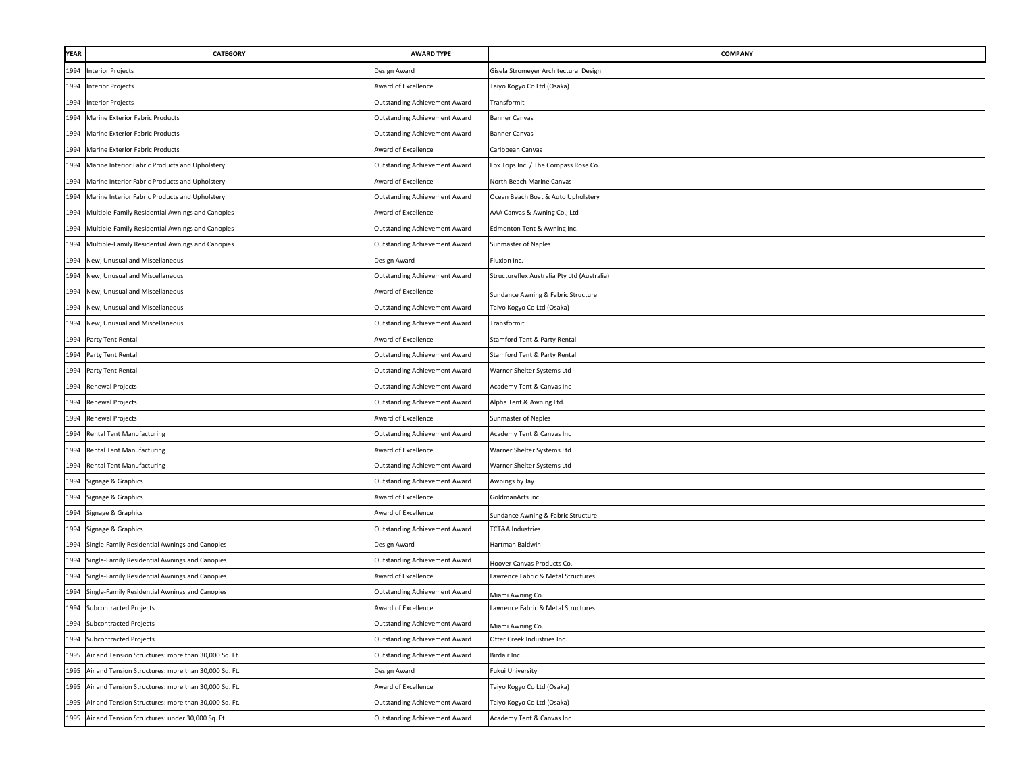| <b>YEAR</b> | <b>CATEGORY</b>                                       | <b>AWARD TYPE</b>                    | <b>COMPANY</b>                              |
|-------------|-------------------------------------------------------|--------------------------------------|---------------------------------------------|
| 1994        | <b>Interior Projects</b>                              | Design Award                         | Gisela Stromeyer Architectural Design       |
|             | 1994 Interior Projects                                | Award of Excellence                  | Taiyo Kogyo Co Ltd (Osaka)                  |
|             | 1994 Interior Projects                                | <b>Outstanding Achievement Award</b> | Transformit                                 |
| 1994        | Marine Exterior Fabric Products                       | <b>Outstanding Achievement Award</b> | <b>Banner Canvas</b>                        |
| 1994        | Marine Exterior Fabric Products                       | <b>Outstanding Achievement Award</b> | <b>Banner Canvas</b>                        |
| 1994        | Marine Exterior Fabric Products                       | Award of Excellence                  | Caribbean Canvas                            |
| 1994        | Marine Interior Fabric Products and Upholstery        | Outstanding Achievement Award        | Fox Tops Inc. / The Compass Rose Co.        |
| 1994        | Marine Interior Fabric Products and Upholstery        | Award of Excellence                  | North Beach Marine Canvas                   |
| 1994        | Marine Interior Fabric Products and Upholstery        | Outstanding Achievement Award        | Ocean Beach Boat & Auto Upholstery          |
| 1994        | Multiple-Family Residential Awnings and Canopies      | Award of Excellence                  | AAA Canvas & Awning Co., Ltd                |
| 1994        | Multiple-Family Residential Awnings and Canopies      | Outstanding Achievement Award        | Edmonton Tent & Awning Inc.                 |
| 1994        | Multiple-Family Residential Awnings and Canopies      | Outstanding Achievement Award        | Sunmaster of Naples                         |
| 1994        | New, Unusual and Miscellaneous                        | Design Award                         | Fluxion Inc.                                |
| 1994        | New, Unusual and Miscellaneous                        | <b>Outstanding Achievement Award</b> | Structureflex Australia Pty Ltd (Australia) |
| 1994        | New, Unusual and Miscellaneous                        | Award of Excellence                  | Sundance Awning & Fabric Structure          |
| 1994        | New, Unusual and Miscellaneous                        | Outstanding Achievement Award        | Taiyo Kogyo Co Ltd (Osaka)                  |
| 1994        | New, Unusual and Miscellaneous                        | <b>Outstanding Achievement Award</b> | Transformit                                 |
| 1994        | Party Tent Rental                                     | Award of Excellence                  | Stamford Tent & Party Rental                |
| 1994        | Party Tent Rental                                     | <b>Outstanding Achievement Award</b> | Stamford Tent & Party Rental                |
| 1994        | Party Tent Rental                                     | Outstanding Achievement Award        | Warner Shelter Systems Ltd                  |
| 1994        | Renewal Projects                                      | Outstanding Achievement Award        | Academy Tent & Canvas Inc                   |
| 1994        | Renewal Projects                                      | <b>Outstanding Achievement Award</b> | Alpha Tent & Awning Ltd.                    |
| 1994        | Renewal Projects                                      | Award of Excellence                  | Sunmaster of Naples                         |
| 1994        | <b>Rental Tent Manufacturing</b>                      | <b>Outstanding Achievement Award</b> | Academy Tent & Canvas Inc                   |
| 1994        | <b>Rental Tent Manufacturing</b>                      | Award of Excellence                  | Warner Shelter Systems Ltd                  |
| 1994        | <b>Rental Tent Manufacturing</b>                      | <b>Outstanding Achievement Award</b> | Warner Shelter Systems Ltd                  |
| 1994        | Signage & Graphics                                    | Outstanding Achievement Award        | Awnings by Jay                              |
| 1994        | Signage & Graphics                                    | Award of Excellence                  | GoldmanArts Inc.                            |
| 1994        | Signage & Graphics                                    | Award of Excellence                  | Sundance Awning & Fabric Structure          |
| 1994        | Signage & Graphics                                    | Outstanding Achievement Award        | TCT&A Industries                            |
| 1994        | Single-Family Residential Awnings and Canopies        | Design Award                         | Hartman Baldwin                             |
| 1994        | Single-Family Residential Awnings and Canopies        | <b>Outstanding Achievement Award</b> | Hoover Canvas Products Co.                  |
| 1994        | Single-Family Residential Awnings and Canopies        | Award of Excellence                  | Lawrence Fabric & Metal Structures          |
| 1994        | Single-Family Residential Awnings and Canopies        | <b>Outstanding Achievement Award</b> | Miami Awning Co.                            |
| 1994        | <b>Subcontracted Projects</b>                         | Award of Excellence                  | Lawrence Fabric & Metal Structures          |
| 1994        | <b>Subcontracted Projects</b>                         | Outstanding Achievement Award        | Miami Awning Co.                            |
| 1994        | <b>Subcontracted Projects</b>                         | <b>Outstanding Achievement Award</b> | Otter Creek Industries Inc.                 |
| 1995        | Air and Tension Structures: more than 30,000 Sq. Ft.  | Outstanding Achievement Award        | Birdair Inc.                                |
| 1995        | Air and Tension Structures: more than 30,000 Sq. Ft.  | Design Award                         | Fukui University                            |
| 1995        | Air and Tension Structures: more than 30,000 Sq. Ft.  | Award of Excellence                  | Taiyo Kogyo Co Ltd (Osaka)                  |
| 1995        | Air and Tension Structures: more than 30,000 Sq. Ft.  | Outstanding Achievement Award        | Taiyo Kogyo Co Ltd (Osaka)                  |
|             | 1995 Air and Tension Structures: under 30,000 Sq. Ft. | Outstanding Achievement Award        | Academy Tent & Canvas Inc                   |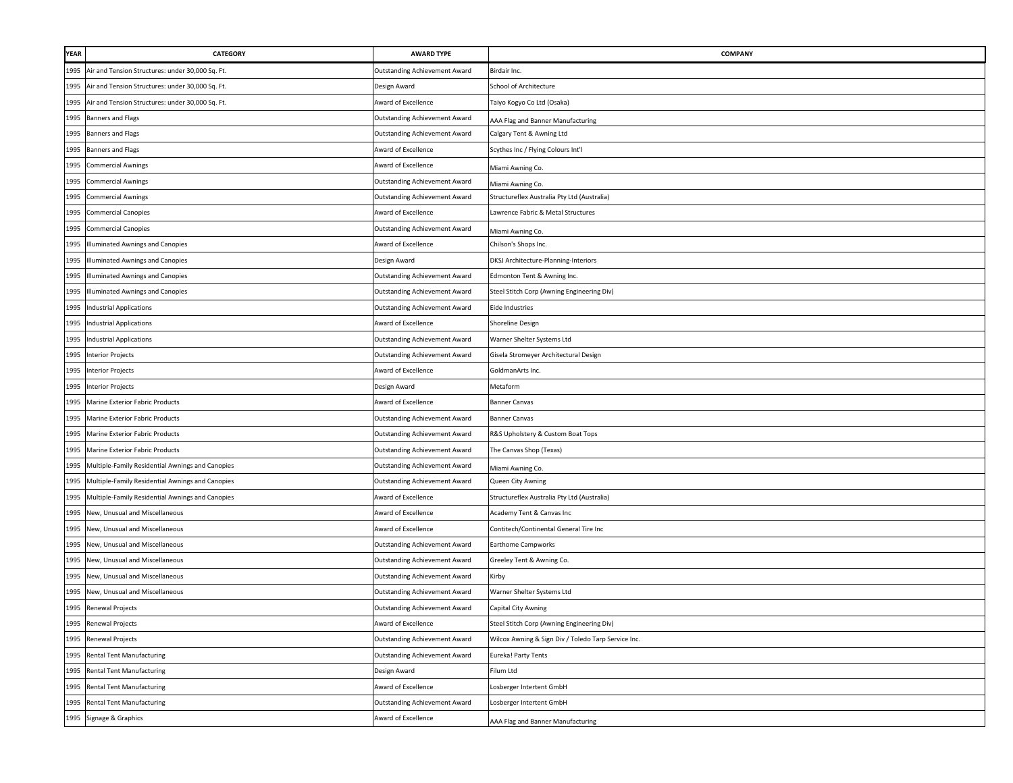| YEAR | CATEGORY                                         | <b>AWARD TYPE</b>                    | <b>COMPANY</b>                                      |
|------|--------------------------------------------------|--------------------------------------|-----------------------------------------------------|
| 1995 | Air and Tension Structures: under 30,000 Sq. Ft. | Outstanding Achievement Award        | Birdair Inc.                                        |
| 1995 | Air and Tension Structures: under 30,000 Sq. Ft. | Design Award                         | School of Architecture                              |
| 1995 | Air and Tension Structures: under 30,000 Sq. Ft. | Award of Excellence                  | Taiyo Kogyo Co Ltd (Osaka)                          |
| 1995 | <b>Banners and Flags</b>                         | Outstanding Achievement Award        | AAA Flag and Banner Manufacturing                   |
| 1995 | <b>Banners and Flags</b>                         | <b>Outstanding Achievement Award</b> | Calgary Tent & Awning Ltd                           |
| 1995 | <b>Banners and Flags</b>                         | Award of Excellence                  | Scythes Inc / Flying Colours Int'l                  |
| 1995 | <b>Commercial Awnings</b>                        | Award of Excellence                  | Miami Awning Co.                                    |
| 1995 | <b>Commercial Awnings</b>                        | Outstanding Achievement Award        | Miami Awning Co.                                    |
| 1995 | <b>Commercial Awnings</b>                        | Outstanding Achievement Award        | Structureflex Australia Pty Ltd (Australia)         |
| 1995 | <b>Commercial Canopies</b>                       | Award of Excellence                  | Lawrence Fabric & Metal Structures                  |
| 1995 | <b>Commercial Canopies</b>                       | Outstanding Achievement Award        | Miami Awning Co.                                    |
| 1995 | Illuminated Awnings and Canopies                 | Award of Excellence                  | Chilson's Shops Inc.                                |
| 1995 | Illuminated Awnings and Canopies                 | Design Award                         | DKSJ Architecture-Planning-Interiors                |
| 1995 | Illuminated Awnings and Canopies                 | Outstanding Achievement Award        | Edmonton Tent & Awning Inc.                         |
| 1995 | Illuminated Awnings and Canopies                 | Outstanding Achievement Award        | Steel Stitch Corp (Awning Engineering Div)          |
| 1995 | <b>Industrial Applications</b>                   | <b>Outstanding Achievement Award</b> | Eide Industries                                     |
| 1995 | <b>Industrial Applications</b>                   | Award of Excellence                  | Shoreline Design                                    |
| 1995 | <b>Industrial Applications</b>                   | Outstanding Achievement Award        | Warner Shelter Systems Ltd                          |
| 1995 | <b>Interior Projects</b>                         | <b>Outstanding Achievement Award</b> | Gisela Stromeyer Architectural Design               |
| 1995 | <b>Interior Projects</b>                         | Award of Excellence                  | GoldmanArts Inc.                                    |
| 1995 | <b>Interior Projects</b>                         | Design Award                         | Metaform                                            |
| 1995 | Marine Exterior Fabric Products                  | Award of Excellence                  | <b>Banner Canvas</b>                                |
| 1995 | Marine Exterior Fabric Products                  | Outstanding Achievement Award        | <b>Banner Canvas</b>                                |
|      | 1995 Marine Exterior Fabric Products             | <b>Outstanding Achievement Award</b> | R&S Upholstery & Custom Boat Tops                   |
| 1995 | Marine Exterior Fabric Products                  | Outstanding Achievement Award        | The Canvas Shop (Texas)                             |
| 1995 | Multiple-Family Residential Awnings and Canopies | Outstanding Achievement Award        | Miami Awning Co.                                    |
| 1995 | Multiple-Family Residential Awnings and Canopies | Outstanding Achievement Award        | Queen City Awning                                   |
| 1995 | Multiple-Family Residential Awnings and Canopies | Award of Excellence                  | Structureflex Australia Pty Ltd (Australia)         |
| 1995 | New, Unusual and Miscellaneous                   | Award of Excellence                  | Academy Tent & Canvas Inc                           |
| 1995 | New, Unusual and Miscellaneous                   | Award of Excellence                  | Contitech/Continental General Tire Inc              |
| 1995 | New, Unusual and Miscellaneous                   | Outstanding Achievement Award        | <b>Earthome Campworks</b>                           |
| 1995 | New, Unusual and Miscellaneous                   | Outstanding Achievement Award        | Greeley Tent & Awning Co.                           |
| 1995 | New, Unusual and Miscellaneous                   | Outstanding Achievement Award        | Kirby                                               |
| 1995 | New, Unusual and Miscellaneous                   | Outstanding Achievement Award        | Warner Shelter Systems Ltd                          |
| 1995 | Renewal Projects                                 | Outstanding Achievement Award        | Capital City Awning                                 |
|      | 1995 Renewal Projects                            | Award of Excellence                  | Steel Stitch Corp (Awning Engineering Div)          |
| 1995 | Renewal Projects                                 | <b>Outstanding Achievement Award</b> | Wilcox Awning & Sign Div / Toledo Tarp Service Inc. |
| 1995 | <b>Rental Tent Manufacturing</b>                 | <b>Outstanding Achievement Award</b> | Eureka! Party Tents                                 |
| 1995 | <b>Rental Tent Manufacturing</b>                 | Design Award                         | Filum Ltd                                           |
| 1995 | <b>Rental Tent Manufacturing</b>                 | Award of Excellence                  | Losberger Intertent GmbH                            |
| 1995 | Rental Tent Manufacturing                        | Outstanding Achievement Award        | Losberger Intertent GmbH                            |
|      | 1995 Signage & Graphics                          | Award of Excellence                  | AAA Flag and Banner Manufacturing                   |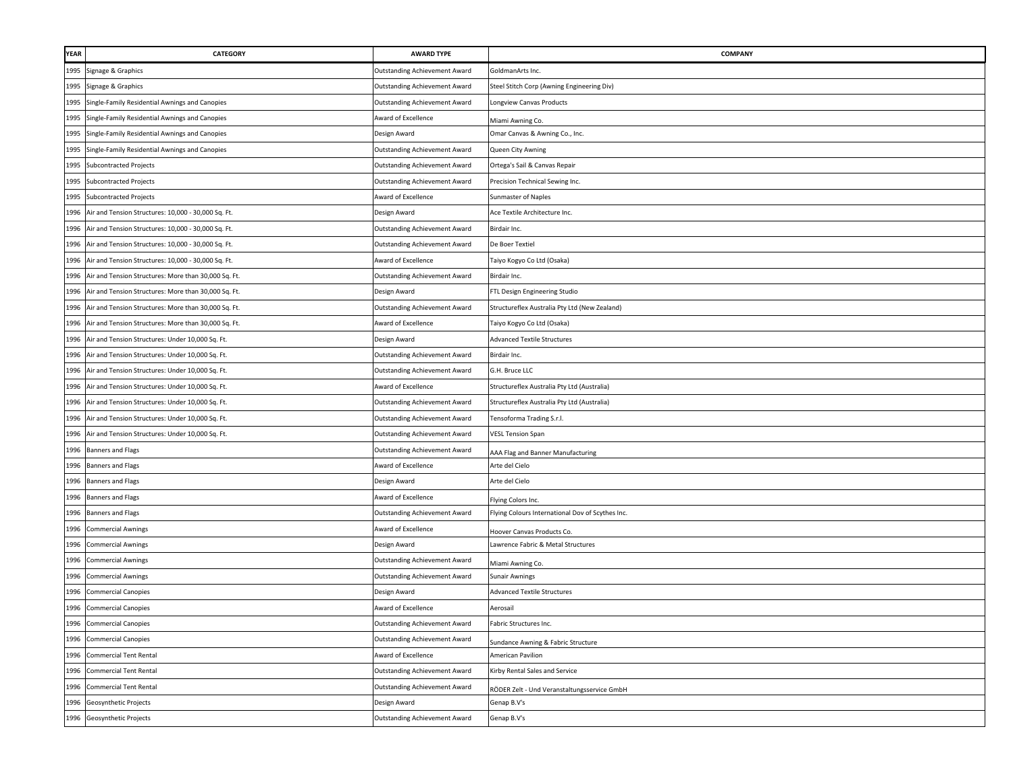| <b>YEAR</b> | CATEGORY                                             | <b>AWARD TYPE</b>                    | <b>COMPANY</b>                                   |
|-------------|------------------------------------------------------|--------------------------------------|--------------------------------------------------|
| 1995        | Signage & Graphics                                   | <b>Outstanding Achievement Award</b> | GoldmanArts Inc.                                 |
| 1995        | Signage & Graphics                                   | <b>Outstanding Achievement Award</b> | Steel Stitch Corp (Awning Engineering Div)       |
| 1995        | Single-Family Residential Awnings and Canopies       | <b>Outstanding Achievement Award</b> | Longview Canvas Products                         |
| 1995        | Single-Family Residential Awnings and Canopies       | Award of Excellence                  | Miami Awning Co.                                 |
| 1995        | Single-Family Residential Awnings and Canopies       | Design Award                         | Omar Canvas & Awning Co., Inc.                   |
| 1995        | Single-Family Residential Awnings and Canopies       | <b>Outstanding Achievement Award</b> | Queen City Awning                                |
| 1995        | <b>Subcontracted Projects</b>                        | Outstanding Achievement Award        | Ortega's Sail & Canvas Repair                    |
| 1995        | <b>Subcontracted Projects</b>                        | <b>Outstanding Achievement Award</b> | Precision Technical Sewing Inc.                  |
| 1995        | <b>Subcontracted Projects</b>                        | Award of Excellence                  | Sunmaster of Naples                              |
| 1996        | Air and Tension Structures: 10,000 - 30,000 Sq. Ft.  | Design Award                         | Ace Textile Architecture Inc.                    |
| 1996        | Air and Tension Structures: 10,000 - 30,000 Sq. Ft.  | Outstanding Achievement Award        | Birdair Inc.                                     |
| 1996        | Air and Tension Structures: 10,000 - 30,000 Sq. Ft.  | Outstanding Achievement Award        | De Boer Textiel                                  |
| 1996        | Air and Tension Structures: 10,000 - 30,000 Sq. Ft.  | Award of Excellence                  | Taiyo Kogyo Co Ltd (Osaka)                       |
| 1996        | Air and Tension Structures: More than 30,000 Sq. Ft. | <b>Outstanding Achievement Award</b> | Birdair Inc.                                     |
| 1996        | Air and Tension Structures: More than 30,000 Sq. Ft. | Design Award                         | FTL Design Engineering Studio                    |
| 1996        | Air and Tension Structures: More than 30,000 Sq. Ft. | <b>Outstanding Achievement Award</b> | Structureflex Australia Pty Ltd (New Zealand)    |
| 1996        | Air and Tension Structures: More than 30,000 Sq. Ft. | Award of Excellence                  | Taiyo Kogyo Co Ltd (Osaka)                       |
| 1996        | Air and Tension Structures: Under 10,000 Sq. Ft.     | Design Award                         | <b>Advanced Textile Structures</b>               |
| 1996        | Air and Tension Structures: Under 10,000 Sq. Ft.     | Outstanding Achievement Award        | Birdair Inc.                                     |
| 1996        | Air and Tension Structures: Under 10,000 Sq. Ft.     | Outstanding Achievement Award        | G.H. Bruce LLC                                   |
| 1996        | Air and Tension Structures: Under 10,000 Sq. Ft.     | Award of Excellence                  | Structureflex Australia Pty Ltd (Australia)      |
| 1996        | Air and Tension Structures: Under 10,000 Sq. Ft.     | Outstanding Achievement Award        | Structureflex Australia Pty Ltd (Australia)      |
| 1996        | Air and Tension Structures: Under 10,000 Sq. Ft.     | Outstanding Achievement Award        | Tensoforma Trading S.r.l.                        |
| 1996        | Air and Tension Structures: Under 10,000 Sq. Ft.     | Outstanding Achievement Award        | <b>VESL Tension Span</b>                         |
| 1996        | <b>Banners and Flags</b>                             | <b>Outstanding Achievement Award</b> | AAA Flag and Banner Manufacturing                |
| 1996        | <b>Banners and Flags</b>                             | Award of Excellence                  | Arte del Cielo                                   |
|             | 1996 Banners and Flags                               | Design Award                         | Arte del Cielo                                   |
|             | 1996 Banners and Flags                               | Award of Excellence                  | Flying Colors Inc.                               |
| 1996        | Banners and Flags                                    | <b>Outstanding Achievement Award</b> | Flying Colours International Dov of Scythes Inc. |
| 1996        | <b>Commercial Awnings</b>                            | Award of Excellence                  | Hoover Canvas Products Co.                       |
| 1996        | <b>Commercial Awnings</b>                            | Design Award                         | Lawrence Fabric & Metal Structures               |
| 1996        | <b>Commercial Awnings</b>                            | <b>Outstanding Achievement Award</b> | Miami Awning Co.                                 |
| 1996        | <b>Commercial Awnings</b>                            | <b>Outstanding Achievement Award</b> | Sunair Awnings                                   |
| 1996        | <b>Commercial Canopies</b>                           | Design Award                         | <b>Advanced Textile Structures</b>               |
| 1996        | <b>Commercial Canopies</b>                           | Award of Excellence                  | Aerosail                                         |
|             | 1996 Commercial Canopies                             | <b>Outstanding Achievement Award</b> | Fabric Structures Inc.                           |
| 1996        | <b>Commercial Canopies</b>                           | <b>Outstanding Achievement Award</b> | Sundance Awning & Fabric Structure               |
| 1996        | <b>Commercial Tent Rental</b>                        | Award of Excellence                  | American Pavilion                                |
| 1996        | <b>Commercial Tent Rental</b>                        | <b>Outstanding Achievement Award</b> | Kirby Rental Sales and Service                   |
| 1996        | <b>Commercial Tent Rental</b>                        | <b>Outstanding Achievement Award</b> | RÖDER Zelt - Und Veranstaltungsservice GmbH      |
|             | 1996 Geosynthetic Projects                           | Design Award                         | Genap B.V's                                      |
| 1996        | Geosynthetic Projects                                | <b>Outstanding Achievement Award</b> | Genap B.V's                                      |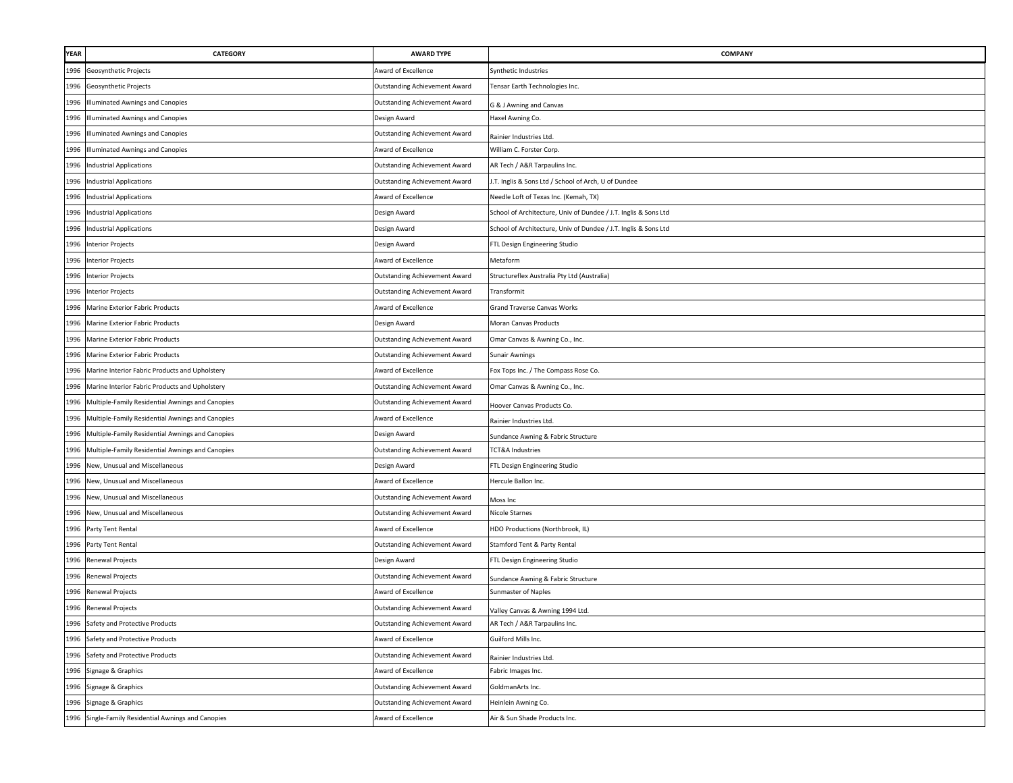| <b>YEAR</b> | CATEGORY                                              | <b>AWARD TYPE</b>                    | COMPANY                                                         |
|-------------|-------------------------------------------------------|--------------------------------------|-----------------------------------------------------------------|
| 1996        | Geosynthetic Projects                                 | Award of Excellence                  | Synthetic Industries                                            |
| 1996        | Geosynthetic Projects                                 | Outstanding Achievement Award        | Tensar Earth Technologies Inc.                                  |
| 1996        | <b>Illuminated Awnings and Canopies</b>               | Outstanding Achievement Award        | G & J Awning and Canvas                                         |
| 1996        | <b>Illuminated Awnings and Canopies</b>               | Design Award                         | Haxel Awning Co.                                                |
| 1996        | <b>Illuminated Awnings and Canopies</b>               | Outstanding Achievement Award        | Rainier Industries Ltd.                                         |
| 1996        | Illuminated Awnings and Canopies                      | Award of Excellence                  | William C. Forster Corp.                                        |
| 1996        | <b>Industrial Applications</b>                        | Outstanding Achievement Award        | AR Tech / A&R Tarpaulins Inc.                                   |
| 1996        | <b>Industrial Applications</b>                        | Outstanding Achievement Award        | J.T. Inglis & Sons Ltd / School of Arch, U of Dundee            |
| 1996        | <b>Industrial Applications</b>                        | Award of Excellence                  | Needle Loft of Texas Inc. (Kemah, TX)                           |
| 1996        | <b>Industrial Applications</b>                        | Design Award                         | School of Architecture, Univ of Dundee / J.T. Inglis & Sons Ltd |
| 1996        | <b>Industrial Applications</b>                        | Design Award                         | School of Architecture, Univ of Dundee / J.T. Inglis & Sons Ltd |
| 1996        | <b>Interior Projects</b>                              | Design Award                         | FTL Design Engineering Studio                                   |
| 1996        | <b>Interior Projects</b>                              | Award of Excellence                  | Metaform                                                        |
| 1996        | <b>Interior Projects</b>                              | Outstanding Achievement Award        | Structureflex Australia Pty Ltd (Australia)                     |
| 1996        | <b>Interior Projects</b>                              | Outstanding Achievement Award        | Transformit                                                     |
| 1996        | Marine Exterior Fabric Products                       | Award of Excellence                  | Grand Traverse Canvas Works                                     |
| 1996        | Marine Exterior Fabric Products                       | Design Award                         | Moran Canvas Products                                           |
| 1996        | Marine Exterior Fabric Products                       | Outstanding Achievement Award        | Omar Canvas & Awning Co., Inc.                                  |
| 1996        | Marine Exterior Fabric Products                       | Outstanding Achievement Award        | <b>Sunair Awnings</b>                                           |
| 1996        | Marine Interior Fabric Products and Upholstery        | Award of Excellence                  | Fox Tops Inc. / The Compass Rose Co.                            |
| 1996        | Marine Interior Fabric Products and Upholstery        | <b>Outstanding Achievement Award</b> | Omar Canvas & Awning Co., Inc.                                  |
| 1996        | Multiple-Family Residential Awnings and Canopies      | Outstanding Achievement Award        | Hoover Canvas Products Co.                                      |
|             | 1996 Multiple-Family Residential Awnings and Canopies | Award of Excellence                  | Rainier Industries Ltd.                                         |
| 1996        | Multiple-Family Residential Awnings and Canopies      | Design Award                         | Sundance Awning & Fabric Structure                              |
| 1996        | Multiple-Family Residential Awnings and Canopies      | Outstanding Achievement Award        | TCT&A Industries                                                |
| 1996        | New, Unusual and Miscellaneous                        | Design Award                         | FTL Design Engineering Studio                                   |
| 1996        | New, Unusual and Miscellaneous                        | Award of Excellence                  | Hercule Ballon Inc.                                             |
| 1996        | New, Unusual and Miscellaneous                        | Outstanding Achievement Award        | Moss Inc                                                        |
| 1996        | New, Unusual and Miscellaneous                        | Outstanding Achievement Award        | Nicole Starnes                                                  |
|             | 1996 Party Tent Rental                                | Award of Excellence                  | HDO Productions (Northbrook, IL)                                |
|             | 1996 Party Tent Rental                                | Outstanding Achievement Award        | Stamford Tent & Party Rental                                    |
| 1996        | Renewal Projects                                      | Design Award                         | FTL Design Engineering Studio                                   |
| 1996        | Renewal Projects                                      | Outstanding Achievement Award        | Sundance Awning & Fabric Structure                              |
| 1996        | Renewal Projects                                      | Award of Excellence                  | Sunmaster of Naples                                             |
| 1996        | Renewal Projects                                      | <b>Outstanding Achievement Award</b> | Valley Canvas & Awning 1994 Ltd.                                |
|             | 1996 Safety and Protective Products                   | Outstanding Achievement Award        | AR Tech / A&R Tarpaulins Inc.                                   |
| 1996        | Safety and Protective Products                        | Award of Excellence                  | Guilford Mills Inc.                                             |
|             | 1996 Safety and Protective Products                   | Outstanding Achievement Award        | Rainier Industries Ltd.                                         |
| 1996        | Signage & Graphics                                    | Award of Excellence                  | Fabric Images Inc.                                              |
| 1996        | Signage & Graphics                                    | <b>Outstanding Achievement Award</b> | GoldmanArts Inc.                                                |
| 1996        | Signage & Graphics                                    | Outstanding Achievement Award        | Heinlein Awning Co.                                             |
| 1996        | Single-Family Residential Awnings and Canopies        | Award of Excellence                  | Air & Sun Shade Products Inc.                                   |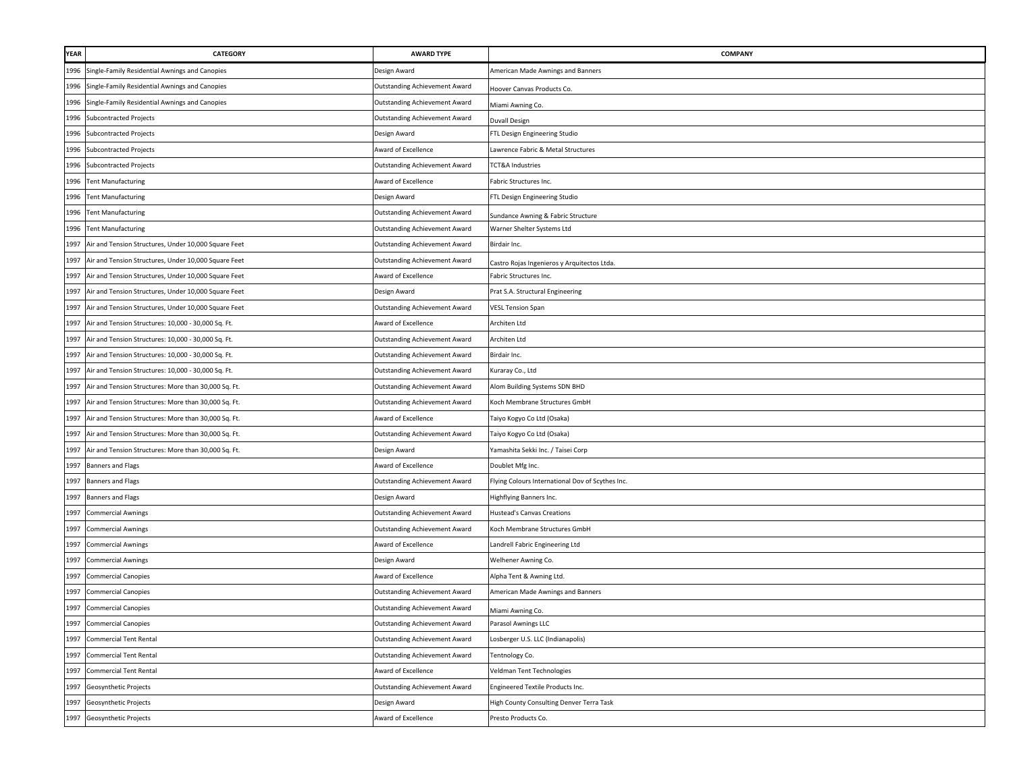| YEAR | CATEGORY                                             | <b>AWARD TYPE</b>                    | <b>COMPANY</b>                                   |
|------|------------------------------------------------------|--------------------------------------|--------------------------------------------------|
| 1996 | Single-Family Residential Awnings and Canopies       | Design Award                         | American Made Awnings and Banners                |
| 1996 | Single-Family Residential Awnings and Canopies       | Outstanding Achievement Award        | Hoover Canvas Products Co.                       |
| 1996 | Single-Family Residential Awnings and Canopies       | Outstanding Achievement Award        | Miami Awning Co.                                 |
| 1996 | <b>Subcontracted Projects</b>                        | Outstanding Achievement Award        | Duvall Design                                    |
| 1996 | <b>Subcontracted Projects</b>                        | Design Award                         | FTL Design Engineering Studio                    |
|      | 1996 Subcontracted Projects                          | Award of Excellence                  | Lawrence Fabric & Metal Structures               |
|      | 1996 Subcontracted Projects                          | Outstanding Achievement Award        | TCT&A Industries                                 |
| 1996 | <b>Tent Manufacturing</b>                            | Award of Excellence                  | Fabric Structures Inc.                           |
| 1996 | <b>Tent Manufacturing</b>                            | Design Award                         | FTL Design Engineering Studio                    |
| 1996 | <b>Tent Manufacturing</b>                            | Outstanding Achievement Award        | Sundance Awning & Fabric Structure               |
| 1996 | <b>Tent Manufacturing</b>                            | Outstanding Achievement Award        | Warner Shelter Systems Ltd                       |
| 1997 | Air and Tension Structures, Under 10,000 Square Feet | Outstanding Achievement Award        | Birdair Inc.                                     |
| 1997 | Air and Tension Structures, Under 10,000 Square Feet | <b>Outstanding Achievement Award</b> | Castro Rojas Ingenieros y Arquitectos Ltda.      |
| 1997 | Air and Tension Structures, Under 10,000 Square Feet | <b>Award of Excellence</b>           | Fabric Structures Inc.                           |
| 1997 | Air and Tension Structures, Under 10,000 Square Feet | Design Award                         | Prat S.A. Structural Engineering                 |
| 1997 | Air and Tension Structures, Under 10,000 Square Feet | Outstanding Achievement Award        | <b>VESL Tension Span</b>                         |
| 1997 | Air and Tension Structures: 10,000 - 30,000 Sq. Ft.  | Award of Excellence                  | Architen Ltd                                     |
| 1997 | Air and Tension Structures: 10,000 - 30,000 Sq. Ft.  | <b>Outstanding Achievement Award</b> | Architen Ltd                                     |
| 1997 | Air and Tension Structures: 10,000 - 30,000 Sq. Ft.  | Outstanding Achievement Award        | Birdair Inc.                                     |
| 1997 | Air and Tension Structures: 10,000 - 30,000 Sq. Ft.  | Outstanding Achievement Award        | Kuraray Co., Ltd                                 |
| 1997 | Air and Tension Structures: More than 30,000 Sq. Ft. | Outstanding Achievement Award        | Alom Building Systems SDN BHD                    |
| 1997 | Air and Tension Structures: More than 30,000 Sq. Ft. | <b>Outstanding Achievement Award</b> | Koch Membrane Structures GmbH                    |
| 1997 | Air and Tension Structures: More than 30,000 Sq. Ft. | Award of Excellence                  | Taiyo Kogyo Co Ltd (Osaka)                       |
| 1997 | Air and Tension Structures: More than 30,000 Sq. Ft. | Outstanding Achievement Award        | Taiyo Kogyo Co Ltd (Osaka)                       |
| 1997 | Air and Tension Structures: More than 30,000 Sq. Ft. | Design Award                         | Yamashita Sekki Inc. / Taisei Corp               |
| 1997 | <b>Banners and Flags</b>                             | Award of Excellence                  | Doublet Mfg Inc.                                 |
| 1997 | <b>Banners and Flags</b>                             | Outstanding Achievement Award        | Flying Colours International Dov of Scythes Inc. |
| 1997 | Banners and Flags                                    | Design Award                         | Highflying Banners Inc.                          |
| 1997 | <b>Commercial Awnings</b>                            | Outstanding Achievement Award        | <b>Hustead's Canvas Creations</b>                |
| 1997 | <b>Commercial Awnings</b>                            | Outstanding Achievement Award        | Koch Membrane Structures GmbH                    |
| 1997 | <b>Commercial Awnings</b>                            | Award of Excellence                  | Landrell Fabric Engineering Ltd                  |
| 1997 | <b>Commercial Awnings</b>                            | Design Award                         | Welhener Awning Co.                              |
| 1997 | <b>Commercial Canopies</b>                           | Award of Excellence                  | Alpha Tent & Awning Ltd.                         |
| 1997 | <b>Commercial Canopies</b>                           | Outstanding Achievement Award        | American Made Awnings and Banners                |
| 1997 | <b>Commercial Canopies</b>                           | <b>Outstanding Achievement Award</b> | Miami Awning Co.                                 |
|      | 1997 Commercial Canopies                             | Outstanding Achievement Award        | Parasol Awnings LLC                              |
| 1997 | <b>Commercial Tent Rental</b>                        | Outstanding Achievement Award        | Losberger U.S. LLC (Indianapolis)                |
| 1997 | <b>Commercial Tent Rental</b>                        | <b>Outstanding Achievement Award</b> | Tentnology Co.                                   |
| 1997 | <b>Commercial Tent Rental</b>                        | Award of Excellence                  | Veldman Tent Technologies                        |
| 1997 | Geosynthetic Projects                                | <b>Outstanding Achievement Award</b> | Engineered Textile Products Inc.                 |
| 1997 | Geosynthetic Projects                                | Design Award                         | High County Consulting Denver Terra Task         |
| 1997 | Geosynthetic Projects                                | Award of Excellence                  | Presto Products Co.                              |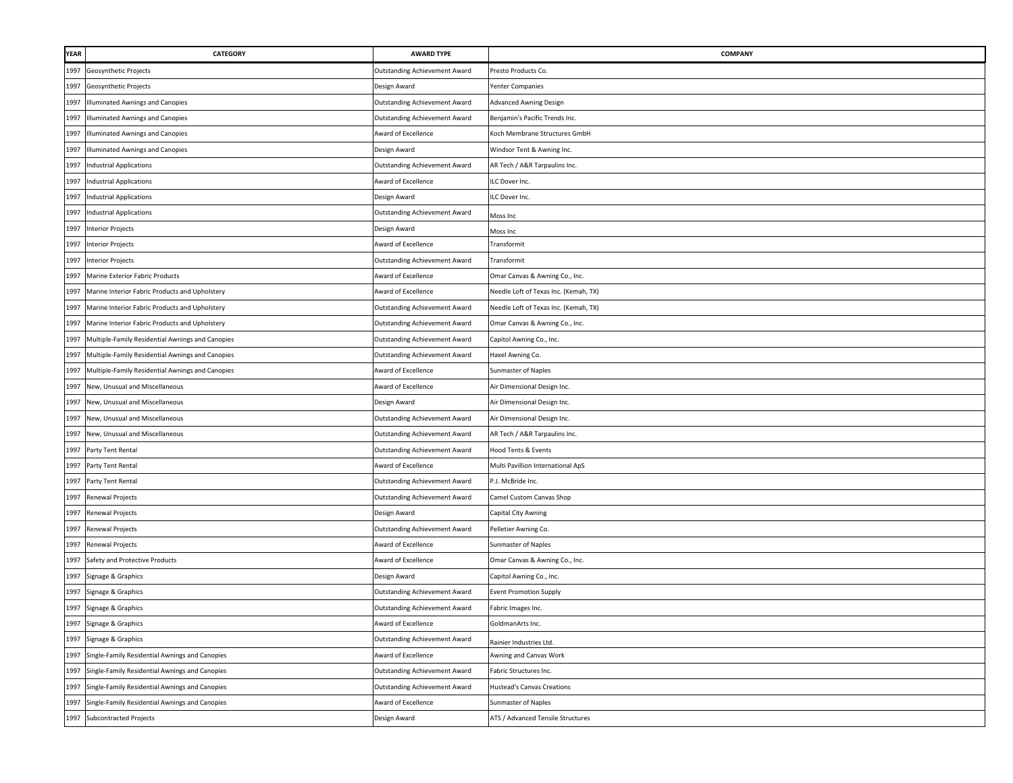| YEAR | <b>CATEGORY</b>                                  | <b>AWARD TYPE</b>                    | COMPANY                               |
|------|--------------------------------------------------|--------------------------------------|---------------------------------------|
| 1997 | Geosynthetic Projects                            | <b>Outstanding Achievement Award</b> | Presto Products Co.                   |
| 1997 | Geosynthetic Projects                            | Design Award                         | Yenter Companies                      |
| 1997 | <b>Illuminated Awnings and Canopies</b>          | <b>Outstanding Achievement Award</b> | Advanced Awning Design                |
| 1997 | Illuminated Awnings and Canopies                 | <b>Outstanding Achievement Award</b> | Benjamin's Pacific Trends Inc.        |
| 1997 | Illuminated Awnings and Canopies                 | Award of Excellence                  | Koch Membrane Structures GmbH         |
| 1997 | Illuminated Awnings and Canopies                 | Design Award                         | Windsor Tent & Awning Inc.            |
| 1997 | <b>Industrial Applications</b>                   | <b>Outstanding Achievement Award</b> | AR Tech / A&R Tarpaulins Inc.         |
| 1997 | <b>Industrial Applications</b>                   | Award of Excellence                  | ILC Dover Inc.                        |
| 1997 | <b>Industrial Applications</b>                   | Design Award                         | ILC Dover Inc.                        |
| 1997 | <b>Industrial Applications</b>                   | <b>Outstanding Achievement Award</b> | Moss Inc                              |
| 1997 | <b>Interior Projects</b>                         | Design Award                         | Moss Inc                              |
| 1997 | <b>Interior Projects</b>                         | Award of Excellence                  | Transformit                           |
| 1997 | <b>Interior Projects</b>                         | <b>Outstanding Achievement Award</b> | Transformit                           |
| 1997 | Marine Exterior Fabric Products                  | Award of Excellence                  | Omar Canvas & Awning Co., Inc.        |
| 1997 | Marine Interior Fabric Products and Upholstery   | Award of Excellence                  | Needle Loft of Texas Inc. (Kemah, TX) |
| 1997 | Marine Interior Fabric Products and Upholstery   | Outstanding Achievement Award        | Needle Loft of Texas Inc. (Kemah, TX) |
| 1997 | Marine Interior Fabric Products and Upholstery   | Outstanding Achievement Award        | Omar Canvas & Awning Co., Inc.        |
| 1997 | Multiple-Family Residential Awnings and Canopies | <b>Outstanding Achievement Award</b> | Capitol Awning Co., Inc.              |
| 1997 | Multiple-Family Residential Awnings and Canopies | <b>Outstanding Achievement Award</b> | Haxel Awning Co.                      |
| 1997 | Multiple-Family Residential Awnings and Canopies | Award of Excellence                  | Sunmaster of Naples                   |
| 1997 | New, Unusual and Miscellaneous                   | Award of Excellence                  | Air Dimensional Design Inc.           |
| 1997 | New, Unusual and Miscellaneous                   | Design Award                         | Air Dimensional Design Inc.           |
| 1997 | New, Unusual and Miscellaneous                   | Outstanding Achievement Award        | Air Dimensional Design Inc.           |
| 1997 | New, Unusual and Miscellaneous                   | <b>Outstanding Achievement Award</b> | AR Tech / A&R Tarpaulins Inc.         |
| 1997 | Party Tent Rental                                | <b>Outstanding Achievement Award</b> | Hood Tents & Events                   |
| 1997 | Party Tent Rental                                | Award of Excellence                  | Multi Pavillion International ApS     |
| 1997 | Party Tent Rental                                | <b>Outstanding Achievement Award</b> | P.J. McBride Inc.                     |
| 1997 | Renewal Projects                                 | <b>Outstanding Achievement Award</b> | Camel Custom Canvas Shop              |
| 1997 | Renewal Projects                                 | Design Award                         | Capital City Awning                   |
| 1997 | Renewal Projects                                 | <b>Outstanding Achievement Award</b> | Pelletier Awning Co.                  |
| 1997 | Renewal Projects                                 | Award of Excellence                  | Sunmaster of Naples                   |
| 1997 | Safety and Protective Products                   | Award of Excellence                  | Omar Canvas & Awning Co., Inc.        |
| 1997 | Signage & Graphics                               | Design Award                         | Capitol Awning Co., Inc.              |
| 1997 | Signage & Graphics                               | <b>Outstanding Achievement Award</b> | <b>Event Promotion Supply</b>         |
| 1997 | Signage & Graphics                               | <b>Outstanding Achievement Award</b> | Fabric Images Inc.                    |
| 1997 | Signage & Graphics                               | Award of Excellence                  | GoldmanArts Inc.                      |
| 1997 | Signage & Graphics                               | <b>Outstanding Achievement Award</b> | Rainier Industries Ltd                |
| 1997 | Single-Family Residential Awnings and Canopies   | Award of Excellence                  | Awning and Canvas Work                |
| 1997 | Single-Family Residential Awnings and Canopies   | <b>Outstanding Achievement Award</b> | Fabric Structures Inc.                |
| 1997 | Single-Family Residential Awnings and Canopies   | Outstanding Achievement Award        | <b>Hustead's Canvas Creations</b>     |
| 1997 | Single-Family Residential Awnings and Canopies   | Award of Excellence                  | Sunmaster of Naples                   |
| 1997 | <b>Subcontracted Projects</b>                    | Design Award                         | ATS / Advanced Tensile Structures     |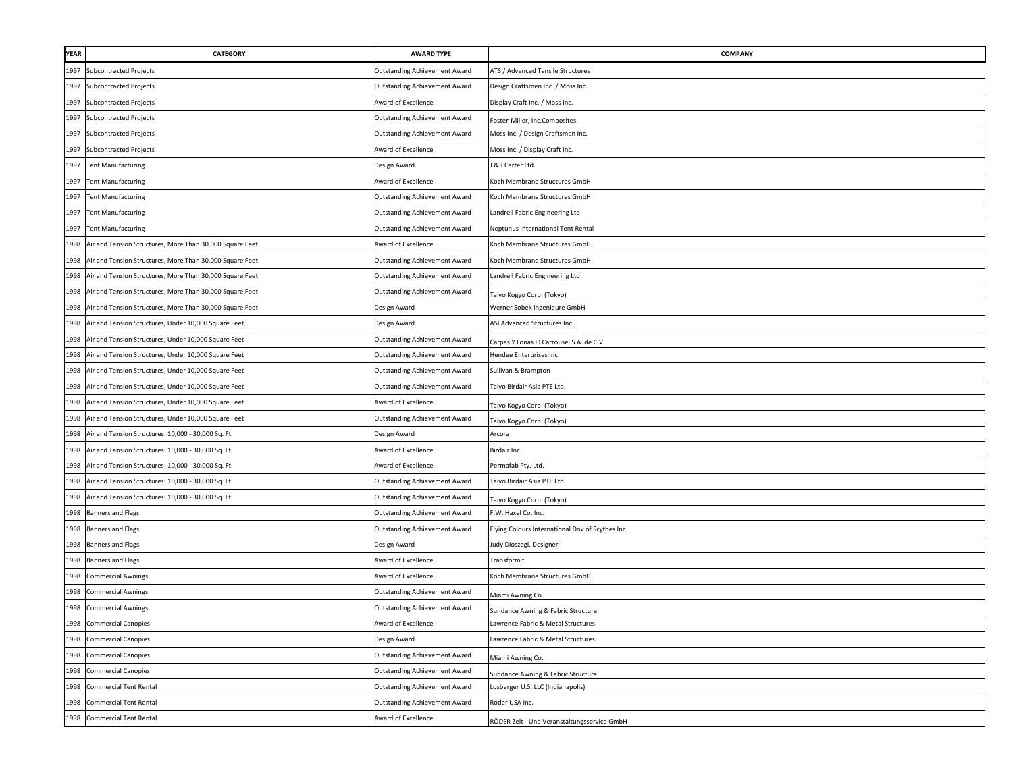| <b>YEAR</b> | <b>CATEGORY</b>                                          | <b>AWARD TYPE</b>                    | COMPANY                                          |
|-------------|----------------------------------------------------------|--------------------------------------|--------------------------------------------------|
| 1997        | <b>Subcontracted Projects</b>                            | <b>Outstanding Achievement Award</b> | ATS / Advanced Tensile Structures                |
| 1997        | <b>Subcontracted Projects</b>                            | Outstanding Achievement Award        | Design Craftsmen Inc. / Moss Inc.                |
| 1997        | <b>Subcontracted Projects</b>                            | Award of Excellence                  | Display Craft Inc. / Moss Inc.                   |
|             | 1997 Subcontracted Projects                              | <b>Outstanding Achievement Award</b> | Foster-Miller, Inc.Composites                    |
| 1997        | <b>Subcontracted Projects</b>                            | <b>Outstanding Achievement Award</b> | Moss Inc. / Design Craftsmen Inc.                |
| 1997        | <b>Subcontracted Projects</b>                            | Award of Excellence                  | Moss Inc. / Display Craft Inc.                   |
|             | 1997 Tent Manufacturing                                  | Design Award                         | J & J Carter Ltd                                 |
|             | 1997 Tent Manufacturing                                  | Award of Excellence                  | Koch Membrane Structures GmbH                    |
| 1997        | <b>Tent Manufacturing</b>                                | <b>Outstanding Achievement Award</b> | Koch Membrane Structures GmbH                    |
| 1997        | <b>Tent Manufacturing</b>                                | <b>Outstanding Achievement Award</b> | Landrell Fabric Engineering Ltd                  |
| 1997        | <b>Tent Manufacturing</b>                                | <b>Outstanding Achievement Award</b> | Neptunus International Tent Rental               |
| 1998        | Air and Tension Structures, More Than 30,000 Square Feet | Award of Excellence                  | Koch Membrane Structures GmbH                    |
| 1998        | Air and Tension Structures, More Than 30,000 Square Feet | <b>Outstanding Achievement Award</b> | Koch Membrane Structures GmbH                    |
| 1998        | Air and Tension Structures, More Than 30,000 Square Feet | <b>Outstanding Achievement Award</b> | Landrell Fabric Engineering Ltd                  |
| 1998        | Air and Tension Structures, More Than 30,000 Square Feet | <b>Outstanding Achievement Award</b> | Faiyo Kogyo Corp. (Tokyo)                        |
| 1998        | Air and Tension Structures, More Than 30,000 Square Feet | Design Award                         | Werner Sobek Ingenieure GmbH                     |
| 1998        | Air and Tension Structures, Under 10,000 Square Feet     | Design Award                         | ASI Advanced Structures Inc.                     |
| 1998        | Air and Tension Structures, Under 10,000 Square Feet     | <b>Outstanding Achievement Award</b> | Carpas Y Lonas El Carrousel S.A. de C.V.         |
| 1998        | Air and Tension Structures, Under 10,000 Square Feet     | <b>Outstanding Achievement Award</b> | Hendee Enterprises Inc.                          |
| 1998        | Air and Tension Structures, Under 10,000 Square Feet     | <b>Outstanding Achievement Award</b> | Sullivan & Brampton                              |
| 1998        | Air and Tension Structures, Under 10,000 Square Feet     | <b>Outstanding Achievement Award</b> | Taiyo Birdair Asia PTE Ltd.                      |
| 1998        | Air and Tension Structures, Under 10,000 Square Feet     | Award of Excellence                  | Faiyo Kogyo Corp. (Tokyo)                        |
| 1998        | Air and Tension Structures, Under 10,000 Square Feet     | <b>Outstanding Achievement Award</b> | Faiyo Kogyo Corp. (Tokyo)                        |
|             | 1998 Air and Tension Structures: 10,000 - 30,000 Sq. Ft. | Design Award                         | Arcora                                           |
| 1998        | Air and Tension Structures: 10,000 - 30,000 Sq. Ft.      | Award of Excellence                  | Birdair Inc.                                     |
| 1998        | Air and Tension Structures: 10,000 - 30,000 Sq. Ft.      | Award of Excellence                  | Permafab Pty. Ltd.                               |
| 1998        | Air and Tension Structures: 10,000 - 30,000 Sq. Ft.      | Outstanding Achievement Award        | Taiyo Birdair Asia PTE Ltd.                      |
| 1998        | Air and Tension Structures: 10,000 - 30,000 Sq. Ft.      | <b>Outstanding Achievement Award</b> | Taiyo Kogyo Corp. (Tokyo)                        |
| 1998        | Banners and Flags                                        | <b>Outstanding Achievement Award</b> | F.W. Haxel Co. Inc.                              |
|             | 1998 Banners and Flags                                   | <b>Outstanding Achievement Award</b> | Flying Colours International Dov of Scythes Inc. |
|             | 1998 Banners and Flags                                   | Design Award                         | Judy Dioszegi, Designer                          |
|             | 1998 Banners and Flags                                   | Award of Excellence                  | Transformit                                      |
| 1998        | <b>Commercial Awnings</b>                                | Award of Excellence                  | Koch Membrane Structures GmbH                    |
| 1998        | <b>Commercial Awnings</b>                                | <b>Outstanding Achievement Award</b> | Miami Awning Co.                                 |
| 1998        | <b>Commercial Awnings</b>                                | <b>Outstanding Achievement Award</b> | Sundance Awning & Fabric Structure               |
|             | 1998 Commercial Canopies                                 | Award of Excellence                  | Lawrence Fabric & Metal Structures               |
| 1998        | <b>Commercial Canopies</b>                               | Design Award                         | Lawrence Fabric & Metal Structures               |
|             | 1998 Commercial Canopies                                 | <b>Outstanding Achievement Award</b> | Miami Awning Co.                                 |
|             | 1998 Commercial Canopies                                 | <b>Outstanding Achievement Award</b> | Sundance Awning & Fabric Structure               |
|             | 1998 Commercial Tent Rental                              | <b>Outstanding Achievement Award</b> | Losberger U.S. LLC (Indianapolis)                |
|             | 1998 Commercial Tent Rental                              | <b>Outstanding Achievement Award</b> | Roder USA Inc.                                   |
|             | 1998 Commercial Tent Rental                              | Award of Excellence                  | RÖDER Zelt - Und Veranstaltungsservice GmbH      |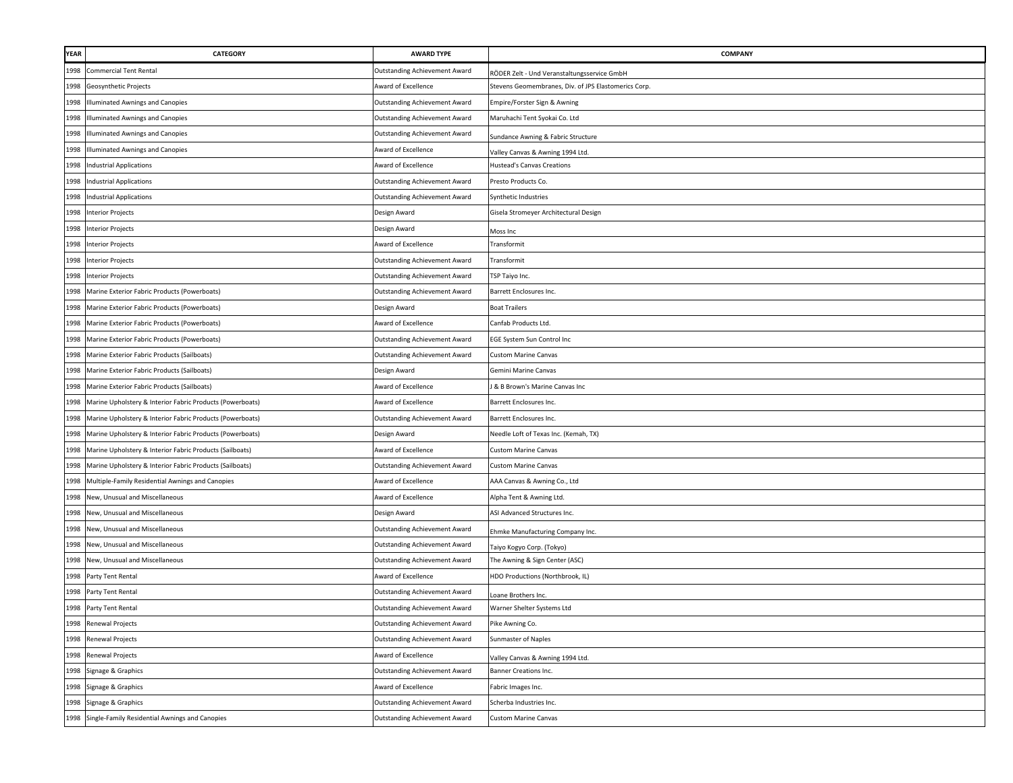| YEAR | <b>CATEGORY</b>                                                | <b>AWARD TYPE</b>                    | COMPANY                                              |
|------|----------------------------------------------------------------|--------------------------------------|------------------------------------------------------|
| 1998 | <b>Commercial Tent Rental</b>                                  | <b>Outstanding Achievement Award</b> | RÖDER Zelt - Und Veranstaltungsservice GmbH          |
| 1998 | Geosynthetic Projects                                          | Award of Excellence                  | Stevens Geomembranes, Div. of JPS Elastomerics Corp. |
| 1998 | Illuminated Awnings and Canopies                               | <b>Outstanding Achievement Award</b> | Empire/Forster Sign & Awning                         |
| 1998 | <b>Illuminated Awnings and Canopies</b>                        | <b>Outstanding Achievement Award</b> | Maruhachi Tent Syokai Co. Ltd                        |
| 1998 | <b>Illuminated Awnings and Canopies</b>                        | <b>Outstanding Achievement Award</b> | Sundance Awning & Fabric Structure                   |
| 1998 | Illuminated Awnings and Canopies                               | Award of Excellence                  | Valley Canvas & Awning 1994 Ltd.                     |
| 1998 | <b>Industrial Applications</b>                                 | Award of Excellence                  | <b>Hustead's Canvas Creations</b>                    |
| 1998 | <b>Industrial Applications</b>                                 | <b>Outstanding Achievement Award</b> | Presto Products Co.                                  |
| 1998 | <b>Industrial Applications</b>                                 | Outstanding Achievement Award        | Synthetic Industries                                 |
| 1998 | <b>Interior Projects</b>                                       | Design Award                         | Gisela Stromeyer Architectural Design                |
| 1998 | <b>Interior Projects</b>                                       | Design Award                         | Moss Inc                                             |
| 1998 | <b>Interior Projects</b>                                       | Award of Excellence                  | Transformit                                          |
| 1998 | <b>Interior Projects</b>                                       | <b>Outstanding Achievement Award</b> | Transformit                                          |
| 1998 | <b>Interior Projects</b>                                       | <b>Outstanding Achievement Award</b> | <b>FSP Taiyo Inc.</b>                                |
| 1998 | Marine Exterior Fabric Products (Powerboats)                   | <b>Outstanding Achievement Award</b> | Barrett Enclosures Inc.                              |
| 1998 | Marine Exterior Fabric Products (Powerboats)                   | Design Award                         | <b>Boat Trailers</b>                                 |
| 1998 | Marine Exterior Fabric Products (Powerboats)                   | Award of Excellence                  | Canfab Products Ltd.                                 |
| 1998 | Marine Exterior Fabric Products (Powerboats)                   | <b>Outstanding Achievement Award</b> | EGE System Sun Control Inc                           |
| 1998 | Marine Exterior Fabric Products (Sailboats)                    | <b>Outstanding Achievement Award</b> | <b>Custom Marine Canvas</b>                          |
| 1998 | Marine Exterior Fabric Products (Sailboats)                    | Design Award                         | Gemini Marine Canvas                                 |
| 1998 | Marine Exterior Fabric Products (Sailboats)                    | Award of Excellence                  | J & B Brown's Marine Canvas Inc                      |
| 1998 | Marine Upholstery & Interior Fabric Products (Powerboats)      | Award of Excellence                  | Barrett Enclosures Inc.                              |
|      | 1998 Marine Upholstery & Interior Fabric Products (Powerboats) | Outstanding Achievement Award        | Barrett Enclosures Inc.                              |
| 1998 | Marine Upholstery & Interior Fabric Products (Powerboats)      | Design Award                         | Needle Loft of Texas Inc. (Kemah, TX)                |
| 1998 | Marine Upholstery & Interior Fabric Products (Sailboats)       | Award of Excellence                  | <b>Custom Marine Canvas</b>                          |
| 1998 | Marine Upholstery & Interior Fabric Products (Sailboats)       | <b>Outstanding Achievement Award</b> | <b>Custom Marine Canvas</b>                          |
| 1998 | Multiple-Family Residential Awnings and Canopies               | Award of Excellence                  | AAA Canvas & Awning Co., Ltd                         |
| 1998 | New, Unusual and Miscellaneous                                 | Award of Excellence                  | Alpha Tent & Awning Ltd.                             |
| 1998 | New, Unusual and Miscellaneous                                 | Design Award                         | ASI Advanced Structures Inc.                         |
| 1998 | New, Unusual and Miscellaneous                                 | <b>Outstanding Achievement Award</b> | Ehmke Manufacturing Company Inc.                     |
| 1998 | New, Unusual and Miscellaneous                                 | <b>Outstanding Achievement Award</b> | Taiyo Kogyo Corp. (Tokyo)                            |
| 1998 | New, Unusual and Miscellaneous                                 | <b>Outstanding Achievement Award</b> | The Awning & Sign Center (ASC)                       |
| 1998 | Party Tent Rental                                              | Award of Excellence                  | HDO Productions (Northbrook, IL)                     |
| 1998 | Party Tent Rental                                              | <b>Outstanding Achievement Award</b> | Loane Brothers Inc.                                  |
|      | 1998 Party Tent Rental                                         | <b>Outstanding Achievement Award</b> | Warner Shelter Systems Ltd                           |
|      | 1998 Renewal Projects                                          | <b>Outstanding Achievement Award</b> | Pike Awning Co.                                      |
| 1998 | Renewal Projects                                               | <b>Outstanding Achievement Award</b> | Sunmaster of Naples                                  |
|      | 1998 Renewal Projects                                          | Award of Excellence                  | Valley Canvas & Awning 1994 Ltd.                     |
| 1998 | Signage & Graphics                                             | <b>Outstanding Achievement Award</b> | Banner Creations Inc.                                |
| 1998 | Signage & Graphics                                             | Award of Excellence                  | Fabric Images Inc.                                   |
| 1998 | Signage & Graphics                                             | <b>Outstanding Achievement Award</b> | Scherba Industries Inc.                              |
| 1998 | Single-Family Residential Awnings and Canopies                 | <b>Outstanding Achievement Award</b> | <b>Custom Marine Canvas</b>                          |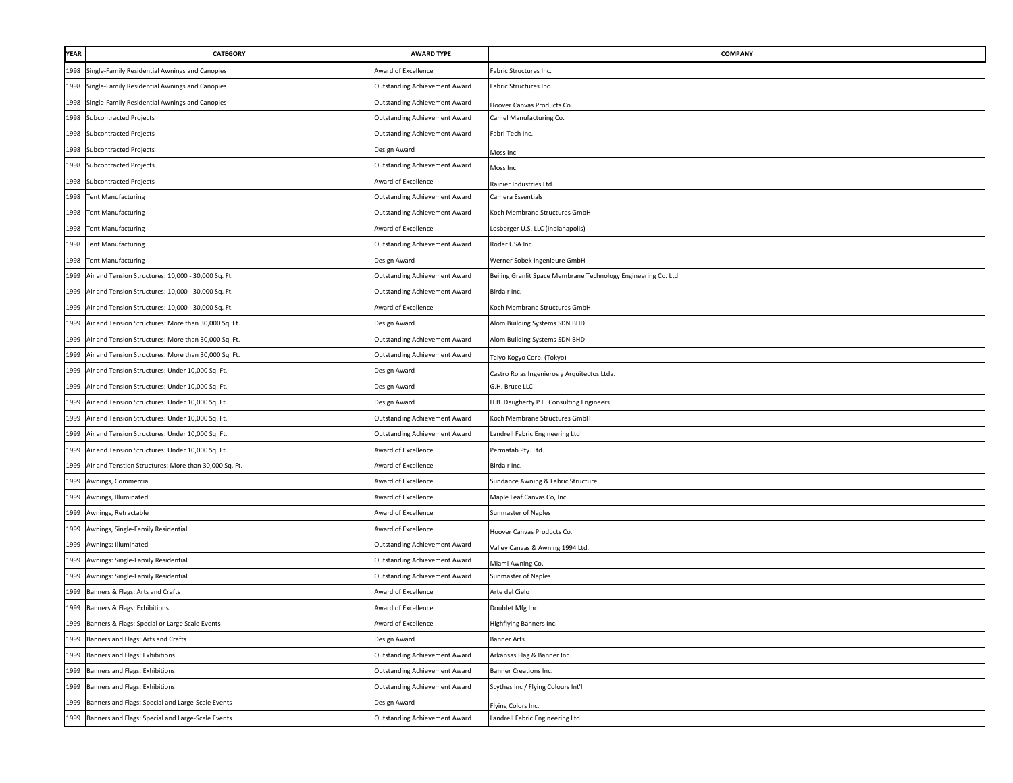| YEAR | CATEGORY                                               | <b>AWARD TYPE</b>                    | <b>COMPANY</b>                                                |
|------|--------------------------------------------------------|--------------------------------------|---------------------------------------------------------------|
| 1998 | Single-Family Residential Awnings and Canopies         | Award of Excellence                  | Fabric Structures Inc.                                        |
| 1998 | Single-Family Residential Awnings and Canopies         | <b>Outstanding Achievement Award</b> | Fabric Structures Inc.                                        |
| 1998 | Single-Family Residential Awnings and Canopies         | Outstanding Achievement Award        | Hoover Canvas Products Co.                                    |
| 1998 | <b>Subcontracted Projects</b>                          | <b>Outstanding Achievement Award</b> | Camel Manufacturing Co.                                       |
| 1998 | <b>Subcontracted Projects</b>                          | <b>Outstanding Achievement Award</b> | Fabri-Tech Inc.                                               |
|      | 1998 Subcontracted Projects                            | Design Award                         | Moss Inc                                                      |
|      | 1998 Subcontracted Projects                            | <b>Outstanding Achievement Award</b> | Moss Inc                                                      |
| 1998 | <b>Subcontracted Projects</b>                          | Award of Excellence                  | Rainier Industries Ltd.                                       |
| 1998 | <b>Tent Manufacturing</b>                              | Outstanding Achievement Award        | Camera Essentials                                             |
| 1998 | <b>Tent Manufacturing</b>                              | Outstanding Achievement Award        | Koch Membrane Structures GmbH                                 |
| 1998 | <b>Tent Manufacturing</b>                              | Award of Excellence                  | Losberger U.S. LLC (Indianapolis)                             |
| 1998 | <b>Tent Manufacturing</b>                              | Outstanding Achievement Award        | Roder USA Inc.                                                |
| 1998 | <b>Tent Manufacturing</b>                              | Design Award                         | Werner Sobek Ingenieure GmbH                                  |
| 1999 | Air and Tension Structures: 10,000 - 30,000 Sq. Ft.    | Outstanding Achievement Award        | Beijing Granlit Space Membrane Technology Engineering Co. Ltd |
| 1999 | Air and Tension Structures: 10,000 - 30,000 Sq. Ft.    | Outstanding Achievement Award        | Birdair Inc.                                                  |
| 1999 | Air and Tension Structures: 10,000 - 30,000 Sq. Ft.    | Award of Excellence                  | Koch Membrane Structures GmbH                                 |
| 1999 | Air and Tension Structures: More than 30,000 Sq. Ft.   | Design Award                         | Alom Building Systems SDN BHD                                 |
| 1999 | Air and Tension Structures: More than 30,000 Sq. Ft.   | Outstanding Achievement Award        | Alom Building Systems SDN BHD                                 |
| 1999 | Air and Tension Structures: More than 30,000 Sq. Ft.   | Outstanding Achievement Award        | Taiyo Kogyo Corp. (Tokyo)                                     |
| 1999 | Air and Tension Structures: Under 10,000 Sq. Ft.       | Design Award                         | Castro Rojas Ingenieros y Arquitectos Ltda                    |
| 1999 | Air and Tension Structures: Under 10,000 Sq. Ft.       | Design Award                         | G.H. Bruce LLC                                                |
| 1999 | Air and Tension Structures: Under 10,000 Sq. Ft.       | Design Award                         | H.B. Daugherty P.E. Consulting Engineers                      |
| 1999 | Air and Tension Structures: Under 10,000 Sq. Ft.       | Outstanding Achievement Award        | Koch Membrane Structures GmbH                                 |
|      | 1999 Air and Tension Structures: Under 10,000 Sq. Ft.  | Outstanding Achievement Award        | Landrell Fabric Engineering Ltd                               |
| 1999 | Air and Tension Structures: Under 10,000 Sq. Ft.       | Award of Excellence                  | Permafab Pty. Ltd.                                            |
| 1999 | Air and Tenstion Structures: More than 30,000 Sq. Ft.  | Award of Excellence                  | Birdair Inc.                                                  |
|      | 1999 Awnings, Commercial                               | Award of Excellence                  | Sundance Awning & Fabric Structure                            |
| 1999 | Awnings, Illuminated                                   | Award of Excellence                  | Maple Leaf Canvas Co, Inc.                                    |
| 1999 | Awnings, Retractable                                   | Award of Excellence                  | Sunmaster of Naples                                           |
| 1999 | Awnings, Single-Family Residential                     | Award of Excellence                  | Hoover Canvas Products Co.                                    |
|      | 1999 Awnings: Illuminated                              | Outstanding Achievement Award        | Valley Canvas & Awning 1994 Ltd.                              |
| 1999 | Awnings: Single-Family Residential                     | Outstanding Achievement Award        | Miami Awning Co.                                              |
| 1999 | Awnings: Single-Family Residential                     | Outstanding Achievement Award        | Sunmaster of Naples                                           |
| 1999 | Banners & Flags: Arts and Crafts                       | Award of Excellence                  | Arte del Cielo                                                |
| 1999 | Banners & Flags: Exhibitions                           | Award of Excellence                  | Doublet Mfg Inc.                                              |
|      | 1999 Banners & Flags: Special or Large Scale Events    | Award of Excellence                  | Highflying Banners Inc.                                       |
| 1999 | Banners and Flags: Arts and Crafts                     | Design Award                         | <b>Banner Arts</b>                                            |
| 1999 | Banners and Flags: Exhibitions                         | Outstanding Achievement Award        | Arkansas Flag & Banner Inc.                                   |
| 1999 | Banners and Flags: Exhibitions                         | Outstanding Achievement Award        | Banner Creations Inc.                                         |
|      | 1999 Banners and Flags: Exhibitions                    | Outstanding Achievement Award        | Scythes Inc / Flying Colours Int'l                            |
| 1999 | Banners and Flags: Special and Large-Scale Events      | Design Award                         | Flying Colors Inc.                                            |
|      | 1999 Banners and Flags: Special and Large-Scale Events | <b>Outstanding Achievement Award</b> | Landrell Fabric Engineering Ltd                               |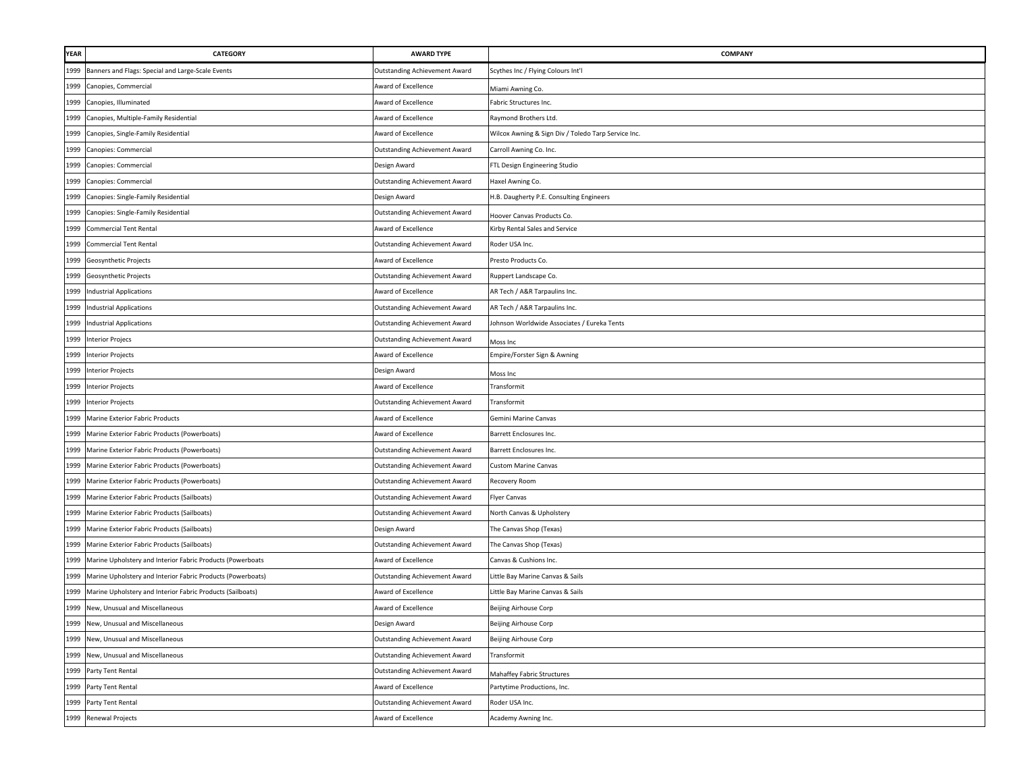| YEAR | <b>CATEGORY</b>                                             | <b>AWARD TYPE</b>                    | COMPANY                                             |
|------|-------------------------------------------------------------|--------------------------------------|-----------------------------------------------------|
| 1999 | Banners and Flags: Special and Large-Scale Events           | Outstanding Achievement Award        | Scythes Inc / Flying Colours Int'l                  |
| 1999 | Canopies, Commercial                                        | Award of Excellence                  | Miami Awning Co.                                    |
| 1999 | Canopies, Illuminated                                       | Award of Excellence                  | Fabric Structures Inc.                              |
| 1999 | Canopies, Multiple-Family Residential                       | Award of Excellence                  | Raymond Brothers Ltd.                               |
| 1999 | Canopies, Single-Family Residential                         | Award of Excellence                  | Wilcox Awning & Sign Div / Toledo Tarp Service Inc. |
| 1999 | Canopies: Commercial                                        | <b>Outstanding Achievement Award</b> | Carroll Awning Co. Inc.                             |
| 1999 | Canopies: Commercial                                        | Design Award                         | FTL Design Engineering Studio                       |
| 1999 | Canopies: Commercial                                        | Outstanding Achievement Award        | Haxel Awning Co.                                    |
| 1999 | Canopies: Single-Family Residential                         | Design Award                         | H.B. Daugherty P.E. Consulting Engineers            |
| 1999 | Canopies: Single-Family Residential                         | Outstanding Achievement Award        | Hoover Canvas Products Co.                          |
| 1999 | <b>Commercial Tent Rental</b>                               | Award of Excellence                  | Kirby Rental Sales and Service                      |
| 1999 | <b>Commercial Tent Rental</b>                               | Outstanding Achievement Award        | Roder USA Inc.                                      |
| 1999 | Geosynthetic Projects                                       | Award of Excellence                  | Presto Products Co.                                 |
| 1999 | Geosynthetic Projects                                       | Outstanding Achievement Award        | Ruppert Landscape Co.                               |
| 1999 | <b>Industrial Applications</b>                              | Award of Excellence                  | AR Tech / A&R Tarpaulins Inc.                       |
| 1999 | <b>Industrial Applications</b>                              | Outstanding Achievement Award        | AR Tech / A&R Tarpaulins Inc.                       |
| 1999 | Industrial Applications                                     | Outstanding Achievement Award        | Johnson Worldwide Associates / Eureka Tents         |
| 1999 | <b>Interior Projecs</b>                                     | Outstanding Achievement Award        | Moss Inc                                            |
| 1999 | <b>Interior Projects</b>                                    | Award of Excellence                  | Empire/Forster Sign & Awning                        |
| 1999 | <b>Interior Projects</b>                                    | Design Award                         | Moss Inc                                            |
|      | 1999 Interior Projects                                      | Award of Excellence                  | Transformit                                         |
|      | 1999 Interior Projects                                      | <b>Outstanding Achievement Award</b> | Transformit                                         |
|      | 1999 Marine Exterior Fabric Products                        | Award of Excellence                  | Gemini Marine Canvas                                |
| 1999 | Marine Exterior Fabric Products (Powerboats)                | Award of Excellence                  | Barrett Enclosures Inc.                             |
| 1999 | Marine Exterior Fabric Products (Powerboats)                | Outstanding Achievement Award        | Barrett Enclosures Inc.                             |
| 1999 | Marine Exterior Fabric Products (Powerboats)                | Outstanding Achievement Award        | <b>Custom Marine Canvas</b>                         |
| 1999 | Marine Exterior Fabric Products (Powerboats)                | Outstanding Achievement Award        | Recovery Room                                       |
| 1999 | Marine Exterior Fabric Products (Sailboats)                 | Outstanding Achievement Award        | <b>Flyer Canvas</b>                                 |
| 1999 | Marine Exterior Fabric Products (Sailboats)                 | <b>Outstanding Achievement Award</b> | North Canvas & Upholstery                           |
| 1999 | Marine Exterior Fabric Products (Sailboats)                 | Design Award                         | The Canvas Shop (Texas)                             |
| 1999 | Marine Exterior Fabric Products (Sailboats)                 | Outstanding Achievement Award        | The Canvas Shop (Texas)                             |
| 1999 | Marine Upholstery and Interior Fabric Products (Powerboats  | Award of Excellence                  | Canvas & Cushions Inc.                              |
| 1999 | Marine Upholstery and Interior Fabric Products (Powerboats) | Outstanding Achievement Award        | Little Bay Marine Canvas & Sails                    |
| 1999 | Marine Upholstery and Interior Fabric Products (Sailboats)  | Award of Excellence                  | Little Bay Marine Canvas & Sails                    |
| 1999 | New, Unusual and Miscellaneous                              | Award of Excellence                  | Beijing Airhouse Corp                               |
|      | 1999 New, Unusual and Miscellaneous                         | Design Award                         | Beijing Airhouse Corp                               |
| 1999 | New, Unusual and Miscellaneous                              | <b>Outstanding Achievement Award</b> | Beijing Airhouse Corp                               |
|      | 1999 New, Unusual and Miscellaneous                         | Outstanding Achievement Award        | Transformit                                         |
|      | 1999 Party Tent Rental                                      | <b>Outstanding Achievement Award</b> | Mahaffey Fabric Structures                          |
|      | 1999 Party Tent Rental                                      | Award of Excellence                  | Partytime Productions, Inc.                         |
| 1999 | Party Tent Rental                                           | <b>Outstanding Achievement Award</b> | Roder USA Inc.                                      |
|      | 1999 Renewal Projects                                       | Award of Excellence                  | Academy Awning Inc.                                 |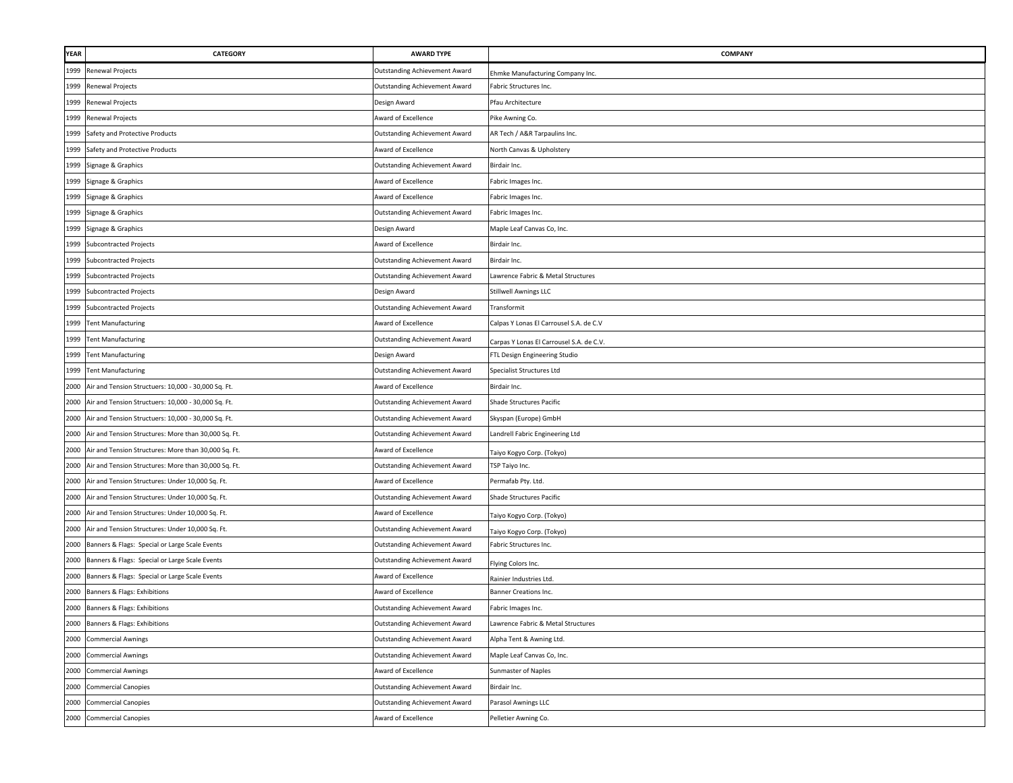| YEAR | CATEGORY                                                  | <b>AWARD TYPE</b>                    | <b>COMPANY</b>                           |
|------|-----------------------------------------------------------|--------------------------------------|------------------------------------------|
| 1999 | Renewal Projects                                          | Outstanding Achievement Award        | Ehmke Manufacturing Company Inc.         |
| 1999 | Renewal Projects                                          | Outstanding Achievement Award        | Fabric Structures Inc.                   |
| 1999 | <b>Renewal Projects</b>                                   | Design Award                         | Pfau Architecture                        |
| 1999 | Renewal Projects                                          | Award of Excellence                  | Pike Awning Co.                          |
| 1999 | Safety and Protective Products                            | Outstanding Achievement Award        | AR Tech / A&R Tarpaulins Inc.            |
| 1999 | Safety and Protective Products                            | Award of Excellence                  | North Canvas & Upholstery                |
| 1999 | Signage & Graphics                                        | <b>Outstanding Achievement Award</b> | Birdair Inc.                             |
| 1999 | Signage & Graphics                                        | Award of Excellence                  | Fabric Images Inc.                       |
| 1999 | Signage & Graphics                                        | Award of Excellence                  | Fabric Images Inc.                       |
| 1999 | Signage & Graphics                                        | <b>Outstanding Achievement Award</b> | Fabric Images Inc.                       |
| 1999 | Signage & Graphics                                        | Design Award                         | Maple Leaf Canvas Co, Inc.               |
| 1999 | <b>Subcontracted Projects</b>                             | Award of Excellence                  | Birdair Inc.                             |
| 1999 | <b>Subcontracted Projects</b>                             | <b>Outstanding Achievement Award</b> | Birdair Inc.                             |
| 1999 | <b>Subcontracted Projects</b>                             | <b>Outstanding Achievement Award</b> | Lawrence Fabric & Metal Structures       |
| 1999 | <b>Subcontracted Projects</b>                             | Design Award                         | Stillwell Awnings LLC                    |
| 1999 | <b>Subcontracted Projects</b>                             | <b>Outstanding Achievement Award</b> | Transformit                              |
| 1999 | <b>Tent Manufacturing</b>                                 | Award of Excellence                  | Calpas Y Lonas El Carrousel S.A. de C.V  |
| 1999 | <b>Tent Manufacturing</b>                                 | Outstanding Achievement Award        | Carpas Y Lonas El Carrousel S.A. de C.V. |
| 1999 | <b>Tent Manufacturing</b>                                 | Design Award                         | FTL Design Engineering Studio            |
| 1999 | <b>Tent Manufacturing</b>                                 | Outstanding Achievement Award        | Specialist Structures Ltd                |
| 2000 | Air and Tension Structuers: 10,000 - 30,000 Sq. Ft.       | Award of Excellence                  | Birdair Inc.                             |
| 2000 | Air and Tension Structuers: 10,000 - 30,000 Sq. Ft.       | Outstanding Achievement Award        | Shade Structures Pacific                 |
| 2000 | Air and Tension Structuers: 10,000 - 30,000 Sq. Ft.       | Outstanding Achievement Award        | Skyspan (Europe) GmbH                    |
|      | 2000 Air and Tension Structures: More than 30,000 Sq. Ft. | <b>Outstanding Achievement Award</b> | Landrell Fabric Engineering Ltd          |
| 2000 | Air and Tension Structures: More than 30,000 Sq. Ft.      | Award of Excellence                  | Taiyo Kogyo Corp. (Tokyo)                |
| 2000 | Air and Tension Structures: More than 30,000 Sq. Ft.      | Outstanding Achievement Award        | TSP Taiyo Inc.                           |
| 2000 | Air and Tension Structures: Under 10,000 Sq. Ft.          | Award of Excellence                  | Permafab Pty. Ltd.                       |
| 2000 | Air and Tension Structures: Under 10,000 Sq. Ft.          | Outstanding Achievement Award        | Shade Structures Pacific                 |
| 2000 | Air and Tension Structures: Under 10,000 Sq. Ft.          | Award of Excellence                  | Taiyo Kogyo Corp. (Tokyo)                |
| 2000 | Air and Tension Structures: Under 10,000 Sq. Ft.          | Outstanding Achievement Award        | Taiyo Kogyo Corp. (Tokyo)                |
| 2000 | Banners & Flags: Special or Large Scale Events            | Outstanding Achievement Award        | Fabric Structures Inc.                   |
| 2000 | Banners & Flags: Special or Large Scale Events            | Outstanding Achievement Award        | Flying Colors Inc.                       |
| 2000 | Banners & Flags: Special or Large Scale Events            | Award of Excellence                  | Rainier Industries Ltd.                  |
| 2000 | Banners & Flags: Exhibitions                              | Award of Excellence                  | Banner Creations Inc.                    |
| 2000 | Banners & Flags: Exhibitions                              | Outstanding Achievement Award        | Fabric Images Inc.                       |
|      | 2000 Banners & Flags: Exhibitions                         | Outstanding Achievement Award        | Lawrence Fabric & Metal Structures       |
| 2000 | <b>Commercial Awnings</b>                                 | <b>Outstanding Achievement Award</b> | Alpha Tent & Awning Ltd.                 |
| 2000 | <b>Commercial Awnings</b>                                 | <b>Outstanding Achievement Award</b> | Maple Leaf Canvas Co, Inc.               |
| 2000 | <b>Commercial Awnings</b>                                 | Award of Excellence                  | Sunmaster of Naples                      |
| 2000 | <b>Commercial Canopies</b>                                | Outstanding Achievement Award        | Birdair Inc.                             |
| 2000 | <b>Commercial Canopies</b>                                | Outstanding Achievement Award        | Parasol Awnings LLC                      |
|      | 2000 Commercial Canopies                                  | Award of Excellence                  | Pelletier Awning Co.                     |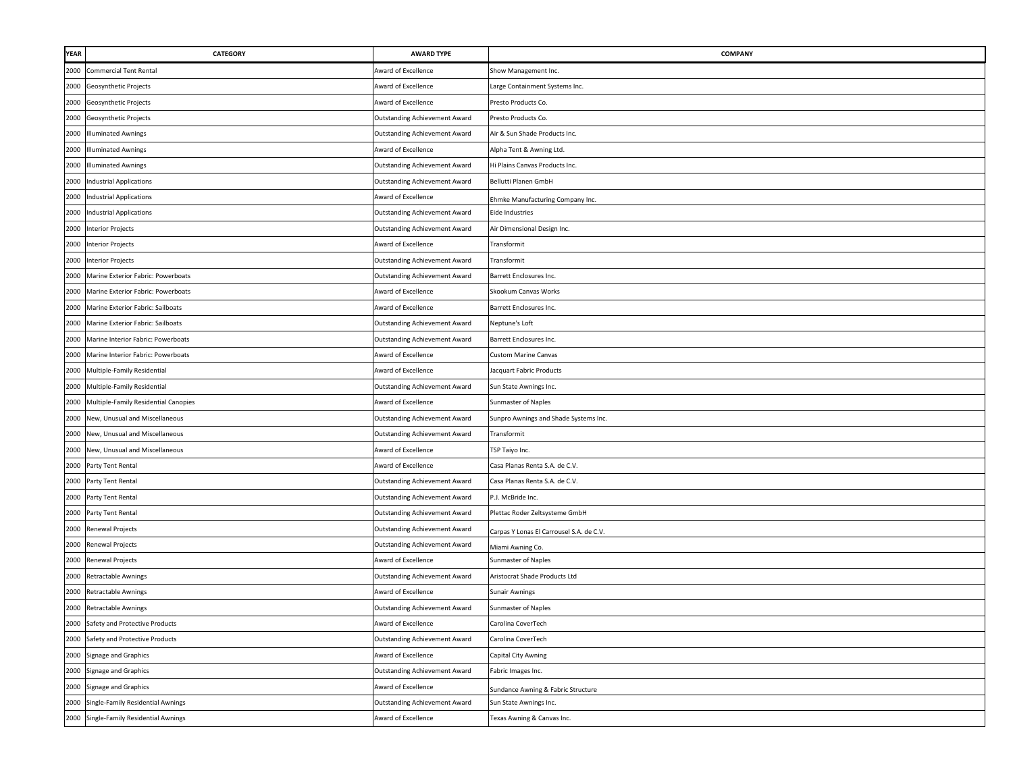| <b>YEAR</b> | <b>CATEGORY</b>                      | <b>AWARD TYPE</b>                    | COMPANY                                  |
|-------------|--------------------------------------|--------------------------------------|------------------------------------------|
| 2000        | <b>Commercial Tent Rental</b>        | Award of Excellence                  | Show Management Inc.                     |
| 2000        | Geosynthetic Projects                | Award of Excellence                  | Large Containment Systems Inc.           |
| 2000        | Geosynthetic Projects                | Award of Excellence                  | Presto Products Co.                      |
| 2000        | Geosynthetic Projects                | Outstanding Achievement Award        | Presto Products Co.                      |
| 2000        | <b>Illuminated Awnings</b>           | Outstanding Achievement Award        | Air & Sun Shade Products Inc.            |
| 2000        | <b>Illuminated Awnings</b>           | Award of Excellence                  | Alpha Tent & Awning Ltd.                 |
| 2000        | <b>Illuminated Awnings</b>           | <b>Outstanding Achievement Award</b> | Hi Plains Canvas Products Inc.           |
| 2000        | <b>Industrial Applications</b>       | Outstanding Achievement Award        | Bellutti Planen GmbH                     |
| 2000        | <b>Industrial Applications</b>       | Award of Excellence                  | Ehmke Manufacturing Company Inc.         |
| 2000        | <b>Industrial Applications</b>       | Outstanding Achievement Award        | Eide Industries                          |
| 2000        | <b>Interior Projects</b>             | Outstanding Achievement Award        | Air Dimensional Design Inc.              |
| 2000        | <b>Interior Projects</b>             | Award of Excellence                  | Transformit                              |
|             | 2000 Interior Projects               | Outstanding Achievement Award        | Transformit                              |
| 2000        | Marine Exterior Fabric: Powerboats   | <b>Outstanding Achievement Award</b> | Barrett Enclosures Inc.                  |
| 2000        | Marine Exterior Fabric: Powerboats   | Award of Excellence                  | Skookum Canvas Works                     |
| 2000        | Marine Exterior Fabric: Sailboats    | Award of Excellence                  | Barrett Enclosures Inc.                  |
| 2000        | Marine Exterior Fabric: Sailboats    | Outstanding Achievement Award        | Neptune's Loft                           |
| 2000        | Marine Interior Fabric: Powerboats   | <b>Outstanding Achievement Award</b> | Barrett Enclosures Inc.                  |
| 2000        | Marine Interior Fabric: Powerboats   | Award of Excellence                  | <b>Custom Marine Canvas</b>              |
| 2000        | Multiple-Family Residential          | Award of Excellence                  | Jacquart Fabric Products                 |
| 2000        | Multiple-Family Residential          | Outstanding Achievement Award        | Sun State Awnings Inc.                   |
| 2000        | Multiple-Family Residential Canopies | Award of Excellence                  | Sunmaster of Naples                      |
|             | 2000 New, Unusual and Miscellaneous  | <b>Outstanding Achievement Award</b> | Sunpro Awnings and Shade Systems Inc.    |
| 2000        | New, Unusual and Miscellaneous       | Outstanding Achievement Award        | Transformit                              |
| 2000        | New, Unusual and Miscellaneous       | Award of Excellence                  | TSP Taiyo Inc.                           |
| 2000        | Party Tent Rental                    | Award of Excellence                  | Casa Planas Renta S.A. de C.V.           |
|             | 2000 Party Tent Rental               | Outstanding Achievement Award        | Casa Planas Renta S.A. de C.V.           |
| 2000        | Party Tent Rental                    | Outstanding Achievement Award        | P.J. McBride Inc.                        |
|             | 2000 Party Tent Rental               | Outstanding Achievement Award        | Plettac Roder Zeltsysteme GmbH           |
|             | 2000 Renewal Projects                | Outstanding Achievement Award        | Carpas Y Lonas El Carrousel S.A. de C.V. |
|             | 2000 Renewal Projects                | <b>Outstanding Achievement Award</b> | Miami Awning Co.                         |
| 2000        | <b>Renewal Projects</b>              | Award of Excellence                  | Sunmaster of Naples                      |
| 2000        | Retractable Awnings                  | <b>Outstanding Achievement Award</b> | Aristocrat Shade Products Ltd            |
| 2000        | Retractable Awnings                  | Award of Excellence                  | <b>Sunair Awnings</b>                    |
| 2000        | Retractable Awnings                  | Outstanding Achievement Award        | Sunmaster of Naples                      |
|             | 2000 Safety and Protective Products  | Award of Excellence                  | Carolina CoverTech                       |
| 2000        | Safety and Protective Products       | <b>Outstanding Achievement Award</b> | Carolina CoverTech                       |
| 2000        | Signage and Graphics                 | Award of Excellence                  | Capital City Awning                      |
| 2000        | <b>Signage and Graphics</b>          | <b>Outstanding Achievement Award</b> | Fabric Images Inc.                       |
| 2000        | <b>Signage and Graphics</b>          | Award of Excellence                  | Sundance Awning & Fabric Structure       |
| 2000        | Single-Family Residential Awnings    | <b>Outstanding Achievement Award</b> | Sun State Awnings Inc.                   |
| 2000        | Single-Family Residential Awnings    | Award of Excellence                  | Texas Awning & Canvas Inc.               |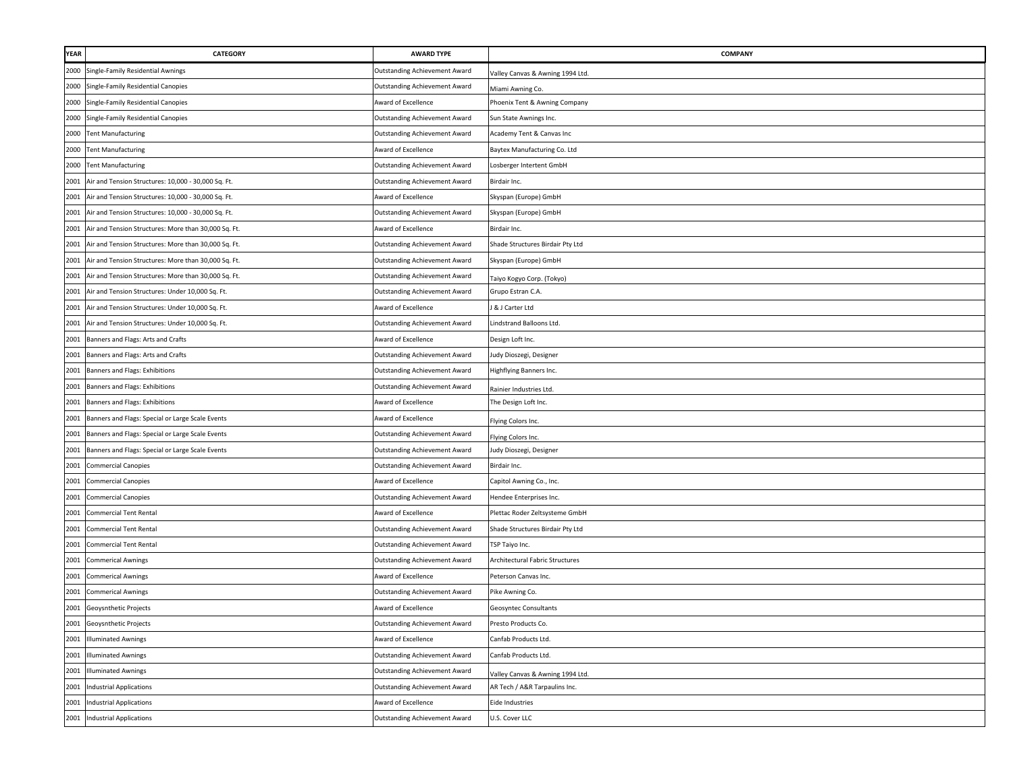| YEAR | CATEGORY                                              | <b>AWARD TYPE</b>                    | <b>COMPANY</b>                   |
|------|-------------------------------------------------------|--------------------------------------|----------------------------------|
| 2000 | Single-Family Residential Awnings                     | Outstanding Achievement Award        | Valley Canvas & Awning 1994 Ltd. |
| 2000 | Single-Family Residential Canopies                    | Outstanding Achievement Award        | Miami Awning Co.                 |
| 2000 | Single-Family Residential Canopies                    | Award of Excellence                  | Phoenix Tent & Awning Company    |
| 2000 | Single-Family Residential Canopies                    | <b>Outstanding Achievement Award</b> | Sun State Awnings Inc.           |
| 2000 | <b>Tent Manufacturing</b>                             | <b>Outstanding Achievement Award</b> | Academy Tent & Canvas Inc        |
| 2000 | <b>Tent Manufacturing</b>                             | Award of Excellence                  | Baytex Manufacturing Co. Ltd     |
| 2000 | <b>Tent Manufacturing</b>                             | <b>Outstanding Achievement Award</b> | Losberger Intertent GmbH         |
| 2001 | Air and Tension Structures: 10,000 - 30,000 Sq. Ft.   | Outstanding Achievement Award        | Birdair Inc.                     |
| 2001 | Air and Tension Structures: 10,000 - 30,000 Sq. Ft.   | Award of Excellence                  | Skyspan (Europe) GmbH            |
| 2001 | Air and Tension Structures: 10,000 - 30,000 Sq. Ft.   | Outstanding Achievement Award        | Skyspan (Europe) GmbH            |
| 2001 | Air and Tension Structures: More than 30,000 Sq. Ft.  | Award of Excellence                  | Birdair Inc.                     |
| 2001 | Air and Tension Structures: More than 30,000 Sq. Ft.  | Outstanding Achievement Award        | Shade Structures Birdair Pty Ltd |
| 2001 | Air and Tension Structures: More than 30,000 Sq. Ft.  | Outstanding Achievement Award        | Skyspan (Europe) GmbH            |
| 2001 | Air and Tension Structures: More than 30,000 Sq. Ft.  | Outstanding Achievement Award        | Taiyo Kogyo Corp. (Tokyo)        |
| 2001 | Air and Tension Structures: Under 10,000 Sq. Ft.      | Outstanding Achievement Award        | Grupo Estran C.A.                |
| 2001 | Air and Tension Structures: Under 10,000 Sq. Ft.      | Award of Excellence                  | J & J Carter Ltd                 |
| 2001 | Air and Tension Structures: Under 10,000 Sq. Ft.      | <b>Outstanding Achievement Award</b> | Lindstrand Balloons Ltd.         |
| 2001 | Banners and Flags: Arts and Crafts                    | Award of Excellence                  | Design Loft Inc.                 |
| 2001 | Banners and Flags: Arts and Crafts                    | Outstanding Achievement Award        | Judy Dioszegi, Designer          |
| 2001 | Banners and Flags: Exhibitions                        | <b>Outstanding Achievement Award</b> | Highflying Banners Inc.          |
| 2001 | Banners and Flags: Exhibitions                        | Outstanding Achievement Award        | Rainier Industries Ltd.          |
| 2001 | Banners and Flags: Exhibitions                        | Award of Excellence                  | The Design Loft Inc.             |
| 2001 | Banners and Flags: Special or Large Scale Events      | Award of Excellence                  | Flying Colors Inc.               |
|      | 2001 Banners and Flags: Special or Large Scale Events | Outstanding Achievement Award        | Flying Colors Inc.               |
| 2001 | Banners and Flags: Special or Large Scale Events      | Outstanding Achievement Award        | Judy Dioszegi, Designer          |
| 2001 | <b>Commercial Canopies</b>                            | Outstanding Achievement Award        | Birdair Inc.                     |
| 2001 | <b>Commercial Canopies</b>                            | Award of Excellence                  | Capitol Awning Co., Inc.         |
| 2001 | <b>Commercial Canopies</b>                            | Outstanding Achievement Award        | Hendee Enterprises Inc.          |
| 2001 | <b>Commercial Tent Rental</b>                         | Award of Excellence                  | Plettac Roder Zeltsysteme GmbH   |
| 2001 | <b>Commercial Tent Rental</b>                         | Outstanding Achievement Award        | Shade Structures Birdair Pty Ltd |
| 2001 | <b>Commercial Tent Rental</b>                         | Outstanding Achievement Award        | TSP Taiyo Inc.                   |
| 2001 | <b>Commerical Awnings</b>                             | Outstanding Achievement Award        | Architectural Fabric Structures  |
| 2001 | <b>Commerical Awnings</b>                             | Award of Excellence                  | Peterson Canvas Inc.             |
| 2001 | <b>Commerical Awnings</b>                             | Outstanding Achievement Award        | Pike Awning Co.                  |
| 2001 | Geoysnthetic Projects                                 | Award of Excellence                  | <b>Geosyntec Consultants</b>     |
|      | 2001 Geoysnthetic Projects                            | Outstanding Achievement Award        | Presto Products Co.              |
| 2001 | <b>Illuminated Awnings</b>                            | Award of Excellence                  | Canfab Products Ltd.             |
| 2001 | <b>Illuminated Awnings</b>                            | <b>Outstanding Achievement Award</b> | Canfab Products Ltd.             |
| 2001 | <b>Illuminated Awnings</b>                            | Outstanding Achievement Award        | Valley Canvas & Awning 1994 Ltd. |
|      | 2001 Industrial Applications                          | Outstanding Achievement Award        | AR Tech / A&R Tarpaulins Inc.    |
| 2001 | <b>Industrial Applications</b>                        | Award of Excellence                  | <b>Eide Industries</b>           |
|      | 2001 Industrial Applications                          | Outstanding Achievement Award        | U.S. Cover LLC                   |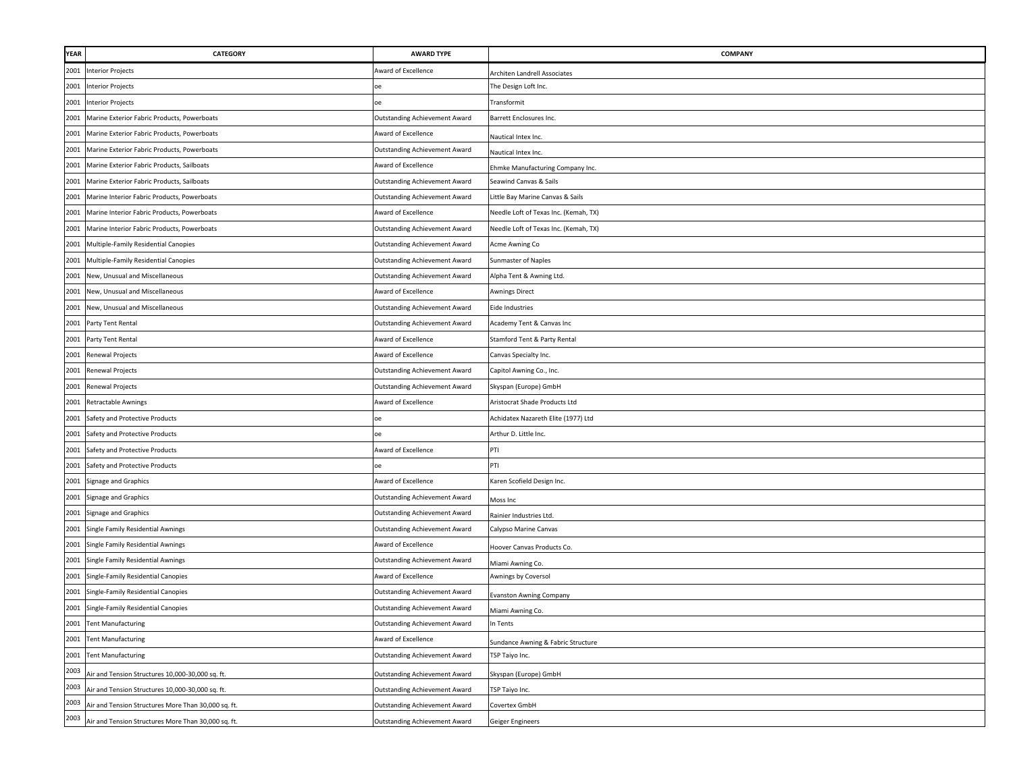| <b>YEAR</b> | CATEGORY                                            | <b>AWARD TYPE</b>                    | <b>COMPANY</b>                        |
|-------------|-----------------------------------------------------|--------------------------------------|---------------------------------------|
| 2001        | <b>Interior Projects</b>                            | Award of Excellence                  | Architen Landrell Associates          |
| 2001        | <b>Interior Projects</b>                            | Dе                                   | The Design Loft Inc.                  |
| 2001        | <b>Interior Projects</b>                            | оe                                   | Transformit                           |
| 2001        | Marine Exterior Fabric Products, Powerboats         | <b>Outstanding Achievement Award</b> | Barrett Enclosures Inc.               |
| 2001        | Marine Exterior Fabric Products, Powerboats         | Award of Excellence                  | Nautical Intex Inc.                   |
| 2001        | Marine Exterior Fabric Products, Powerboats         | <b>Outstanding Achievement Award</b> | Nautical Intex Inc.                   |
| 2001        | Marine Exterior Fabric Products, Sailboats          | Award of Excellence                  | Ehmke Manufacturing Company Inc.      |
| 2001        | Marine Exterior Fabric Products, Sailboats          | <b>Outstanding Achievement Award</b> | Seawind Canvas & Sails                |
| 2001        | Marine Interior Fabric Products, Powerboats         | Outstanding Achievement Award        | Little Bay Marine Canvas & Sails      |
| 2001        | Marine Interior Fabric Products, Powerboats         | Award of Excellence                  | Needle Loft of Texas Inc. (Kemah, TX) |
| 2001        | Marine Interior Fabric Products, Powerboats         | <b>Outstanding Achievement Award</b> | Needle Loft of Texas Inc. (Kemah, TX) |
| 2001        | Multiple-Family Residential Canopies                | <b>Outstanding Achievement Award</b> | Acme Awning Co                        |
| 2001        | Multiple-Family Residential Canopies                | <b>Outstanding Achievement Award</b> | Sunmaster of Naples                   |
| 2001        | New, Unusual and Miscellaneous                      | <b>Outstanding Achievement Award</b> | Alpha Tent & Awning Ltd.              |
| 2001        | New, Unusual and Miscellaneous                      | Award of Excellence                  | Awnings Direct                        |
| 2001        | New, Unusual and Miscellaneous                      | <b>Outstanding Achievement Award</b> | <b>Eide Industries</b>                |
| 2001        | Party Tent Rental                                   | <b>Outstanding Achievement Award</b> | Academy Tent & Canvas Inc             |
| 2001        | Party Tent Rental                                   | Award of Excellence                  | Stamford Tent & Party Rental          |
| 2001        | <b>Renewal Projects</b>                             | Award of Excellence                  | Canvas Specialty Inc.                 |
| 2001        | Renewal Projects                                    | <b>Outstanding Achievement Award</b> | Capitol Awning Co., Inc.              |
| 2001        | Renewal Projects                                    | <b>Outstanding Achievement Award</b> | Skyspan (Europe) GmbH                 |
| 2001        | <b>Retractable Awnings</b>                          | Award of Excellence                  | Aristocrat Shade Products Ltd         |
| 2001        | Safety and Protective Products                      |                                      | Achidatex Nazareth Elite (1977) Ltd   |
| 2001        | Safety and Protective Products                      | Dе                                   | Arthur D. Little Inc.                 |
| 2001        | Safety and Protective Products                      | Award of Excellence                  | PTI                                   |
| 2001        | Safety and Protective Products                      |                                      | PTI                                   |
| 2001        | Signage and Graphics                                | Award of Excellence                  | Karen Scofield Design Inc.            |
| 2001        | Signage and Graphics                                | <b>Outstanding Achievement Award</b> | Moss Inc                              |
| 2001        | Signage and Graphics                                | <b>Outstanding Achievement Award</b> | Rainier Industries Ltd.               |
| 2001        | Single Family Residential Awnings                   | <b>Outstanding Achievement Award</b> | Calypso Marine Canvas                 |
| 2001        | Single Family Residential Awnings                   | Award of Excellence                  | Hoover Canvas Products Co.            |
| 2001        | Single Family Residential Awnings                   | <b>Outstanding Achievement Award</b> | Miami Awning Co.                      |
| 2001        | Single-Family Residential Canopies                  | Award of Excellence                  | Awnings by Coversol                   |
| 2001        | Single-Family Residential Canopies                  | <b>Outstanding Achievement Award</b> | <b>Evanston Awning Company</b>        |
| 2001        | Single-Family Residential Canopies                  | Outstanding Achievement Award        | Miami Awning Co.                      |
| 2001        | <b>Tent Manufacturing</b>                           | <b>Outstanding Achievement Award</b> | In Tents                              |
| 2001        | <b>Tent Manufacturing</b>                           | Award of Excellence                  | Sundance Awning & Fabric Structure    |
| 2001        | <b>Tent Manufacturing</b>                           | <b>Outstanding Achievement Award</b> | TSP Taiyo Inc.                        |
| 2003        | Air and Tension Structures 10,000-30,000 sq. ft.    | Outstanding Achievement Award        | Skyspan (Europe) GmbH                 |
| 2003        | Air and Tension Structures 10,000-30,000 sq. ft.    | Outstanding Achievement Award        | TSP Taiyo Inc.                        |
| 2003        | Air and Tension Structures More Than 30,000 sq. ft. | <b>Outstanding Achievement Award</b> | Covertex GmbH                         |
| 2003        | Air and Tension Structures More Than 30,000 sq. ft. | <b>Outstanding Achievement Award</b> | Geiger Engineers                      |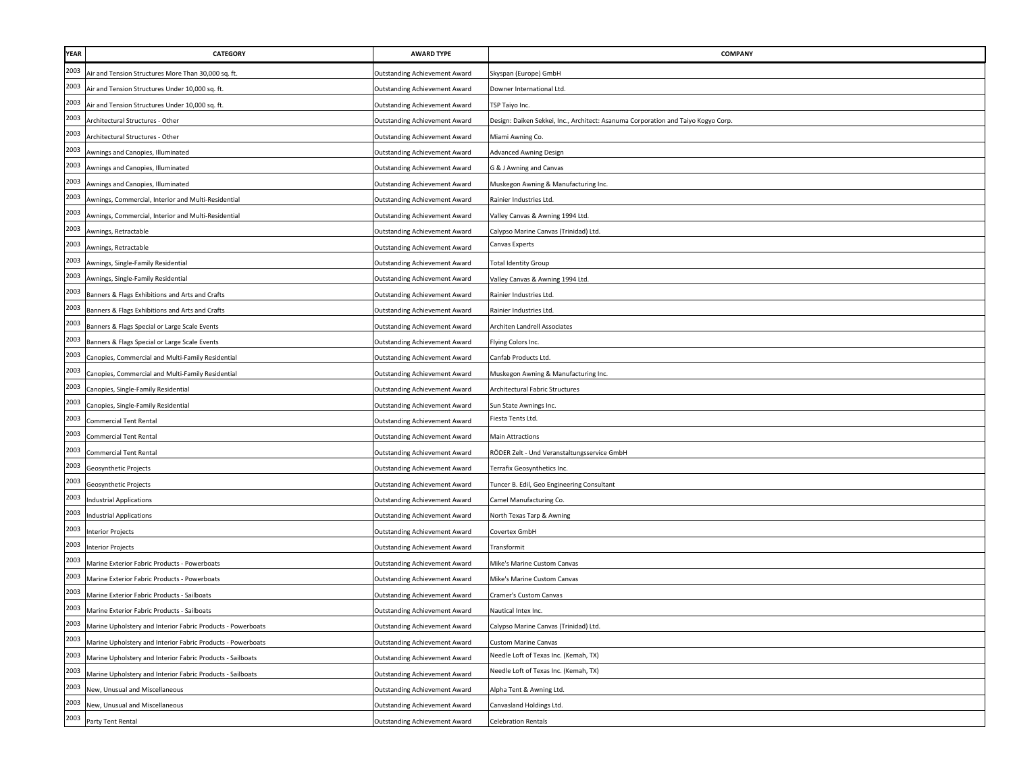| YEAR | <b>CATEGORY</b>                                             | <b>AWARD TYPE</b>                    | COMPANY                                                                           |
|------|-------------------------------------------------------------|--------------------------------------|-----------------------------------------------------------------------------------|
| 2003 | Air and Tension Structures More Than 30,000 sq. ft.         | Outstanding Achievement Award        | Skyspan (Europe) GmbH                                                             |
| 2003 | Air and Tension Structures Under 10,000 sq. ft.             | Outstanding Achievement Award        | Downer International Ltd.                                                         |
| 2003 | Air and Tension Structures Under 10,000 sq. ft.             | <b>Outstanding Achievement Award</b> | <b>FSP Taiyo Inc.</b>                                                             |
| 2003 | Architectural Structures - Other                            | <b>Outstanding Achievement Award</b> | Design: Daiken Sekkei, Inc., Architect: Asanuma Corporation and Taiyo Kogyo Corp. |
| 2003 | Architectural Structures - Other                            | Outstanding Achievement Award        | Miami Awning Co.                                                                  |
| 2003 | Awnings and Canopies, Illuminated                           | Outstanding Achievement Award        | Advanced Awning Design                                                            |
| 2003 | Awnings and Canopies, Illuminated                           | Outstanding Achievement Award        | G & J Awning and Canvas                                                           |
| 2003 | Awnings and Canopies, Illuminated                           | <b>Outstanding Achievement Award</b> | Muskegon Awning & Manufacturing Inc.                                              |
| 2003 | Awnings, Commercial, Interior and Multi-Residential         | <b>Outstanding Achievement Award</b> | Rainier Industries Ltd                                                            |
| 2003 | Awnings, Commercial, Interior and Multi-Residential         | <b>Outstanding Achievement Award</b> | Valley Canvas & Awning 1994 Ltd.                                                  |
| 2003 | Awnings, Retractable                                        | <b>Outstanding Achievement Award</b> | Calypso Marine Canvas (Trinidad) Ltd.                                             |
| 2003 | Awnings, Retractable                                        | <b>Outstanding Achievement Award</b> | Canvas Experts                                                                    |
| 2003 | Awnings, Single-Family Residential                          | <b>Outstanding Achievement Award</b> | <b>Total Identity Group</b>                                                       |
| 2003 | Awnings, Single-Family Residential                          | <b>Outstanding Achievement Award</b> | Valley Canvas & Awning 1994 Ltd.                                                  |
| 2003 | Banners & Flags Exhibitions and Arts and Crafts             | <b>Outstanding Achievement Award</b> | Rainier Industries Ltd.                                                           |
| 2003 | Banners & Flags Exhibitions and Arts and Crafts             | <b>Outstanding Achievement Award</b> | Rainier Industries Ltd.                                                           |
| 2003 | Banners & Flags Special or Large Scale Events               | <b>Outstanding Achievement Award</b> | Architen Landrell Associates                                                      |
| 2003 | Banners & Flags Special or Large Scale Events               | Outstanding Achievement Award        | Flying Colors Inc.                                                                |
| 2003 | Canopies, Commercial and Multi-Family Residential           | <b>Outstanding Achievement Award</b> | Canfab Products Ltd.                                                              |
| 2003 | Canopies, Commercial and Multi-Family Residential           | Outstanding Achievement Award        | Muskegon Awning & Manufacturing Inc.                                              |
| 2003 | Canopies, Single-Family Residential                         | <b>Outstanding Achievement Award</b> | Architectural Fabric Structures                                                   |
| 2003 | Canopies, Single-Family Residential                         | Outstanding Achievement Award        | Sun State Awnings Inc.                                                            |
| 2003 | <b>Commercial Tent Rental</b>                               | Outstanding Achievement Award        | Fiesta Tents Ltd.                                                                 |
| 2003 | <b>Commercial Tent Rental</b>                               | Outstanding Achievement Award        | <b>Main Attractions</b>                                                           |
| 2003 | Commercial Tent Rental                                      | <b>Outstanding Achievement Award</b> | RÖDER Zelt - Und Veranstaltungsservice GmbH                                       |
| 2003 | Geosynthetic Projects                                       | Outstanding Achievement Award        | Terrafix Geosynthetics Inc.                                                       |
| 2003 | Geosynthetic Projects                                       | <b>Outstanding Achievement Award</b> | Tuncer B. Edil, Geo Engineering Consultant                                        |
| 2003 | <b>Industrial Applications</b>                              | <b>Outstanding Achievement Award</b> | Camel Manufacturing Co.                                                           |
| 2003 | <b>Industrial Applications</b>                              | <b>Outstanding Achievement Award</b> | North Texas Tarp & Awning                                                         |
| 2003 | <b>Interior Projects</b>                                    | <b>Outstanding Achievement Award</b> | Covertex GmbH                                                                     |
| 2003 | Interior Projects                                           | Outstanding Achievement Award        | Transformit                                                                       |
| 2003 | Marine Exterior Fabric Products - Powerboats                | <b>Outstanding Achievement Award</b> | Mike's Marine Custom Canvas                                                       |
| 2003 | Marine Exterior Fabric Products - Powerboats                | <b>Outstanding Achievement Award</b> | Mike's Marine Custom Canvas                                                       |
| 2003 | Marine Exterior Fabric Products - Sailboats                 | <b>Outstanding Achievement Award</b> | Cramer's Custom Canvas                                                            |
| 2003 | Marine Exterior Fabric Products - Sailboats                 | <b>Outstanding Achievement Award</b> | Nautical Intex Inc.                                                               |
| 2003 | Marine Upholstery and Interior Fabric Products - Powerboats | Outstanding Achievement Award        | Calypso Marine Canvas (Trinidad) Ltd.                                             |
| 2003 | Marine Upholstery and Interior Fabric Products - Powerboats | <b>Outstanding Achievement Award</b> | <b>Custom Marine Canvas</b>                                                       |
| 2003 | Marine Upholstery and Interior Fabric Products - Sailboats  | <b>Outstanding Achievement Award</b> | Needle Loft of Texas Inc. (Kemah, TX)                                             |
| 2003 | Marine Upholstery and Interior Fabric Products - Sailboats  | Outstanding Achievement Award        | Needle Loft of Texas Inc. (Kemah, TX)                                             |
| 2003 | New, Unusual and Miscellaneous                              | <b>Outstanding Achievement Award</b> | Alpha Tent & Awning Ltd.                                                          |
| 2003 | New, Unusual and Miscellaneous                              | <b>Outstanding Achievement Award</b> | Canvasland Holdings Ltd.                                                          |
| 2003 | Party Tent Rental                                           | <b>Outstanding Achievement Award</b> | <b>Celebration Rentals</b>                                                        |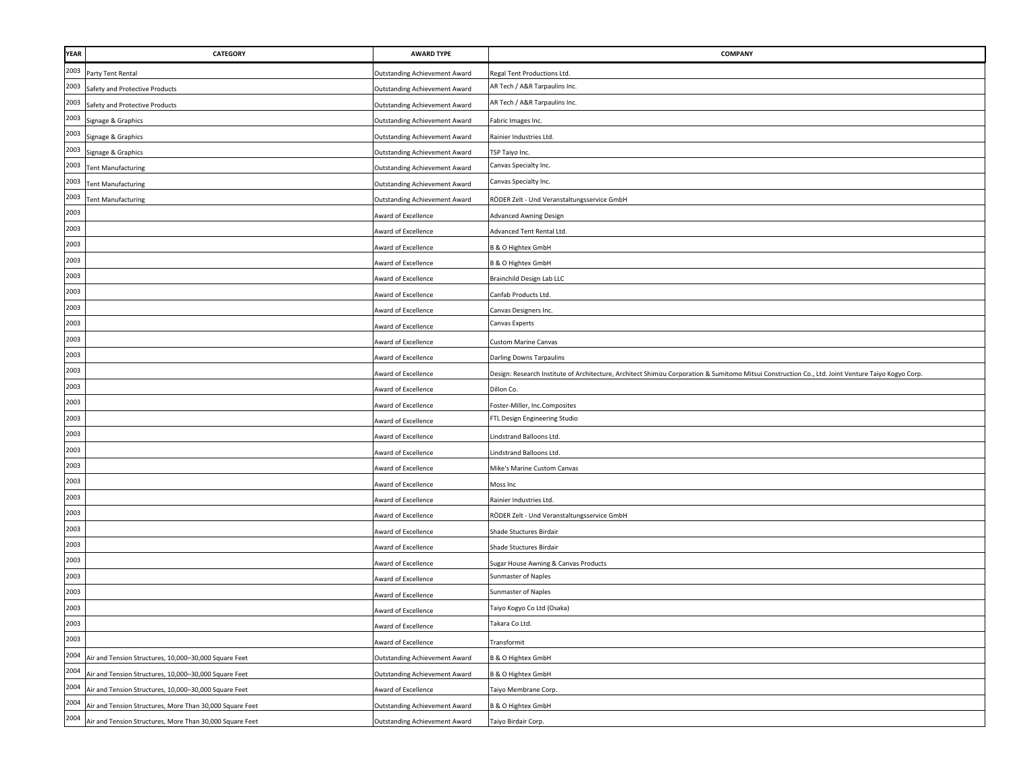| YEAR | <b>CATEGORY</b>                                          | <b>AWARD TYPE</b>                    | COMPANY                                                                                                                                            |
|------|----------------------------------------------------------|--------------------------------------|----------------------------------------------------------------------------------------------------------------------------------------------------|
| 2003 | Party Tent Rental                                        | <b>Outstanding Achievement Award</b> | Regal Tent Productions Ltd.                                                                                                                        |
| 2003 | Safety and Protective Products                           | <b>Outstanding Achievement Award</b> | AR Tech / A&R Tarpaulins Inc.                                                                                                                      |
| 2003 | Safety and Protective Products                           | <b>Outstanding Achievement Award</b> | AR Tech / A&R Tarpaulins Inc.                                                                                                                      |
| 2003 | Signage & Graphics                                       | <b>Outstanding Achievement Award</b> | Fabric Images Inc.                                                                                                                                 |
| 2003 | Signage & Graphics                                       | <b>Outstanding Achievement Award</b> | Rainier Industries Ltd.                                                                                                                            |
| 2003 | Signage & Graphics                                       | <b>Outstanding Achievement Award</b> | TSP Taiyo Inc.                                                                                                                                     |
| 2003 | <b>Tent Manufacturing</b>                                | <b>Outstanding Achievement Award</b> | Canvas Specialty Inc.                                                                                                                              |
| 2003 | <b>Tent Manufacturing</b>                                | <b>Outstanding Achievement Award</b> | Canvas Specialty Inc.                                                                                                                              |
| 2003 | <b>Tent Manufacturing</b>                                | <b>Outstanding Achievement Award</b> | RÖDER Zelt - Und Veranstaltungsservice GmbH                                                                                                        |
| 2003 |                                                          | Award of Excellence                  | <b>Advanced Awning Design</b>                                                                                                                      |
| 2003 |                                                          | Award of Excellence                  | Advanced Tent Rental Ltd.                                                                                                                          |
| 2003 |                                                          | Award of Excellence                  | <b>B &amp; O Hightex GmbH</b>                                                                                                                      |
| 2003 |                                                          | Award of Excellence                  | <b>B &amp; O Hightex GmbH</b>                                                                                                                      |
| 2003 |                                                          | Award of Excellence                  | Brainchild Design Lab LLC                                                                                                                          |
| 2003 |                                                          | Award of Excellence                  | Canfab Products Ltd.                                                                                                                               |
| 2003 |                                                          | Award of Excellence                  | Canvas Designers Inc.                                                                                                                              |
| 2003 |                                                          | Award of Excellence                  | Canvas Experts                                                                                                                                     |
| 2003 |                                                          | Award of Excellence                  | <b>Custom Marine Canvas</b>                                                                                                                        |
| 2003 |                                                          | Award of Excellence                  | Darling Downs Tarpaulins                                                                                                                           |
| 2003 |                                                          | Award of Excellence                  | Design: Research Institute of Architecture, Architect Shimizu Corporation & Sumitomo Mitsui Construction Co., Ltd. Joint Venture Taiyo Kogyo Corp. |
| 2003 |                                                          | Award of Excellence                  | Dillon Co.                                                                                                                                         |
| 2003 |                                                          | Award of Excellence                  | Foster-Miller, Inc.Composites                                                                                                                      |
| 2003 |                                                          | Award of Excellence                  | FTL Design Engineering Studio                                                                                                                      |
| 2003 |                                                          | Award of Excellence                  | Lindstrand Balloons Ltd.                                                                                                                           |
| 2003 |                                                          | Award of Excellence                  | Lindstrand Balloons Ltd.                                                                                                                           |
| 2003 |                                                          | Award of Excellence                  | Mike's Marine Custom Canvas                                                                                                                        |
| 2003 |                                                          | Award of Excellence                  | Moss Inc                                                                                                                                           |
| 2003 |                                                          | Award of Excellence                  | Rainier Industries Ltd.                                                                                                                            |
| 2003 |                                                          | Award of Excellence                  | RÖDER Zelt - Und Veranstaltungsservice GmbH                                                                                                        |
| 2003 |                                                          | Award of Excellence                  | Shade Stuctures Birdair                                                                                                                            |
| 2003 |                                                          | Award of Excellence                  | Shade Stuctures Birdair                                                                                                                            |
| 2003 |                                                          | Award of Excellence                  | Sugar House Awning & Canvas Products                                                                                                               |
| 2003 |                                                          | Award of Excellence                  | Sunmaster of Naples                                                                                                                                |
| 2003 |                                                          | Award of Excellence                  | Sunmaster of Naples                                                                                                                                |
| 2003 |                                                          | Award of Excellence                  | Taiyo Kogyo Co Ltd (Osaka)                                                                                                                         |
| 2003 |                                                          | Award of Excellence                  | Takara Co Ltd.                                                                                                                                     |
| 2003 |                                                          | Award of Excellence                  | Transformit                                                                                                                                        |
| 2004 | Air and Tension Structures, 10,000-30,000 Square Feet    | <b>Outstanding Achievement Award</b> | B & O Hightex GmbH                                                                                                                                 |
| 2004 | Air and Tension Structures, 10,000-30,000 Square Feet    | <b>Outstanding Achievement Award</b> | B & O Hightex GmbH                                                                                                                                 |
| 2004 | Air and Tension Structures, 10,000-30,000 Square Feet    | Award of Excellence                  | Taiyo Membrane Corp                                                                                                                                |
| 2004 | Air and Tension Structures, More Than 30,000 Square Feet | <b>Outstanding Achievement Award</b> | B & O Hightex GmbH                                                                                                                                 |
| 2004 | Air and Tension Structures, More Than 30,000 Square Feet | <b>Outstanding Achievement Award</b> | Taiyo Birdair Corp.                                                                                                                                |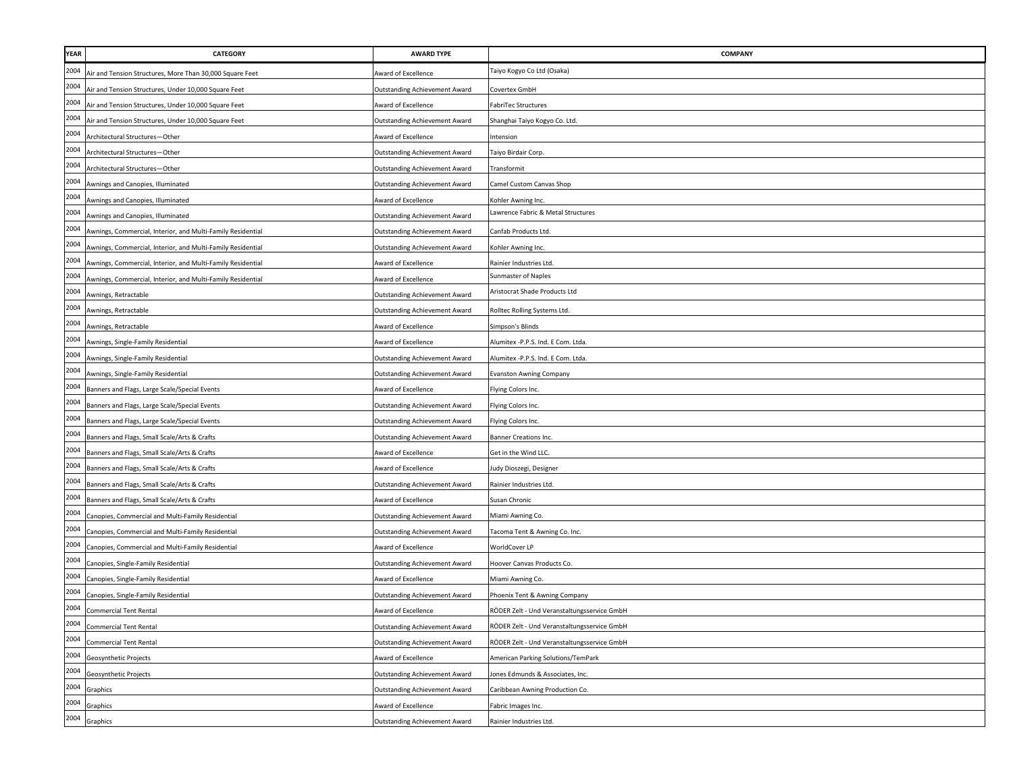| <b>YEAR</b> | <b>CATEGORY</b>                                             | <b>AWARD TYPE</b>                    | COMPANY                                     |
|-------------|-------------------------------------------------------------|--------------------------------------|---------------------------------------------|
| 2004        | Air and Tension Structures, More Than 30,000 Square Feet    | ward of Excellence                   | aiyo Kogyo Co Ltd (Osaka)                   |
| 2004        | Air and Tension Structures, Under 10,000 Square Feet        | Outstanding Achievement Award        | Covertex GmbH                               |
| 2004        | Air and Tension Structures, Under 10,000 Square Feet        | ward of Excellence                   | FabriTec Structures                         |
| 2004        | Air and Tension Structures, Under 10,000 Square Feet        | Outstanding Achievement Award        | Shanghai Taiyo Kogyo Co. Ltd.               |
| 2004        | Architectural Structures-Other                              | ward of Excellence                   | ntension                                    |
| 2004        | Architectural Structures-Other                              | Outstanding Achievement Award        | Taiyo Birdair Corp.                         |
| 2004        | Architectural Structures-Other                              | Outstanding Achievement Award        | Transformit                                 |
| 2004        | Awnings and Canopies, Illuminated                           | <b>Outstanding Achievement Award</b> | Camel Custom Canvas Shop                    |
| 2004        | Awnings and Canopies, Illuminated                           | Award of Excellence                  | Kohler Awning Inc.                          |
| 2004        | Awnings and Canopies, Illuminated                           | Outstanding Achievement Award        | Lawrence Fabric & Metal Structures          |
| 2004        | Awnings, Commercial, Interior, and Multi-Family Residential | <b>Outstanding Achievement Award</b> | Canfab Products Ltd.                        |
| 2004        | Awnings, Commercial, Interior, and Multi-Family Residential | Outstanding Achievement Award        | Kohler Awning Inc.                          |
| 2004        | Awnings, Commercial, Interior, and Multi-Family Residential | Award of Excellence                  | Rainier Industries Ltd.                     |
| 2004        | Awnings, Commercial, Interior, and Multi-Family Residential | Award of Excellence                  | Sunmaster of Naples                         |
| 2004        | Awnings, Retractable                                        | Outstanding Achievement Award        | Aristocrat Shade Products Ltd               |
| 2004        | Awnings, Retractable                                        | Outstanding Achievement Award        | Rolltec Rolling Systems Ltd.                |
| 2004        | Awnings, Retractable                                        | <b>Award of Excellence</b>           | Simpson's Blinds                            |
| 2004        | Awnings, Single-Family Residential                          | Award of Excellence                  | Alumitex -P.P.S. Ind. E Com. Ltda.          |
| 2004        | Awnings, Single-Family Residential                          | Outstanding Achievement Award        | Alumitex -P.P.S. Ind. E Com. Ltda.          |
| 2004        | Awnings, Single-Family Residential                          | Outstanding Achievement Award        | <b>Evanston Awning Company</b>              |
| 2004        | Banners and Flags, Large Scale/Special Events               | ward of Excellence                   | Flying Colors Inc.                          |
| 2004        | Banners and Flags, Large Scale/Special Events               | Outstanding Achievement Award        | Flying Colors Inc.                          |
| 2004        | Banners and Flags, Large Scale/Special Events               | Outstanding Achievement Award        | Flying Colors Inc.                          |
| 2004        | Banners and Flags, Small Scale/Arts & Crafts                | Outstanding Achievement Award        | Banner Creations Inc.                       |
| 2004        | Banners and Flags, Small Scale/Arts & Crafts                | Award of Excellence                  | Get in the Wind LLC.                        |
| 2004        | Banners and Flags, Small Scale/Arts & Crafts                | Award of Excellence                  | udy Dioszegi, Designer                      |
| 2004        | Banners and Flags, Small Scale/Arts & Crafts                | Outstanding Achievement Award        | Rainier Industries Ltd.                     |
| 2004        | Banners and Flags, Small Scale/Arts & Crafts                | ward of Excellence                   | Susan Chronic                               |
| 2004        | Canopies, Commercial and Multi-Family Residential           | Outstanding Achievement Award        | Miami Awning Co.                            |
| 2004        | Canopies, Commercial and Multi-Family Residential           | Outstanding Achievement Award        | Tacoma Tent & Awning Co. Inc.               |
| 2004        | Canopies, Commercial and Multi-Family Residential           | Award of Excellence                  | WorldCover LP                               |
| 2004        | Canopies, Single-Family Residential                         | Outstanding Achievement Award        | Hoover Canvas Products Co.                  |
| 2004        | Canopies, Single-Family Residential                         | <b>Award of Excellence</b>           | Miami Awning Co.                            |
| 2004        | Canopies, Single-Family Residential                         | Outstanding Achievement Award        | Phoenix Tent & Awning Company               |
| 2004        | <b>Commercial Tent Rental</b>                               | Award of Excellence                  | RÖDER Zelt - Und Veranstaltungsservice GmbH |
| 2004        | <b>Commercial Tent Rental</b>                               | Outstanding Achievement Award        | RÖDER Zelt - Und Veranstaltungsservice GmbH |
| 2004        | <b>Commercial Tent Rental</b>                               | Outstanding Achievement Award        | RÖDER Zelt - Und Veranstaltungsservice GmbH |
| 2004        | Geosynthetic Projects                                       | Award of Excellence                  | American Parking Solutions/TemPark          |
| 2004        | Geosynthetic Projects                                       | Outstanding Achievement Award        | Jones Edmunds & Associates, Inc.            |
| 2004        | Graphics                                                    | <b>Outstanding Achievement Award</b> | Caribbean Awning Production Co.             |
| 2004        | Graphics                                                    | ward of Excellence                   | Fabric Images Inc.                          |
| 2004        | Graphics                                                    | Outstanding Achievement Award        | Rainier Industries Ltd.                     |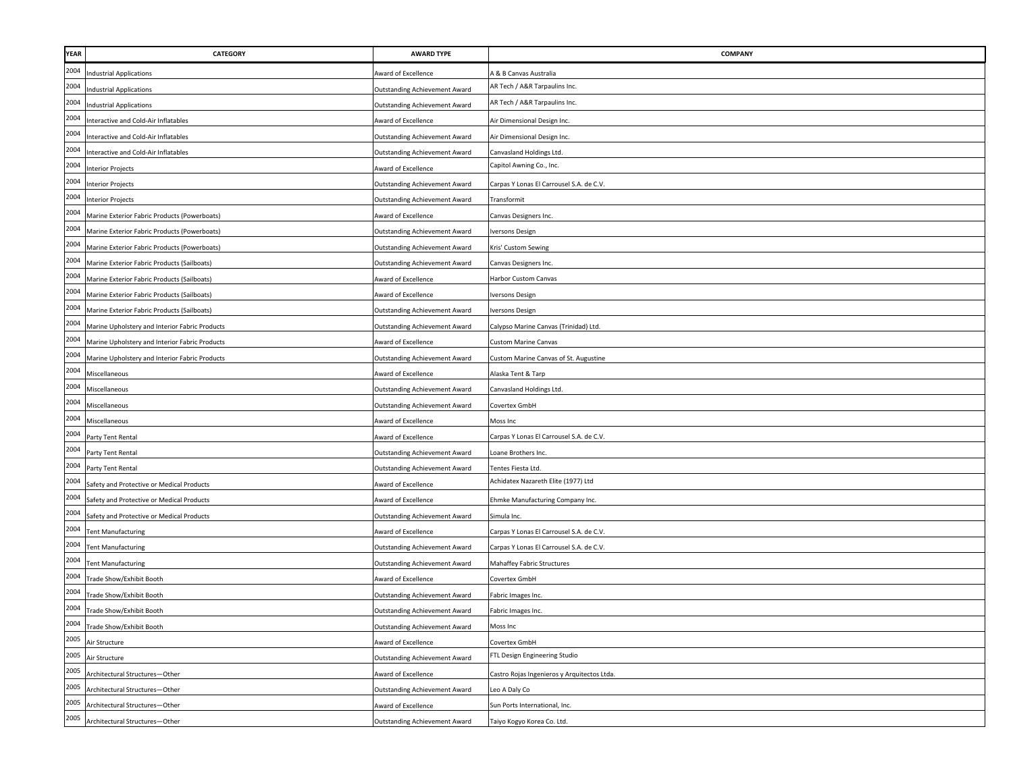| YEAR | <b>CATEGORY</b>                                | <b>AWARD TYPE</b>                    | COMPANY                                     |
|------|------------------------------------------------|--------------------------------------|---------------------------------------------|
| 2004 | ndustrial Applications                         | Award of Excellence                  | A & B Canvas Australia                      |
| 2004 | <b>Industrial Applications</b>                 | <b>Outstanding Achievement Award</b> | AR Tech / A&R Tarpaulins Inc.               |
| 2004 | <b>Industrial Applications</b>                 | <b>Outstanding Achievement Award</b> | AR Tech / A&R Tarpaulins Inc.               |
| 2004 | Interactive and Cold-Air Inflatables           | Award of Excellence                  | Air Dimensional Design Inc.                 |
| 2004 | Interactive and Cold-Air Inflatables           | <b>Outstanding Achievement Award</b> | Air Dimensional Design Inc.                 |
| 2004 | Interactive and Cold-Air Inflatables           | <b>Outstanding Achievement Award</b> | Canvasland Holdings Ltd.                    |
| 2004 | <b>Interior Projects</b>                       | Award of Excellence                  | Capitol Awning Co., Inc.                    |
| 2004 | <b>Interior Projects</b>                       | <b>Outstanding Achievement Award</b> | Carpas Y Lonas El Carrousel S.A. de C.V.    |
| 2004 | <b>Interior Projects</b>                       | <b>Outstanding Achievement Award</b> | Transformit                                 |
| 2004 | Marine Exterior Fabric Products (Powerboats)   | Award of Excellence                  | Canvas Designers Inc.                       |
| 2004 | Marine Exterior Fabric Products (Powerboats)   | <b>Outstanding Achievement Award</b> | versons Design                              |
| 2004 | Marine Exterior Fabric Products (Powerboats)   | <b>Outstanding Achievement Award</b> | Kris' Custom Sewing                         |
| 2004 | Marine Exterior Fabric Products (Sailboats)    | <b>Outstanding Achievement Award</b> | Canvas Designers Inc.                       |
| 2004 | Marine Exterior Fabric Products (Sailboats)    | Award of Excellence                  | Harbor Custom Canvas                        |
| 2004 | Marine Exterior Fabric Products (Sailboats)    | Award of Excellence                  | Iversons Design                             |
| 2004 | Marine Exterior Fabric Products (Sailboats)    | Outstanding Achievement Award        | Iversons Design                             |
| 2004 | Marine Upholstery and Interior Fabric Products | <b>Outstanding Achievement Award</b> | Calypso Marine Canvas (Trinidad) Ltd.       |
| 2004 | Marine Upholstery and Interior Fabric Products | Award of Excellence                  | <b>Custom Marine Canvas</b>                 |
| 2004 | Marine Upholstery and Interior Fabric Products | <b>Outstanding Achievement Award</b> | Custom Marine Canvas of St. Augustine       |
| 2004 | Miscellaneous                                  | Award of Excellence                  | Alaska Tent & Tarp                          |
| 2004 | Miscellaneous                                  | <b>Outstanding Achievement Award</b> | Canvasland Holdings Ltd.                    |
| 2004 | Miscellaneous                                  | Outstanding Achievement Award        | Covertex GmbH                               |
| 2004 | Miscellaneous                                  | Award of Excellence                  | Moss Inc                                    |
| 2004 | Party Tent Rental                              | ward of Excellence                   | Carpas Y Lonas El Carrousel S.A. de C.V.    |
| 2004 | Party Tent Rental                              | <b>Outstanding Achievement Award</b> | Loane Brothers Inc.                         |
| 2004 | Party Tent Rental                              | <b>Outstanding Achievement Award</b> | Tentes Fiesta Ltd.                          |
| 2004 | Safety and Protective or Medical Products      | Award of Excellence                  | Achidatex Nazareth Elite (1977) Ltd         |
| 2004 | Safety and Protective or Medical Products      | Award of Excellence                  | Ehmke Manufacturing Company Inc.            |
| 2004 | Safety and Protective or Medical Products      | <b>Outstanding Achievement Award</b> | Simula Inc.                                 |
| 2004 | <b>Tent Manufacturing</b>                      | Award of Excellence                  | Carpas Y Lonas El Carrousel S.A. de C.V.    |
| 2004 | <b>Tent Manufacturing</b>                      | <b>Outstanding Achievement Award</b> | Carpas Y Lonas El Carrousel S.A. de C.V.    |
| 2004 | <b>Tent Manufacturing</b>                      | <b>Outstanding Achievement Award</b> | Mahaffey Fabric Structures                  |
| 2004 | Trade Show/Exhibit Booth                       | Award of Excellence                  | Covertex GmbH                               |
| 2004 | Trade Show/Exhibit Booth                       | <b>Outstanding Achievement Award</b> | Fabric Images Inc.                          |
| 2004 | Trade Show/Exhibit Booth                       | <b>Outstanding Achievement Award</b> | Fabric Images Inc.                          |
| 2004 | Trade Show/Exhibit Booth                       | <b>Outstanding Achievement Award</b> | Moss Inc                                    |
| 2005 | Air Structure                                  | Award of Excellence                  | Covertex GmbH                               |
| 2005 | Air Structure                                  | <b>Outstanding Achievement Award</b> | FTL Design Engineering Studio               |
| 2005 | Architectural Structures-Other                 | Award of Excellence                  | Castro Rojas Ingenieros y Arquitectos Ltda. |
| 2005 | Architectural Structures-Other                 | <b>Outstanding Achievement Award</b> | Leo A Daly Co                               |
| 2005 | Architectural Structures-Other                 | Award of Excellence                  | Sun Ports International, Inc.               |
| 2005 | Architectural Structures-Other                 | <b>Outstanding Achievement Award</b> | Taiyo Kogyo Korea Co. Ltd.                  |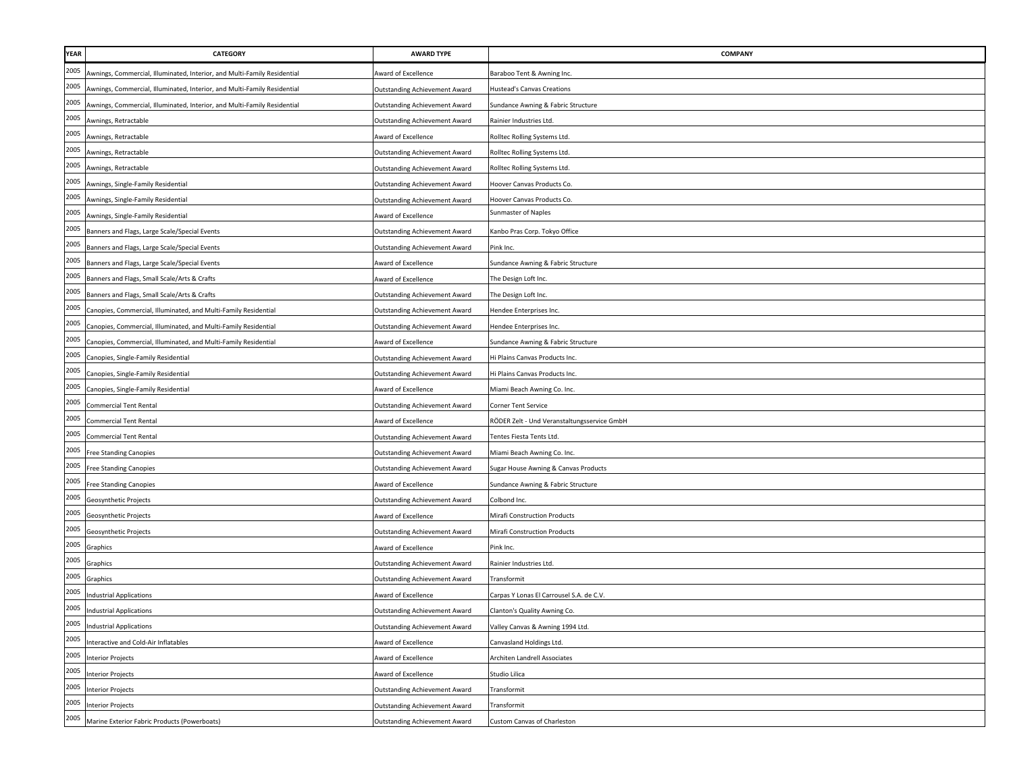| <b>YEAR</b>                                       | <b>CATEGORY</b>                                                          | <b>AWARD TYPE</b>                    | <b>COMPANY</b>                              |
|---------------------------------------------------|--------------------------------------------------------------------------|--------------------------------------|---------------------------------------------|
| 2005                                              | Awnings, Commercial, Illuminated, Interior, and Multi-Family Residential | Award of Excellence                  | Baraboo Tent & Awning Inc.                  |
| 2005                                              | Awnings, Commercial, Illuminated, Interior, and Multi-Family Residential | Outstanding Achievement Award        | Hustead's Canvas Creations                  |
| 2005<br>2005                                      | Awnings, Commercial, Illuminated, Interior, and Multi-Family Residential | Outstanding Achievement Award        | Sundance Awning & Fabric Structure          |
|                                                   | Awnings, Retractable                                                     | Outstanding Achievement Award        | Rainier Industries Ltd.                     |
| 2005                                              | Awnings, Retractable                                                     | Award of Excellence                  | Rolltec Rolling Systems Ltd.                |
| 2005                                              | Awnings, Retractable                                                     | <b>Outstanding Achievement Award</b> | Rolltec Rolling Systems Ltd.                |
| 2005<br>2005                                      | Awnings, Retractable                                                     | <b>Outstanding Achievement Award</b> | Rolltec Rolling Systems Ltd.                |
|                                                   | Awnings, Single-Family Residential                                       | Outstanding Achievement Award        | Hoover Canvas Products Co.                  |
| 2005                                              | Awnings, Single-Family Residential                                       | Outstanding Achievement Award        | Hoover Canvas Products Co.                  |
| 2005                                              | Awnings, Single-Family Residential                                       | Award of Excellence                  | Sunmaster of Naples                         |
| 2005                                              | Banners and Flags, Large Scale/Special Events                            | <b>Outstanding Achievement Award</b> | Kanbo Pras Corp. Tokyo Office               |
| 2005                                              | Banners and Flags, Large Scale/Special Events                            | Outstanding Achievement Award        | Pink Inc.                                   |
| 2005                                              | Banners and Flags, Large Scale/Special Events                            | Award of Excellence                  | Sundance Awning & Fabric Structure          |
| 2005                                              | Banners and Flags, Small Scale/Arts & Crafts                             | Award of Excellence                  | The Design Loft Inc.                        |
| 2005                                              | Banners and Flags, Small Scale/Arts & Crafts                             | Outstanding Achievement Award        | The Design Loft Inc.                        |
| 2005                                              | Canopies, Commercial, Illuminated, and Multi-Family Residential          | <b>Outstanding Achievement Award</b> | Hendee Enterprises Inc.                     |
| 2005                                              | Canopies, Commercial, Illuminated, and Multi-Family Residential          | Outstanding Achievement Award        | Hendee Enterprises Inc.                     |
| 2005                                              | Canopies, Commercial, Illuminated, and Multi-Family Residential          | Award of Excellence                  | Sundance Awning & Fabric Structure          |
| 2005                                              | Canopies, Single-Family Residential                                      | <b>Outstanding Achievement Award</b> | Hi Plains Canvas Products Inc.              |
| 2005                                              | Canopies, Single-Family Residential                                      | Outstanding Achievement Award        | li Plains Canvas Products Inc.              |
| 2005                                              | Canopies, Single-Family Residential                                      | Award of Excellence                  | Miami Beach Awning Co. Inc.                 |
| 2005                                              | <b>Commercial Tent Rental</b>                                            | Outstanding Achievement Award        | Corner Tent Service                         |
| 2005                                              | <b>Commercial Tent Rental</b>                                            | Award of Excellence                  | RÖDER Zelt - Und Veranstaltungsservice GmbH |
| 2005                                              | <b>Commercial Tent Rental</b>                                            | Outstanding Achievement Award        | Tentes Fiesta Tents Ltd.                    |
| 2005                                              | <b>Free Standing Canopies</b>                                            | <b>Outstanding Achievement Award</b> | Miami Beach Awning Co. Inc.                 |
| 2005                                              | <b>Free Standing Canopies</b>                                            | Outstanding Achievement Award        | Sugar House Awning & Canvas Products        |
| 2005                                              | <b>Free Standing Canopies</b>                                            | Award of Excellence                  | Sundance Awning & Fabric Structure          |
| 2005                                              | Geosynthetic Projects                                                    | <b>Outstanding Achievement Award</b> | Colbond Inc.                                |
| 2005                                              | Geosynthetic Projects                                                    | Award of Excellence                  | Mirafi Construction Products                |
| 2005                                              | Geosynthetic Projects                                                    | Outstanding Achievement Award        | Mirafi Construction Products                |
| 2005                                              | Graphics                                                                 | Award of Excellence                  | Pink Inc.                                   |
| 2005                                              | Graphics                                                                 | <b>Outstanding Achievement Award</b> | Rainier Industries Ltd.                     |
| 2005                                              | Graphics                                                                 | <b>Outstanding Achievement Award</b> | Transformit                                 |
| 2005                                              | <b>Industrial Applications</b>                                           | Award of Excellence                  | Carpas Y Lonas El Carrousel S.A. de C.V.    |
| $\begin{array}{c}\n 2005 \\ \hline\n \end{array}$ | <b>Industrial Applications</b>                                           | <b>Outstanding Achievement Award</b> | Clanton's Quality Awning Co.                |
| 2005                                              | <b>Industrial Applications</b>                                           | <b>Outstanding Achievement Award</b> | Valley Canvas & Awning 1994 Ltd.            |
| 2005                                              | Interactive and Cold-Air Inflatables                                     | Award of Excellence                  | Canvasland Holdings Ltd.                    |
| 2005                                              | <b>Interior Projects</b>                                                 | Award of Excellence                  | Architen Landrell Associates                |
| 2005                                              | <b>Interior Projects</b>                                                 | Award of Excellence                  | Studio Lilica                               |
| 2005                                              | <b>Interior Projects</b>                                                 | <b>Outstanding Achievement Award</b> | Transformit                                 |
| 2005                                              | <b>Interior Projects</b>                                                 | Outstanding Achievement Award        | Transformit                                 |
| 2005                                              | Marine Exterior Fabric Products (Powerboats)                             | Outstanding Achievement Award        | Custom Canvas of Charleston                 |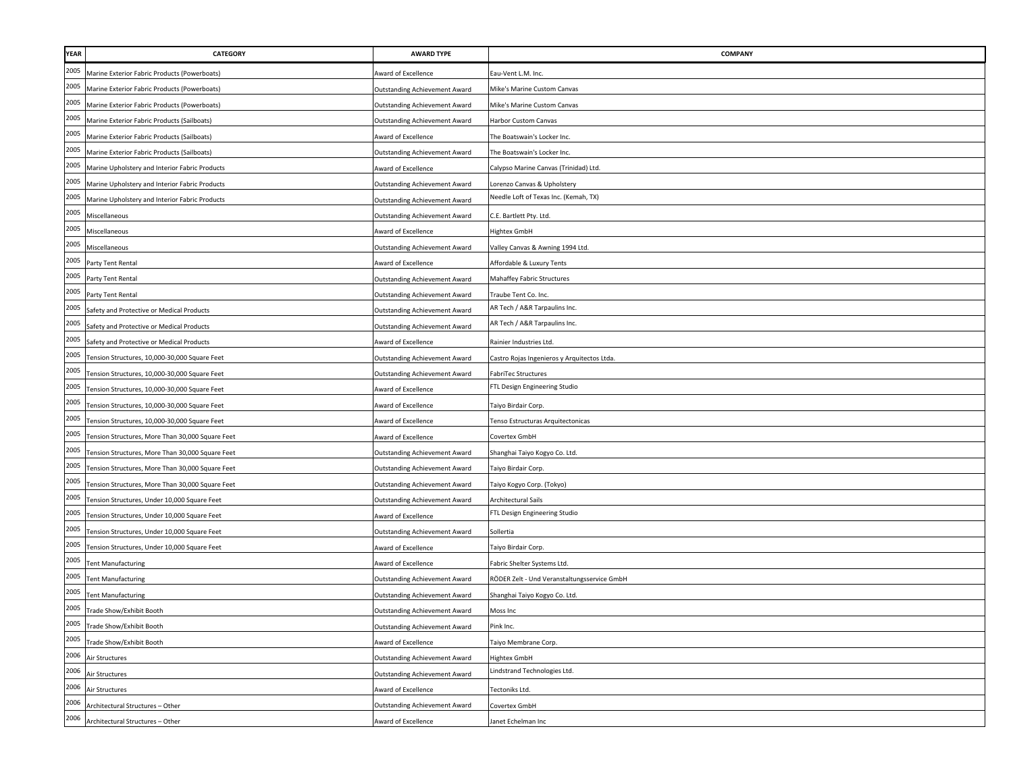| <b>YEAR</b>                                       | <b>CATEGORY</b>                                  | <b>AWARD TYPE</b>                    | <b>COMPANY</b>                              |
|---------------------------------------------------|--------------------------------------------------|--------------------------------------|---------------------------------------------|
| 2005                                              | Marine Exterior Fabric Products (Powerboats)     | Award of Excellence                  | Eau-Vent L.M. Inc.                          |
| 2005                                              | Marine Exterior Fabric Products (Powerboats)     | Outstanding Achievement Award        | Mike's Marine Custom Canvas                 |
| 2005                                              | Marine Exterior Fabric Products (Powerboats)     | Outstanding Achievement Award        | Mike's Marine Custom Canvas                 |
| 2005                                              | Marine Exterior Fabric Products (Sailboats)      | Outstanding Achievement Award        | Harbor Custom Canvas                        |
| 2005                                              | Marine Exterior Fabric Products (Sailboats)      | Award of Excellence                  | The Boatswain's Locker Inc.                 |
| 2005                                              | Marine Exterior Fabric Products (Sailboats)      | Outstanding Achievement Award        | The Boatswain's Locker Inc.                 |
| 2005                                              | Marine Upholstery and Interior Fabric Products   | Award of Excellence                  | Calypso Marine Canvas (Trinidad) Ltd.       |
| 2005                                              | Marine Upholstery and Interior Fabric Products   | Outstanding Achievement Award        | Lorenzo Canvas & Upholstery                 |
| 2005                                              | Marine Upholstery and Interior Fabric Products   | <b>Outstanding Achievement Award</b> | Needle Loft of Texas Inc. (Kemah, TX)       |
| 2005                                              | Miscellaneous                                    | Outstanding Achievement Award        | C.E. Bartlett Pty. Ltd.                     |
| 2005                                              | Miscellaneous                                    | Award of Excellence                  | Hightex GmbH                                |
| 2005                                              | Miscellaneous                                    | <b>Outstanding Achievement Award</b> | Valley Canvas & Awning 1994 Ltd.            |
| 2005                                              | Party Tent Rental                                | Award of Excellence                  | Affordable & Luxury Tents                   |
| 2005                                              | Party Tent Rental                                | Outstanding Achievement Award        | Mahaffey Fabric Structures                  |
| 2005                                              | Party Tent Rental                                | Outstanding Achievement Award        | Traube Tent Co. Inc.                        |
| 2005                                              | Safety and Protective or Medical Products        | <b>Outstanding Achievement Award</b> | AR Tech / A&R Tarpaulins Inc.               |
| 2005                                              | Safety and Protective or Medical Products        | Outstanding Achievement Award        | AR Tech / A&R Tarpaulins Inc.               |
| 2005                                              | Safety and Protective or Medical Products        | Award of Excellence                  | Rainier Industries Ltd.                     |
| 2005                                              | Tension Structures, 10,000-30,000 Square Feet    | Outstanding Achievement Award        | Castro Rojas Ingenieros y Arquitectos Ltda. |
| 2005                                              | Tension Structures, 10,000-30,000 Square Feet    | Outstanding Achievement Award        | FabriTec Structures                         |
| 2005                                              | Tension Structures, 10,000-30,000 Square Feet    | Award of Excellence                  | FTL Design Engineering Studio               |
| 2005                                              | Tension Structures, 10,000-30,000 Square Feet    | Award of Excellence                  | Taiyo Birdair Corp.                         |
| 2005                                              | Tension Structures, 10,000-30,000 Square Feet    | Award of Excellence                  | Tenso Estructuras Arquitectonicas           |
| 2005                                              | Tension Structures, More Than 30,000 Square Feet | Award of Excellence                  | Covertex GmbH                               |
| 2005                                              | Tension Structures, More Than 30,000 Square Feet | Outstanding Achievement Award        | Shanghai Taiyo Kogyo Co. Ltd.               |
| 2005                                              | Tension Structures, More Than 30,000 Square Feet | Outstanding Achievement Award        | Taiyo Birdair Corp.                         |
| 2005                                              | Tension Structures, More Than 30,000 Square Feet | <b>Outstanding Achievement Award</b> | Taiyo Kogyo Corp. (Tokyo)                   |
| 2005                                              | Tension Structures, Under 10,000 Square Feet     | <b>Outstanding Achievement Award</b> | Architectural Sails                         |
| 2005                                              | Tension Structures, Under 10,000 Square Feet     | Award of Excellence                  | FTL Design Engineering Studio               |
| 2005                                              | Tension Structures, Under 10,000 Square Feet     | Outstanding Achievement Award        | Sollertia                                   |
| 2005                                              | Tension Structures, Under 10,000 Square Feet     | Award of Excellence                  | Taiyo Birdair Corp.                         |
| 2005                                              | <b>Tent Manufacturing</b>                        | Award of Excellence                  | Fabric Shelter Systems Ltd.                 |
| 2005                                              | <b>Tent Manufacturing</b>                        | <b>Outstanding Achievement Award</b> | RÖDER Zelt - Und Veranstaltungsservice GmbH |
| 2005                                              | <b>Tent Manufacturing</b>                        | Outstanding Achievement Award        | Shanghai Taiyo Kogyo Co. Ltd.               |
| $\begin{array}{c}\n 2005 \\ \hline\n \end{array}$ | Trade Show/Exhibit Booth                         | <b>Outstanding Achievement Award</b> | Moss Inc                                    |
| 2005                                              | <b>Trade Show/Exhibit Booth</b>                  | <b>Outstanding Achievement Award</b> | Pink Inc.                                   |
| 2005                                              | Trade Show/Exhibit Booth                         | Award of Excellence                  | Taiyo Membrane Corp.                        |
| 2006                                              | Air Structures                                   | <b>Outstanding Achievement Award</b> | Hightex GmbH                                |
| 2006                                              | Air Structures                                   | Outstanding Achievement Award        | Lindstrand Technologies Ltd.                |
| 2006                                              | Air Structures                                   | Award of Excellence                  | Tectoniks Ltd.                              |
| 2006                                              | Architectural Structures - Other                 | <b>Outstanding Achievement Award</b> | Covertex GmbH                               |
| 2006                                              | Architectural Structures - Other                 | Award of Excellence                  | Janet Echelman Inc                          |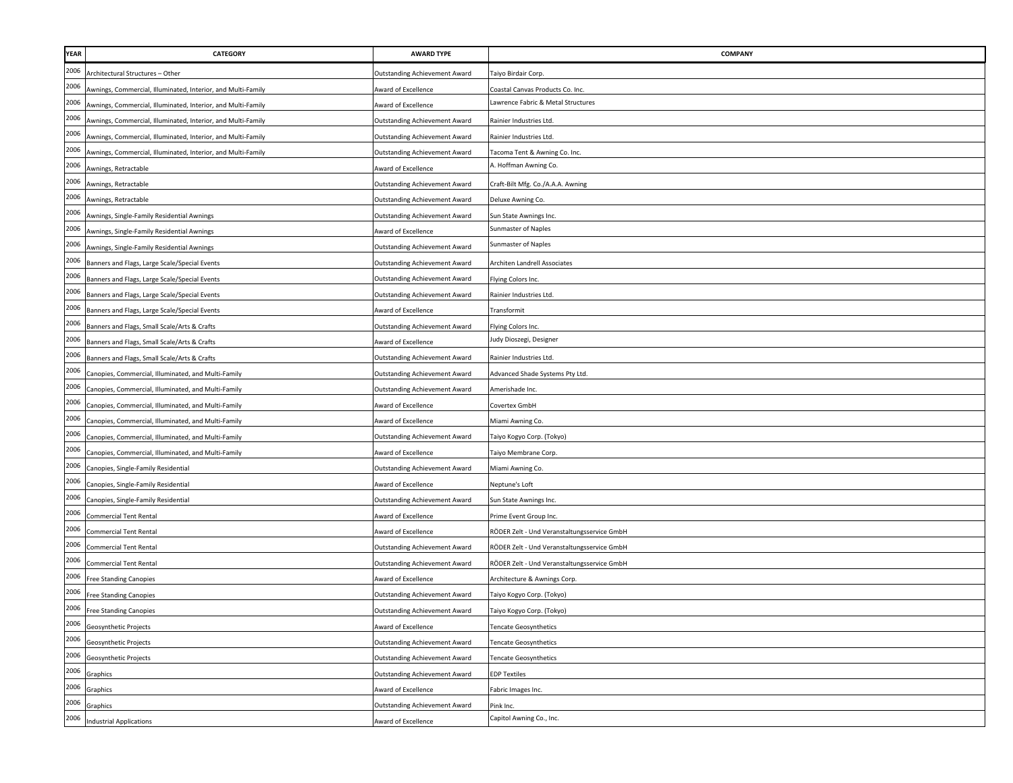| YEAR | CATEGORY                                                     | <b>AWARD TYPE</b>                    | COMPANY                                     |
|------|--------------------------------------------------------------|--------------------------------------|---------------------------------------------|
| 2006 | Architectural Structures - Other                             | Outstanding Achievement Award        | Taiyo Birdair Corp.                         |
| 2006 | Awnings, Commercial, Illuminated, Interior, and Multi-Family | Award of Excellence                  | Coastal Canvas Products Co. Inc.            |
| 2006 | Awnings, Commercial, Illuminated, Interior, and Multi-Family | Award of Excellence                  | Lawrence Fabric & Metal Structures          |
| 2006 | Awnings, Commercial, Illuminated, Interior, and Multi-Family | <b>Outstanding Achievement Award</b> | Rainier Industries Ltd.                     |
| 2006 | Awnings, Commercial, Illuminated, Interior, and Multi-Family | Outstanding Achievement Award        | Rainier Industries Ltd.                     |
| 2006 | Awnings, Commercial, Illuminated, Interior, and Multi-Family | Outstanding Achievement Award        | Tacoma Tent & Awning Co. Inc.               |
| 2006 | Awnings, Retractable                                         | Award of Excellence                  | \. Hoffman Awning Co.                       |
| 2006 | Awnings, Retractable                                         | <b>Outstanding Achievement Award</b> | Craft-Bilt Mfg. Co./A.A.A. Awning           |
| 2006 | Awnings, Retractable                                         | Outstanding Achievement Award        | Deluxe Awning Co.                           |
| 2006 | Awnings, Single-Family Residential Awnings                   | <b>Outstanding Achievement Award</b> | Sun State Awnings Inc.                      |
| 2006 | Awnings, Single-Family Residential Awnings                   | Award of Excellence                  | Sunmaster of Naples                         |
| 2006 | Awnings, Single-Family Residential Awnings                   | <b>Outstanding Achievement Award</b> | Sunmaster of Naples                         |
| 2006 | Banners and Flags, Large Scale/Special Events                | <b>Outstanding Achievement Award</b> | Architen Landrell Associates                |
| 2006 | Banners and Flags, Large Scale/Special Events                | <b>Outstanding Achievement Award</b> | Flying Colors Inc.                          |
| 2006 | Banners and Flags, Large Scale/Special Events                | <b>Outstanding Achievement Award</b> | Rainier Industries Ltd.                     |
| 2006 | Banners and Flags, Large Scale/Special Events                | Award of Excellence                  | Transformit                                 |
| 2006 | Banners and Flags, Small Scale/Arts & Crafts                 | <b>Outstanding Achievement Award</b> | Flying Colors Inc.                          |
| 2006 | Banners and Flags, Small Scale/Arts & Crafts                 | Award of Excellence                  | ludy Dioszegi, Designer                     |
| 2006 | Banners and Flags, Small Scale/Arts & Crafts                 | <b>Outstanding Achievement Award</b> | Rainier Industries Ltd.                     |
| 2006 | Canopies, Commercial, Illuminated, and Multi-Family          | <b>Outstanding Achievement Award</b> | Advanced Shade Systems Pty Ltd.             |
| 2006 | Canopies, Commercial, Illuminated, and Multi-Family          | <b>Outstanding Achievement Award</b> | Amerishade Inc.                             |
| 2006 | Canopies, Commercial, Illuminated, and Multi-Family          | Award of Excellence                  | Covertex GmbH                               |
| 2006 | Canopies, Commercial, Illuminated, and Multi-Family          | Award of Excellence                  | Miami Awning Co.                            |
| 2006 | Canopies, Commercial, Illuminated, and Multi-Family          | <b>Outstanding Achievement Award</b> | Taiyo Kogyo Corp. (Tokyo)                   |
| 2006 | Canopies, Commercial, Illuminated, and Multi-Family          | <b>Award of Excellence</b>           | aiyo Membrane Corp                          |
| 2006 | Canopies, Single-Family Residential                          | <b>Outstanding Achievement Award</b> | Miami Awning Co.                            |
| 2006 | Canopies, Single-Family Residential                          | Award of Excellence                  | Neptune's Loft                              |
| 2006 | Canopies, Single-Family Residential                          | <b>Outstanding Achievement Award</b> | Sun State Awnings Inc.                      |
| 2006 | Commercial Tent Rental                                       | Award of Excellence                  | Prime Event Group Inc.                      |
| 2006 | <b>Commercial Tent Rental</b>                                | Award of Excellence                  | RÖDER Zelt - Und Veranstaltungsservice GmbH |
| 2006 | <b>Commercial Tent Rental</b>                                | <b>Outstanding Achievement Award</b> | RÖDER Zelt - Und Veranstaltungsservice GmbH |
| 2006 | <b>Commercial Tent Rental</b>                                | <b>Outstanding Achievement Award</b> | RÖDER Zelt - Und Veranstaltungsservice GmbH |
| 2006 | <b>Free Standing Canopies</b>                                | Award of Excellence                  | Architecture & Awnings Corp.                |
| 2006 | <b>Free Standing Canopies</b>                                | <b>Outstanding Achievement Award</b> | Taiyo Kogyo Corp. (Tokyo)                   |
| 2006 | <b>Free Standing Canopies</b>                                | <b>Outstanding Achievement Award</b> | Taiyo Kogyo Corp. (Tokyo)                   |
| 2006 | Geosynthetic Projects                                        | Award of Excellence                  | <b>Tencate Geosynthetics</b>                |
| 2006 | Geosynthetic Projects                                        | Outstanding Achievement Award        | <b>Tencate Geosynthetics</b>                |
| 2006 | Geosynthetic Projects                                        | <b>Outstanding Achievement Award</b> | <b>Tencate Geosynthetics</b>                |
| 2006 | Graphics                                                     | <b>Outstanding Achievement Award</b> | <b>EDP Textiles</b>                         |
| 2006 | Graphics                                                     | Award of Excellence                  | Fabric Images Inc.                          |
| 2006 | Graphics                                                     | <b>Outstanding Achievement Award</b> | Pink Inc.                                   |
| 2006 | <b>Industrial Applications</b>                               | Award of Excellence                  | Capitol Awning Co., Inc.                    |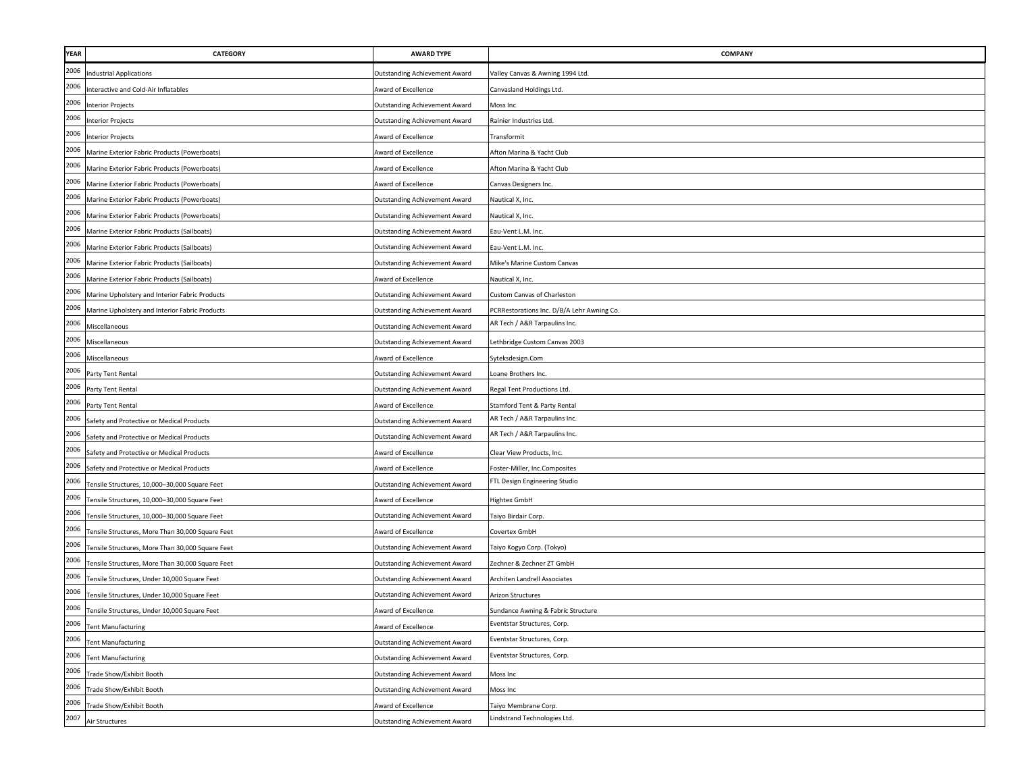| <b>YEAR</b>          | <b>CATEGORY</b>                                  | <b>AWARD TYPE</b>                    | <b>COMPANY</b>                             |
|----------------------|--------------------------------------------------|--------------------------------------|--------------------------------------------|
| 2006                 | <b>Industrial Applications</b>                   | Outstanding Achievement Award        | Valley Canvas & Awning 1994 Ltd.           |
| 2006<br>2006<br>2006 | Interactive and Cold-Air Inflatables             | Award of Excellence                  | Canvasland Holdings Ltd.                   |
|                      | Interior Projects                                | <b>Outstanding Achievement Award</b> | Moss Inc                                   |
|                      | <b>Interior Projects</b>                         | Outstanding Achievement Award        | Rainier Industries Ltd.                    |
| 2006                 | <b>Interior Projects</b>                         | <b>Award of Excellence</b>           | Transformit                                |
| 2006                 | Marine Exterior Fabric Products (Powerboats)     | Award of Excellence                  | Afton Marina & Yacht Club                  |
| 2006                 | Marine Exterior Fabric Products (Powerboats)     | Award of Excellence                  | Afton Marina & Yacht Club                  |
| 2006                 | Marine Exterior Fabric Products (Powerboats)     | Award of Excellence                  | Canvas Designers Inc.                      |
| 2006                 | Marine Exterior Fabric Products (Powerboats)     | Outstanding Achievement Award        | Nautical X, Inc.                           |
| 2006                 | Marine Exterior Fabric Products (Powerboats)     | Outstanding Achievement Award        | Nautical X, Inc.                           |
| 2006                 | Marine Exterior Fabric Products (Sailboats)      | <b>Outstanding Achievement Award</b> | Eau-Vent L.M. Inc.                         |
| 2006                 | Marine Exterior Fabric Products (Sailboats)      | Outstanding Achievement Award        | Eau-Vent L.M. Inc.                         |
| 2006                 | Marine Exterior Fabric Products (Sailboats)      | <b>Outstanding Achievement Award</b> | Mike's Marine Custom Canvas                |
| 2006                 | Marine Exterior Fabric Products (Sailboats)      | Award of Excellence                  | Nautical X, Inc.                           |
| 2006                 | Marine Upholstery and Interior Fabric Products   | Outstanding Achievement Award        | Custom Canvas of Charleston                |
| 2006                 | Marine Upholstery and Interior Fabric Products   | <b>Outstanding Achievement Award</b> | PCRRestorations Inc. D/B/A Lehr Awning Co. |
| 2006                 | Miscellaneous                                    | <b>Outstanding Achievement Award</b> | AR Tech / A&R Tarpaulins Inc.              |
| 2006                 | Miscellaneous                                    | Outstanding Achievement Award        | Lethbridge Custom Canvas 2003              |
| 2006                 | Miscellaneous                                    | Award of Excellence                  | Syteksdesign.Com                           |
| 2006                 | Party Tent Rental                                | Outstanding Achievement Award        | Loane Brothers Inc.                        |
| 2006                 | Party Tent Rental                                | Outstanding Achievement Award        | Regal Tent Productions Ltd.                |
| 2006                 | Party Tent Rental                                | Award of Excellence                  | Stamford Tent & Party Rental               |
| 2006                 | Safety and Protective or Medical Products        | <b>Outstanding Achievement Award</b> | AR Tech / A&R Tarpaulins Inc.              |
| 2006                 | Safety and Protective or Medical Products        | <b>Outstanding Achievement Award</b> | AR Tech / A&R Tarpaulins Inc.              |
| 2006                 | Safety and Protective or Medical Products        | Award of Excellence                  | Clear View Products, Inc.                  |
| 2006                 | Safety and Protective or Medical Products        | Award of Excellence                  | Foster-Miller, Inc.Composites              |
| 2006                 | Tensile Structures, 10,000-30,000 Square Feet    | Outstanding Achievement Award        | FTL Design Engineering Studio              |
| 2006                 | Tensile Structures, 10,000-30,000 Square Feet    | Award of Excellence                  | <b>Hightex GmbH</b>                        |
| 2006                 | Tensile Structures, 10,000-30,000 Square Feet    | <b>Outstanding Achievement Award</b> | Taiyo Birdair Corp.                        |
| 2006                 | Tensile Structures, More Than 30,000 Square Feet | Award of Excellence                  | Covertex GmbH                              |
| 2006                 | Tensile Structures, More Than 30,000 Square Feet | <b>Outstanding Achievement Award</b> | Taiyo Kogyo Corp. (Tokyo)                  |
| 2006                 | Tensile Structures, More Than 30,000 Square Feet | Outstanding Achievement Award        | Zechner & Zechner ZT GmbH                  |
| 2006                 | Tensile Structures, Under 10,000 Square Feet     | <b>Outstanding Achievement Award</b> | Architen Landrell Associates               |
| 2006                 | Tensile Structures, Under 10,000 Square Feet     | Outstanding Achievement Award        | Arizon Structures                          |
| 2006                 | Tensile Structures, Under 10,000 Square Feet     | Award of Excellence                  | Sundance Awning & Fabric Structure         |
| 2006                 | <b>Tent Manufacturing</b>                        | Award of Excellence                  | Eventstar Structures, Corp.                |
| 2006                 | <b>Tent Manufacturing</b>                        | <b>Outstanding Achievement Award</b> | Eventstar Structures, Corp.                |
| 2006                 | <b>Tent Manufacturing</b>                        | Outstanding Achievement Award        | Eventstar Structures, Corp.                |
| 2006                 | Trade Show/Exhibit Booth                         | Outstanding Achievement Award        | Moss Inc                                   |
| 2006                 | Trade Show/Exhibit Booth                         | Outstanding Achievement Award        | Moss Inc                                   |
| 2006                 | Trade Show/Exhibit Booth                         | Award of Excellence                  | Taiyo Membrane Corp                        |
| 2007                 | Air Structures                                   | Outstanding Achievement Award        | Lindstrand Technologies Ltd.               |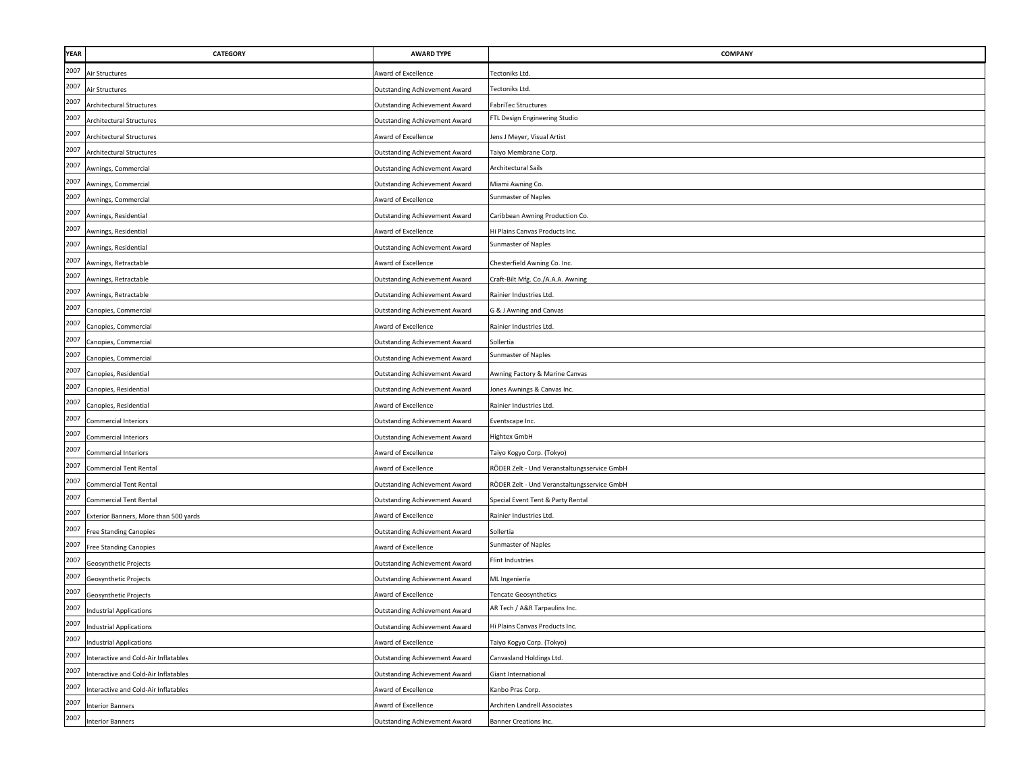| <b>YEAR</b> | <b>CATEGORY</b>                       | <b>AWARD TYPE</b>                    | COMPANY                                     |
|-------------|---------------------------------------|--------------------------------------|---------------------------------------------|
| 2007        | Air Structures                        | Award of Excellence                  | Tectoniks Ltd.                              |
| 2007        | Air Structures                        | Outstanding Achievement Award        | Tectoniks Ltd.                              |
| 2007        | Architectural Structures              | <b>Outstanding Achievement Award</b> | FabriTec Structures                         |
| 2007        | <b>Architectural Structures</b>       | <b>Outstanding Achievement Award</b> | FTL Design Engineering Studio               |
| 2007        | <b>Architectural Structures</b>       | Award of Excellence                  | lens J Meyer, Visual Artist                 |
| 2007        | <b>Architectural Structures</b>       | <b>Outstanding Achievement Award</b> | Taiyo Membrane Corp.                        |
| 2007        | Awnings, Commercial                   | Outstanding Achievement Award        | Architectural Sails                         |
| 2007        | Awnings, Commercial                   | Outstanding Achievement Award        | Miami Awning Co.                            |
| 2007        | Awnings, Commercial                   | Award of Excellence                  | Sunmaster of Naples                         |
| 2007        | Awnings, Residential                  | Outstanding Achievement Award        | Caribbean Awning Production Co.             |
| 2007        | Awnings, Residential                  | <b>Award of Excellence</b>           | Hi Plains Canvas Products Inc.              |
| 2007        | Awnings, Residential                  | Outstanding Achievement Award        | Sunmaster of Naples                         |
| 2007        | Awnings, Retractable                  | Award of Excellence                  | Chesterfield Awning Co. Inc.                |
| 2007        | Awnings, Retractable                  | <b>Outstanding Achievement Award</b> | Craft-Bilt Mfg. Co./A.A.A. Awning           |
| 2007        | Awnings, Retractable                  | <b>Outstanding Achievement Award</b> | Rainier Industries Ltd.                     |
| 2007        | Canopies, Commercial                  | Outstanding Achievement Award        | G & J Awning and Canvas                     |
| 2007        | Canopies, Commercial                  | Award of Excellence                  | Rainier Industries Ltd.                     |
| 2007        | Canopies, Commercial                  | <b>Outstanding Achievement Award</b> | Sollertia                                   |
| 2007        | Canopies, Commercial                  | Outstanding Achievement Award        | Sunmaster of Naples                         |
| 2007        | Canopies, Residential                 | Outstanding Achievement Award        | Awning Factory & Marine Canvas              |
| 2007        | Canopies, Residential                 | Outstanding Achievement Award        | Jones Awnings & Canvas Inc.                 |
| 2007        | Canopies, Residential                 | Award of Excellence                  | Rainier Industries Ltd.                     |
| 2007        | <b>Commercial Interiors</b>           | <b>Outstanding Achievement Award</b> | Eventscape Inc.                             |
| 2007        | Commercial Interiors                  | Outstanding Achievement Award        | <b>Hightex GmbH</b>                         |
| 2007        | Commercial Interiors                  | <b>Award of Excellence</b>           | Taiyo Kogyo Corp. (Tokyo)                   |
| 2007        | Commercial Tent Rental                | Award of Excellence                  | RÖDER Zelt - Und Veranstaltungsservice GmbH |
| 2007        | <b>Commercial Tent Rental</b>         | Outstanding Achievement Award        | RÖDER Zelt - Und Veranstaltungsservice GmbH |
| 2007        | <b>Commercial Tent Rental</b>         | Outstanding Achievement Award        | Special Event Tent & Party Rental           |
| 2007        | Exterior Banners, More than 500 yards | Award of Excellence                  | Rainier Industries Ltd.                     |
| 2007        | Free Standing Canopies                | Outstanding Achievement Award        | Sollertia                                   |
| 2007        | <b>Free Standing Canopies</b>         | Award of Excellence                  | Sunmaster of Naples                         |
| 2007        | Geosynthetic Projects                 | Outstanding Achievement Award        | <b>Flint Industries</b>                     |
| 2007        | Geosynthetic Projects                 | Outstanding Achievement Award        | ML Ingeniería                               |
| 2007        | Geosynthetic Projects                 | Award of Excellence                  | <b>Tencate Geosynthetics</b>                |
| 2007        | <b>Industrial Applications</b>        | Outstanding Achievement Award        | AR Tech / A&R Tarpaulins Inc.               |
| 2007        | <b>Industrial Applications</b>        | <b>Outstanding Achievement Award</b> | Hi Plains Canvas Products Inc.              |
| 2007        | <b>Industrial Applications</b>        | ward of Excellence                   | Taiyo Kogyo Corp. (Tokyo)                   |
| 2007        | Interactive and Cold-Air Inflatables  | Outstanding Achievement Award        | Canvasland Holdings Ltd.                    |
| 2007        | Interactive and Cold-Air Inflatables  | Outstanding Achievement Award        | Giant International                         |
| 2007        | Interactive and Cold-Air Inflatables  | Award of Excellence                  | Kanbo Pras Corp.                            |
| 2007        | <b>Interior Banners</b>               | Award of Excellence                  | Architen Landrell Associates                |
| 2007        | <b>Interior Banners</b>               | <b>Outstanding Achievement Award</b> | Banner Creations Inc.                       |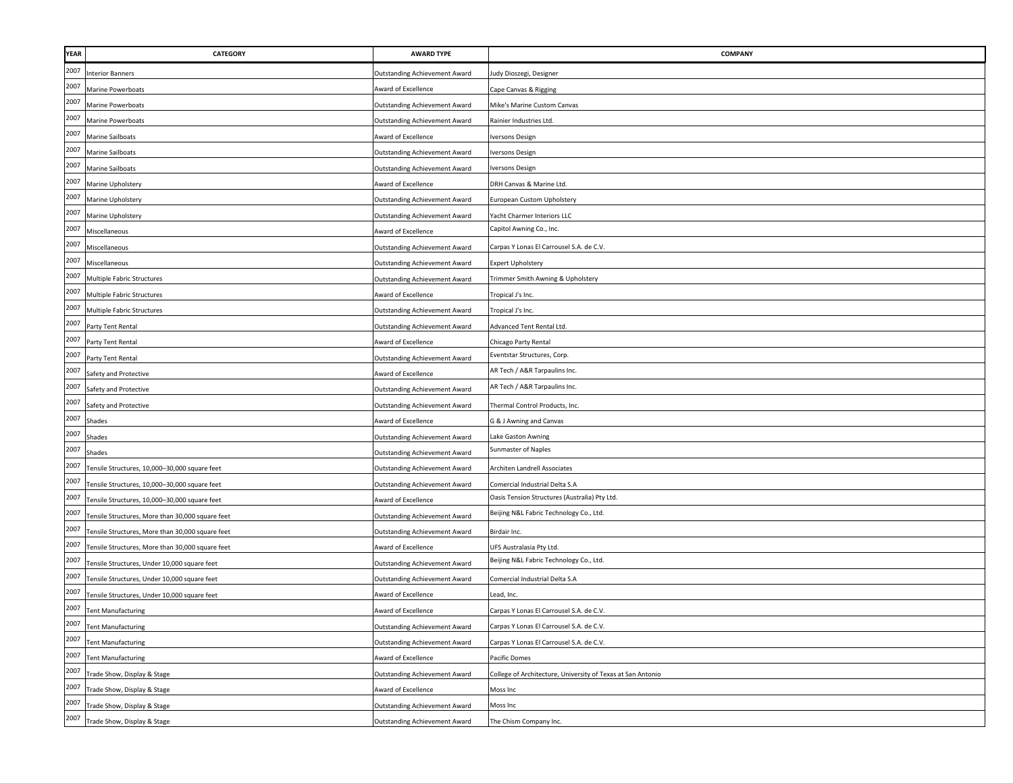| <b>YEAR</b> | <b>CATEGORY</b>                                  | <b>AWARD TYPE</b>                    | COMPANY                                                     |
|-------------|--------------------------------------------------|--------------------------------------|-------------------------------------------------------------|
| 2007        | <b>Interior Banners</b>                          | Outstanding Achievement Award        | ludy Dioszegi, Designer                                     |
| 2007        | Marine Powerboats                                | Award of Excellence                  | Cape Canvas & Rigging                                       |
| 2007        | Marine Powerboats                                | Outstanding Achievement Award        | Mike's Marine Custom Canvas                                 |
| 2007        | Marine Powerboats                                | Outstanding Achievement Award        | Rainier Industries Ltd.                                     |
| 2007        | Marine Sailboats                                 | Award of Excellence                  | versons Design                                              |
| 2007        | <b>Marine Sailboats</b>                          | Outstanding Achievement Award        | Iversons Design                                             |
| 2007        | <b>Marine Sailboats</b>                          | Outstanding Achievement Award        | Iversons Design                                             |
| 2007        | Marine Upholstery                                | <b>Award of Excellence</b>           | DRH Canvas & Marine Ltd.                                    |
| 2007        | Marine Upholstery                                | <b>Outstanding Achievement Award</b> | European Custom Upholstery                                  |
| 2007        | Marine Upholstery                                | <b>Outstanding Achievement Award</b> | Yacht Charmer Interiors LLC                                 |
| 2007        | Miscellaneous                                    | <b>Award of Excellence</b>           | Capitol Awning Co., Inc.                                    |
| 2007        | Miscellaneous                                    | Outstanding Achievement Award        | Carpas Y Lonas El Carrousel S.A. de C.V.                    |
| 2007        | Miscellaneous                                    | <b>Outstanding Achievement Award</b> | <b>Expert Upholstery</b>                                    |
| 2007        | Multiple Fabric Structures                       | <b>Outstanding Achievement Award</b> | Frimmer Smith Awning & Upholstery                           |
| 2007        | Multiple Fabric Structures                       | Award of Excellence                  | Tropical J's Inc.                                           |
| 2007        | Multiple Fabric Structures                       | <b>Outstanding Achievement Award</b> | Tropical J's Inc.                                           |
| 2007        | Party Tent Rental                                | Outstanding Achievement Award        | Advanced Tent Rental Ltd.                                   |
| 2007        | Party Tent Rental                                | Award of Excellence                  | Chicago Party Rental                                        |
| 2007        | Party Tent Rental                                | Outstanding Achievement Award        | Eventstar Structures, Corp.                                 |
| 2007        | Safety and Protective                            | ward of Excellence                   | AR Tech / A&R Tarpaulins Inc.                               |
| 2007        | Safety and Protective                            | Outstanding Achievement Award        | AR Tech / A&R Tarpaulins Inc.                               |
| 2007        | Safety and Protective                            | <b>Outstanding Achievement Award</b> | Thermal Control Products, Inc.                              |
| 2007        | Shades                                           | Award of Excellence                  | G & J Awning and Canvas                                     |
| 2007        | Shades                                           | Outstanding Achievement Award        | Lake Gaston Awning                                          |
| 2007        | Shades                                           | Outstanding Achievement Award        | Sunmaster of Naples                                         |
| 2007        | Fensile Structures, 10,000-30,000 square feet    | <b>Outstanding Achievement Award</b> | Architen Landrell Associates                                |
| 2007        | Tensile Structures, 10,000-30,000 square feet    | <b>Outstanding Achievement Award</b> | Comercial Industrial Delta S.A                              |
| 2007        | Tensile Structures, 10,000-30,000 square feet    | Award of Excellence                  | Oasis Tension Structures (Australia) Pty Ltd.               |
| 2007        | Tensile Structures, More than 30,000 square feet | Outstanding Achievement Award        | Beijing N&L Fabric Technology Co., Ltd.                     |
| 2007        | Tensile Structures, More than 30,000 square feet | Outstanding Achievement Award        | Birdair Inc.                                                |
| 2007        | Tensile Structures, More than 30,000 square feet | Award of Excellence                  | UFS Australasia Pty Ltd.                                    |
| 2007        | Tensile Structures, Under 10,000 square feet     | Outstanding Achievement Award        | Beijing N&L Fabric Technology Co., Ltd.                     |
| 2007        | Tensile Structures, Under 10,000 square feet     | Outstanding Achievement Award        | Comercial Industrial Delta S.A                              |
| 2007        | Tensile Structures, Under 10,000 square feet     | <b>Award of Excellence</b>           | Lead, Inc.                                                  |
| 2007        | <b>Tent Manufacturing</b>                        | Award of Excellence                  | Carpas Y Lonas El Carrousel S.A. de C.V.                    |
| 2007        | <b>Tent Manufacturing</b>                        | Outstanding Achievement Award        | Carpas Y Lonas El Carrousel S.A. de C.V.                    |
| 2007        | Tent Manufacturing                               | Outstanding Achievement Award        | Carpas Y Lonas El Carrousel S.A. de C.V.                    |
| 2007        | Tent Manufacturing                               | Award of Excellence                  | Pacific Domes                                               |
| 2007        | Trade Show, Display & Stage                      | <b>Outstanding Achievement Award</b> | College of Architecture, University of Texas at San Antonio |
| 2007        | Trade Show, Display & Stage                      | Award of Excellence                  | Moss Inc                                                    |
| 2007        | Trade Show, Display & Stage                      | <b>Outstanding Achievement Award</b> | Moss Inc                                                    |
| 2007        | Trade Show, Display & Stage                      | Outstanding Achievement Award        | The Chism Company Inc.                                      |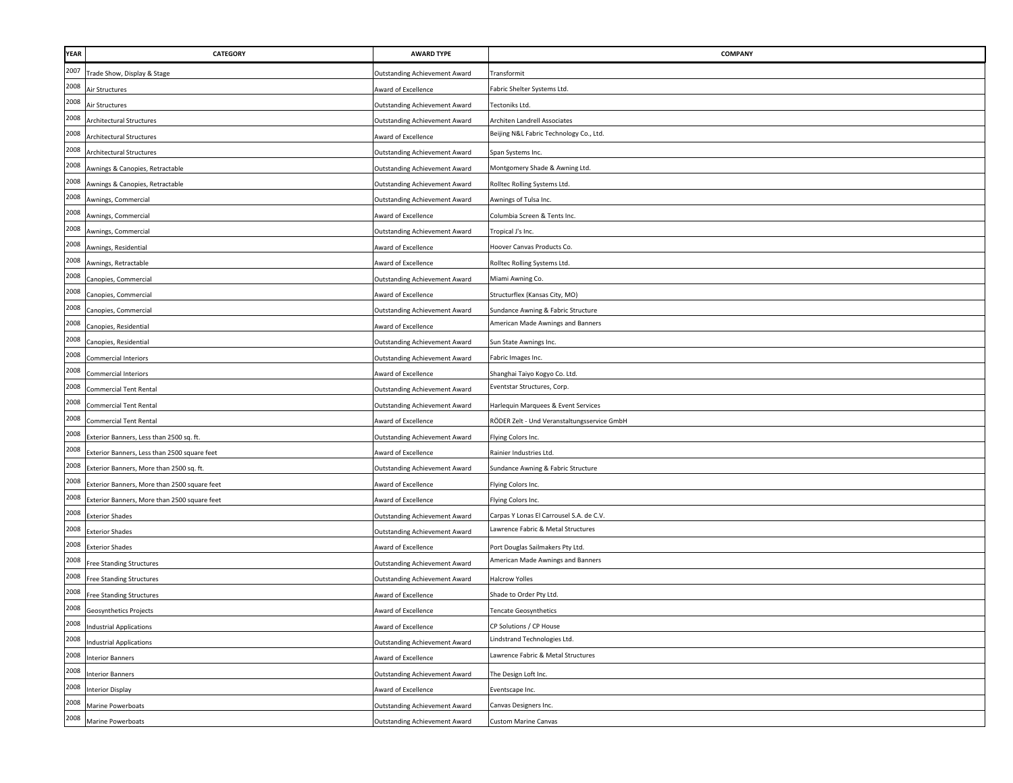| <b>YEAR</b> | <b>CATEGORY</b>                              | <b>AWARD TYPE</b>                    | COMPANY                                     |
|-------------|----------------------------------------------|--------------------------------------|---------------------------------------------|
| 2007        | Frade Show, Display & Stage                  | Outstanding Achievement Award        | Transformit                                 |
| 2008        | Air Structures                               | Award of Excellence                  | Fabric Shelter Systems Ltd.                 |
| 2008        | Air Structures                               | Outstanding Achievement Award        | Tectoniks Ltd.                              |
| 2008        | <b>Architectural Structures</b>              | Outstanding Achievement Award        | Architen Landrell Associates                |
| 2008        | <b>Architectural Structures</b>              | Award of Excellence                  | Beijing N&L Fabric Technology Co., Ltd.     |
| 2008        | <b>Architectural Structures</b>              | Outstanding Achievement Award        | Span Systems Inc.                           |
| 2008        | Awnings & Canopies, Retractable              | Outstanding Achievement Award        | Montgomery Shade & Awning Ltd.              |
| 2008        | Awnings & Canopies, Retractable              | Outstanding Achievement Award        | Rolltec Rolling Systems Ltd.                |
| 2008        | Awnings, Commercial                          | <b>Outstanding Achievement Award</b> | Awnings of Tulsa Inc.                       |
| 2008        | Awnings, Commercial                          | Award of Excellence                  | Columbia Screen & Tents Inc.                |
| 2008        | Awnings, Commercial                          | <b>Outstanding Achievement Award</b> | Tropical J's Inc.                           |
| 2008        | Awnings, Residential                         | Award of Excellence                  | Hoover Canvas Products Co.                  |
| 2008        | Awnings, Retractable                         | Award of Excellence                  | Rolltec Rolling Systems Ltd.                |
| 2008        | Canopies, Commercial                         | Outstanding Achievement Award        | Miami Awning Co.                            |
| 2008        | Canopies, Commercial                         | Award of Excellence                  | Structurflex (Kansas City, MO)              |
| 2008        | Canopies, Commercial                         | Outstanding Achievement Award        | Sundance Awning & Fabric Structure          |
| 2008        | Canopies, Residential                        | Award of Excellence                  | American Made Awnings and Banners           |
| 2008        | Canopies, Residential                        | <b>Outstanding Achievement Award</b> | Sun State Awnings Inc.                      |
| 2008        | <b>Commercial Interiors</b>                  | Outstanding Achievement Award        | Fabric Images Inc.                          |
| 2008        | <b>Commercial Interiors</b>                  | Award of Excellence                  | Shanghai Taiyo Kogyo Co. Ltd.               |
| 2008        | <b>Commercial Tent Rental</b>                | <b>Outstanding Achievement Award</b> | Eventstar Structures, Corp.                 |
| 2008        | <b>Commercial Tent Rental</b>                | <b>Outstanding Achievement Award</b> | Harlequin Marquees & Event Services         |
| 2008        | <b>Commercial Tent Rental</b>                | ward of Excellence                   | RÖDER Zelt - Und Veranstaltungsservice GmbH |
| 2008        | Exterior Banners, Less than 2500 sq. ft.     | <b>Outstanding Achievement Award</b> | Flying Colors Inc.                          |
| 2008        | Exterior Banners, Less than 2500 square feet | Award of Excellence                  | Rainier Industries Ltd.                     |
| 2008        | Exterior Banners, More than 2500 sq. ft.     | Outstanding Achievement Award        | Sundance Awning & Fabric Structure          |
| 2008        | Exterior Banners, More than 2500 square feet | Award of Excellence                  | Flying Colors Inc.                          |
| 2008        | Exterior Banners, More than 2500 square feet | Award of Excellence                  | Flying Colors Inc.                          |
| 2008        | <b>Exterior Shades</b>                       | Outstanding Achievement Award        | Carpas Y Lonas El Carrousel S.A. de C.V.    |
| 2008        | <b>Exterior Shades</b>                       | Outstanding Achievement Award        | Lawrence Fabric & Metal Structures          |
| 2008        | <b>Exterior Shades</b>                       | Award of Excellence                  | Port Douglas Sailmakers Pty Ltd.            |
| 2008        | <b>Free Standing Structures</b>              | Outstanding Achievement Award        | American Made Awnings and Banners           |
| 2008        | <b>Free Standing Structures</b>              | Outstanding Achievement Award        | <b>Halcrow Yolles</b>                       |
| 2008        | <b>Free Standing Structures</b>              | <b>Award of Excellence</b>           | Shade to Order Pty Ltd.                     |
| 2008        | <b>Geosynthetics Projects</b>                | Award of Excellence                  | <b>Tencate Geosynthetics</b>                |
| 2008        | <b>Industrial Applications</b>               | Award of Excellence                  | CP Solutions / CP House                     |
| 2008        | <b>Industrial Applications</b>               | Outstanding Achievement Award        | Lindstrand Technologies Ltd.                |
| 2008        | <b>Interior Banners</b>                      | Award of Excellence                  | Lawrence Fabric & Metal Structures          |
| 2008        | <b>Interior Banners</b>                      | <b>Outstanding Achievement Award</b> | The Design Loft Inc.                        |
| 2008        | <b>Interior Display</b>                      | Award of Excellence                  | Eventscape Inc.                             |
| 2008        | Marine Powerboats                            | Outstanding Achievement Award        | Canvas Designers Inc.                       |
| 2008        | Marine Powerboats                            | Outstanding Achievement Award        | <b>Custom Marine Canvas</b>                 |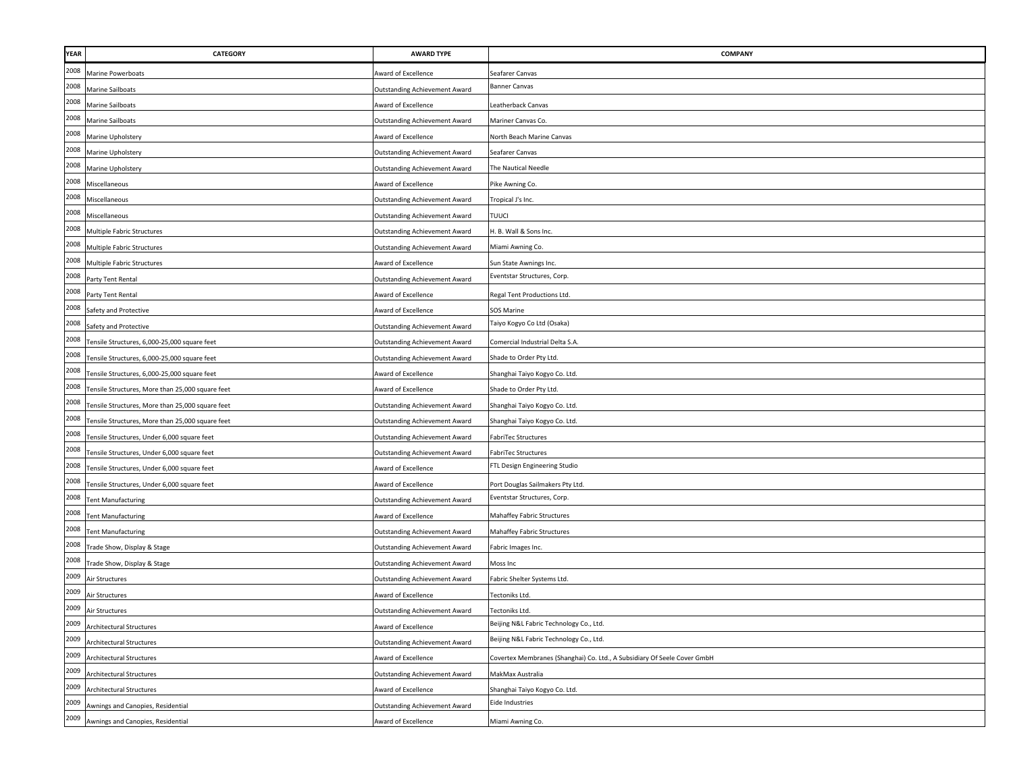| <b>YEAR</b> | CATEGORY                                         | <b>AWARD TYPE</b>                    | <b>COMPANY</b>                                                           |
|-------------|--------------------------------------------------|--------------------------------------|--------------------------------------------------------------------------|
| 2008        | Marine Powerboats                                | Award of Excellence                  | Seafarer Canvas                                                          |
| 2008        | Marine Sailboats                                 | <b>Outstanding Achievement Award</b> | <b>Banner Canvas</b>                                                     |
| 2008        | Marine Sailboats                                 | Award of Excellence                  | Leatherback Canvas                                                       |
| 2008        | Marine Sailboats                                 | <b>Outstanding Achievement Award</b> | Mariner Canvas Co.                                                       |
| 2008        | Marine Upholstery                                | Award of Excellence                  | North Beach Marine Canvas                                                |
| 2008        | Marine Upholstery                                | <b>Outstanding Achievement Award</b> | Seafarer Canvas                                                          |
| 2008        | Marine Upholstery                                | Outstanding Achievement Award        | The Nautical Needle                                                      |
| 2008        | Miscellaneous                                    | Award of Excellence                  | Pike Awning Co.                                                          |
| 2008        | Miscellaneous                                    | <b>Outstanding Achievement Award</b> | Tropical J's Inc.                                                        |
| 2008        | Miscellaneous                                    | Outstanding Achievement Award        | TUUCI                                                                    |
| 2008        | Multiple Fabric Structures                       | <b>Outstanding Achievement Award</b> | H. B. Wall & Sons Inc.                                                   |
| 2008        | Multiple Fabric Structures                       | <b>Outstanding Achievement Award</b> | Miami Awning Co.                                                         |
| 2008        | Multiple Fabric Structures                       | Award of Excellence                  | Sun State Awnings Inc.                                                   |
| 2008        | Party Tent Rental                                | <b>Outstanding Achievement Award</b> | Eventstar Structures, Corp.                                              |
| 2008        | Party Tent Rental                                | Award of Excellence                  | Regal Tent Productions Ltd.                                              |
| 2008        | Safety and Protective                            | Award of Excellence                  | <b>SOS Marine</b>                                                        |
| 2008        | Safety and Protective                            | <b>Outstanding Achievement Award</b> | Taiyo Kogyo Co Ltd (Osaka)                                               |
| 2008        | Tensile Structures, 6,000-25,000 square feet     | <b>Outstanding Achievement Award</b> | Comercial Industrial Delta S.A.                                          |
| 2008        | Tensile Structures, 6,000-25,000 square feet     | <b>Outstanding Achievement Award</b> | Shade to Order Pty Ltd.                                                  |
| 2008        | Tensile Structures, 6,000-25,000 square feet     | Award of Excellence                  | Shanghai Taiyo Kogyo Co. Ltd.                                            |
| 2008        | Tensile Structures, More than 25,000 square feet | Award of Excellence                  | Shade to Order Pty Ltd.                                                  |
| 2008        | Tensile Structures, More than 25,000 square feet | Outstanding Achievement Award        | Shanghai Taiyo Kogyo Co. Ltd.                                            |
| 2008        | Tensile Structures, More than 25,000 square feet | Outstanding Achievement Award        | Shanghai Taiyo Kogyo Co. Ltd.                                            |
| 2008        | Tensile Structures, Under 6,000 square feet      | <b>Outstanding Achievement Award</b> | FabriTec Structures                                                      |
| 2008        | Tensile Structures, Under 6,000 square feet      | <b>Outstanding Achievement Award</b> | FabriTec Structures                                                      |
| 2008        | Tensile Structures, Under 6,000 square feet      | Award of Excellence                  | FTL Design Engineering Studio                                            |
| 2008        | Tensile Structures, Under 6,000 square feet      | Award of Excellence                  | Port Douglas Sailmakers Pty Ltd.                                         |
| 2008        | <b>Fent Manufacturing</b>                        | <b>Outstanding Achievement Award</b> | Eventstar Structures, Corp.                                              |
| 2008        | <b>Tent Manufacturing</b>                        | Award of Excellence                  | Mahaffey Fabric Structures                                               |
| 2008        | Tent Manufacturing                               | <b>Outstanding Achievement Award</b> | Mahaffey Fabric Structures                                               |
| 2008        | Trade Show, Display & Stage                      | Outstanding Achievement Award        | Fabric Images Inc.                                                       |
| 2008        | Trade Show, Display & Stage                      | <b>Outstanding Achievement Award</b> | Moss Inc                                                                 |
| 2009        | Air Structures                                   | <b>Outstanding Achievement Award</b> | Fabric Shelter Systems Ltd.                                              |
| 2009        | Air Structures                                   | Award of Excellence                  | Tectoniks Ltd.                                                           |
| 2009        | Air Structures                                   | <b>Outstanding Achievement Award</b> | Tectoniks Ltd.                                                           |
| 2009        | <b>Architectural Structures</b>                  | Award of Excellence                  | Beijing N&L Fabric Technology Co., Ltd.                                  |
| 2009        | <b>Architectural Structures</b>                  | <b>Outstanding Achievement Award</b> | Beijing N&L Fabric Technology Co., Ltd.                                  |
| 2009        | Architectural Structures                         | Award of Excellence                  | Covertex Membranes (Shanghai) Co. Ltd., A Subsidiary Of Seele Cover GmbH |
| 2009        | <b>Architectural Structures</b>                  | <b>Outstanding Achievement Award</b> | MakMax Australia                                                         |
| 2009        | <b>Architectural Structures</b>                  | Award of Excellence                  | Shanghai Taiyo Kogyo Co. Ltd.                                            |
| 2009        | Awnings and Canopies, Residential                | <b>Outstanding Achievement Award</b> | Eide Industries                                                          |
| 2009        | Awnings and Canopies, Residential                | Award of Excellence                  | Miami Awning Co.                                                         |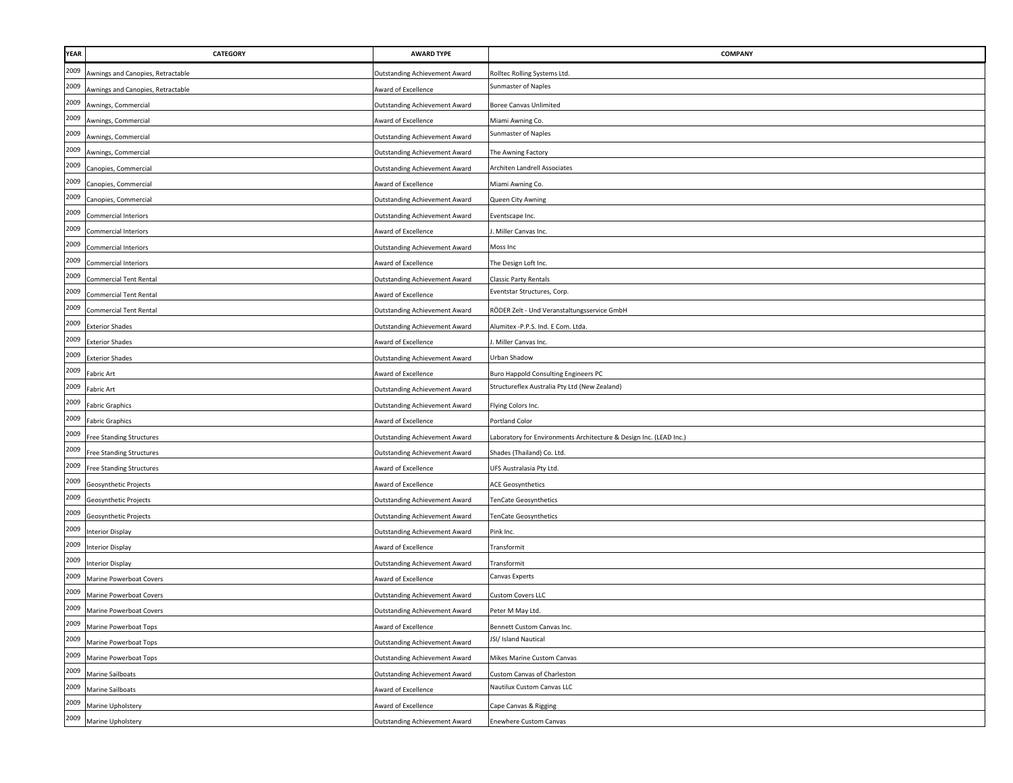| YEAR | <b>CATEGORY</b>                   | <b>AWARD TYPE</b>                    | COMPANY                                                            |
|------|-----------------------------------|--------------------------------------|--------------------------------------------------------------------|
| 2009 | wnings and Canopies, Retractable  | Outstanding Achievement Award        | Rolltec Rolling Systems Ltd.                                       |
| 2009 | Awnings and Canopies, Retractable | Award of Excellence                  | Sunmaster of Naples                                                |
| 2009 | Awnings, Commercial               | <b>Outstanding Achievement Award</b> | Boree Canvas Unlimited                                             |
| 2009 | Awnings, Commercial               | Award of Excellence                  | Miami Awning Co.                                                   |
| 2009 | Awnings, Commercial               | <b>Outstanding Achievement Award</b> | Sunmaster of Naples                                                |
| 2009 | Awnings, Commercial               | <b>Outstanding Achievement Award</b> | The Awning Factory                                                 |
| 2009 | Canopies, Commercial              | <b>Outstanding Achievement Award</b> | Architen Landrell Associates                                       |
| 2009 | Canopies, Commercial              | <b>Award of Excellence</b>           | Miami Awning Co.                                                   |
| 2009 | Canopies, Commercial              | <b>Outstanding Achievement Award</b> | Queen City Awning                                                  |
| 2009 | <b>Commercial Interiors</b>       | <b>Outstanding Achievement Award</b> | Eventscape Inc.                                                    |
| 2009 | Commercial Interiors              | Award of Excellence                  | Miller Canvas Inc.                                                 |
| 2009 | Commercial Interiors              | <b>Outstanding Achievement Award</b> | Moss Inc                                                           |
| 2009 | <b>Commercial Interiors</b>       | Award of Excellence                  | The Design Loft Inc.                                               |
| 2009 | <b>Commercial Tent Rental</b>     | <b>Outstanding Achievement Award</b> | Classic Party Rentals                                              |
| 2009 | <b>Commercial Tent Rental</b>     | Award of Excellence                  | Eventstar Structures, Corp.                                        |
| 2009 | <b>Commercial Tent Rental</b>     | <b>Outstanding Achievement Award</b> | RÖDER Zelt - Und Veranstaltungsservice GmbH                        |
| 2009 | <b>Exterior Shades</b>            | <b>Outstanding Achievement Award</b> | Alumitex -P.P.S. Ind. E Com. Ltda.                                 |
| 2009 | <b>Exterior Shades</b>            | Award of Excellence                  | Miller Canvas Inc.                                                 |
| 2009 | <b>Exterior Shades</b>            | <b>Outstanding Achievement Award</b> | Urban Shadow                                                       |
| 2009 | Fabric Art                        | Award of Excellence                  | <b>Buro Happold Consulting Engineers PC</b>                        |
| 2009 | Fabric Art                        | <b>Outstanding Achievement Award</b> | Structureflex Australia Pty Ltd (New Zealand)                      |
| 2009 | <b>Fabric Graphics</b>            | <b>Outstanding Achievement Award</b> | Flying Colors Inc.                                                 |
| 2009 | <b>Fabric Graphics</b>            | Award of Excellence                  | Portland Color                                                     |
| 2009 | <b>Free Standing Structures</b>   | <b>Outstanding Achievement Award</b> | Laboratory for Environments Architecture & Design Inc. (LEAD Inc.) |
| 2009 | <b>Free Standing Structures</b>   | <b>Outstanding Achievement Award</b> | Shades (Thailand) Co. Ltd.                                         |
| 2009 | Free Standing Structures          | Award of Excellence                  | UFS Australasia Pty Ltd.                                           |
| 2009 | Geosynthetic Projects             | Award of Excellence                  | <b>ACE Geosynthetics</b>                                           |
| 2009 | Geosynthetic Projects             | <b>Outstanding Achievement Award</b> | enCate Geosynthetics                                               |
| 2009 | Geosynthetic Projects             | <b>Outstanding Achievement Award</b> | TenCate Geosynthetics                                              |
| 2009 | <b>Interior Display</b>           | Outstanding Achievement Award        | Pink Inc.                                                          |
| 2009 | <b>Interior Display</b>           | Award of Excellence                  | Transformit                                                        |
| 2009 | <b>Interior Display</b>           | <b>Outstanding Achievement Award</b> | Transformit                                                        |
| 2009 | Marine Powerboat Covers           | Award of Excellence                  | Canvas Experts                                                     |
| 2009 | Marine Powerboat Covers           | <b>Outstanding Achievement Award</b> | <b>Custom Covers LLC</b>                                           |
| 2009 | Marine Powerboat Covers           | <b>Outstanding Achievement Award</b> | Peter M May Ltd.                                                   |
| 2009 | Marine Powerboat Tops             | Award of Excellence                  | Bennett Custom Canvas Inc.                                         |
| 2009 | Marine Powerboat Tops             | <b>Outstanding Achievement Award</b> | JSI/ Island Nautical                                               |
| 2009 | Marine Powerboat Tops             | <b>Outstanding Achievement Award</b> | Mikes Marine Custom Canvas                                         |
| 2009 | Marine Sailboats                  | <b>Outstanding Achievement Award</b> | Custom Canvas of Charleston                                        |
| 2009 | Marine Sailboats                  | Award of Excellence                  | Nautilux Custom Canvas LLC                                         |
| 2009 | Marine Upholstery                 | Award of Excellence                  | Cape Canvas & Rigging                                              |
| 2009 | Marine Upholstery                 | <b>Outstanding Achievement Award</b> | Enewhere Custom Canvas                                             |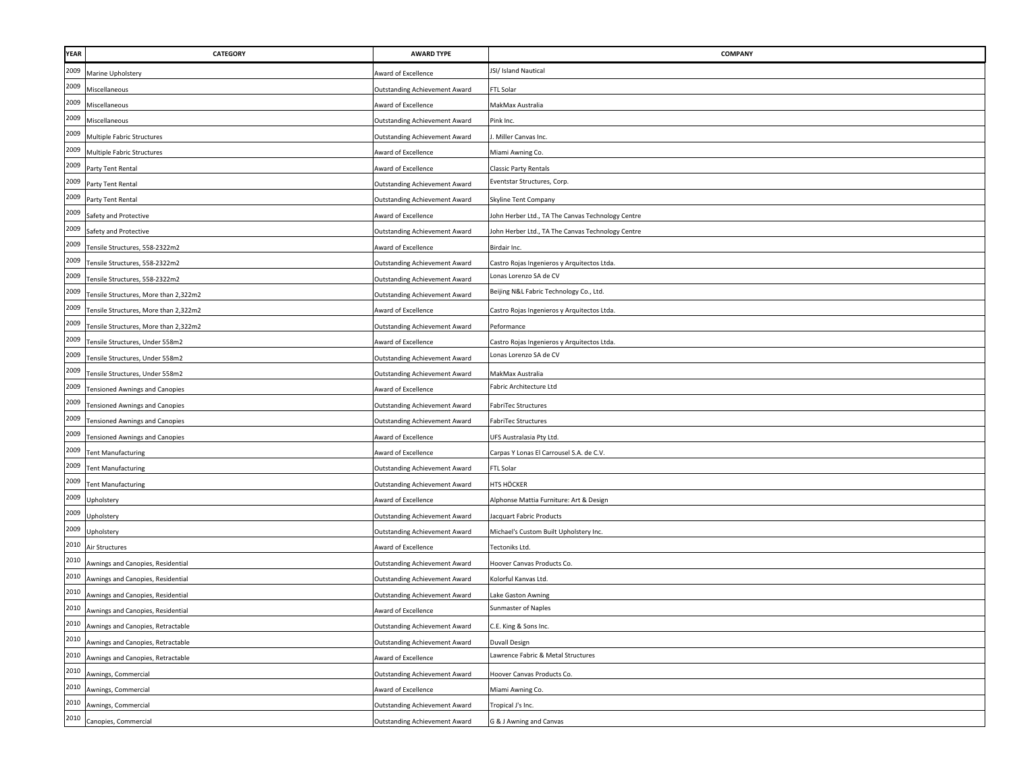| <b>YEAR</b> | CATEGORY                              | <b>AWARD TYPE</b>                    | <b>COMPANY</b>                                    |
|-------------|---------------------------------------|--------------------------------------|---------------------------------------------------|
| 2009        | Marine Upholstery                     | ward of Excellence                   | JSI/ Island Nautical                              |
| 2009        | Miscellaneous                         | Outstanding Achievement Award        | FTL Solar                                         |
| 2009        | Miscellaneous                         | Award of Excellence                  | MakMax Australia                                  |
| 2009        | Miscellaneous                         | Outstanding Achievement Award        | Pink Inc.                                         |
| 2009        | Multiple Fabric Structures            | <b>Outstanding Achievement Award</b> | Miller Canvas Inc.                                |
| 2009        | Multiple Fabric Structures            | Award of Excellence                  | Miami Awning Co.                                  |
| 2009        | Party Tent Rental                     | Award of Excellence                  | Classic Party Rentals                             |
| 2009        | Party Tent Rental                     | <b>Outstanding Achievement Award</b> | Eventstar Structures, Corp.                       |
| 2009        | Party Tent Rental                     | Outstanding Achievement Award        | Skyline Tent Company                              |
| 2009        | Safety and Protective                 | <b>Award of Excellence</b>           | John Herber Ltd., TA The Canvas Technology Centre |
| 2009        | Safety and Protective                 | Outstanding Achievement Award        | Iohn Herber Ltd., TA The Canvas Technology Centre |
| 2009        | Tensile Structures, 558-2322m2        | <b>Award of Excellence</b>           | Birdair Inc.                                      |
| 2009        | Tensile Structures, 558-2322m2        | <b>Outstanding Achievement Award</b> | Castro Rojas Ingenieros y Arquitectos Ltda.       |
| 2009        | Tensile Structures, 558-2322m2        | Outstanding Achievement Award        | Lonas Lorenzo SA de CV                            |
| 2009        | Tensile Structures, More than 2,322m2 | Outstanding Achievement Award        | Beijing N&L Fabric Technology Co., Ltd.           |
| 2009        | Tensile Structures, More than 2,322m2 | Award of Excellence                  | Castro Rojas Ingenieros y Arquitectos Ltda.       |
| 2009        | Tensile Structures, More than 2,322m2 | Outstanding Achievement Award        | Peformance                                        |
| 2009        | Tensile Structures, Under 558m2       | Award of Excellence                  | Castro Rojas Ingenieros y Arquitectos Ltda.       |
| 2009        | Tensile Structures, Under 558m2       | Outstanding Achievement Award        | Lonas Lorenzo SA de CV                            |
| 2009        | Tensile Structures, Under 558m2       | Outstanding Achievement Award        | MakMax Australia                                  |
| 2009        | <b>Tensioned Awnings and Canopies</b> | ward of Excellence                   | Fabric Architecture Ltd                           |
| 2009        | <b>Tensioned Awnings and Canopies</b> | Outstanding Achievement Award        | FabriTec Structures                               |
| 2009        | <b>Tensioned Awnings and Canopies</b> | <b>Dutstanding Achievement Award</b> | FabriTec Structures                               |
| 2009        | <b>Tensioned Awnings and Canopies</b> | ward of Excellence                   | UFS Australasia Pty Ltd.                          |
| 2009        | <b>Tent Manufacturing</b>             | ward of Excellence                   | Carpas Y Lonas El Carrousel S.A. de C.V.          |
| 2009        | <b>Tent Manufacturing</b>             | Outstanding Achievement Award        | FTL Solar                                         |
| 2009        | Tent Manufacturing                    | Outstanding Achievement Award        | HTS HÖCKER                                        |
| 2009        | Upholstery                            | <b>Award of Excellence</b>           | Alphonse Mattia Furniture: Art & Design           |
| 2009        | Upholstery                            | <b>Outstanding Achievement Award</b> | lacquart Fabric Products                          |
| 2009        | Upholstery                            | Outstanding Achievement Award        | Michael's Custom Built Upholstery Inc.            |
| 2010        | Air Structures                        | Award of Excellence                  | Tectoniks Ltd.                                    |
| 2010        | Awnings and Canopies, Residential     | Outstanding Achievement Award        | Hoover Canvas Products Co.                        |
| 2010        | Awnings and Canopies, Residential     | <b>Outstanding Achievement Award</b> | Kolorful Kanvas Ltd.                              |
| 2010        | Awnings and Canopies, Residential     | Outstanding Achievement Award        | Lake Gaston Awning                                |
| 2010        | Awnings and Canopies, Residential     | Award of Excellence                  | Sunmaster of Naples                               |
| 2010        | Awnings and Canopies, Retractable     | <b>Outstanding Achievement Award</b> | C.E. King & Sons Inc.                             |
| 2010        | Awnings and Canopies, Retractable     | <b>Outstanding Achievement Award</b> | Duvall Design                                     |
| 2010        | Awnings and Canopies, Retractable     | ward of Excellence                   | Lawrence Fabric & Metal Structures                |
| 2010        | Awnings, Commercial                   | Outstanding Achievement Award        | Hoover Canvas Products Co.                        |
| 2010        | Awnings, Commercial                   | Award of Excellence                  | Miami Awning Co.                                  |
| 2010        | Awnings, Commercial                   | Outstanding Achievement Award        | Tropical J's Inc.                                 |
| 2010        | Canopies, Commercial                  | <b>Outstanding Achievement Award</b> | G & J Awning and Canvas                           |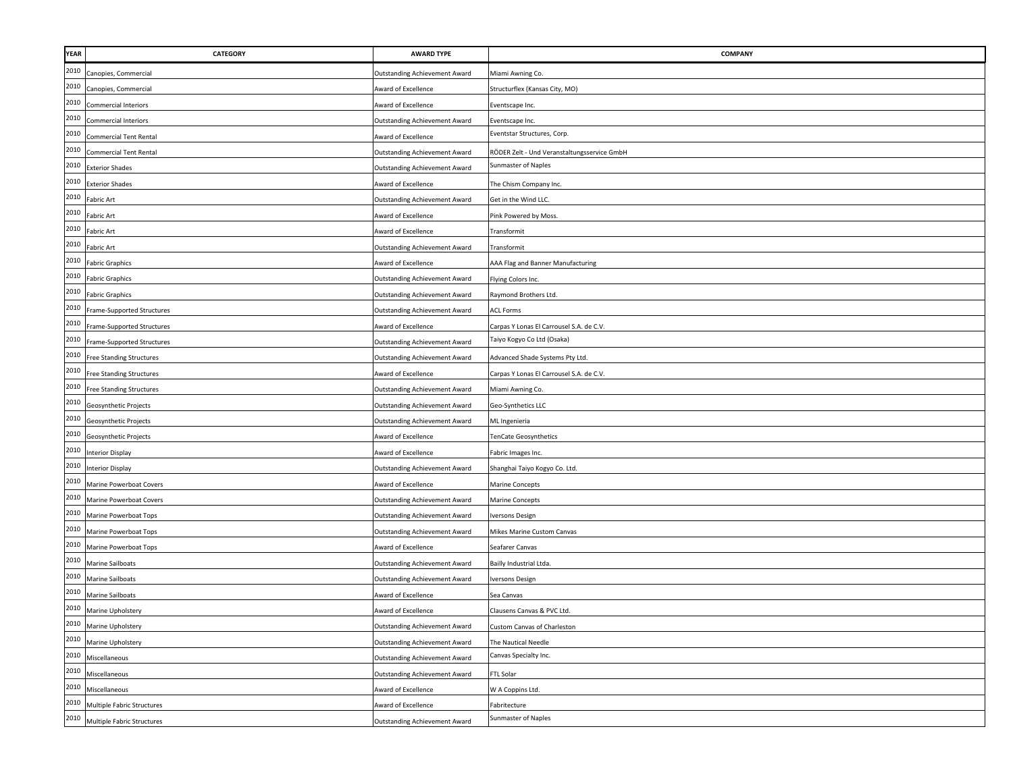| <b>YEAR</b> | <b>CATEGORY</b>                   | <b>AWARD TYPE</b>                    | <b>COMPANY</b>                              |
|-------------|-----------------------------------|--------------------------------------|---------------------------------------------|
| 2010        | Canopies, Commercial              | <b>Outstanding Achievement Award</b> | Miami Awning Co.                            |
| 2010        | Canopies, Commercial              | Award of Excellence                  | Structurflex (Kansas City, MO)              |
| 2010        | <b>Commercial Interiors</b>       | Award of Excellence                  | Eventscape Inc.                             |
| 2010        | <b>Commercial Interiors</b>       | <b>Outstanding Achievement Award</b> | Eventscape Inc.                             |
| 2010        | <b>Commercial Tent Rental</b>     | Award of Excellence                  | Eventstar Structures, Corp.                 |
| 2010        | <b>Commercial Tent Rental</b>     | <b>Outstanding Achievement Award</b> | RÖDER Zelt - Und Veranstaltungsservice GmbH |
| 2010        | <b>Exterior Shades</b>            | <b>Outstanding Achievement Award</b> | Sunmaster of Naples                         |
| 2010        | <b>Exterior Shades</b>            | Award of Excellence                  | The Chism Company Inc.                      |
| 2010        | Fabric Art                        | <b>Outstanding Achievement Award</b> | Get in the Wind LLC.                        |
| 2010        | Fabric Art                        | Award of Excellence                  | Pink Powered by Moss                        |
| 2010        | <b>Fabric Art</b>                 | Award of Excellence                  | Transformit                                 |
| 2010        | Fabric Art                        | <b>Outstanding Achievement Award</b> | ransformit                                  |
| 2010        | <b>Fabric Graphics</b>            | Award of Excellence                  | AAA Flag and Banner Manufacturing           |
| 2010        | <b>Fabric Graphics</b>            | <b>Outstanding Achievement Award</b> | Flying Colors Inc.                          |
| 2010        | <b>Fabric Graphics</b>            | <b>Outstanding Achievement Award</b> | Raymond Brothers Ltd.                       |
| 2010        | Frame-Supported Structures        | Outstanding Achievement Award        | <b>ACL Forms</b>                            |
| 2010        | Frame-Supported Structures        | Award of Excellence                  | Carpas Y Lonas El Carrousel S.A. de C.V.    |
| 2010        | Frame-Supported Structures        | <b>Outstanding Achievement Award</b> | Taiyo Kogyo Co Ltd (Osaka)                  |
| 2010        | <b>Free Standing Structures</b>   | <b>Outstanding Achievement Award</b> | Advanced Shade Systems Pty Ltd.             |
| 2010        | <b>Free Standing Structures</b>   | Award of Excellence                  | Carpas Y Lonas El Carrousel S.A. de C.V.    |
| 2010        | <b>Free Standing Structures</b>   | <b>Outstanding Achievement Award</b> | Miami Awning Co.                            |
| 2010        | Geosynthetic Projects             | <b>Outstanding Achievement Award</b> | Geo-Synthetics LLC                          |
| 2010        | Geosynthetic Projects             | <b>Outstanding Achievement Award</b> | ML Ingenieria                               |
| 2010        | Geosynthetic Projects             | Award of Excellence                  | <b>TenCate Geosynthetics</b>                |
| 2010        | <b>Interior Display</b>           | Award of Excellence                  | Fabric Images Inc.                          |
| 2010        | <b>Interior Display</b>           | <b>Outstanding Achievement Award</b> | Shanghai Taiyo Kogyo Co. Ltd.               |
| 2010        | Marine Powerboat Covers           | Award of Excellence                  | <b>Marine Concepts</b>                      |
| 2010        | Marine Powerboat Covers           | <b>Outstanding Achievement Award</b> | <b>Marine Concepts</b>                      |
| 2010        | Marine Powerboat Tops             | <b>Outstanding Achievement Award</b> | Iversons Design                             |
| 2010        | Marine Powerboat Tops             | <b>Outstanding Achievement Award</b> | Mikes Marine Custom Canvas                  |
| 2010        | Marine Powerboat Tops             | Award of Excellence                  | Seafarer Canvas                             |
| 2010        | Marine Sailboats                  | <b>Outstanding Achievement Award</b> | Bailly Industrial Ltda.                     |
| 2010        | Marine Sailboats                  | <b>Outstanding Achievement Award</b> | Iversons Design                             |
| 2010        | Marine Sailboats                  | Award of Excellence                  | Sea Canvas                                  |
| 2010        | Marine Upholstery                 | Award of Excellence                  | Clausens Canvas & PVC Ltd.                  |
| 2010        | Marine Upholstery                 | <b>Outstanding Achievement Award</b> | Custom Canvas of Charleston                 |
| 2010        | Marine Upholstery                 | <b>Outstanding Achievement Award</b> | The Nautical Needle                         |
| 2010        | Miscellaneous                     | <b>Outstanding Achievement Award</b> | Canvas Specialty Inc.                       |
| 2010        | Miscellaneous                     | <b>Outstanding Achievement Award</b> | FTL Solar                                   |
| 2010        | Miscellaneous                     | Award of Excellence                  | W A Coppins Ltd.                            |
| 2010        | Multiple Fabric Structures        | Award of Excellence                  | Fabritecture                                |
| 2010        | <b>Multiple Fabric Structures</b> | Outstanding Achievement Award        | Sunmaster of Naples                         |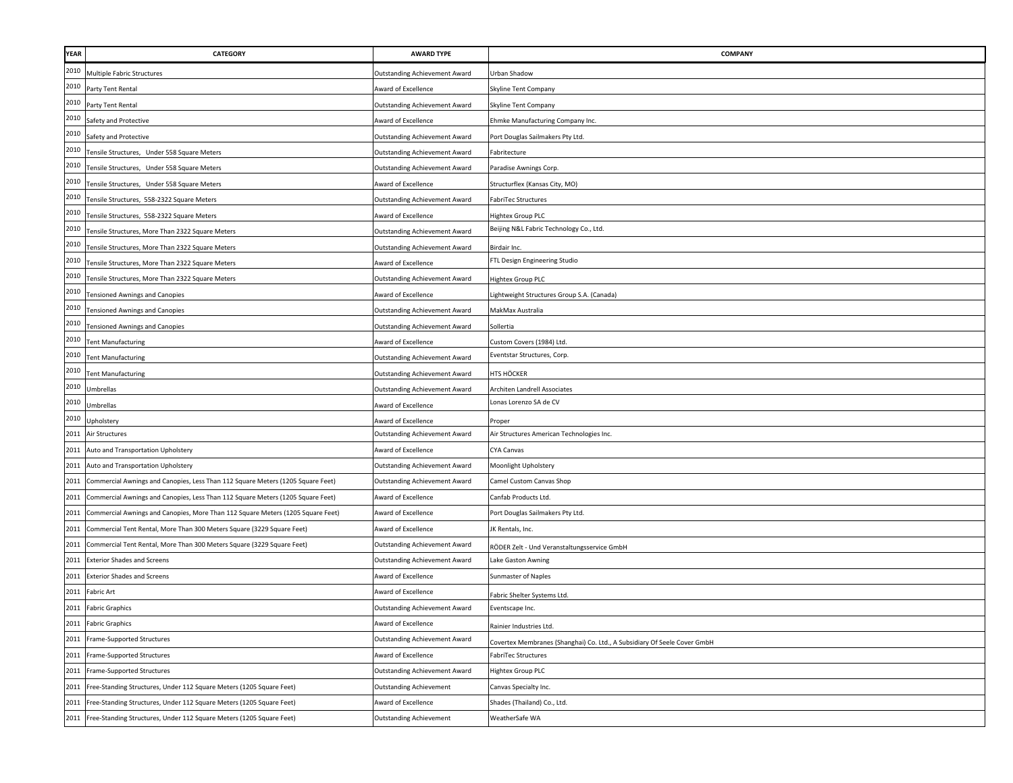| <b>YEAR</b> | CATEGORY                                                                        | <b>AWARD TYPE</b>                    | <b>COMPANY</b>                                                           |
|-------------|---------------------------------------------------------------------------------|--------------------------------------|--------------------------------------------------------------------------|
| 2010        | <b>Multiple Fabric Structures</b>                                               | <b>Outstanding Achievement Award</b> | Urban Shadow                                                             |
| 2010        | Party Tent Rental                                                               | Award of Excellence                  | Skyline Tent Company                                                     |
| 2010        | Party Tent Rental                                                               | <b>Outstanding Achievement Award</b> | Skyline Tent Company                                                     |
| 2010        | Safety and Protective                                                           | Award of Excellence                  | Ehmke Manufacturing Company Inc                                          |
| 2010        | Safety and Protective                                                           | <b>Outstanding Achievement Award</b> | Port Douglas Sailmakers Pty Ltd.                                         |
| 2010        | Tensile Structures, Under 558 Square Meters                                     | Outstanding Achievement Award        | Fabritecture                                                             |
| 2010        | Tensile Structures, Under 558 Square Meters                                     | Outstanding Achievement Award        | Paradise Awnings Corp.                                                   |
| 2010        | Tensile Structures, Under 558 Square Meters                                     | <b>Award of Excellence</b>           | Structurflex (Kansas City, MO)                                           |
| 2010        | Tensile Structures, 558-2322 Square Meters                                      | <b>Outstanding Achievement Award</b> | FabriTec Structures                                                      |
| 2010        | Tensile Structures, 558-2322 Square Meters                                      | Award of Excellence                  | Hightex Group PLC                                                        |
| 2010        | Tensile Structures, More Than 2322 Square Meters                                | <b>Outstanding Achievement Award</b> | Beijing N&L Fabric Technology Co., Ltd.                                  |
| 2010        | ensile Structures, More Than 2322 Square Meters                                 | <b>Outstanding Achievement Award</b> | Birdair Inc.                                                             |
| 2010        | Fensile Structures, More Than 2322 Square Meters                                | Award of Excellence                  | FTL Design Engineering Studio                                            |
| 2010        | Tensile Structures, More Than 2322 Square Meters                                | <b>Outstanding Achievement Award</b> | <b>Hightex Group PLC</b>                                                 |
| 2010        | <b>Tensioned Awnings and Canopies</b>                                           | Award of Excellence                  | Lightweight Structures Group S.A. (Canada)                               |
| 2010        | <b>Tensioned Awnings and Canopies</b>                                           | <b>Outstanding Achievement Award</b> | MakMax Australia                                                         |
| 2010        | <b>Tensioned Awnings and Canopies</b>                                           | <b>Outstanding Achievement Award</b> | Sollertia                                                                |
| 2010        | <b>Tent Manufacturing</b>                                                       | Award of Excellence                  | Custom Covers (1984) Ltd.                                                |
| 2010        | <b>Tent Manufacturing</b>                                                       | Outstanding Achievement Award        | Eventstar Structures, Corp.                                              |
| 2010        | <b>Tent Manufacturing</b>                                                       | <b>Outstanding Achievement Award</b> | HTS HÖCKER                                                               |
| 2010        | Umbrellas                                                                       | <b>Outstanding Achievement Award</b> | Architen Landrell Associates                                             |
| 2010        | Umbrellas                                                                       | Award of Excellence                  | Lonas Lorenzo SA de CV                                                   |
| 2010        | Upholstery                                                                      | Award of Excellence                  | Proper                                                                   |
|             | 2011 Air Structures                                                             | <b>Outstanding Achievement Award</b> | Air Structures American Technologies Inc.                                |
| 2011        | Auto and Transportation Upholstery                                              | Award of Excellence                  | <b>CYA Canvas</b>                                                        |
| 2011        | Auto and Transportation Upholstery                                              | <b>Outstanding Achievement Award</b> | Moonlight Upholstery                                                     |
| 2011        | Commercial Awnings and Canopies, Less Than 112 Square Meters (1205 Square Feet) | <b>Outstanding Achievement Award</b> | Camel Custom Canvas Shop                                                 |
| 2011        | Commercial Awnings and Canopies, Less Than 112 Square Meters (1205 Square Feet) | Award of Excellence                  | Canfab Products Ltd.                                                     |
| 2011        | Commercial Awnings and Canopies, More Than 112 Square Meters (1205 Square Feet) | Award of Excellence                  | Port Douglas Sailmakers Pty Ltd.                                         |
| 2011        | Commercial Tent Rental, More Than 300 Meters Square (3229 Square Feet)          | Award of Excellence                  | JK Rentals, Inc.                                                         |
| 2011        | Commercial Tent Rental, More Than 300 Meters Square (3229 Square Feet)          | <b>Outstanding Achievement Award</b> | RÖDER Zelt - Und Veranstaltungsservice GmbH                              |
| 2011        | <b>Exterior Shades and Screens</b>                                              | <b>Outstanding Achievement Award</b> | Lake Gaston Awning                                                       |
| 2011        | <b>Exterior Shades and Screens</b>                                              | Award of Excellence                  | Sunmaster of Naples                                                      |
| 2011        | Fabric Art                                                                      | <b>Award of Excellence</b>           | Fabric Shelter Systems Ltd.                                              |
| 2011        | <b>Fabric Graphics</b>                                                          | Outstanding Achievement Award        | Eventscape Inc.                                                          |
|             | 2011 Fabric Graphics                                                            | Award of Excellence                  | Rainier Industries Ltd.                                                  |
| 2011        | Frame-Supported Structures                                                      | <b>Outstanding Achievement Award</b> | Covertex Membranes (Shanghai) Co. Ltd., A Subsidiary Of Seele Cover GmbH |
| 2011        | Frame-Supported Structures                                                      | Award of Excellence                  | <b>FabriTec Structures</b>                                               |
| 2011        | Frame-Supported Structures                                                      | <b>Outstanding Achievement Award</b> | Hightex Group PLC                                                        |
| 2011        | Free-Standing Structures, Under 112 Square Meters (1205 Square Feet)            | <b>Outstanding Achievement</b>       | Canvas Specialty Inc.                                                    |
| 2011        | Free-Standing Structures, Under 112 Square Meters (1205 Square Feet)            | Award of Excellence                  | Shades (Thailand) Co., Ltd.                                              |
| 2011        | Free-Standing Structures, Under 112 Square Meters (1205 Square Feet)            | <b>Outstanding Achievement</b>       | WeatherSafe WA                                                           |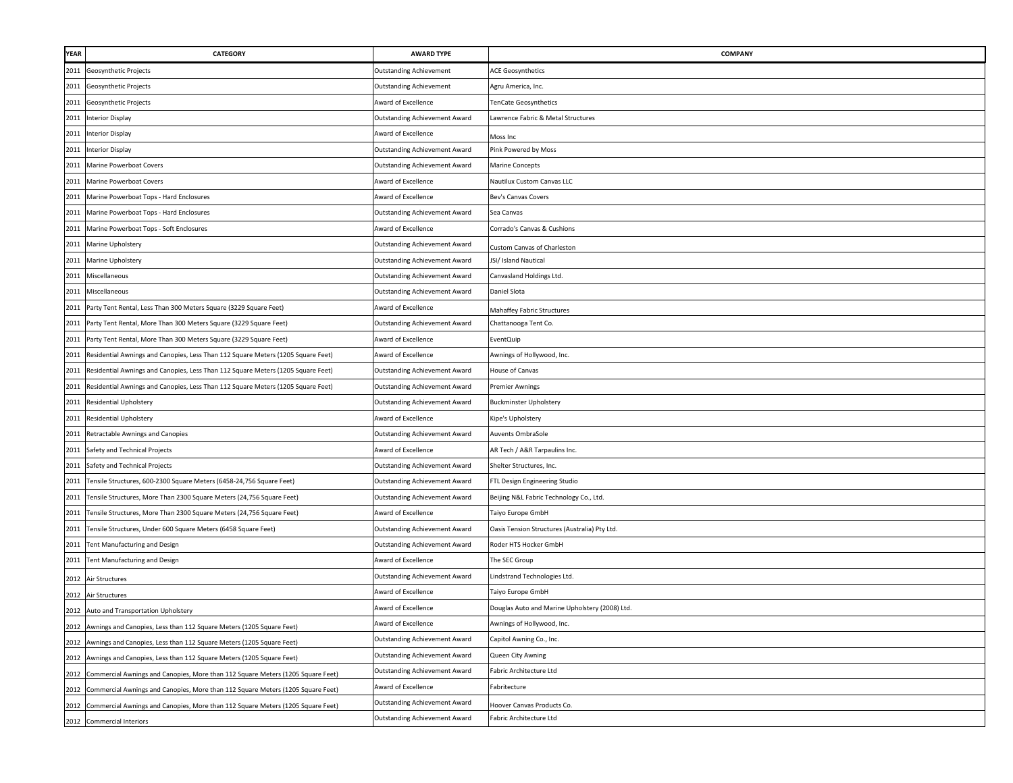| <b>YEAR</b> | <b>CATEGORY</b>                                                                      | <b>AWARD TYPE</b>                    | COMPANY                                        |
|-------------|--------------------------------------------------------------------------------------|--------------------------------------|------------------------------------------------|
|             | 2011 Geosynthetic Projects                                                           | <b>Outstanding Achievement</b>       | <b>ACE Geosynthetics</b>                       |
| 2011        | Geosynthetic Projects                                                                | <b>Outstanding Achievement</b>       | Agru America, Inc.                             |
| 2011        | Geosynthetic Projects                                                                | Award of Excellence                  | <b>FenCate Geosynthetics</b>                   |
|             | 2011 Interior Display                                                                | <b>Outstanding Achievement Award</b> | Lawrence Fabric & Metal Structures             |
|             | 2011 Interior Display                                                                | Award of Excellence                  | Moss Inc                                       |
|             | 2011 Interior Display                                                                | <b>Outstanding Achievement Award</b> | Pink Powered by Moss                           |
|             | 2011 Marine Powerboat Covers                                                         | <b>Outstanding Achievement Award</b> | <b>Marine Concepts</b>                         |
| 2011        | Marine Powerboat Covers                                                              | Award of Excellence                  | Nautilux Custom Canvas LLC                     |
| 2011        | Marine Powerboat Tops - Hard Enclosures                                              | Award of Excellence                  | Bev's Canvas Covers                            |
| 2011        | Marine Powerboat Tops - Hard Enclosures                                              | <b>Outstanding Achievement Award</b> | Sea Canvas                                     |
| 2011        | Marine Powerboat Tops - Soft Enclosures                                              | Award of Excellence                  | Corrado's Canvas & Cushions                    |
| 2011        | Marine Upholstery                                                                    | Outstanding Achievement Award        | Custom Canvas of Charleston                    |
| 2011        | Marine Upholstery                                                                    | <b>Outstanding Achievement Award</b> | JSI/ Island Nautical                           |
| 2011        | Miscellaneous                                                                        | <b>Outstanding Achievement Award</b> | Canvasland Holdings Ltd.                       |
| 2011        | Miscellaneous                                                                        | <b>Outstanding Achievement Award</b> | Daniel Slota                                   |
| 2011        | Party Tent Rental, Less Than 300 Meters Square (3229 Square Feet)                    | Award of Excellence                  | Mahaffey Fabric Structures                     |
| 2011        | Party Tent Rental, More Than 300 Meters Square (3229 Square Feet)                    | <b>Outstanding Achievement Award</b> | Chattanooga Tent Co.                           |
| 2011        | Party Tent Rental, More Than 300 Meters Square (3229 Square Feet)                    | Award of Excellence                  | EventQuip                                      |
| 2011        | Residential Awnings and Canopies, Less Than 112 Square Meters (1205 Square Feet)     | Award of Excellence                  | Awnings of Hollywood, Inc.                     |
| 2011        | Residential Awnings and Canopies, Less Than 112 Square Meters (1205 Square Feet)     | <b>Outstanding Achievement Award</b> | House of Canvas                                |
| 2011        | Residential Awnings and Canopies, Less Than 112 Square Meters (1205 Square Feet)     | Outstanding Achievement Award        | <b>Premier Awnings</b>                         |
| 2011        | <b>Residential Upholstery</b>                                                        | <b>Outstanding Achievement Award</b> | <b>Buckminster Upholstery</b>                  |
|             | 2011 Residential Upholstery                                                          | Award of Excellence                  | Kipe's Upholstery                              |
|             | 2011 Retractable Awnings and Canopies                                                | <b>Outstanding Achievement Award</b> | Auvents OmbraSole                              |
|             | 2011 Safety and Technical Projects                                                   | Award of Excellence                  | AR Tech / A&R Tarpaulins Inc.                  |
|             | 2011 Safety and Technical Projects                                                   | <b>Outstanding Achievement Award</b> | Shelter Structures, Inc.                       |
|             | 2011 Tensile Structures, 600-2300 Square Meters (6458-24,756 Square Feet)            | <b>Outstanding Achievement Award</b> | FTL Design Engineering Studio                  |
| 2011        | Tensile Structures, More Than 2300 Square Meters (24,756 Square Feet)                | <b>Outstanding Achievement Award</b> | Beijing N&L Fabric Technology Co., Ltd.        |
| 2011        | Tensile Structures, More Than 2300 Square Meters (24,756 Square Feet)                | Award of Excellence                  | Taiyo Europe GmbH                              |
| 2011        | Tensile Structures, Under 600 Square Meters (6458 Square Feet)                       | <b>Outstanding Achievement Award</b> | Oasis Tension Structures (Australia) Pty Ltd.  |
|             | 2011 Tent Manufacturing and Design                                                   | Outstanding Achievement Award        | Roder HTS Hocker GmbH                          |
| 2011        | Tent Manufacturing and Design                                                        | Award of Excellence                  | The SEC Group                                  |
| 2012        | Air Structures                                                                       | <b>Outstanding Achievement Award</b> | Lindstrand Technologies Ltd.                   |
| 2012        | Air Structures                                                                       | Award of Excellence                  | <b>Taiyo Europe GmbH</b>                       |
|             | 2012 Auto and Transportation Upholstery                                              | Award of Excellence                  | Douglas Auto and Marine Upholstery (2008) Ltd. |
|             | 2012 Awnings and Canopies, Less than 112 Square Meters (1205 Square Feet)            | Award of Excellence                  | Awnings of Hollywood, Inc.                     |
|             | 2012 Awnings and Canopies, Less than 112 Square Meters (1205 Square Feet)            | <b>Outstanding Achievement Award</b> | Capitol Awning Co., Inc.                       |
|             | 2012 Awnings and Canopies, Less than 112 Square Meters (1205 Square Feet)            | <b>Outstanding Achievement Award</b> | Queen City Awning                              |
|             | 2012 Commercial Awnings and Canopies, More than 112 Square Meters (1205 Square Feet) | <b>Outstanding Achievement Award</b> | Fabric Architecture Ltd                        |
|             | 2012 Commercial Awnings and Canopies, More than 112 Square Meters (1205 Square Feet) | Award of Excellence                  | Fabritecture                                   |
| 2012        | Commercial Awnings and Canopies, More than 112 Square Meters (1205 Square Feet)      | <b>Outstanding Achievement Award</b> | Hoover Canvas Products Co.                     |
|             | 2012 Commercial Interiors                                                            | <b>Outstanding Achievement Award</b> | Fabric Architecture Ltd                        |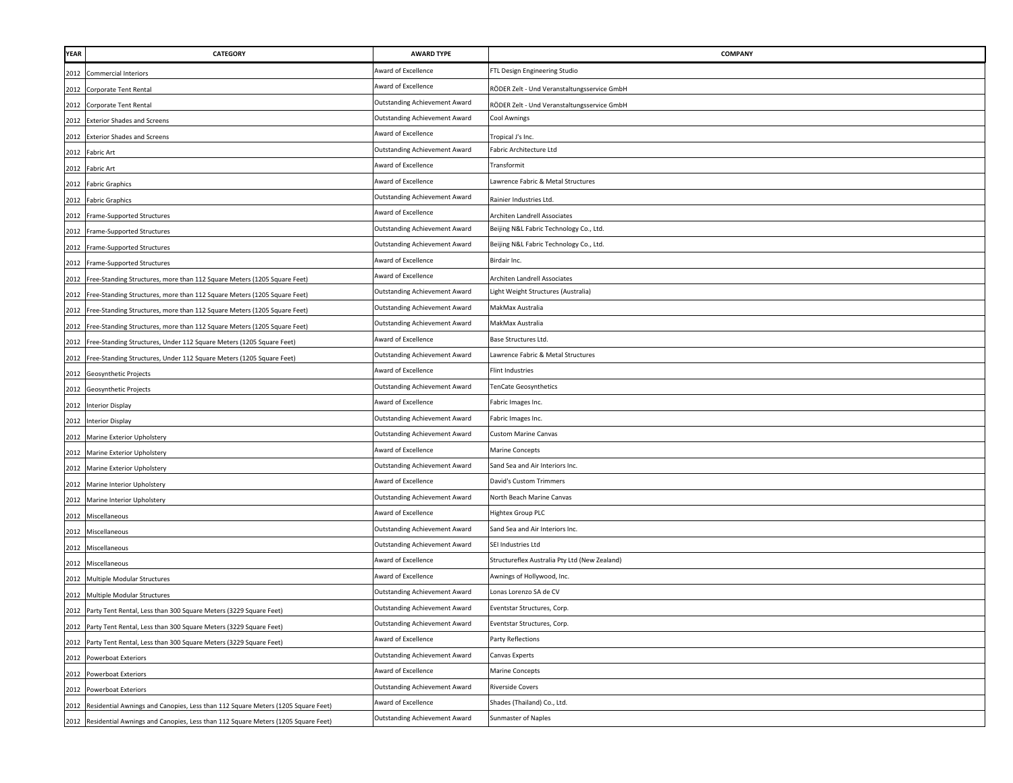| <b>YEAR</b> | <b>CATEGORY</b>                                                                       | <b>AWARD TYPE</b>                    | COMPANY                                       |
|-------------|---------------------------------------------------------------------------------------|--------------------------------------|-----------------------------------------------|
|             | 2012 Commercial Interiors                                                             | Award of Excellence                  | FTL Design Engineering Studio                 |
|             | 2012 Corporate Tent Rental                                                            | Award of Excellence                  | RÖDER Zelt - Und Veranstaltungsservice GmbH   |
|             | 2012 Corporate Tent Rental                                                            | <b>Outstanding Achievement Award</b> | RÖDER Zelt - Und Veranstaltungsservice GmbH   |
|             | 2012 Exterior Shades and Screens                                                      | <b>Outstanding Achievement Award</b> | <b>Cool Awnings</b>                           |
| 2012        | <b>Exterior Shades and Screens</b>                                                    | Award of Excellence                  | Fropical J's Inc.                             |
|             | 2012 Fabric Art                                                                       | <b>Outstanding Achievement Award</b> | Fabric Architecture Ltd                       |
| 2012        | <b>Fabric Art</b>                                                                     | Award of Excellence                  | Transformit                                   |
| 2012        | <b>Fabric Graphics</b>                                                                | Award of Excellence                  | awrence Fabric & Metal Structures             |
| 2012        | <b>Fabric Graphics</b>                                                                | <b>Outstanding Achievement Award</b> | Rainier Industries Ltd.                       |
| 2012        | Frame-Supported Structures                                                            | Award of Excellence                  | Architen Landrell Associates                  |
| 2012        | Frame-Supported Structures                                                            | <b>Outstanding Achievement Award</b> | Beijing N&L Fabric Technology Co., Ltd.       |
| 2012        | Frame-Supported Structures                                                            | <b>Outstanding Achievement Award</b> | Beijing N&L Fabric Technology Co., Ltd.       |
| 2012        | Frame-Supported Structures                                                            | Award of Excellence                  | Birdair Inc.                                  |
| 2012        | Free-Standing Structures, more than 112 Square Meters (1205 Square Feet)              | Award of Excellence                  | Architen Landrell Associates                  |
| 2012        | Free-Standing Structures, more than 112 Square Meters (1205 Square Feet)              | <b>Outstanding Achievement Award</b> | Light Weight Structures (Australia)           |
| 2012        | Free-Standing Structures, more than 112 Square Meters (1205 Square Feet)              | Outstanding Achievement Award        | MakMax Australia                              |
|             | 2012 Free-Standing Structures, more than 112 Square Meters (1205 Square Feet)         | Outstanding Achievement Award        | MakMax Australia                              |
|             | 2012 Free-Standing Structures, Under 112 Square Meters (1205 Square Feet)             | Award of Excellence                  | Base Structures Ltd.                          |
|             | 2012 Free-Standing Structures, Under 112 Square Meters (1205 Square Feet)             | <b>Outstanding Achievement Award</b> | Lawrence Fabric & Metal Structures            |
|             | 2012 Geosynthetic Projects                                                            | Award of Excellence                  | <b>Flint Industries</b>                       |
|             | 2012 Geosynthetic Projects                                                            | <b>Outstanding Achievement Award</b> | TenCate Geosynthetics                         |
|             | 2012 Interior Display                                                                 | Award of Excellence                  | Fabric Images Inc.                            |
|             | 2012 Interior Display                                                                 | <b>Outstanding Achievement Award</b> | Fabric Images Inc.                            |
| 2012        | Marine Exterior Upholstery                                                            | <b>Outstanding Achievement Award</b> | <b>Custom Marine Canvas</b>                   |
| 2012        | Marine Exterior Upholstery                                                            | Award of Excellence                  | Marine Concepts                               |
| 2012        | Marine Exterior Upholstery                                                            | <b>Outstanding Achievement Award</b> | Sand Sea and Air Interiors Inc.               |
| 2012        | Marine Interior Upholstery                                                            | Award of Excellence                  | David's Custom Trimmers                       |
| 2012        | Marine Interior Upholstery                                                            | <b>Outstanding Achievement Award</b> | North Beach Marine Canvas                     |
|             | 2012 Miscellaneous                                                                    | Award of Excellence                  | Hightex Group PLC                             |
| 2012        | Miscellaneous                                                                         | <b>Outstanding Achievement Award</b> | Sand Sea and Air Interiors Inc.               |
| 2012        | Miscellaneous                                                                         | <b>Outstanding Achievement Award</b> | SEI Industries Ltd                            |
| 2012        | Miscellaneous                                                                         | Award of Excellence                  | Structureflex Australia Pty Ltd (New Zealand) |
| 2012        | Multiple Modular Structures                                                           | Award of Excellence                  | Awnings of Hollywood, Inc.                    |
| 2012        | Multiple Modular Structures                                                           | <b>Outstanding Achievement Award</b> | Lonas Lorenzo SA de CV                        |
|             | 2012 Party Tent Rental, Less than 300 Square Meters (3229 Square Feet)                | <b>Outstanding Achievement Award</b> | Eventstar Structures, Corp.                   |
|             | 2012 Party Tent Rental, Less than 300 Square Meters (3229 Square Feet)                | <b>Outstanding Achievement Award</b> | Eventstar Structures, Corp.                   |
|             | 2012 Party Tent Rental, Less than 300 Square Meters (3229 Square Feet)                | Award of Excellence                  | Party Reflections                             |
|             | 2012 Powerboat Exteriors                                                              | Outstanding Achievement Award        | Canvas Experts                                |
|             | 2012 Powerboat Exteriors                                                              | Award of Excellence                  | <b>Marine Concepts</b>                        |
|             | 2012 Powerboat Exteriors                                                              | <b>Outstanding Achievement Award</b> | <b>Riverside Covers</b>                       |
| 2012        | Residential Awnings and Canopies, Less than 112 Square Meters (1205 Square Feet)      | Award of Excellence                  | Shades (Thailand) Co., Ltd.                   |
|             | 2012 Residential Awnings and Canopies, Less than 112 Square Meters (1205 Square Feet) | <b>Outstanding Achievement Award</b> | Sunmaster of Naples                           |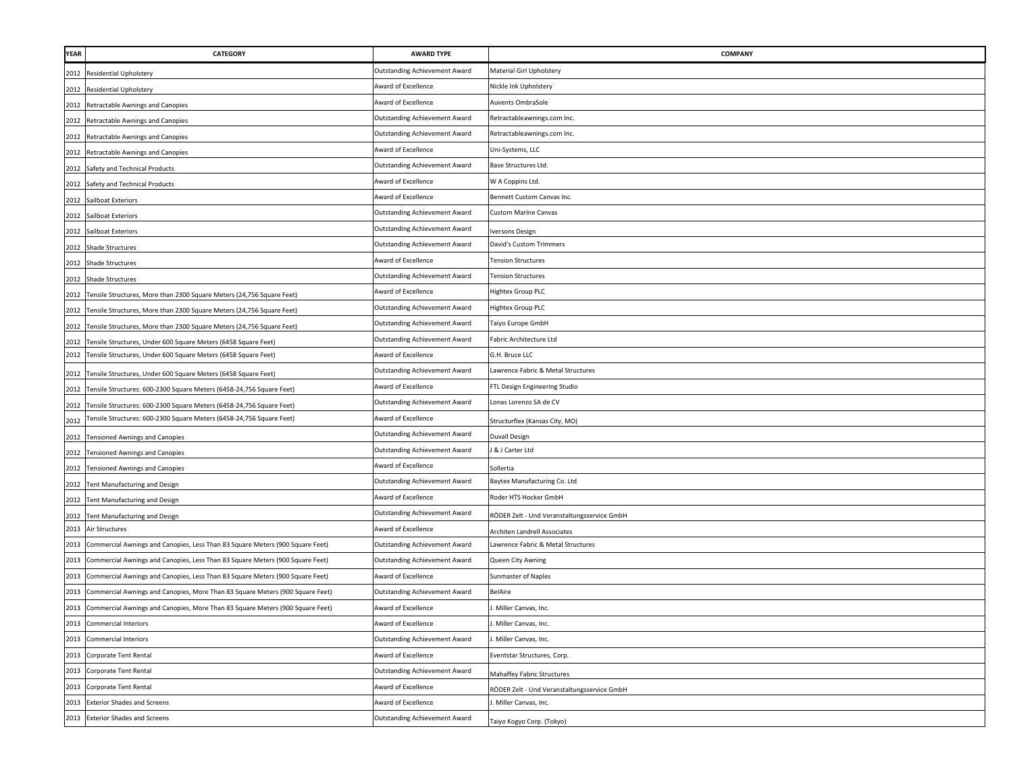| YEAR | <b>CATEGORY</b>                                                               | <b>AWARD TYPE</b>                    | <b>COMPANY</b>                              |
|------|-------------------------------------------------------------------------------|--------------------------------------|---------------------------------------------|
|      | 2012 Residential Upholstery                                                   | <b>Outstanding Achievement Award</b> | Material Girl Upholstery                    |
|      | 2012 Residential Upholstery                                                   | Award of Excellence                  | Nickle Ink Upholstery                       |
|      | 2012 Retractable Awnings and Canopies                                         | Award of Excellence                  | Auvents OmbraSole                           |
|      | 2012 Retractable Awnings and Canopies                                         | <b>Outstanding Achievement Award</b> | Retractableawnings.com Inc.                 |
|      | 2012 Retractable Awnings and Canopies                                         | <b>Outstanding Achievement Award</b> | Retractableawnings.com Inc.                 |
|      | 2012 Retractable Awnings and Canopies                                         | Award of Excellence                  | Uni-Systems, LLC                            |
|      | 2012 Safety and Technical Products                                            | <b>Outstanding Achievement Award</b> | Base Structures Ltd.                        |
| 2012 | Safety and Technical Products                                                 | Award of Excellence                  | W A Coppins Ltd.                            |
|      | 2012 Sailboat Exteriors                                                       | Award of Excellence                  | Bennett Custom Canvas Inc.                  |
|      | 2012 Sailboat Exteriors                                                       | <b>Outstanding Achievement Award</b> | <b>Custom Marine Canvas</b>                 |
|      | 2012 Sailboat Exteriors                                                       | Outstanding Achievement Award        | versons Design                              |
|      | 2012 Shade Structures                                                         | <b>Outstanding Achievement Award</b> | David's Custom Trimmers                     |
|      | 2012 Shade Structures                                                         | Award of Excellence                  | <b>Fension Structures</b>                   |
|      | 2012 Shade Structures                                                         | <b>Outstanding Achievement Award</b> | <b>Tension Structures</b>                   |
| 2012 | Tensile Structures, More than 2300 Square Meters (24,756 Square Feet)         | Award of Excellence                  | Hightex Group PLC                           |
|      | 2012 Tensile Structures, More than 2300 Square Meters (24,756 Square Feet)    | <b>Outstanding Achievement Award</b> | <b>Hightex Group PLC</b>                    |
|      | 2012 Tensile Structures, More than 2300 Square Meters (24,756 Square Feet)    | <b>Outstanding Achievement Award</b> | Taiyo Europe GmbH                           |
|      | 2012 Tensile Structures, Under 600 Square Meters (6458 Square Feet)           | <b>Outstanding Achievement Award</b> | Fabric Architecture Ltd                     |
|      | 2012 Tensile Structures, Under 600 Square Meters (6458 Square Feet)           | Award of Excellence                  | G.H. Bruce LLC                              |
|      | 2012 Tensile Structures, Under 600 Square Meters (6458 Square Feet)           | <b>Outstanding Achievement Award</b> | Lawrence Fabric & Metal Structures          |
|      | 2012 Tensile Structures: 600-2300 Square Meters (6458-24,756 Square Feet)     | Award of Excellence                  | FTL Design Engineering Studio               |
|      | 2012 Tensile Structures: 600-2300 Square Meters (6458-24,756 Square Feet)     | <b>Outstanding Achievement Award</b> | Lonas Lorenzo SA de CV                      |
| 2012 | Tensile Structures: 600-2300 Square Meters (6458-24,756 Square Feet)          | Award of Excellence                  | Structurflex (Kansas City, MO)              |
| 2012 | <b>Tensioned Awnings and Canopies</b>                                         | <b>Outstanding Achievement Award</b> | Duvall Design                               |
|      | 2012 Tensioned Awnings and Canopies                                           | <b>Outstanding Achievement Award</b> | & J Carter Ltd                              |
| 2012 | <b>Tensioned Awnings and Canopies</b>                                         | Award of Excellence                  | Sollertia                                   |
|      | 2012 Tent Manufacturing and Design                                            | <b>Dutstanding Achievement Award</b> | Baytex Manufacturing Co. Ltd                |
|      | 2012 Tent Manufacturing and Design                                            | Award of Excellence                  | Roder HTS Hocker GmbH                       |
| 2012 | Tent Manufacturing and Design                                                 | <b>Outstanding Achievement Award</b> | RÖDER Zelt - Und Veranstaltungsservice GmbH |
|      | 2013 Air Structures                                                           | Award of Excellence                  | Architen Landrell Associates                |
| 2013 | Commercial Awnings and Canopies, Less Than 83 Square Meters (900 Square Feet) | <b>Outstanding Achievement Award</b> | Lawrence Fabric & Metal Structures          |
| 2013 | Commercial Awnings and Canopies, Less Than 83 Square Meters (900 Square Feet) | <b>Outstanding Achievement Award</b> | Queen City Awning                           |
| 2013 | Commercial Awnings and Canopies, Less Than 83 Square Meters (900 Square Feet) | Award of Excellence                  | <b>Sunmaster of Naples</b>                  |
| 2013 | Commercial Awnings and Canopies, More Than 83 Square Meters (900 Square Feet) | <b>Outstanding Achievement Award</b> | BelAire                                     |
| 2013 | Commercial Awnings and Canopies, More Than 83 Square Meters (900 Square Feet) | Award of Excellence                  | Miller Canvas, Inc.                         |
|      | 2013 Commercial Interiors                                                     | Award of Excellence                  | Miller Canvas, Inc.                         |
|      | 2013 Commercial Interiors                                                     | Outstanding Achievement Award        | . Miller Canvas, Inc.                       |
|      | 2013 Corporate Tent Rental                                                    | Award of Excellence                  | Eventstar Structures, Corp.                 |
|      | 2013 Corporate Tent Rental                                                    | <b>Outstanding Achievement Award</b> | Mahaffey Fabric Structures                  |
|      | 2013 Corporate Tent Rental                                                    | Award of Excellence                  | RÖDER Zelt - Und Veranstaltungsservice GmbH |
|      | 2013 Exterior Shades and Screens                                              | Award of Excellence                  | Miller Canvas, Inc.                         |
|      | 2013 Exterior Shades and Screens                                              | <b>Outstanding Achievement Award</b> | Taiyo Kogyo Corp. (Tokyo)                   |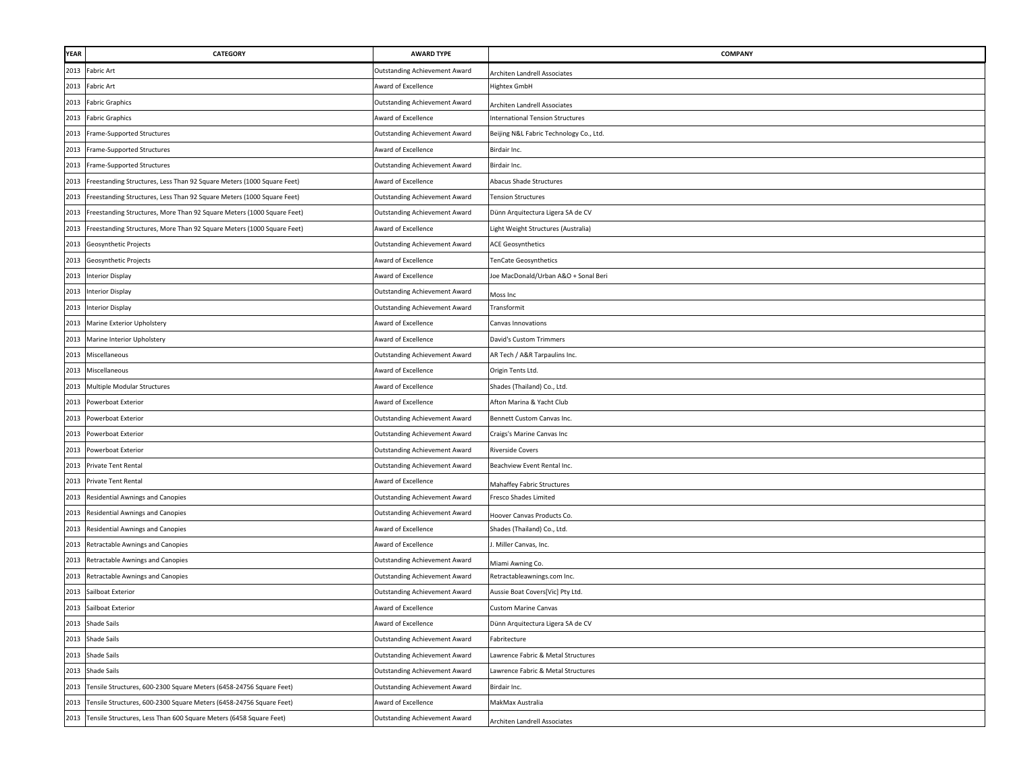| <b>YEAR</b> | CATEGORY                                                               | <b>AWARD TYPE</b>                    | <b>COMPANY</b>                          |
|-------------|------------------------------------------------------------------------|--------------------------------------|-----------------------------------------|
| 2013        | <b>Fabric Art</b>                                                      | Outstanding Achievement Award        | Architen Landrell Associates            |
| 2013        | <b>Fabric Art</b>                                                      | Award of Excellence                  | <b>Hightex GmbH</b>                     |
| 2013        | <b>Fabric Graphics</b>                                                 | <b>Outstanding Achievement Award</b> | Architen Landrell Associates            |
| 2013        | <b>Fabric Graphics</b>                                                 | Award of Excellence                  | <b>International Tension Structures</b> |
| 2013        | Frame-Supported Structures                                             | Outstanding Achievement Award        | Beijing N&L Fabric Technology Co., Ltd. |
| 2013        | Frame-Supported Structures                                             | Award of Excellence                  | Birdair Inc.                            |
|             | 2013 Frame-Supported Structures                                        | Outstanding Achievement Award        | Birdair Inc.                            |
| 2013        | Freestanding Structures, Less Than 92 Square Meters (1000 Square Feet) | Award of Excellence                  | Abacus Shade Structures                 |
| 2013        | Freestanding Structures, Less Than 92 Square Meters (1000 Square Feet) | Outstanding Achievement Award        | <b>Tension Structures</b>               |
| 2013        | Freestanding Structures, More Than 92 Square Meters (1000 Square Feet) | Outstanding Achievement Award        | Dünn Arquitectura Ligera SA de CV       |
| 2013        | Freestanding Structures, More Than 92 Square Meters (1000 Square Feet) | Award of Excellence                  | Light Weight Structures (Australia)     |
| 2013        | Geosynthetic Projects                                                  | Outstanding Achievement Award        | <b>ACE Geosynthetics</b>                |
| 2013        | Geosynthetic Projects                                                  | Award of Excellence                  | enCate Geosynthetics                    |
|             | 2013 Interior Display                                                  | <b>Award of Excellence</b>           | Joe MacDonald/Urban A&O + Sonal Beri    |
|             | 2013 Interior Display                                                  | Outstanding Achievement Award        | Moss Inc                                |
| 2013        | <b>Interior Display</b>                                                | <b>Outstanding Achievement Award</b> | Transformit                             |
| 2013        | Marine Exterior Upholstery                                             | Award of Excellence                  | Canvas Innovations                      |
| 2013        | Marine Interior Upholstery                                             | Award of Excellence                  | David's Custom Trimmers                 |
| 2013        | Miscellaneous                                                          | <b>Outstanding Achievement Award</b> | AR Tech / A&R Tarpaulins Inc.           |
| 2013        | Miscellaneous                                                          | Award of Excellence                  | Origin Tents Ltd.                       |
| 2013        | Multiple Modular Structures                                            | Award of Excellence                  | Shades (Thailand) Co., Ltd.             |
| 2013        | Powerboat Exterior                                                     | Award of Excellence                  | Afton Marina & Yacht Club               |
| 2013        | Powerboat Exterior                                                     | Outstanding Achievement Award        | Bennett Custom Canvas Inc.              |
|             | 2013 Powerboat Exterior                                                | <b>Outstanding Achievement Award</b> | Craigs's Marine Canvas Inc              |
| 2013        | Powerboat Exterior                                                     | Outstanding Achievement Award        | <b>Riverside Covers</b>                 |
| 2013        | Private Tent Rental                                                    | <b>Outstanding Achievement Award</b> | Beachview Event Rental Inc.             |
| 2013        | Private Tent Rental                                                    | Award of Excellence                  | Mahaffey Fabric Structures              |
| 2013        | Residential Awnings and Canopies                                       | Outstanding Achievement Award        | <b>Fresco Shades Limited</b>            |
| 2013        | Residential Awnings and Canopies                                       | Outstanding Achievement Award        | Hoover Canvas Products Co.              |
| 2013        | Residential Awnings and Canopies                                       | \ward of Excellence                  | Shades (Thailand) Co., Ltd.             |
| 2013        | Retractable Awnings and Canopies                                       | ward of Excellence                   | . Miller Canvas, Inc.                   |
| 2013        | Retractable Awnings and Canopies                                       | Outstanding Achievement Award        | Miami Awning Co.                        |
| 2013        | Retractable Awnings and Canopies                                       | Outstanding Achievement Award        | Retractableawnings.com Inc.             |
| 2013        | Sailboat Exterior                                                      | <b>Outstanding Achievement Award</b> | Aussie Boat Covers[Vic] Pty Ltd.        |
| 2013        | Sailboat Exterior                                                      | Award of Excellence                  | <b>Custom Marine Canvas</b>             |
|             | 2013 Shade Sails                                                       | Award of Excellence                  | Dünn Arquitectura Ligera SA de CV       |
| 2013        | <b>Shade Sails</b>                                                     | <b>Outstanding Achievement Award</b> | Fabritecture                            |
| 2013        | <b>Shade Sails</b>                                                     | <b>Outstanding Achievement Award</b> | Lawrence Fabric & Metal Structures      |
|             | 2013 Shade Sails                                                       | Outstanding Achievement Award        | Lawrence Fabric & Metal Structures      |
| 2013        | Tensile Structures, 600-2300 Square Meters (6458-24756 Square Feet)    | Outstanding Achievement Award        | Birdair Inc.                            |
| 2013        | Tensile Structures, 600-2300 Square Meters (6458-24756 Square Feet)    | Award of Excellence                  | MakMax Australia                        |
| 2013        | Tensile Structures, Less Than 600 Square Meters (6458 Square Feet)     | Outstanding Achievement Award        | Architen Landrell Associates            |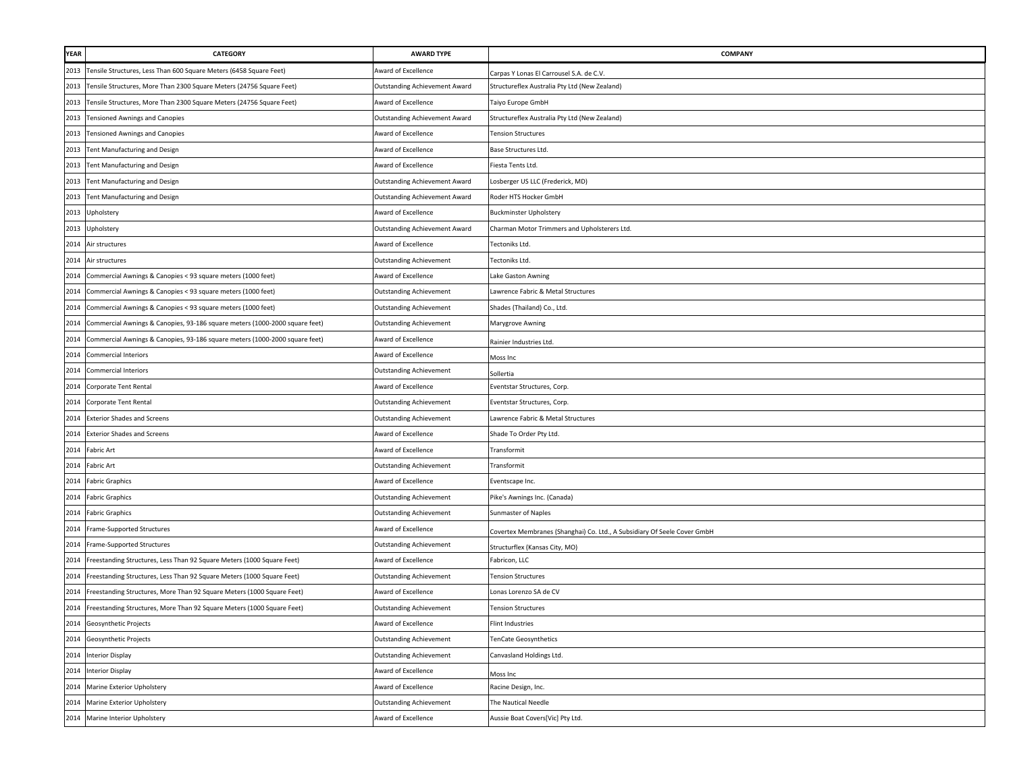| <b>YEAR</b> | <b>CATEGORY</b>                                                             | <b>AWARD TYPE</b>                    | <b>COMPANY</b>                                                           |
|-------------|-----------------------------------------------------------------------------|--------------------------------------|--------------------------------------------------------------------------|
|             | 2013 Tensile Structures, Less Than 600 Square Meters (6458 Square Feet)     | Award of Excellence                  | Carpas Y Lonas El Carrousel S.A. de C.V.                                 |
| 2013        | Tensile Structures, More Than 2300 Square Meters (24756 Square Feet)        | Outstanding Achievement Award        | Structureflex Australia Pty Ltd (New Zealand)                            |
|             | 2013 Tensile Structures, More Than 2300 Square Meters (24756 Square Feet)   | Award of Excellence                  | Taiyo Europe GmbH                                                        |
|             | 2013 Tensioned Awnings and Canopies                                         | <b>Outstanding Achievement Award</b> | Structureflex Australia Pty Ltd (New Zealand)                            |
|             | 2013 Tensioned Awnings and Canopies                                         | Award of Excellence                  | <b>Tension Structures</b>                                                |
|             | 2013 Tent Manufacturing and Design                                          | Award of Excellence                  | Base Structures Ltd.                                                     |
|             | 2013 Tent Manufacturing and Design                                          | Award of Excellence                  | Fiesta Tents Ltd.                                                        |
| 2013        | Tent Manufacturing and Design                                               | <b>Outstanding Achievement Award</b> | Losberger US LLC (Frederick, MD)                                         |
| 2013        | Tent Manufacturing and Design                                               | Outstanding Achievement Award        | Roder HTS Hocker GmbH                                                    |
| 2013        | Upholstery                                                                  | Award of Excellence                  | <b>Buckminster Upholstery</b>                                            |
| 2013        | Upholstery                                                                  | <b>Outstanding Achievement Award</b> | Charman Motor Trimmers and Upholsterers Ltd.                             |
| 2014        | Air structures                                                              | Award of Excellence                  | Tectoniks Ltd.                                                           |
| 2014        | Air structures                                                              | <b>Outstanding Achievement</b>       | Tectoniks Ltd.                                                           |
| 2014        | Commercial Awnings & Canopies < 93 square meters (1000 feet)                | Award of Excellence                  | Lake Gaston Awning                                                       |
| 2014        | Commercial Awnings & Canopies < 93 square meters (1000 feet)                | <b>Outstanding Achievement</b>       | Lawrence Fabric & Metal Structures                                       |
| 2014        | Commercial Awnings & Canopies < 93 square meters (1000 feet)                | Outstanding Achievement              | Shades (Thailand) Co., Ltd.                                              |
| 2014        | Commercial Awnings & Canopies, 93-186 square meters (1000-2000 square feet) | <b>Outstanding Achievement</b>       | Marygrove Awning                                                         |
| 2014        | Commercial Awnings & Canopies, 93-186 square meters (1000-2000 square feet) | Award of Excellence                  | Rainier Industries Ltd.                                                  |
| 2014        | <b>Commercial Interiors</b>                                                 | Award of Excellence                  | Moss Inc                                                                 |
| 2014        | <b>Commercial Interiors</b>                                                 | <b>Outstanding Achievement</b>       | Sollertia                                                                |
| 2014        | Corporate Tent Rental                                                       | Award of Excellence                  | Eventstar Structures, Corp.                                              |
|             | 2014 Corporate Tent Rental                                                  | <b>Outstanding Achievement</b>       | Eventstar Structures, Corp.                                              |
|             | 2014 Exterior Shades and Screens                                            | Outstanding Achievement              | Lawrence Fabric & Metal Structures                                       |
| 2014        | <b>Exterior Shades and Screens</b>                                          | Award of Excellence                  | Shade To Order Pty Ltd.                                                  |
| 2014        | Fabric Art                                                                  | Award of Excellence                  | Transformit                                                              |
| 2014        | Fabric Art                                                                  | <b>Outstanding Achievement</b>       | Transformit                                                              |
| 2014        | <b>Fabric Graphics</b>                                                      | Award of Excellence                  | Eventscape Inc.                                                          |
|             | 2014 Fabric Graphics                                                        | <b>Outstanding Achievement</b>       | Pike's Awnings Inc. (Canada)                                             |
|             | 2014 Fabric Graphics                                                        | <b>Outstanding Achievement</b>       | Sunmaster of Naples                                                      |
| 2014        | Frame-Supported Structures                                                  | Award of Excellence                  | Covertex Membranes (Shanghai) Co. Ltd., A Subsidiary Of Seele Cover GmbH |
| 2014        | Frame-Supported Structures                                                  | <b>Outstanding Achievement</b>       | Structurflex (Kansas City, MO)                                           |
| 2014        | Freestanding Structures, Less Than 92 Square Meters (1000 Square Feet)      | Award of Excellence                  | Fabricon, LLC                                                            |
| 2014        | Freestanding Structures, Less Than 92 Square Meters (1000 Square Feet)      | <b>Outstanding Achievement</b>       | <b>Tension Structures</b>                                                |
| 2014        | Freestanding Structures, More Than 92 Square Meters (1000 Square Feet)      | Award of Excellence                  | Lonas Lorenzo SA de CV                                                   |
| 2014        | Freestanding Structures, More Than 92 Square Meters (1000 Square Feet)      | Outstanding Achievement              | <b>Tension Structures</b>                                                |
|             | 2014 Geosynthetic Projects                                                  | Award of Excellence                  | Flint Industries                                                         |
|             | 2014 Geosynthetic Projects                                                  | <b>Outstanding Achievement</b>       | TenCate Geosynthetics                                                    |
|             | 2014 Interior Display                                                       | <b>Outstanding Achievement</b>       | Canvasland Holdings Ltd.                                                 |
|             | 2014 Interior Display                                                       | Award of Excellence                  | Moss Inc                                                                 |
| 2014        | Marine Exterior Upholstery                                                  | Award of Excellence                  | Racine Design, Inc.                                                      |
| 2014        | Marine Exterior Upholstery                                                  | <b>Outstanding Achievement</b>       | The Nautical Needle                                                      |
| 2014        | Marine Interior Upholstery                                                  | Award of Excellence                  | Aussie Boat Covers[Vic] Pty Ltd.                                         |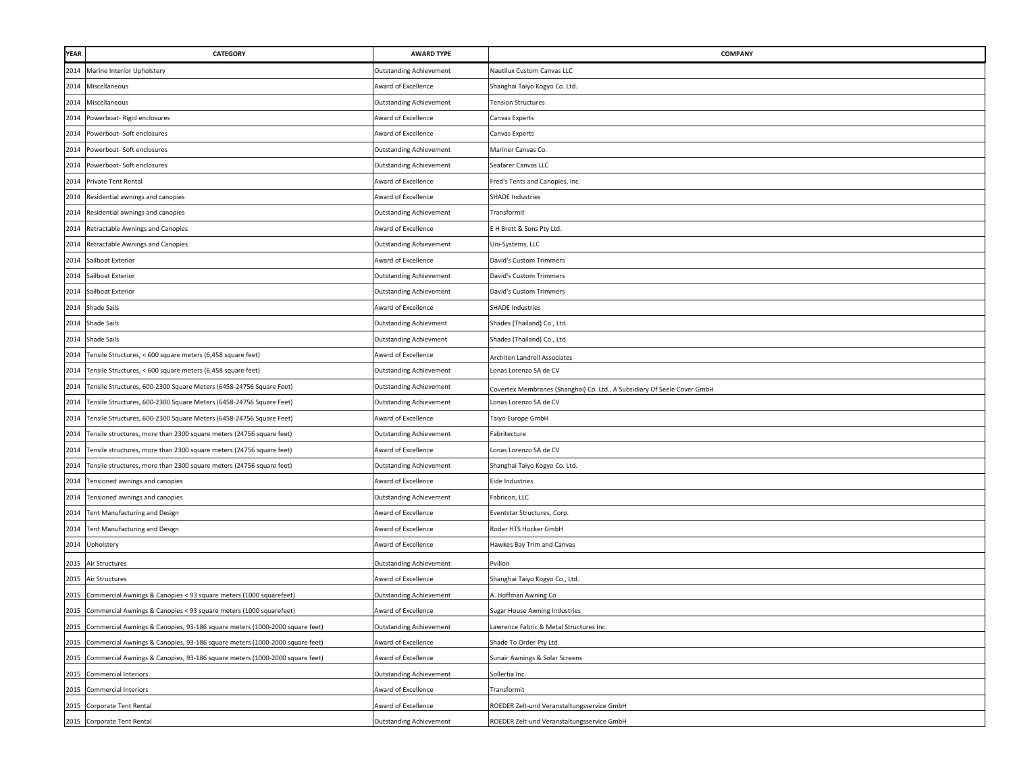| <b>YEAR</b> | <b>CATEGORY</b>                                                                  | <b>AWARD TYPE</b>              | COMPANY                                                                  |
|-------------|----------------------------------------------------------------------------------|--------------------------------|--------------------------------------------------------------------------|
| 2014        | Marine Interior Upholstery                                                       | <b>Outstanding Achievement</b> | Nautilux Custom Canvas LLC                                               |
| 2014        | Miscellaneous                                                                    | Award of Excellence            | Shanghai Taiyo Kogyo Co. Ltd.                                            |
| 2014        | Miscellaneous                                                                    | <b>Outstanding Achievement</b> | <b>Tension Structures</b>                                                |
| 2014        | Powerboat- Rigid enclosures                                                      | Award of Excellence            | Canvas Experts                                                           |
| 2014        | Powerboat- Soft enclosures                                                       | Award of Excellence            | Canvas Experts                                                           |
| 2014        | Powerboat- Soft enclosures                                                       | <b>Outstanding Achievement</b> | Mariner Canvas Co.                                                       |
| 2014        | Powerboat- Soft enclosures                                                       | Outstanding Achievement        | Seafarer Canvas LLC                                                      |
| 2014        | Private Tent Rental                                                              | Award of Excellence            | Fred's Tents and Canopies, Inc.                                          |
| 2014        | Residential awnings and canopies                                                 | Award of Excellence            | <b>SHADE Industries</b>                                                  |
| 2014        | Residential awnings and canopies                                                 | <b>Outstanding Achievement</b> | Transformit                                                              |
| 2014        | Retractable Awnings and Canopies                                                 | Award of Excellence            | E H Brett & Sons Pty Ltd.                                                |
| 2014        | Retractable Awnings and Canopies                                                 | <b>Outstanding Achievement</b> | Uni-Systems, LLC                                                         |
| 2014        | Sailboat Exterior                                                                | Award of Excellence            | David's Custom Trimmers                                                  |
| 2014        | Sailboat Exterior                                                                | <b>Outstanding Achievement</b> | David's Custom Trimmers                                                  |
| 2014        | Sailboat Exterior                                                                | <b>Outstanding Achievement</b> | David's Custom Trimmers                                                  |
| 2014        | <b>Shade Sails</b>                                                               | Award of Excellence            | <b>SHADE Industries</b>                                                  |
| 2014        | <b>Shade Sails</b>                                                               | <b>Outstanding Achievment</b>  | Shades (Thailand) Co., Ltd.                                              |
| 2014        | <b>Shade Sails</b>                                                               | <b>Outstanding Achievment</b>  | Shades (Thailand) Co., Ltd.                                              |
| 2014        | Tensile Structures, < 600 square meters (6,458 square feet)                      | Award of Excellence            | Architen Landrell Associates                                             |
| 2014        | Tensile Structures, < 600 square meters (6,458 square feet)                      | <b>Outstanding Achievement</b> | Lonas Lorenzo SA de CV                                                   |
| 2014        | Tensile Structures, 600-2300 Square Meters (6458-24756 Square Feet)              | <b>Outstanding Achievement</b> | Covertex Membranes (Shanghai) Co. Ltd., A Subsidiary Of Seele Cover GmbH |
| 2014        | Tensile Structures, 600-2300 Square Meters (6458-24756 Square Feet)              | <b>Outstanding Achievement</b> | Lonas Lorenzo SA de CV                                                   |
|             | 2014 Tensile Structures, 600-2300 Square Meters (6458-24756 Square Feet)         | Award of Excellence            | Taiyo Europe GmbH                                                        |
| 2014        | Tensile structures, more than 2300 square meters (24756 square feet)             | <b>Outstanding Achievement</b> | Fabritecture                                                             |
| 2014        | Tensile structures, more than 2300 square meters (24756 square feet)             | Award of Excellence            | Lonas Lorenzo SA de CV                                                   |
| 2014        | Tensile structures, more than 2300 square meters (24756 square feet)             | <b>Outstanding Achievement</b> | Shanghai Taiyo Kogyo Co. Ltd.                                            |
| 2014        | Tensioned awnings and canopies                                                   | Award of Excellence            | Eide Industries                                                          |
| 2014        | Tensioned awnings and canopies                                                   | <b>Outstanding Achievement</b> | Fabricon, LLC                                                            |
| 2014        | Tent Manufacturing and Design                                                    | ward of Excellence             | Eventstar Structures, Corp.                                              |
| 2014        | Tent Manufacturing and Design                                                    | Award of Excellence            | Roder HTS Hocker GmbH                                                    |
|             | 2014 Upholstery                                                                  | Award of Excellence            | Hawkes Bay Trim and Canvas                                               |
| 2015        | Air Structures                                                                   | <b>Outstanding Achievement</b> | Pvilion                                                                  |
| 2015        | Air Structures                                                                   | Award of Excellence            | Shanghai Taiyo Kogyo Co., Ltd.                                           |
| 2015        | Commercial Awnings & Canopies < 93 square meters (1000 squarefeet)               | <b>Outstanding Achievement</b> | A. Hoffman Awning Co                                                     |
| 2015        | Commercial Awnings & Canopies < 93 square meters (1000 squarefeet)               | Award of Excellence            | Sugar House Awning Industries                                            |
|             | 2015 Commercial Awnings & Canopies, 93-186 square meters (1000-2000 square feet) | <b>Outstanding Achievement</b> | Lawrence Fabric & Metal Structures Inc.                                  |
| 2015        | Commercial Awnings & Canopies, 93-186 square meters (1000-2000 square feet)      | ward of Excellence             | Shade To Order Pty Ltd.                                                  |
| 2015        | Commercial Awnings & Canopies, 93-186 square meters (1000-2000 square feet)      | Award of Excellence            | Sunair Awnings & Solar Screens                                           |
|             | 2015 Commercial Interiors                                                        | <b>Outstanding Achievement</b> | Sollertia Inc.                                                           |
|             | 2015 Commercial Interiors                                                        | Award of Excellence            | Transformit                                                              |
| 2015        | Corporate Tent Rental                                                            | Award of Excellence            | ROEDER Zelt-und Veranstaltungsservice GmbH                               |
|             | 2015 Corporate Tent Rental                                                       | <b>Outstanding Achievement</b> | ROEDER Zelt-und Veranstaltungsservice GmbH                               |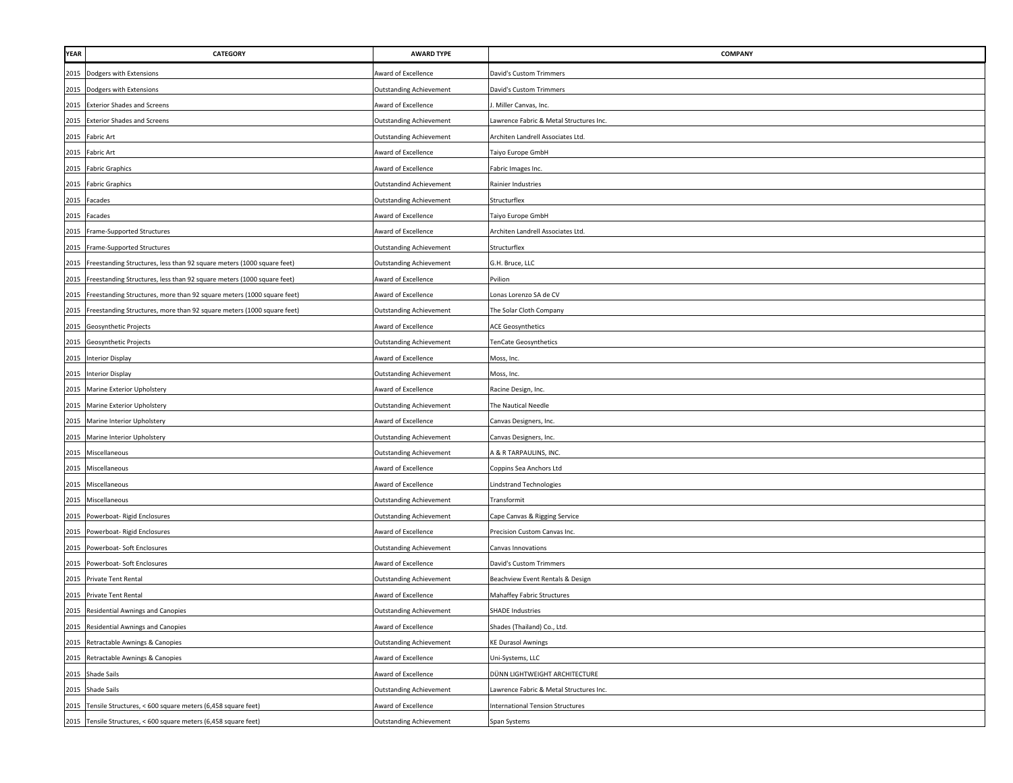| <b>YEAR</b> | <b>CATEGORY</b>                                                             | <b>AWARD TYPE</b>              | <b>COMPANY</b>                          |
|-------------|-----------------------------------------------------------------------------|--------------------------------|-----------------------------------------|
|             | 2015 Dodgers with Extensions                                                | Award of Excellence            | David's Custom Trimmers                 |
|             | 2015 Dodgers with Extensions                                                | <b>Outstanding Achievement</b> | David's Custom Trimmers                 |
|             | 2015 Exterior Shades and Screens                                            | Award of Excellence            | Miller Canvas, Inc.                     |
| 2015        | <b>Exterior Shades and Screens</b>                                          | Outstanding Achievement        | awrence Fabric & Metal Structures Inc.  |
|             | 2015 Fabric Art                                                             | <b>Outstanding Achievement</b> | Architen Landrell Associates Ltd.       |
| 2015        | <b>Fabric Art</b>                                                           | Award of Excellence            | Taiyo Europe GmbH                       |
| 2015        | <b>Fabric Graphics</b>                                                      | Award of Excellence            | Fabric Images Inc.                      |
| 2015        | <b>Fabric Graphics</b>                                                      | <b>Outstandind Achievement</b> | Rainier Industries                      |
| 2015        | Facades                                                                     | <b>Outstanding Achievement</b> | Structurflex                            |
| 2015        | Facades                                                                     | Award of Excellence            | Taiyo Europe GmbH                       |
| 2015        | Frame-Supported Structures                                                  | Award of Excellence            | Architen Landrell Associates Ltd.       |
| 2015        | Frame-Supported Structures                                                  | <b>Outstanding Achievement</b> | Structurflex                            |
| 2015        | Freestanding Structures, less than 92 square meters (1000 square feet)      | <b>Outstanding Achievement</b> | G.H. Bruce, LLC                         |
| 2015        | Freestanding Structures, less than 92 square meters (1000 square feet)      | Award of Excellence            | Pvilion                                 |
| 2015        | Freestanding Structures, more than 92 square meters (1000 square feet)      | Award of Excellence            | Lonas Lorenzo SA de CV                  |
|             | 2015 Freestanding Structures, more than 92 square meters (1000 square feet) | <b>Outstanding Achievement</b> | The Solar Cloth Company                 |
|             | 2015 Geosynthetic Projects                                                  | Award of Excellence            | <b>ACE Geosynthetics</b>                |
|             | 2015 Geosynthetic Projects                                                  | <b>Outstanding Achievement</b> | TenCate Geosynthetics                   |
|             | 2015 Interior Display                                                       | Award of Excellence            | Moss, Inc.                              |
|             | 2015 Interior Display                                                       | <b>Outstanding Achievement</b> | Moss, Inc.                              |
|             | 2015 Marine Exterior Upholstery                                             | Award of Excellence            | Racine Design, Inc.                     |
|             | 2015 Marine Exterior Upholstery                                             | <b>Outstanding Achievement</b> | The Nautical Needle                     |
| 2015        | Marine Interior Upholstery                                                  | Award of Excellence            | Canvas Designers, Inc.                  |
| 2015        | Marine Interior Upholstery                                                  | <b>Outstanding Achievement</b> | Canvas Designers, Inc.                  |
| 2015        | Miscellaneous                                                               | <b>Outstanding Achievement</b> | <b>A &amp; R TARPAULINS, INC.</b>       |
|             | 2015 Miscellaneous                                                          | Award of Excellence            | Coppins Sea Anchors Ltd                 |
| 2015        | Miscellaneous                                                               | Award of Excellence            | indstrand Technologies                  |
| 2015        | Miscellaneous                                                               | <b>Outstanding Achievement</b> | <b>Transformit</b>                      |
| 2015        | Powerboat- Rigid Enclosures                                                 | <b>Outstanding Achievement</b> | Cape Canvas & Rigging Service           |
| 2015        | Powerboat- Rigid Enclosures                                                 | Award of Excellence            | Precision Custom Canvas Inc.            |
| 2015        | Powerboat- Soft Enclosures                                                  | <b>Outstanding Achievement</b> | Canvas Innovations                      |
| 2015        | Powerboat- Soft Enclosures                                                  | Award of Excellence            | David's Custom Trimmers                 |
| 2015        | Private Tent Rental                                                         | <b>Outstanding Achievement</b> | Beachview Event Rentals & Design        |
| 2015        | Private Tent Rental                                                         | Award of Excellence            | Mahaffey Fabric Structures              |
|             | 2015 Residential Awnings and Canopies                                       | <b>Outstanding Achievement</b> | <b>SHADE Industries</b>                 |
|             | 2015 Residential Awnings and Canopies                                       | Award of Excellence            | Shades (Thailand) Co., Ltd.             |
|             | 2015 Retractable Awnings & Canopies                                         | <b>Outstanding Achievement</b> | <b>KE Durasol Awnings</b>               |
|             | 2015 Retractable Awnings & Canopies                                         | Award of Excellence            | Jni-Systems, LLC                        |
|             | 2015 Shade Sails                                                            | Award of Excellence            | DÜNN LIGHTWEIGHT ARCHITECTURE           |
|             | 2015 Shade Sails                                                            | <b>Outstanding Achievement</b> | Lawrence Fabric & Metal Structures Inc. |
|             | 2015 Tensile Structures, < 600 square meters (6,458 square feet)            | Award of Excellence            | <b>International Tension Structures</b> |
|             | 2015 Tensile Structures, < 600 square meters (6,458 square feet)            | <b>Outstanding Achievement</b> | Span Systems                            |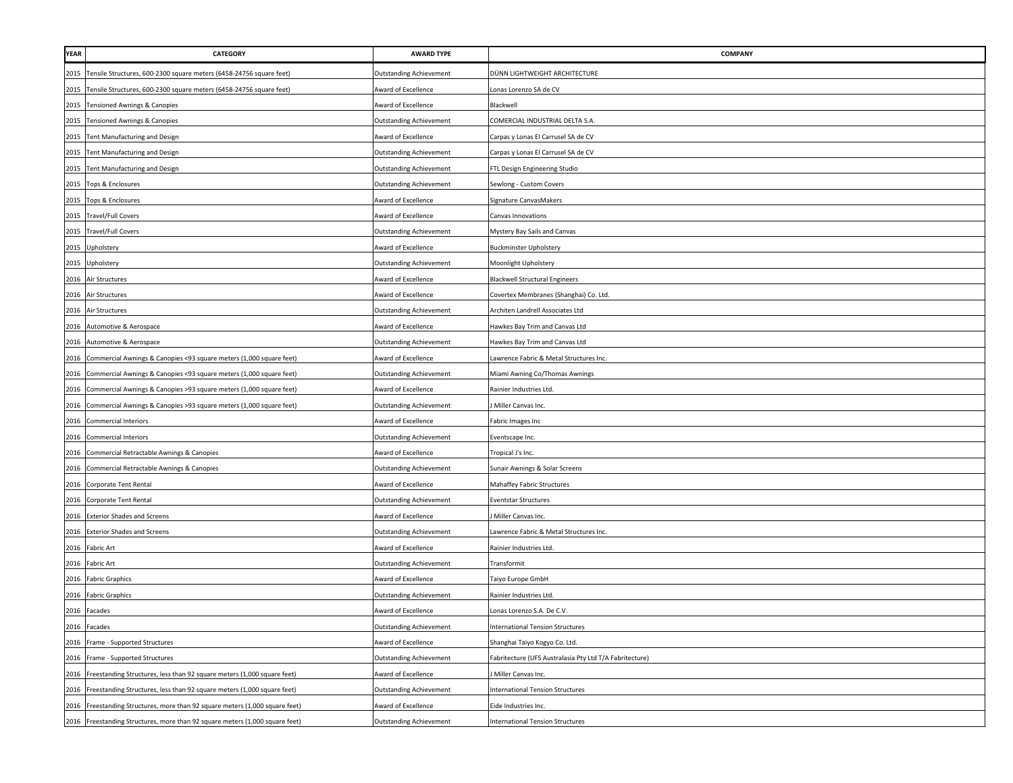| <b>YEAR</b> | <b>CATEGORY</b>                                                              | <b>AWARD TYPE</b>              | <b>COMPANY</b>                                         |
|-------------|------------------------------------------------------------------------------|--------------------------------|--------------------------------------------------------|
|             | 2015 Tensile Structures, 600-2300 square meters (6458-24756 square feet)     | <b>Outstanding Achievement</b> | DÜNN LIGHTWEIGHT ARCHITECTURE                          |
|             | 2015 Tensile Structures, 600-2300 square meters (6458-24756 square feet)     | Award of Excellence            | onas Lorenzo SA de CV                                  |
|             | 2015 Tensioned Awnings & Canopies                                            | Award of Excellence            | Blackwell                                              |
| 2015        | Tensioned Awnings & Canopies                                                 | Outstanding Achievement        | COMERCIAL INDUSTRIAL DELTA S.A.                        |
|             | 2015 Tent Manufacturing and Design                                           | Award of Excellence            | Carpas y Lonas El Carrusel SA de CV                    |
| 2015        | Tent Manufacturing and Design                                                | <b>Outstanding Achievement</b> | Carpas y Lonas El Carrusel SA de CV                    |
| 2015        | Tent Manufacturing and Design                                                | <b>Outstanding Achievement</b> | FTL Design Engineering Studio                          |
| 2015        | Tops & Enclosures                                                            | <b>Outstanding Achievement</b> | Sewlong - Custom Covers                                |
| 2015        | Tops & Enclosures                                                            | Award of Excellence            | Signature CanvasMakers                                 |
|             | 2015 Travel/Full Covers                                                      | Award of Excellence            | Canvas Innovations                                     |
|             | 2015 Travel/Full Covers                                                      | <b>Outstanding Achievement</b> | Mystery Bay Sails and Canvas                           |
|             | 2015 Upholstery                                                              | Award of Excellence            | <b>Buckminster Upholstery</b>                          |
| 2015        | Upholstery                                                                   | <b>Outstanding Achievement</b> | Moonlight Upholstery                                   |
|             | 2016 Air Structures                                                          | Award of Excellence            | <b>Blackwell Structural Engineers</b>                  |
| 2016        | Air Structures                                                               | Award of Excellence            | Covertex Membranes (Shanghai) Co. Ltd.                 |
|             | 2016 Air Structures                                                          | Outstanding Achievement        | Architen Landrell Associates Ltd                       |
|             | 2016 Automotive & Aerospace                                                  | Award of Excellence            | Hawkes Bay Trim and Canvas Ltd                         |
|             | 2016 Automotive & Aerospace                                                  | <b>Outstanding Achievement</b> | Hawkes Bay Trim and Canvas Ltd                         |
| 2016        | Commercial Awnings & Canopies <93 square meters (1,000 square feet)          | Award of Excellence            | Lawrence Fabric & Metal Structures Inc.                |
|             | 2016 Commercial Awnings & Canopies <93 square meters (1,000 square feet)     | <b>Outstanding Achievement</b> | Miami Awning Co/Thomas Awnings                         |
| 2016        | Commercial Awnings & Canopies >93 square meters (1,000 square feet)          | Award of Excellence            | Rainier Industries Ltd.                                |
| 2016        | Commercial Awnings & Canopies >93 square meters (1,000 square feet)          | <b>Outstanding Achievement</b> | Miller Canvas Inc.                                     |
| 2016        | <b>Commercial Interiors</b>                                                  | Award of Excellence            | Fabric Images Inc                                      |
| 2016        | <b>Commercial Interiors</b>                                                  | <b>Outstanding Achievement</b> | Eventscape Inc.                                        |
| 2016        | Commercial Retractable Awnings & Canopies                                    | Award of Excellence            | Tropical J's Inc.                                      |
|             | 2016 Commercial Retractable Awnings & Canopies                               | <b>Outstanding Achievement</b> | Sunair Awnings & Solar Screens                         |
| 2016        | Corporate Tent Rental                                                        | Award of Excellence            | Mahaffey Fabric Structures                             |
| 2016        | Corporate Tent Rental                                                        | <b>Outstanding Achievement</b> | Eventstar Structures                                   |
| 2016        | <b>Exterior Shades and Screens</b>                                           | Award of Excellence            | Miller Canvas Inc.                                     |
|             | 2016 Exterior Shades and Screens                                             | <b>Outstanding Achievement</b> | Lawrence Fabric & Metal Structures Inc.                |
| 2016        | Fabric Art                                                                   | Award of Excellence            | Rainier Industries Ltd.                                |
|             | 2016 Fabric Art                                                              | <b>Outstanding Achievement</b> | Transformit                                            |
|             | 2016 Fabric Graphics                                                         | Award of Excellence            | Taiyo Europe GmbH                                      |
|             | 2016 Fabric Graphics                                                         | <b>Outstanding Achievement</b> | Rainier Industries Ltd.                                |
|             | 2016 Facades                                                                 | Award of Excellence            | Lonas Lorenzo S.A. De C.V.                             |
|             | 2016 Facades                                                                 | <b>Outstanding Achievement</b> | <b>International Tension Structures</b>                |
| 2016        | Frame - Supported Structures                                                 | Award of Excellence            | Shanghai Taiyo Kogyo Co. Ltd.                          |
| 2016        | Frame - Supported Structures                                                 | <b>Outstanding Achievement</b> | abritecture (UFS Australasia Pty Ltd T/A Fabritecture) |
| 2016        | Freestanding Structures, less than 92 square meters (1,000 square feet)      | Award of Excellence            | Miller Canvas Inc.                                     |
| 2016        | Freestanding Structures, less than 92 square meters (1,000 square feet)      | <b>Outstanding Achievement</b> | <b>International Tension Structures</b>                |
| 2016        | Freestanding Structures, more than 92 square meters (1,000 square feet)      | Award of Excellence            | Eide Industries Inc.                                   |
|             | 2016 Freestanding Structures, more than 92 square meters (1,000 square feet) | <b>Outstanding Achievement</b> | <b>International Tension Structures</b>                |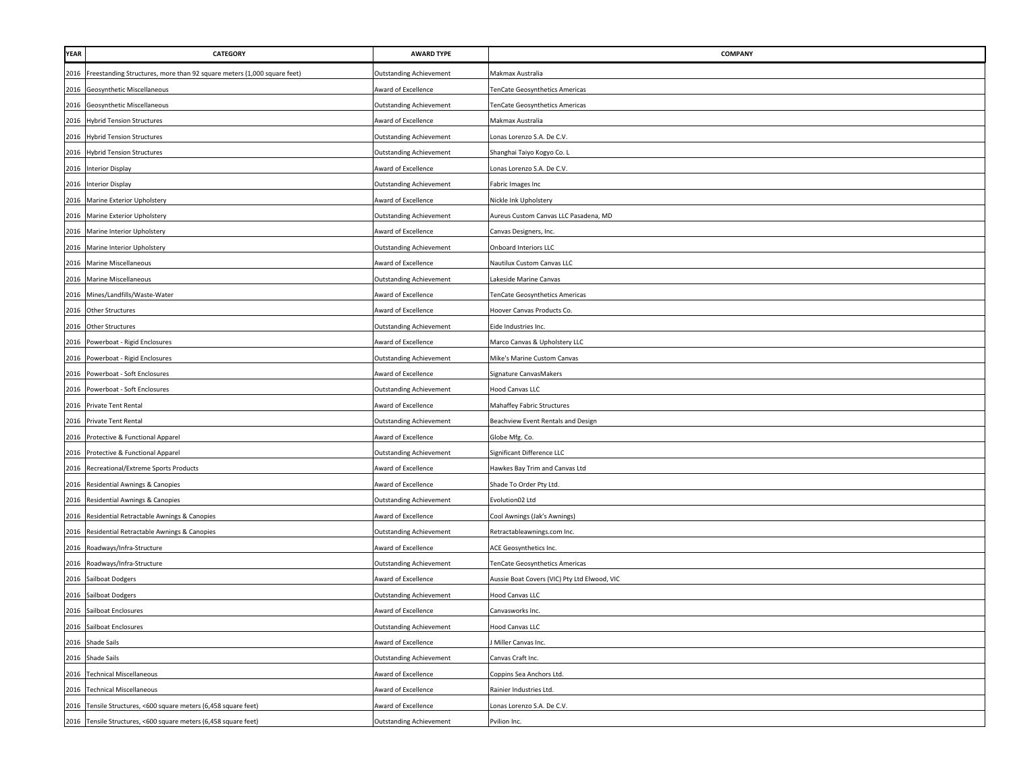| <b>YEAR</b> | <b>CATEGORY</b>                                                         | <b>AWARD TYPE</b>              | <b>COMPANY</b>                               |
|-------------|-------------------------------------------------------------------------|--------------------------------|----------------------------------------------|
| 2016        | Freestanding Structures, more than 92 square meters (1,000 square feet) | <b>Outstanding Achievement</b> | Makmax Australia                             |
|             | 2016 Geosynthetic Miscellaneous                                         | Award of Excellence            | <b>TenCate Geosynthetics Americas</b>        |
|             | 2016 Geosynthetic Miscellaneous                                         | <b>Outstanding Achievement</b> | TenCate Geosynthetics Americas               |
|             | 2016 Hybrid Tension Structures                                          | Award of Excellence            | Makmax Australia                             |
| 2016        | <b>Hybrid Tension Structures</b>                                        | <b>Outstanding Achievement</b> | Lonas Lorenzo S.A. De C.V.                   |
| 2016        | <b>Hybrid Tension Structures</b>                                        | Outstanding Achievement        | Shanghai Taiyo Kogyo Co. L                   |
| 2016        | <b>Interior Display</b>                                                 | Award of Excellence            | Lonas Lorenzo S.A. De C.V.                   |
| 2016        | <b>Interior Display</b>                                                 | Outstanding Achievement        | Fabric Images Inc                            |
| 2016        | Marine Exterior Upholstery                                              | Award of Excellence            | Nickle Ink Upholstery                        |
| 2016        | Marine Exterior Upholstery                                              | <b>Outstanding Achievement</b> | Aureus Custom Canvas LLC Pasadena, MD        |
| 2016        | Marine Interior Upholstery                                              | Award of Excellence            | Canvas Designers, Inc.                       |
| 2016        | Marine Interior Upholstery                                              | <b>Outstanding Achievement</b> | <b>Onboard Interiors LLC</b>                 |
| 2016        | <b>Marine Miscellaneous</b>                                             | Award of Excellence            | Nautilux Custom Canvas LLC                   |
| 2016        | Marine Miscellaneous                                                    | <b>Outstanding Achievement</b> | Lakeside Marine Canvas                       |
| 2016        | Mines/Landfills/Waste-Water                                             | Award of Excellence            | TenCate Geosynthetics Americas               |
| 2016        | <b>Other Structures</b>                                                 | Award of Excellence            | Hoover Canvas Products Co.                   |
|             | 2016 Other Structures                                                   | Outstanding Achievement        | Eide Industries Inc.                         |
|             | 2016 Powerboat - Rigid Enclosures                                       | Award of Excellence            | Marco Canvas & Upholstery LLC                |
|             | 2016 Powerboat - Rigid Enclosures                                       | <b>Outstanding Achievement</b> | Mike's Marine Custom Canvas                  |
|             | 2016 Powerboat - Soft Enclosures                                        | Award of Excellence            | Signature CanvasMakers                       |
|             | 2016 Powerboat - Soft Enclosures                                        | Outstanding Achievement        | Hood Canvas LLC                              |
|             | 2016 Private Tent Rental                                                | Award of Excellence            | Mahaffey Fabric Structures                   |
| 2016        | Private Tent Rental                                                     | <b>Outstanding Achievement</b> | Beachview Event Rentals and Design           |
| 2016        | Protective & Functional Apparel                                         | Award of Excellence            | Globe Mfg. Co.                               |
| 2016        | Protective & Functional Apparel                                         | <b>Outstanding Achievement</b> | Significant Difference LLC                   |
| 2016        | Recreational/Extreme Sports Products                                    | Award of Excellence            | Hawkes Bay Trim and Canvas Ltd               |
| 2016        | Residential Awnings & Canopies                                          | Award of Excellence            | Shade To Order Pty Ltd.                      |
| 2016        | Residential Awnings & Canopies                                          | <b>Outstanding Achievement</b> | Evolution02 Ltd                              |
| 2016        | Residential Retractable Awnings & Canopies                              | Award of Excellence            | Cool Awnings (Jak's Awnings)                 |
| 2016        | Residential Retractable Awnings & Canopies                              | <b>Outstanding Achievement</b> | Retractableawnings.com Inc.                  |
| 2016        | Roadways/Infra-Structure                                                | Award of Excellence            | ACE Geosynthetics Inc.                       |
| 2016        | Roadways/Infra-Structure                                                | <b>Outstanding Achievement</b> | TenCate Geosynthetics Americas               |
| 2016        | Sailboat Dodgers                                                        | Award of Excellence            | Aussie Boat Covers (VIC) Pty Ltd Elwood, VIC |
|             | 2016 Sailboat Dodgers                                                   | Outstanding Achievement        | <b>Hood Canvas LLC</b>                       |
|             | 2016 Sailboat Enclosures                                                | Award of Excellence            | Canvasworks Inc.                             |
|             | 2016 Sailboat Enclosures                                                | <b>Outstanding Achievement</b> | Hood Canvas LLC                              |
|             | 2016 Shade Sails                                                        | Award of Excellence            | Miller Canvas Inc.                           |
|             | 2016 Shade Sails                                                        | <b>Outstanding Achievement</b> | Canvas Craft Inc.                            |
|             | 2016 Technical Miscellaneous                                            | Award of Excellence            | Coppins Sea Anchors Ltd.                     |
|             | 2016 Technical Miscellaneous                                            | Award of Excellence            | Rainier Industries Ltd.                      |
| 2016        | Tensile Structures, <600 square meters (6,458 square feet)              | Award of Excellence            | Lonas Lorenzo S.A. De C.V.                   |
|             | 2016 Tensile Structures, <600 square meters (6,458 square feet)         | <b>Outstanding Achievement</b> | Pvilion Inc.                                 |